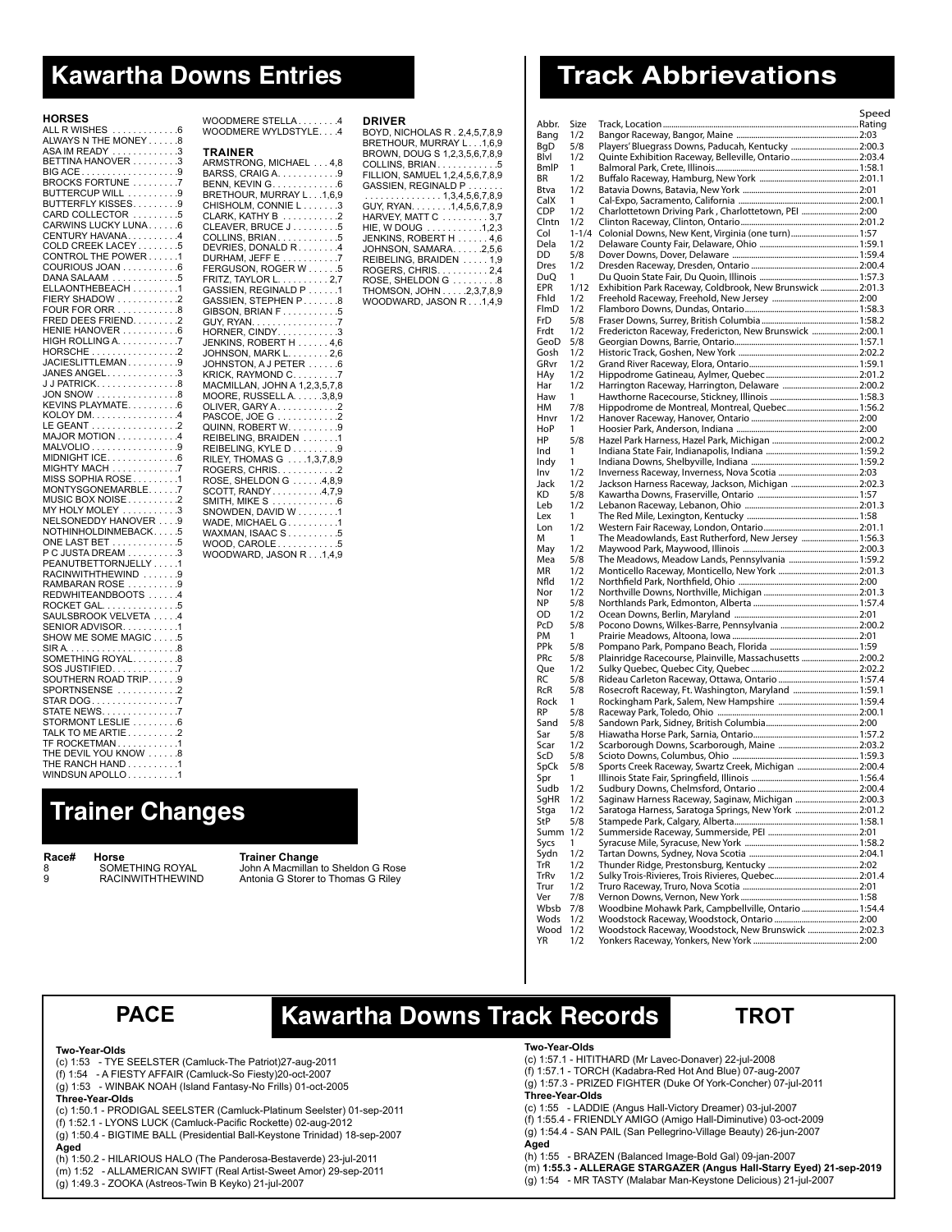# **Kawartha Downs Entries**

### **HORSES**

| ALL R WISHES                                                              | .6                      |
|---------------------------------------------------------------------------|-------------------------|
| ALWAYS N THE MONE                                                         | $\overline{\mathbf{8}}$ |
|                                                                           |                         |
| ASA IM READY                                                              | $\cdot$ 3               |
| <b>BETTINA HANOVER</b>                                                    | .3                      |
| BIG ACE                                                                   | .9                      |
|                                                                           |                         |
| <b>BROCKS FORTUNE.</b>                                                    | $\cdot$                 |
| BUTTERCUP WILL                                                            | . .9                    |
| <b>BUTTERFLY KISSES</b>                                                   | .9                      |
| CARD COLLECTOR                                                            |                         |
|                                                                           | .5                      |
| CARWINS LUCKY LUNA                                                        | .6                      |
| CENTURY HAVANA                                                            | $\mathcal{A}$           |
|                                                                           |                         |
| <b>COLD CREEK LACEY</b>                                                   | .5                      |
| CONTROL THE POWER                                                         | $\cdot$ 1               |
| COURIOUS JOAN                                                             | 6.6                     |
|                                                                           |                         |
| DANA SALAAM                                                               | .5                      |
| ELLAONTHEBEACH                                                            | $\cdot$ 1               |
| FIERY SHADOW<br>FOUR FOR ORR<br>FRED DEES FRIEND.<br>UENIE UANOUER        | $\cdot$ .2              |
|                                                                           |                         |
|                                                                           | .8                      |
|                                                                           | $\cdot$                 |
| HENIE HANOVER                                                             | .6                      |
|                                                                           |                         |
| HIGH ROLLING A                                                            | $\cdot$ .7              |
|                                                                           |                         |
|                                                                           |                         |
| JANES ANGEL                                                               | .3                      |
|                                                                           |                         |
| J J PATRICK                                                               | .8                      |
| JON SNOW<br>KEVINS PLAYMATE                                               | .8                      |
|                                                                           | .6                      |
|                                                                           |                         |
| $KOLOY$ $DM$                                                              | $\mathcal{A}$           |
| LE GEANT                                                                  | $\cdot$ .2              |
|                                                                           | $\mathcal{A}$           |
| MAJOR MOTION                                                              |                         |
| MALVOLIO                                                                  | .9                      |
| MIDNIGHT ICE.<br>.                                                        | .6                      |
|                                                                           | $\overline{.7}$         |
| MIGHTY MACH<br>MISS SOPHIA ROSE<br>MONTYSGONEMARBLE. .<br>MUSIC BOX NOISE |                         |
|                                                                           | $\cdot$ 1               |
|                                                                           | $\cdot$                 |
|                                                                           |                         |
|                                                                           | $\cdot$ .2              |
| MY HOLY MOLEY.                                                            | $\cdot$ 3               |
| NELSONEDDY HANOVER                                                        | .9                      |
| NOTHINHOLDINMEBACK.                                                       | .5                      |
|                                                                           |                         |
| ONE LAST BET<br>$\ddot{\phantom{a}}$                                      | .5                      |
| P C JUSTA DREAM                                                           | .3                      |
| PEANUTBETTORNJELL<br>Y                                                    | $\cdot$ 1               |
|                                                                           |                         |
| RACINWITHTHEWIND                                                          | .9                      |
| RAMBARAN ROSE.                                                            | .9                      |
| <b>REDWHITEANDBOOTS</b>                                                   | $\mathcal{A}$           |
| ROCKET GAL.                                                               | .5                      |
|                                                                           |                         |
| SAULSBROOK VELVETA                                                        | .4                      |
| SENIOR ADVISOR                                                            | $\cdot$ 1               |
|                                                                           |                         |
| SHOW ME SOME MAGIC                                                        | .5                      |
| SIRA<br>$\ddots$<br>$\cdots$                                              | .8                      |
| SOMETHING ROYAL.                                                          | .8                      |
|                                                                           |                         |
| SOS JUSTIFIED.<br>SOUTHERN ROAD TRIP                                      | .7                      |
| SOUTHERN ROAD TRIP                                                        | .9                      |
| SPORTNSENSE                                                               | $\cdot$                 |
| $\begin{array}{c} \text{STAR DOG} \dots \dots \dots \end{array}$          |                         |
|                                                                           | $\cdot$                 |
| .<br>STATE NEWS                                                           | . .7                    |
| STORMONT LESLIE                                                           | .6                      |
| TALK TO ME ARTIE                                                          | .2                      |
|                                                                           |                         |
|                                                                           | $\cdot$ 1               |
|                                                                           | .8                      |
|                                                                           |                         |
|                                                                           |                         |
| THE RANCH HAND.<br>WINDSUN APOLLO.<br>$\ldots$ .<br>$\sim$ .              | $\cdot$ 1<br>$\cdot$ 1  |

| <b>TRAINER</b> | WOODMERE STELLA 4<br>WOODMERE WYLDSTYLE.4<br>ARMSTRONG, MICHAEL 4,8<br>BARSS, CRAIG A. 9<br>BENN, KEVIN G……………6<br>BRETHOUR, MURRAY L….1,6,9<br>CHISHOLM, CONNIE L3<br>CLARK, KATHY B 2<br>CLEAVER, BRUCE J5<br>COLLINS, BRIAN5<br>DEVRIES, DONALD R4<br>DURHAM, JEFF E 7<br>FERGUSON, ROGER W 5<br>FRITZ, TAYLOR L. 2,7<br>GASSIEN, REGINALD P 1<br>GASSIEN, STEPHEN P. 8<br>GIBSON, BRIAN F5<br>GUY, RYAN. 7<br>HORNER, CINDY. 3<br>JENKINS, ROBERT H 4,6<br>JOHNSON, MARK L. 2,6<br>JOHNSTON, A J PETER 6<br>KRICK, RAYMOND C. 7<br>MACMILLAN, JOHN A 1,2,3,5,7,8<br>MOORE, RUSSELL A. 3,8,9<br>OLIVER, GARY A. 2<br>PASCOÉ, JOE G 2<br>QUINN, ROBERT W 9<br>REIBELING, BRAIDEN 1<br>REIBELING, KYLE D 9<br>RILEY, THOMAS G 1,3,7,8,9<br>ROGERS, CHRIS. 2<br>ROSE, SHELDON G 4,8,9<br>SCOTT, RANDY4,7,9<br>SMITH, MIKE S 6<br>SNOWDEN, DAVID W 1<br>WADE, MICHAEL G1<br>WAXMAN, ISAAC S5<br>WOOD, CAROLE5<br>WOODWARD, JASON R1,4,9 |
|----------------|----------------------------------------------------------------------------------------------------------------------------------------------------------------------------------------------------------------------------------------------------------------------------------------------------------------------------------------------------------------------------------------------------------------------------------------------------------------------------------------------------------------------------------------------------------------------------------------------------------------------------------------------------------------------------------------------------------------------------------------------------------------------------------------------------------------------------------------------------------------------------------------------------------------------------------------|

### **Driver**

| BOYD, NICHOLAS R. 2.4.5.7.8.9                                       |
|---------------------------------------------------------------------|
| BRETHOUR, MURRAY L1,6,9                                             |
| BROWN, DOUG S 1,2,3,5,6,7,8,9                                       |
| COLLINS, BRIAN5                                                     |
| FILLION. SAMUEL 1.2.4.5.6.7.8.9                                     |
| GASSIEN, REGINALD P                                                 |
| . 1,3,4,5,6,7,8,9                                                   |
| GUY, RYAN. 1,4,5,6,7,8,9                                            |
| HARVEY, MATT C 3,7                                                  |
| HIE, W DOUG 1,2,3                                                   |
| JENKINS, ROBERT H 4,6                                               |
| JOHNSON, SAMARA. 2,5,6                                              |
| REIBELING, BRAIDEN 1,9                                              |
| ROGERS, CHRIS. 2,4                                                  |
| $\overline{\text{ROSE}}$ , SHELDON G $\,\ldots\,\ldots\,\ldots\,$ 8 |
| THOMSON, JOHN2,3,7,8,9                                              |
| WOODWARD, JASON R1.4.9                                              |
|                                                                     |
|                                                                     |

# **Track Abbrievations**

|              |            |                                                           | Speed |
|--------------|------------|-----------------------------------------------------------|-------|
| Abbr.        | Size       |                                                           |       |
| Bang         | 1/2        |                                                           |       |
| BgD          | 5/8<br>1/2 | Players' Bluegrass Downs, Paducah, Kentucky  2:00.3       |       |
| Blvl<br>BmIP | 1          | Quinte Exhibition Raceway, Belleville, Ontario 2:03.4     |       |
| BR           | 1/2        |                                                           |       |
| Btva         | 1/2        |                                                           |       |
| CalX         | 1          |                                                           |       |
| CDP          | 1/2        | Charlottetown Driving Park, Charlottetown, PEI  2:00      |       |
| Clntn        | 1/2        |                                                           |       |
| Col          | $1 - 1/4$  | Colonial Downs, New Kent, Virginia (one turn) 1:57        |       |
| Dela         | 1/2        |                                                           |       |
| DD           | 5/8        |                                                           |       |
| Dres<br>DuQ  | 1/2<br>1   |                                                           |       |
| EPR          | 1/12       | Exhibition Park Raceway, Coldbrook, New Brunswick  2:01.3 |       |
| Fhld         | 1/2        |                                                           |       |
| FlmD         | 1/2        |                                                           |       |
| FrD          | 5/8        |                                                           |       |
| Frdt         | 1/2        | Fredericton Raceway, Fredericton, New Brunswick  2:00.1   |       |
| GeoD         | 5/8        |                                                           |       |
| Gosh         | 1/2        |                                                           |       |
| GRvr         | 1/2        |                                                           |       |
| HAy          | 1/2        |                                                           |       |
| Har<br>Haw   | 1/2<br>1   |                                                           |       |
| HМ           | 7/8        | Hippodrome de Montreal, Montreal, Quebec 1:56.2           |       |
| Hnvr         | 1/2        |                                                           |       |
| HoP          | 1          |                                                           |       |
| HP           | 5/8        |                                                           |       |
| Ind          | 1          |                                                           |       |
| Indy         | 1          |                                                           |       |
| Inv          | 1/2        |                                                           |       |
| Jack         | 1/2        | Jackson Harness Raceway, Jackson, Michigan  2:02.3        |       |
| КD           | 5/8        |                                                           |       |
| Leb<br>Lex   | 1/2<br>1   |                                                           |       |
| Lon          | 1/2        |                                                           |       |
| м            | 1          | The Meadowlands, East Rutherford, New Jersey  1:56.3      |       |
| May          | 1/2        |                                                           |       |
| Mea          | 5/8        | The Meadows, Meadow Lands, Pennsylvania  1:59.2           |       |
| ΜR           | 1/2        |                                                           |       |
| Nfld         | 1/2        |                                                           |       |
| Nor<br>ΝP    | 1/2<br>5/8 |                                                           |       |
| OD           | 1/2        |                                                           |       |
| PcD          | 5/8        |                                                           |       |
| PM           | 1          |                                                           |       |
| PPk          | 5/8        |                                                           |       |
| PRc          | 5/8        | Plainridge Racecourse, Plainville, Massachusetts  2:00.2  |       |
| Que          | 1/2        |                                                           |       |
| RC           | 5/8        |                                                           |       |
| <b>RcR</b>   | 5/8        | Rosecroft Raceway, Ft. Washington, Maryland  1:59.1       |       |
| Rock<br>RP   | 1<br>5/8   |                                                           |       |
| Sand         | 5/8        |                                                           |       |
| Sar          | 5/8        |                                                           |       |
| Scar         | 1/2        |                                                           |       |
| ScD          | 5/8        |                                                           |       |
| SpCk         | 5/8        | Sports Creek Raceway, Swartz Creek, Michigan  2:00.4      |       |
| Spr          | 1          |                                                           |       |
| Sudb         | 1/2        |                                                           |       |
| SgHR         | 1/2<br>1/2 | Saginaw Harness Raceway, Saginaw, Michigan  2:00.3        |       |
| Stga<br>StP  | 5/8        | Saratoga Harness, Saratoga Springs, New York 2:01.2       |       |
| Summ         | 1/2        |                                                           |       |
| Sycs         | 1          |                                                           |       |
| Sydn         | 1/2        |                                                           |       |
| TrR          | 1/2        |                                                           |       |
| TrRv         | 1/2        |                                                           |       |
| Trur         | 1/2        |                                                           |       |
| Ver<br>Wbsb  | 7/8        |                                                           |       |
| Wods         | 7/8<br>1/2 | Woodbine Mohawk Park, Campbellville, Ontario  1:54.4      |       |
| Wood         | 1/2        | Woodstock Raceway, Woodstock, New Brunswick  2:02.3       |       |
| ΥR           | 1/2        |                                                           |       |
|              |            |                                                           |       |

# **Trainer Changes**

**Race# Horse Trainer Change**

8 SOMETHING ROYAL John A Macmillan to Sheldon G Rose<br>9 RACINWITHTHEWIND Antonia G Storer to Thomas G Riley Antonia G Storer to Thomas G Riley

# **Kawartha Downs Track Records PACE TROT**



### **Two-Year-Olds**

(c) 1:53 - TYE SEELSTER (Camluck-The Patriot)27-aug-2011

(f) 1:54 - A FIESTY AFFAIR (Camluck-So Fiesty)20-oct-2007

(g) 1:53 - WINBAK NOAH (Island Fantasy-No Frills) 01-oct-2005

**Three-Year-Olds**

(c) 1:50.1 - PRODIGAL SEELSTER (Camluck-Platinum Seelster) 01-sep-2011 (f) 1:52.1 - LYONS LUCK (Camluck-Pacific Rockette) 02-aug-2012 (g) 1:50.4 - BIGTIME BALL (Presidential Ball-Keystone Trinidad) 18-sep-2007 **Aged**

(h) 1:50.2 - HILARIOUS HALO (The Panderosa-Bestaverde) 23-jul-2011 (m) 1:52 - ALLAMERICAN SWIFT (Real Artist-Sweet Amor) 29-sep-2011

### (g) 1:49.3 - ZOOKA (Astreos-Twin B Keyko) 21-jul-2007

### **Two-Year-Olds**

(c) 1:57.1 - HITITHARD (Mr Lavec-Donaver) 22-jul-2008

(f) 1:57.1 - TORCH (Kadabra-Red Hot And Blue) 07-aug-2007

(g) 1:57.3 - PRIZED FIGHTER (Duke Of York-Concher) 07-jul-2011

**Three-Year-Olds**

(c) 1:55 - LADDIE (Angus Hall-Victory Dreamer) 03-jul-2007 (f) 1:55.4 - FRIENDLY AMIGO (Amigo Hall-Diminutive) 03-oct-2009 (g) 1:54.4 - SAN PAIL (San Pellegrino-Village Beauty) 26-jun-2007 **Aged**

(h) 1:55 - BRAZEN (Balanced Image-Bold Gal) 09-jan-2007 (m) **1:55.3 - ALLERAGE STARGAZER (Angus Hall-Starry Eyed) 21-sep-2019** (g) 1:54 - MR TASTY (Malabar Man-Keystone Delicious) 21-jul-2007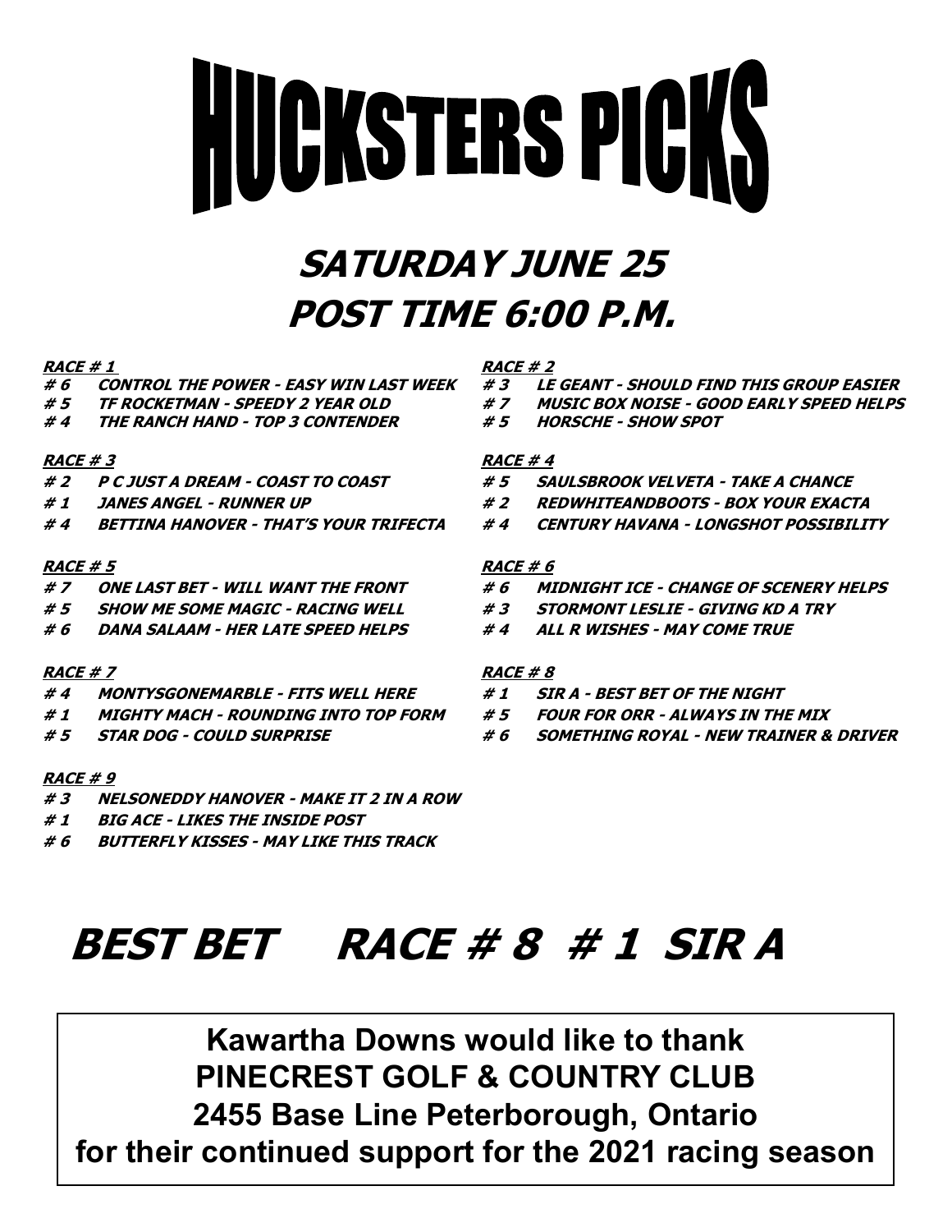# **HUCKSTERS PICKS**

# **SATURDAY JUNE 25 POST TIME 6:00 P.M.**

# **RACE # 1** RACE # 2

- 
- 
- **# 4 THE RANCH HAND - TOP 3 CONTENDER # 5 HORSCHE - SHOW SPOT**

# **RACE # 3** RACE # 4

- 
- 
- 

# **RACE # 5 RACE # 6**

- 
- **# 5 SHOW ME SOME MAGIC - RACING WELL # 3 STORMONT LESLIE - GIVING KD A TRY**
- **# 6 DANA SALAAM - HER LATE SPEED HELPS # 4 ALL R WISHES - MAY COME TRUE**

# **RACE # 7 RACE # 8**

- **# 4 MONTYSGONEMARBLE - FITS WELL HERE # 1 SIR A - BEST BET OF THE NIGHT**
- **# 1 MIGHTY MACH - ROUNDING INTO TOP FORM # 5 FOUR FOR ORR - ALWAYS IN THE MIX**
- 

# **RACE # 9**

- **# 3 NELSONEDDY HANOVER - MAKE IT 2 IN A ROW**
- **# 1 BIG ACE - LIKES THE INSIDE POST**
- **# 6 BUTTERFLY KISSES - MAY LIKE THIS TRACK**

- **# 6 CONTROL THE POWER - EASY WIN LAST WEEK # 3 LE GEANT - SHOULD FIND THIS GROUP EASIER**
- **# 5 TF ROCKETMAN - SPEEDY 2 YEAR OLD # 7 MUSIC BOX NOISE - GOOD EARLY SPEED HELPS**
	-

- **# 2 P C JUST A DREAM - COAST TO COAST # 5 SAULSBROOK VELVETA - TAKE A CHANCE**
- **# 1 JANES ANGEL - RUNNER UP # 2 REDWHITEANDBOOTS - BOX YOUR EXACTA**
- **# 4 BETTINA HANOVER - THAT'S YOUR TRIFECTA # 4 CENTURY HAVANA - LONGSHOT POSSIBILITY**

- **# 7 ONE LAST BET - WILL WANT THE FRONT # 6 MIDNIGHT ICE - CHANGE OF SCENERY HELPS**
	-
	-

- 
- 
- **# 5 STAR DOG - COULD SURPRISE # 6 SOMETHING ROYAL - NEW TRAINER & DRIVER**

# **BEST BET RACE # 8 # 1 SIR A**

**Kawartha Downs would like to thank PINECREST GOLF & COUNTRY CLUB 2455 Base Line Peterborough, Ontario for their continued support for the 2021 racing season**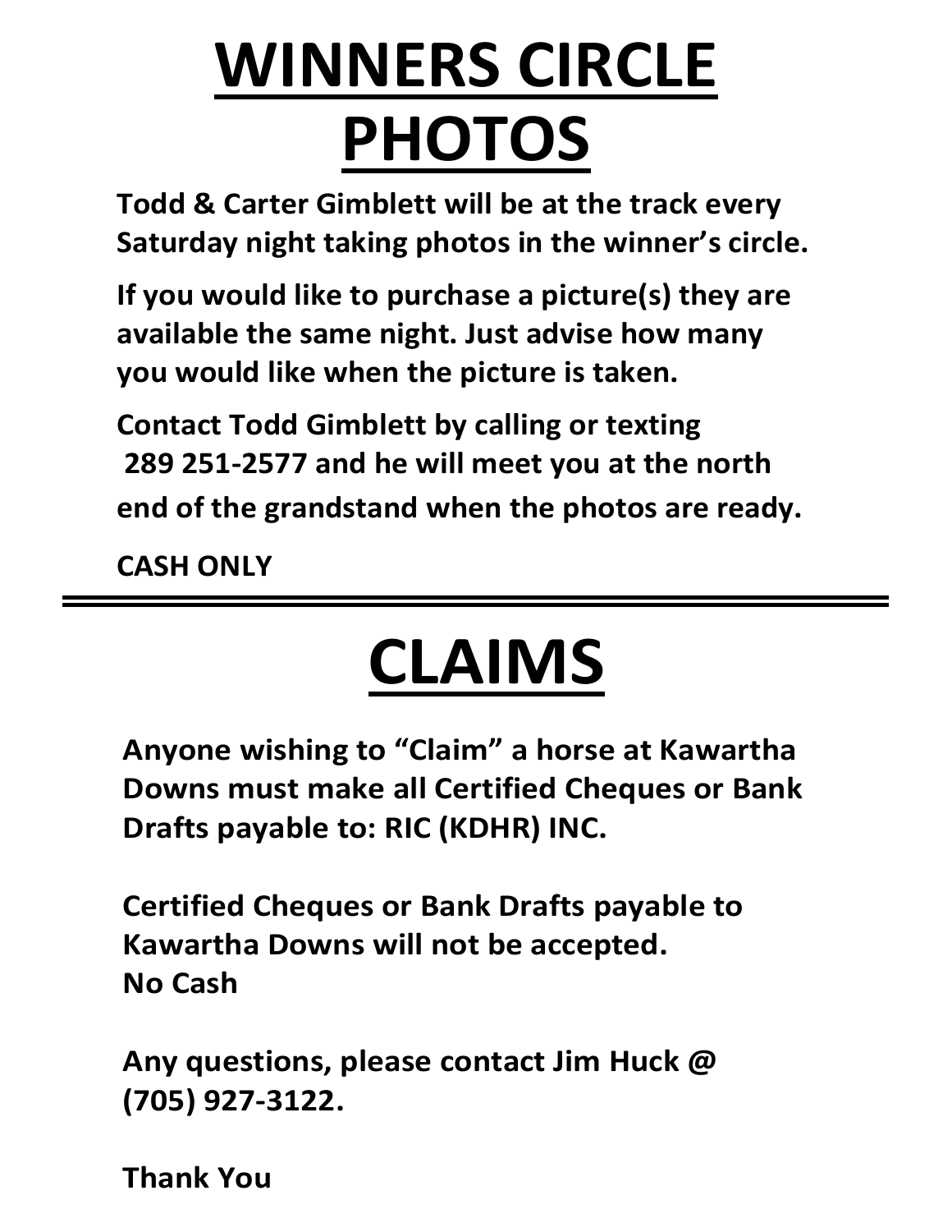# WINNEDC CIDCLE **PHOTOS WINNERS CIRCLE PHOTOS**

**PHOTOS**<br> **Todd & Carter Gimblett will be at the track every Saturday night taking photos in the winner's circle.**

If you would like to purchase a picture(s) they are **Saturday in the same night. Just advise how many be available the same night. Just advise how many Jou would like when the picture is taken. you would like when the picture is taken.** 

**Contact Todd Gimblett by calling or texting 289 251-2577 and he will meet you at the north** end of the grandstand when the photos are would divide the arondctond when the photos of the arondctond **is the product of the state end of the grandstand when the photos are ready.** 

 **289 251-2577 and he will meet you at the north end of the grandstand when the photos are ready.**  $\frac{d}{dt}$ **Contact Todd Gimblett by calling or texting 289 261-257 261-2577 and he will meet you at the north**  $\frac{1}{2}$  **and**  $\frac{1}{2}$  **and**  $\frac{1}{2}$  **and**  $\frac{1}{2}$  **and**  $\frac{1}{2}$  **and**  $\frac{1}{2}$  **and**  $\frac{1}{2}$  **and**  $\frac{1}{2}$  **and**  $\frac{1}{2}$  **and**  $\frac{1}{2}$  **and**  $\frac{1}{2}$  **and**  $\frac{1}{2}$  **a CASH ONLY**

# **CLAIMS end of the grandstand when the photos are ready.**

**Anyone wishing to "Claim" a horse at Kawartha Downs must make all Certified Cheques or Bank Drafts payable to: RIC (KDHR) INC.**

**Certified Cheques or Bank Drafts payable to Kawartha Downs will not be accepted. No Cash**

**Any questions, please contact Jim Huck @ (705) 927-3122.**

**Thank You**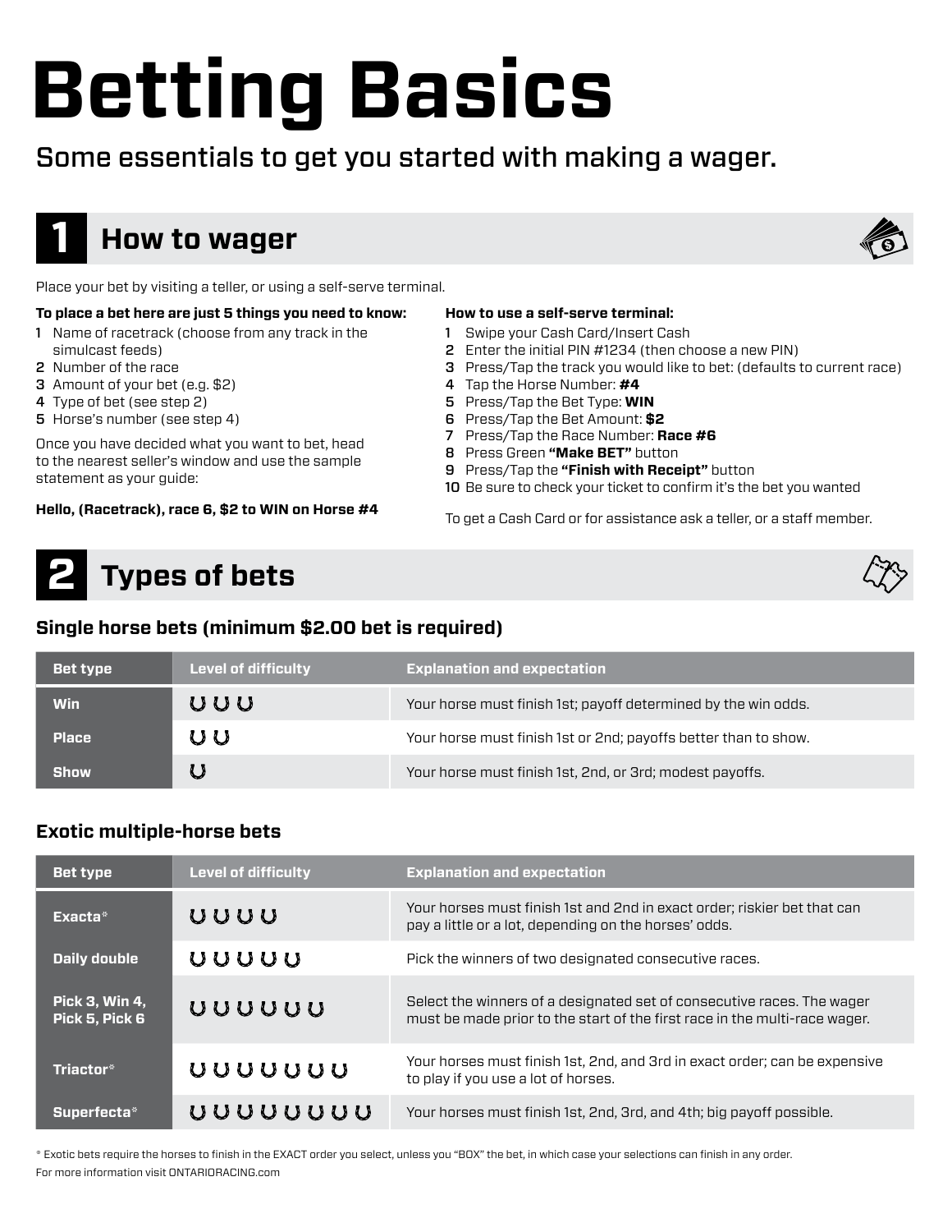# **Betting Basics**

# Some essentials to get you started with making a wager.



# **How to wager**



Place your bet by visiting a teller, or using a self-serve terminal.

### **To place a bet here are just 5 things you need to know:**

- 1 Name of racetrack (choose from any track in the simulcast feeds)
- 2 Number of the race
- 3 Amount of your bet (e.g. \$2)
- 4 Type of bet (see step 2)
- 5 Horse's number (see step 4)

Once you have decided what you want to bet, head to the nearest seller's window and use the sample statement as your guide:

**Hello, (Racetrack), race 6, \$2 to WIN on Horse #4**

### **How to use a self-serve terminal:**

- 1 Swipe your Cash Card/Insert Cash
- 2 Enter the initial PIN #1234 (then choose a new PIN)
- 3 Press/Tap the track you would like to bet: (defaults to current race)
- 4 Tap the Horse Number: **#4**
- 5 Press/Tap the Bet Type: **WIN**
- 6 Press/Tap the Bet Amount: **\$2**
- 7 Press/Tap the Race Number: **Race #6**
- 8 Press Green **"Make BET"** button
- 9 Press/Tap the **"Finish with Receipt"** button
- 10 Be sure to check your ticket to confirm it's the bet you wanted

To get a Cash Card or for assistance ask a teller, or a staff member.

# **Types of bets 2**

# **Single horse bets (minimum \$2.00 bet is required)**

| <b>Bet type</b> | <b>Level of difficulty</b> | <b>Explanation and expectation</b>                              |
|-----------------|----------------------------|-----------------------------------------------------------------|
| Win             | ぃぃぃ                        | Your horse must finish 1st; payoff determined by the win odds.  |
| <b>Place</b>    | U U                        | Your horse must finish 1st or 2nd; payoffs better than to show. |
| <b>Show</b>     |                            | Your horse must finish 1st, 2nd, or 3rd; modest payoffs.        |

# **Exotic multiple-horse bets**

| <b>Bet type</b>                         | <b>Level of difficulty</b> | <b>Explanation and expectation</b>                                                                                                                   |
|-----------------------------------------|----------------------------|------------------------------------------------------------------------------------------------------------------------------------------------------|
| Exacta*                                 | UUUU                       | Your horses must finish 1st and 2nd in exact order; riskier bet that can<br>pay a little or a lot, depending on the horses' odds.                    |
| <b>Daily double</b>                     | ぃぃぃぃ                       | Pick the winners of two designated consecutive races.                                                                                                |
| <b>Pick 3, Win 4,</b><br>Pick 5, Pick 6 | uuuuu                      | Select the winners of a designated set of consecutive races. The wager<br>must be made prior to the start of the first race in the multi-race wager. |
| Triactor*                               | vuuuuu                     | Your horses must finish 1st, 2nd, and 3rd in exact order; can be expensive<br>to play if you use a lot of horses.                                    |
| Superfecta*                             | uuuuuu                     | Your horses must finish 1st, 2nd, 3rd, and 4th; big payoff possible.                                                                                 |

\* Exotic bets require the horses to finish in the EXACT order you select, unless you "BOX" the bet, in which case your selections can finish in any order. For more information visit ONTARIORACING.com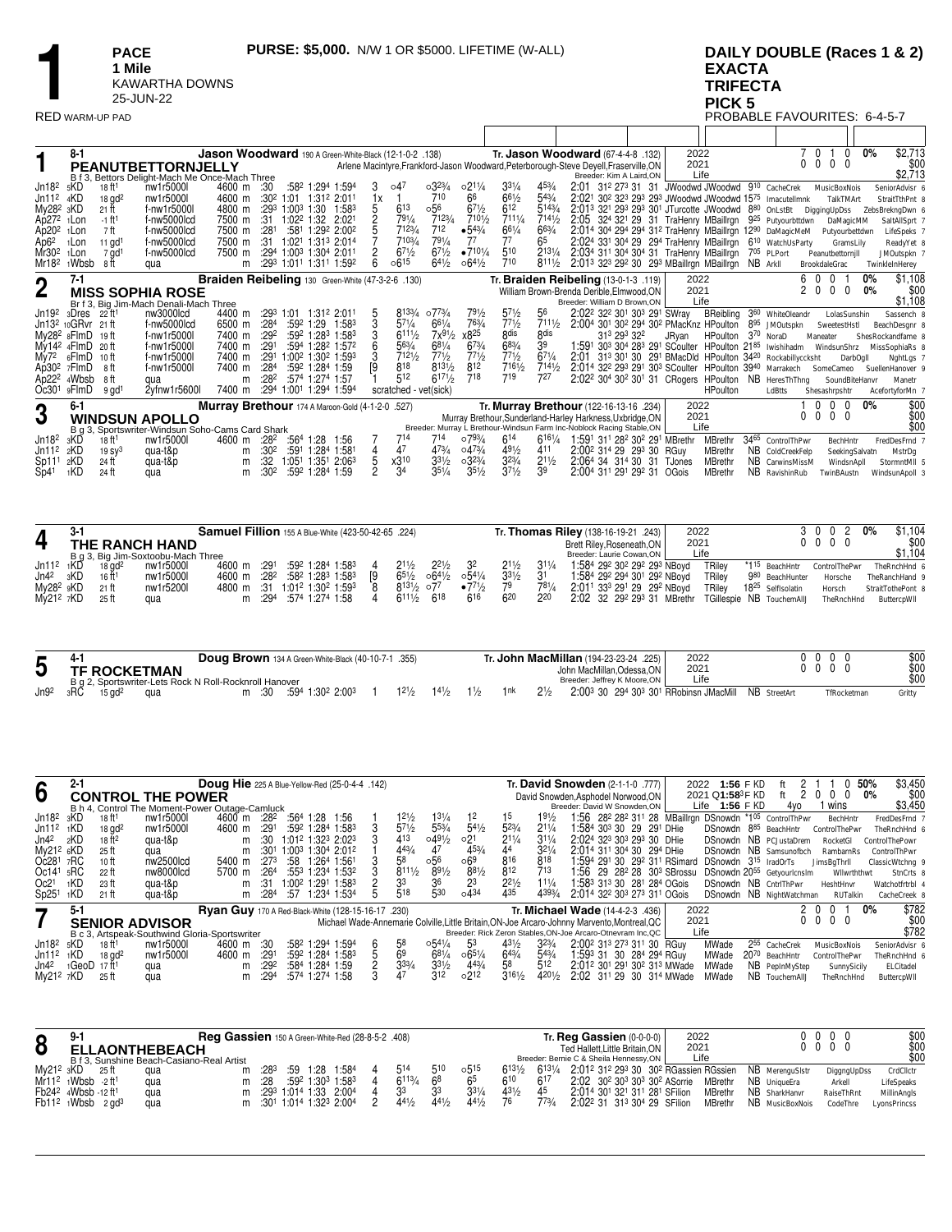**1 Mile** KAWARTHA DOWNS 25-JUN-22

# **1 PACE 1 PURSE: \$5,000.** N/W 1 OR \$5000. LIFETIME (W-ALL) **1 Mile**<br>
1 **A EXACTA**<br>
25-JUN-22<br>
RED WARM-UP PAD **PICK 5**<br>
RED WARM-UP PAD **PROBABLE FAVOURITES: 6-4-5-7 EXACTA TRIFECTA PICK 5**

|  | . |  |  |  |                              |  |
|--|---|--|--|--|------------------------------|--|
|  |   |  |  |  | PROBABLE FAVOURITES: 6-4-5-7 |  |

|                       | $8 - 1$                        |                                                  | Jason Woodward 190 A Green-White-Black (12-1-0-2 .138) |                  |                 |                                                               |    |                       |                     |                 |                  |                  | Tr. Jason Woodward (67-4-4-8 .132)                                                                                              | 2022   |                 |          |                                                                   | 0                              | 0               | 0%                | \$2,713          |
|-----------------------|--------------------------------|--------------------------------------------------|--------------------------------------------------------|------------------|-----------------|---------------------------------------------------------------|----|-----------------------|---------------------|-----------------|------------------|------------------|---------------------------------------------------------------------------------------------------------------------------------|--------|-----------------|----------|-------------------------------------------------------------------|--------------------------------|-----------------|-------------------|------------------|
|                       |                                | PEANUTBETTORNJELLY                               |                                                        |                  |                 |                                                               |    |                       |                     |                 |                  |                  | Arlene Macintyre, Frankford-Jason Woodward, Peterborough-Steve Devell, Fraserville, ON                                          | 2021   |                 |          | 0                                                                 | 0                              | 0 <sub>0</sub>  |                   | \$00             |
|                       |                                | B f 3, Bettors Delight-Mach Me Once-Mach Three   |                                                        |                  |                 |                                                               |    |                       |                     |                 |                  |                  | Breeder: Kim A Laird.ON                                                                                                         | Life   |                 |          |                                                                   |                                |                 |                   | \$2,713          |
| Jn18 <sup>2</sup>     | 5KD                            | nw1r5000l<br>18 ft <sup>1</sup>                  | 4600 m                                                 | :30              |                 | :582 1:294 1:594                                              | 3  | o47                   | $0.32\frac{3}{4}$   | $02^{11/4}$     | $3^{31}/4$       | $45\frac{3}{4}$  | 2:01 312 273 31 31 JWoodwd JWoodwd 910 CacheCrek                                                                                |        |                 |          |                                                                   |                                | MusicBoxNois    |                   | SeniorAdvisr 6   |
| Jn11 <sup>2</sup>     | 4KD                            | nw1r5000l<br>$18$ gd <sup>2</sup>                | 4600 m                                                 |                  |                 | :30 <sup>2</sup> 1:01 1:31 <sup>2</sup> 2:01                  | 1x |                       | 710                 | 66              | $66^{1/2}$       | $5^{43/4}$       | 2:02 <sup>1</sup> 30 <sup>2</sup> 32 <sup>3</sup> 29 <sup>3</sup> 29 <sup>3</sup> JWoodwd JWoodwd 15 <sup>75</sup> Imacutellmnk |        |                 |          |                                                                   |                                | TalkTMArt       |                   | StraitTthPnt 8   |
| My28 <sup>2</sup> 3KD |                                | 21 ft<br>f-nw1r5000l                             | 4800 m                                                 |                  | :293 1:003 1:30 | 1:583                                                         |    | 613                   | 0.56                | $67\frac{1}{2}$ | 612              | 5143/4           | 2:013 321 293 293 301 JTurcotte JWoodwd 880                                                                                     |        |                 |          | OnLstBt                                                           | DiggingUpDss                   |                 | ZebsBrekngDwn 6   |                  |
| Ap272 1Lon            |                                | f-nw5000lcd<br>-1 ft <sup>1</sup>                | 7500 m                                                 | :31              |                 | 1:022 1:32 2:021                                              |    | $79^{1/4}$            | 7123/4              | 7101/2          | 7111/4           | 7141/2           | 2:05 324 321 29 31 TraHenry MBaillrgn                                                                                           |        |                 |          | 925 Putyourbttdwn                                                 |                                | DaMagicMM       |                   | SaltAllSprt 7    |
| Ap20 <sup>2</sup>     | <sub>1</sub> Lon               | 7 ft<br>f-nw5000lcd                              | 7500 m                                                 | :281             |                 | :581 1:292 2:002                                              |    | 7123/4                | 712                 | •543/4          | $66^{1/4}$       | $66\frac{3}{4}$  | 2:014 304 294 294 312 TraHenry MBaillrgn 1290 DaMagicMeM                                                                        |        |                 |          |                                                                   |                                | Putyourbettdwn  |                   | LifeSpeks 7      |
| Ap6 <sup>2</sup>      | <sub>1</sub> Lon               | f-nw5000lcd<br>11 $gd1$                          | 7500 m                                                 | :31              |                 | 1:021 1:313 2:014                                             |    | 7103/4                | $79^{1/4}$          | 77              | 77               | 65               | 2:024 331 304 29 294 TraHenry MBaillrgn                                                                                         |        |                 |          | 6 <sup>10</sup> WatchUsParty                                      |                                | GramsLily       |                   | ReadyYet &       |
| Mr30 <sup>2</sup>     | 1Lon                           | f-nw5000lcd<br>7 gd <sup>1</sup>                 | 7500 m                                                 |                  |                 | :294 1:003 1:304 2:01                                         |    | $67\frac{1}{2}$       | $67\frac{1}{2}$     | •7101/4         | 510              | 2131/4           | 2:034 311 304 304 31 TraHenry MBaillrgn                                                                                         |        |                 |          | 705 PLPort                                                        | Peanutbettornjll               |                 |                   | JMOutspkn 7      |
| Mr18 <sup>2</sup>     | 1Wbsb                          | 8 ft<br>qua                                      | m                                                      |                  |                 | $:29^3$ 1:01 <sup>1</sup> 1:31 <sup>1</sup> 1:59 <sup>2</sup> | 6  | $06^{15}$             | $6^{41}/2$          | $06^{41/2}$     | 710              | $8^{111}/2$      | 2:013 323 292 30 293 MBaillrgn MBaillrgn                                                                                        |        |                 | NB Arkll |                                                                   | BrookdaleGrac                  |                 | TwinkleInHerey    |                  |
|                       | $7 - 1$                        |                                                  | Braiden Reibeling 130 Green-White (47-3-2-6 .130)      |                  |                 |                                                               |    |                       |                     |                 |                  |                  | Tr. Braiden Reibeling (13-0-1-3 .119)                                                                                           | 2022   |                 |          |                                                                   | 0<br>60                        |                 | $0\%$             | \$1,108          |
| $\overline{2}$        |                                | <b>MISS SOPHIA ROSE</b>                          |                                                        |                  |                 |                                                               |    |                       |                     |                 |                  |                  | William Brown-Brenda Derible, Elmwood, ON                                                                                       | 2021   |                 |          |                                                                   | $\mathbf{0}$<br>2 <sub>0</sub> | $\overline{0}$  | 0%                | \$00             |
|                       |                                | Br f 3, Big Jim-Mach Denali-Mach Three           |                                                        |                  |                 |                                                               |    |                       |                     |                 |                  |                  | Breeder: William D Brown.ON                                                                                                     | Life   |                 |          |                                                                   |                                |                 |                   | \$1,108          |
| Jn19 <sup>2</sup>     | зDres                          | nw3000lcd<br>- 22 ft                             | 4400 m                                                 |                  |                 | :293 1:01 1:312 2:01                                          | 5  | 8133/4                | o773/ <sub>4</sub>  | $79\frac{1}{2}$ | $5^{71/2}$       | 56               | 2:02 <sup>2</sup> 32 <sup>2</sup> 30 <sup>1</sup> 30 <sup>3</sup> 29 <sup>1</sup> SWray                                         |        | BReibling       |          | 360 WhiteOleandr                                                  |                                | LolasSunshin    |                   | Sassench 8       |
|                       | Jn13 <sup>2</sup> 10GRvr 21 ft | f-nw5000lcd                                      | 6500 m                                                 | :28 <sup>4</sup> |                 | :59 <sup>2</sup> 1:29<br>1:583                                |    | $5^{7^{1/4}}$         | $66^{1/4}$          | 763/4           | 771/2            | 7111/2           | 2:004 301 302 294 302 PMacKnz HPoulton                                                                                          |        |                 |          | 8 <sup>95</sup> JMOutspkn                                         |                                | SweetestHstI    |                   | BeachDesgnr 8    |
|                       | My28 <sup>2</sup> 8FlmD        | f-nw1r5000l<br>19 ft                             | 7400 m                                                 | :29 <sup>2</sup> |                 | :59 <sup>2</sup> 1:28 <sup>3</sup> 1:58 <sup>3</sup>          |    | 6111/2                | $7x^{91/2}$         | x825            | 8 <sub>dis</sub> | 8 <sub>dis</sub> | 313 293 322                                                                                                                     | JRvan  | HPoulton        | $3^{70}$ | NoraD                                                             | Maneater                       |                 | ShesRockandfame 8 |                  |
|                       | My14 <sup>2</sup> 4FlmD        | f-nw1r5000l<br>20 ft                             | 7400 m                                                 | :291             |                 | :594 1:282 1:572                                              |    | 563/4                 | $68^{1/4}$          | 673/4           | 683/4            | 39               | 1:591 303 304 283 291 SCoulter HPoulton 2185                                                                                    |        |                 |          | Iwishihadm                                                        |                                | WindsunShrz     |                   | MissSophiaRs &   |
| My72                  | 6FlmD                          | f-nw1r5000l<br>$10$ ft                           | 7400 m                                                 | :291             |                 | 1:00 <sup>2</sup> 1:30 <sup>2</sup> 1:59 <sup>3</sup>         |    | 7121/2                | $7^{71/2}$          | 771/2           | 771/2            | $67\frac{1}{4}$  | 2:01                                                                                                                            |        |                 |          | 313 301 30 291 BMacDld HPoulton 34 <sup>20</sup> Rockabillyccksht |                                | <b>DarbOgll</b> |                   | NghtLgs 7        |
|                       | Ap30 $2$ $7$ FlmD              | f-nw1r5000l<br>8 ft                              | 7400 m                                                 | :28 <sup>4</sup> |                 | :592 1:284 1:59                                               | ſ9 | 818                   | $8^{13\frac{1}{2}}$ | 812             | $7^{161/2}$      | 7141/2           | 2:014 32 <sup>2</sup> 293 291 303 SCoulter HPoulton 3940 Marrakech                                                              |        |                 |          |                                                                   | SomeCameo                      |                 |                   | SuellenHanover 9 |
|                       | Ap22 <sup>2</sup> 4Wbsb        | 8 ft<br>qua                                      | m                                                      | :282             |                 | :574 1:274 1:57                                               |    | 512                   | $617\frac{1}{2}$    | 718             | 719              | 727              | 2:02 <sup>2</sup> 30 <sup>4</sup> 30 <sup>2</sup> 30 <sup>1</sup> 31 CRogers HPoulton                                           |        |                 | NB       | HeresThThng                                                       |                                | SoundBiteHanvr  |                   | Manetr           |
|                       | $Oc301$ $9$ FlmD               | 2yfnw1r5600l<br>$9$ gd <sup>1</sup>              | 7400 m                                                 | :29 <sup>4</sup> |                 | 1:001 1:294<br>1:594                                          |    | scratched - vet(sick) |                     |                 |                  |                  |                                                                                                                                 |        | <b>HPoulton</b> |          | LdBtts                                                            | Shesashrpshtr                  |                 |                   | AcefortyforMn 7  |
|                       | $6 - 1$                        |                                                  | Murray Brethour 174 A Maroon-Gold (4-1-2-0 .527)       |                  |                 |                                                               |    |                       |                     |                 |                  |                  | Tr. Murray Brethour (122-16-13-16 .234)                                                                                         | 2022   |                 |          |                                                                   | $^{\circ}$<br>$\Omega$         | 0               | $0\%$             | \$00             |
| 3                     |                                | <b>WINDSUN APOLLO</b>                            |                                                        |                  |                 |                                                               |    |                       |                     |                 |                  |                  | Murray Brethour, Sunderland-Harley Harkness, Uxbridge, ON                                                                       | 2021   |                 |          | 0                                                                 | $\overline{0}$                 | $0\quad 0$      |                   | \$00             |
|                       |                                | B g 3, Sportswriter-Windsun Soho-Cams Card Shark |                                                        |                  |                 |                                                               |    |                       |                     |                 |                  |                  | Breeder: Murray L Brethour-Windsun Farm Inc-Noblock Racing Stable, ON                                                           | Life   |                 |          |                                                                   |                                |                 |                   | \$00             |
| Jn18 <sup>2</sup>     | зKD                            | nw1r5000l<br>$18$ ft <sup>1</sup>                | 4600 m                                                 | :28 <sup>2</sup> |                 | :564 1:28<br>1:56                                             |    | 714                   | 714                 | o793/4          | 614              | 6161/4           | 1:591 311 282 302 291 MBrethr                                                                                                   |        | <b>MBrethr</b>  |          | 3465 ControlThPwr                                                 |                                | BechHntr        |                   | FredDesFrnd 7    |
| Jn11 <sup>2</sup>     | 2KD                            | 19 <sub>sy3</sub><br>qua-t&p                     | m                                                      | :30 <sup>2</sup> |                 | :591 1:284 1:581                                              |    | 47                    | 473/4               | 0473/4          | $49\frac{1}{2}$  | 411              | 2:00 <sup>2</sup> 31 <sup>4</sup> 29 29 <sup>3</sup> 30 RGuy                                                                    |        | <b>MBrethr</b>  |          | NB ColdCreekFelp                                                  |                                | SeekingSalvatn  |                   | MstrDq           |
| Sp11 <sup>1</sup>     | 2KD                            | 24 ft<br>qua-t&p                                 | m                                                      | :32              |                 | :05 <sup>1</sup> 1:35 <sup>1</sup> 2:06 <sup>3</sup>          | 5  | x310                  | $3^{31/2}$          | $03^{23/4}$     | $3^{23/4}$       | $2^{11/2}$       | 2:064 34 314 30 31                                                                                                              | TJones | <b>MBrethr</b>  |          | NB CarwinsMissM                                                   |                                | WindsnApll      |                   | StormntMII 5     |
| Sp4 <sup>1</sup>      | 1KD                            | 24 ft<br>qua                                     | m                                                      | :30 <sup>2</sup> |                 | :592 1:284 1:59                                               | 2  | 34                    | $35\frac{1}{4}$     | $35\frac{1}{2}$ | 371/2            | 39               | 2:004 311 291 292 31 OGois                                                                                                      |        | <b>MBrethr</b>  |          | NB RavishinRub                                                    |                                | TwinBAustn      |                   | WindsunApoll 3   |

|                       | $3-1$ |                      |                                    | Samuel Fillion 155 A Blue-White (423-50-42-65 .224) |                                                                              |  |                 |                  |                   |                 |            | Tr. Thomas Riley (138-16-19-21 .243)                                         | 2022   |                               | 3 0 0 2                  | 1,104<br>0%       |
|-----------------------|-------|----------------------|------------------------------------|-----------------------------------------------------|------------------------------------------------------------------------------|--|-----------------|------------------|-------------------|-----------------|------------|------------------------------------------------------------------------------|--------|-------------------------------|--------------------------|-------------------|
| 4                     |       |                      | THE RANCH HAND                     |                                                     |                                                                              |  |                 |                  |                   |                 |            | Brett Riley, Roseneath, ON                                                   | 2021   |                               | $0\quad 0\quad 0\quad 0$ | $$00$<br>\$1,104  |
|                       |       |                      | B q 3, Big Jim-Soxtoobu-Mach Three |                                                     |                                                                              |  |                 |                  |                   |                 |            | Breeder: Laurie Cowan, ON                                                    | Life   |                               |                          |                   |
| $Jn112$ 1KD           |       | $18$ ad <sup>2</sup> | nw1r5000l                          | 4600 m :291                                         | $:59^2$ 1:28 <sup>4</sup> 1:58 <sup>3</sup>                                  |  | 211/2           | $2^{21/2}$       | - 22              | $2^{11/2}$      | $3^{11}/4$ | 1:584 292 302 292 293 NBoyd                                                  | TRilev | *1 <sup>15</sup> BeachHntr    | ControlThePwr            | TheRnchHnd 6      |
| Jn42                  | зKD   | 16 ft <sup>1</sup>   | nw1r5000l                          |                                                     | 4600 m :28 <sup>2</sup> :58 <sup>2</sup> 1:28 <sup>3</sup> 1:58 <sup>3</sup> |  | $65\frac{1}{2}$ | $064\frac{1}{2}$ | $0.54\frac{1}{4}$ | $33\frac{1}{2}$ |            | 1:584 292 294 301 292 NBoyd                                                  | TRilev | 980 BeachHunter               | Horsche                  | TheRanchHand 9    |
| Mv28 <sup>2</sup> 9KD |       | $21$ ft              | nw1r5200l                          | 4800 m :31                                          | 1:012 1:302 1:593                                                            |  | 8131/2077       |                  | $-77\frac{1}{2}$  | 79              | 781/4      | 2:011 333 291 29 292 NBovd                                                   | TRilev | 18 <sup>25</sup> SelfIsolatin | Horsch                   | StraitTothePont 8 |
| $My212$ 7KD           |       | 25 ft                | qua                                |                                                     | m :294 :574 1:274 1:58                                                       |  | 6111/2          | <b>618</b>       | 616               | 620             | 220        | 2:02 32 29 <sup>2</sup> 29 <sup>3</sup> 31 MBrethr TGillespie NB TouchemAIIJ |        |                               | TheRnchHnd               | ButtercoWII       |

|                  |                             |     |                                                        | Doug Brown 134 A Green-White-Black (40-10-7-1 .355) |       |       |  |      | <b>Tr. John MacMillan</b> (194-23-23-24 .225) | 2022 |              | $\Omega$<br>$\Omega$ | \$00   |
|------------------|-----------------------------|-----|--------------------------------------------------------|-----------------------------------------------------|-------|-------|--|------|-----------------------------------------------|------|--------------|----------------------|--------|
| -                | <b>TF ROCKETMAN</b>         |     |                                                        |                                                     |       |       |  |      | John MacMillan, Odessa, ON                    | 2021 |              | 0 O                  | \$00   |
|                  |                             |     | B a 2. Sportswriter-Lets Rock N Roll-Rocknroll Hanover |                                                     |       |       |  |      | Breeder: Jeffrey K Moore.ON                   | Life |              |                      | \$00   |
| Jn9 <sup>2</sup> | зRÕ<br>$15$ gd <sup>2</sup> | qua | :30                                                    | :594 1:30º 2:00º                                    | 121/2 | 141/2 |  | 21/2 | 2:003 30 294 303 301 RRobinsn JMacMill        |      | NB StreetArt | TfRocketman          | Gritty |

|                   | $2 - 1$  |                      |                          | Doug Hie 225 A Blue-Yellow-Red (25-0-4-4 .142)            |                  |     |                                                      |                  |                   |             |                  |                 | Tr. David Snowden (2-1-1-0 .777)                                                             | 2022 |                                  | 1:56 F KD   |                                        |          |                          | 50% | \$3,450         |
|-------------------|----------|----------------------|--------------------------|-----------------------------------------------------------|------------------|-----|------------------------------------------------------|------------------|-------------------|-------------|------------------|-----------------|----------------------------------------------------------------------------------------------|------|----------------------------------|-------------|----------------------------------------|----------|--------------------------|-----|-----------------|
| 6                 |          |                      | <b>CONTROL THE POWER</b> |                                                           |                  |     |                                                      |                  |                   |             |                  |                 | David Snowden.Asphodel Norwood.ON                                                            |      | 2021 Q1:58 <sup>3</sup> F KD     |             | -2<br>ft                               | $\Omega$ | $\Omega$<br>0            | 0%  | \$00            |
|                   |          |                      |                          | B h 4. Control The Moment-Power Outage-Camluck            |                  |     |                                                      |                  |                   |             |                  |                 | Breeder: David W Snowden.ON                                                                  |      | Life                             | $1:56$ F KD | 4vo                                    |          | wins                     |     | \$3,450         |
| Jn18 <sup>2</sup> | зKD      | 18 ft <sup>1</sup>   | nw1r5000l                | 4600 m :28 <sup>2</sup>                                   |                  |     | :564 1:28 1:56                                       | $12\frac{1}{2}$  | $13\frac{1}{4}$   | 12          | 15               | $19\frac{1}{2}$ | 1:56 282 282 311 28 MBaillrgn DSnowdn *105 ControlThPwr                                      |      |                                  |             |                                        |          | BechHntr                 |     | FredDesFrnd 7   |
| Jn11 <sup>2</sup> | 1KD      | $18$ gd <sup>2</sup> | nw1r5000l                | 4600 m                                                    | :291             |     | :592 1:284 1:583                                     | $5^{7}_{2}$      | $5^{53}/4$        | $5^{41}/2$  | $5^{23}/4$       | $2^{11/4}$      | 1:584 303 30 29 291 DHie                                                                     |      |                                  |             | DSnowdn 885 BeachHntr                  |          | ControlThePwr            |     | TheRnchHnd 6    |
| Jn42              | 2KD      | $18$ ft <sup>2</sup> | qua-t&p                  | m                                                         | :30              |     | 1:012 1:323 2:023                                    | 413              | $049\frac{1}{2}$  | 021         | 211/4            | $31\frac{1}{4}$ | 2:024 323 303 293 30 DHie                                                                    |      |                                  |             | DSnowdn NB PCJustaDrem                 |          | RocketGl                 |     | ControlThePowr  |
| $My212$ 6KD       |          | 25 ft                | qua                      | m                                                         | :301             |     | 1:003 1:304 2:012                                    | $44\frac{3}{4}$  | 47                | 453/        | 44               | $32\frac{1}{4}$ | 2:014 311 304 30 294 DHie                                                                    |      |                                  |             | DSnowdn NB Samsunofbch                 |          | RambarnRs                |     | ControlThPwr    |
| $Oc281$ 7RC       |          | 10 ft                | nw2500lcd                | 5400 m                                                    | $-273$           | :58 | 1:264 1:561                                          |                  | 056               | 069         | 816              | 818             | 1:594 291 30 292 311 RSimard                                                                 |      | DSnowdn 3 <sup>15</sup> IradOrTs |             |                                        |          | JimsBqThrll              |     | ClassicWtchng 9 |
| Oc141             | 5RC      | 22 ft                | nw8000lcd                | 5700 m                                                    | :264             |     | :553 1:234 1:532                                     | $811\frac{1}{2}$ | $89\frac{1}{2}$   | 881/2       | 812              | 713             | 1:56 29 28 <sup>2</sup> 28 30 <sup>3</sup> SBrossu                                           |      |                                  |             | DSnowdn 20 <sup>55</sup> Getvouricnsim |          | Wilwrththwt              |     | StnCrts 8       |
| Oc2 <sup>1</sup>  | 1KD      | 23 ft                | qua-t&p                  | m                                                         | -31              |     | 1:00 <sup>2</sup> 1:291 1:583                        | 33               |                   | 23          | $2^{21/2}$       | $11\frac{1}{4}$ | 1:583 313 30 281 284 OGois                                                                   |      |                                  |             | DSnowdn NB CntrlThPwr                  |          | HeshtHnvr                |     | Watchotfrtrbl 4 |
| Sp25 <sup>1</sup> | 1KD      | 21 ft                | qua-t&p                  | m                                                         | :28 <sup>4</sup> |     | :57 1:234 1:534                                      | 518              | 530               | 0434        | 435              | 4393/4          | 2:014 32 <sup>2</sup> 30 <sup>3</sup> 27 <sup>3</sup> 31 <sup>1</sup> OGois                  |      |                                  |             | DSnowdn NB NightWatchman               |          | <b>RUTalkin</b>          |     | CacheCreek 8    |
| ┑                 | $5-1$    |                      |                          | <b>Ryan Guy</b> 170 A Red-Black-White (128-15-16-17 .230) |                  |     |                                                      |                  |                   |             |                  |                 | Tr. Michael Wade (14-4-2-3 .436)                                                             | 2022 |                                  |             |                                        | 2 0      |                          | 0%  | \$782           |
|                   |          |                      | <b>SENIOR ADVISOR</b>    |                                                           |                  |     |                                                      |                  |                   |             |                  |                 | Michael Wade-Annemarie Colville, Little Britain, ON-Joe Arcaro-Johnny Marvento, Montreal, QC | 2021 |                                  |             |                                        |          | $0\quad 0\quad 0\quad 0$ |     | \$00            |
|                   |          |                      |                          | B c 3. Artspeak-Southwind Gloria-Sportswriter             |                  |     |                                                      |                  |                   |             |                  |                 | Breeder: Rick Zeron Stables, ON-Joe Arcaro-Otnevram Inc, QC                                  |      | Life                             |             |                                        |          |                          |     | \$782           |
| Jn18 <sup>2</sup> | 5KD      | 18 ft <sup>1</sup>   | nw1r5000l                | 4600 m                                                    | :30              |     | :582 1:294 1:594                                     | 58               | $0.54\frac{1}{4}$ | 53          | $43\frac{1}{2}$  | $3^{23}/4$      | 2:00 <sup>2</sup> 31 <sup>3</sup> 27 <sup>3</sup> 31 <sup>1</sup> 30 RGuy                    |      | MWade                            | 255         | CacheCrek                              |          | MusicBoxNois             |     | SeniorAdvisr 6  |
| Jn11 <sup>2</sup> | 1KD      | 18 $0d^2$            | nw1r5000l                | 4600 m                                                    | :291             |     | :59 <sup>2</sup> 1:28 <sup>4</sup> 1:58 <sup>3</sup> | 69               | $6^{81}/4$        | $06^{51/4}$ | 643/4            | $5^{43}/4$      | 1:593 31 30 284 294 RGuv                                                                     |      | MWade                            |             | 2070 BeachHntr                         |          | ControlThePwr            |     | TheRnchHnd 6    |
| Jn42              | $1$ GeoD | 17 ft1               | qua                      | m                                                         | :292             |     | :584 1:284 1:59                                      | $3^{3/4}$        | $3^{31/2}$        | 443/4       | 58               | 512             | 2:012 301 291 302 313 MWade                                                                  |      | MWade                            |             | NB PepInMyStep                         |          | SunnySicily              |     | ELCitadel       |
| My212 7KD         |          | 25 ft                | qua                      | m                                                         | :294             |     | :574 1:274 1:58                                      | 47               | 312               | 0.212       | $316\frac{1}{2}$ | 4201/2          | 2:02 311 29 30 314 MWade                                                                     |      | MWade                            | NB.         | TouchemAll.                            |          | TheRnchHnd               |     | ButtercpWII     |

|           | a                                              |     | Reg Gassien 150 A Green-White-Red (28-8-5-2 .408) |      |            |                          |        |       |                 |        |        | Tr. Reg Gassien $(0-0-0-0)$                                                  | 2022    |                 | 000                      | \$00<br>\$00 |
|-----------|------------------------------------------------|-----|---------------------------------------------------|------|------------|--------------------------|--------|-------|-----------------|--------|--------|------------------------------------------------------------------------------|---------|-----------------|--------------------------|--------------|
|           | <b>ELLAONTHEBEACH</b>                          |     |                                                   |      |            |                          |        |       |                 |        |        | Ted Hallett. Little Britain. ON                                              | 2021    |                 | $0\quad 0\quad 0\quad 0$ |              |
|           | B f 3. Sunshine Beach-Casiano-Real Artist      |     |                                                   |      |            |                          |        |       |                 |        |        | Breeder: Bernie C & Sheila Hennessy, ON                                      | Life    |                 |                          | \$00         |
| Mv212 3KD | 25 ft                                          | aua |                                                   | :283 | $:59$ 1:28 | 1:584                    | 514    | 510   | 0.515           | 6131/2 | 6131/4 | 2:012 312 293 30 302 RGassien RGssien                                        |         | NB MerenauSistr | DiggngUpDss              | CrdCllctr    |
|           | $Mr112$ 1Wbsb -2 ft <sup>1</sup>               | qua |                                                   | :28  |            | :592 1:303 1:583         | 6113/4 | 68    |                 | 610    | 617    | 2:02 30 <sup>2</sup> 30 <sup>3</sup> 30 <sup>3</sup> 30 <sup>2</sup> ASorrie | MBrethr | NB UniqueEra    | Arkell                   | LifeSpeaks   |
|           | Fb24 <sup>2</sup> 4Wbsb -12 ft <sup>1</sup>    | qua |                                                   |      |            | m :293 1:014 1:33 2:004  | 33     | 33    | $3^{31/4}$      | 431/2  |        | 2:014 301 321 311 281 SFilion                                                | MBrethr | NB SharkHanvr   | RaiseThRnt               | MillinAngls  |
|           | Fb11 <sup>2</sup> 1Wbsb<br>$2$ ad <sup>3</sup> | qua |                                                   |      |            | m :301 1:014 1:323 2:004 | 441/2  | 441/2 | $44\frac{1}{2}$ |        | 773/4  | 2:02 <sup>2</sup> 31 31 <sup>3</sup> 30 <sup>4</sup> 29 SFilion              | MBrethr | NB MusicBoxNois | CodeThre                 | LyonsPrincss |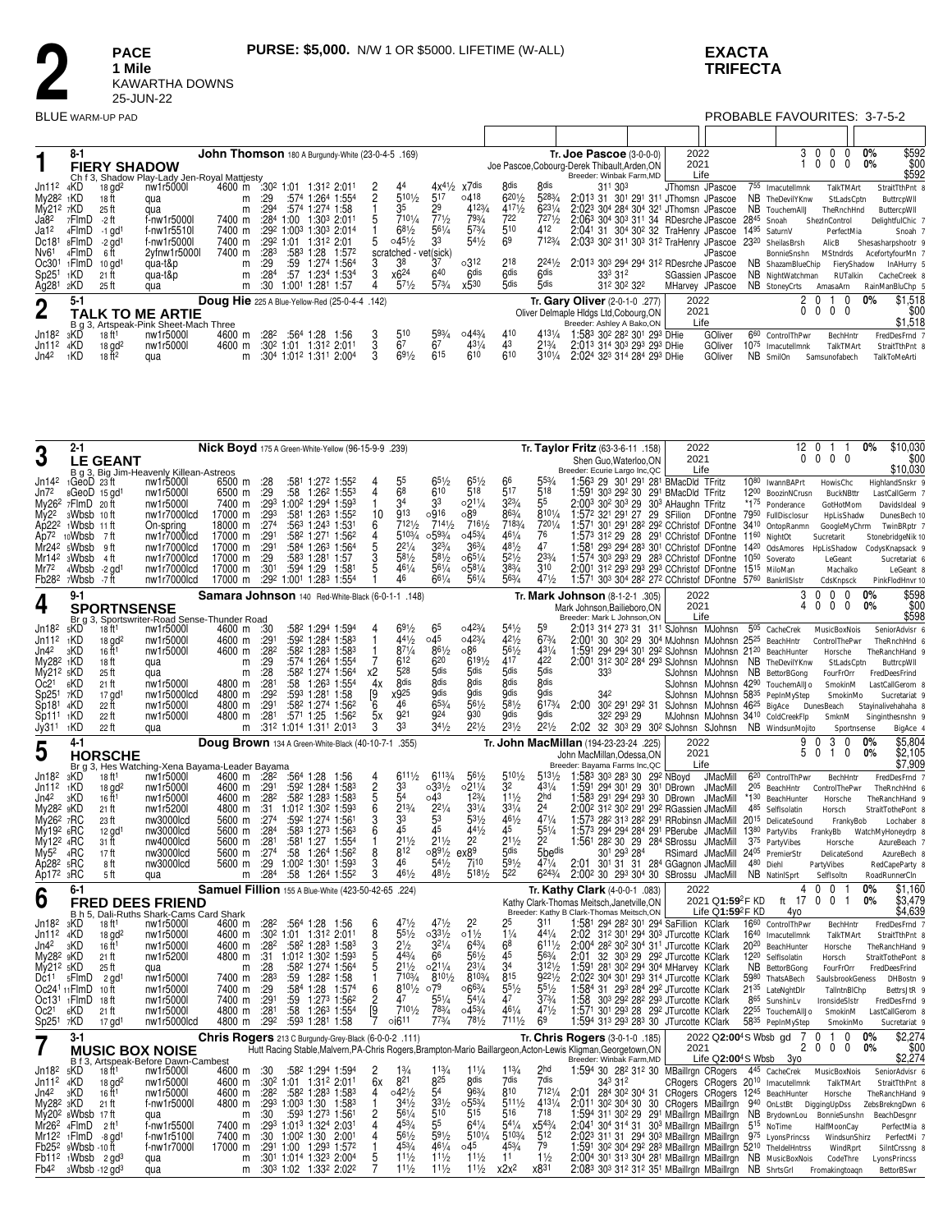### **EXACTA TRIFECTA**

**PACE** 1 Mile<br>KAWARTHA DOWNS<br>25-JUN-22 **BLUE** WARM-UP PAD

# PROBABLE FAVOURITES: 3-7-5-2

|                       | $8 - 1$ |                      |                                              |        |                  |              | John Thomson 180 A Burgundy-White (23-0-4-5 .169)     |                       |                 |                   |                  |                  | Tr. Joe Pascoe $(3-0-0-0)$                       | 2022                                                            |                  |      | 3.               | $\Omega$ |                 | <b>0%</b> | \$592            |
|-----------------------|---------|----------------------|----------------------------------------------|--------|------------------|--------------|-------------------------------------------------------|-----------------------|-----------------|-------------------|------------------|------------------|--------------------------------------------------|-----------------------------------------------------------------|------------------|------|------------------|----------|-----------------|-----------|------------------|
|                       |         | <b>FIERY SHADOW</b>  |                                              |        |                  |              |                                                       |                       |                 |                   |                  |                  | Joe Pascoe, Cobourg-Derek Thibault, Arden, ON    | 2021                                                            |                  |      |                  | $\Omega$ |                 | 0%        | \$00             |
|                       |         |                      | Ch f 3, Shadow Play-Lady Jen-Royal Mattjesty |        |                  |              |                                                       |                       |                 |                   |                  |                  | Breeder: Winbak Farm, MD                         |                                                                 | Life             |      |                  |          |                 |           | \$592            |
| Jn11 <sup>2</sup>     | 4KD     | $18$ gd <sup>2</sup> | nw1r5000l                                    | 4600 m |                  | $:30^2$ 1:01 | 1:31° 2:01                                            | 44                    |                 | $4x^{41/2}$ x7dis | 8 <sub>dis</sub> | 8 <sub>dis</sub> | 311 303                                          |                                                                 | JThomsn JPascoe  | 755  | Imacutellmnk     |          | TalkTMArt       |           | StraitTthPnt     |
| My28 <sup>2</sup> 1KD |         | 18 ft                | qua                                          | m      | :29              |              | :574 1:264 1:554                                      | $5^{10\frac{1}{2}}$   | 517             | 0.418             | $6^{201}/2$      | 5283/4           | $2:013$ 31                                       | 30 <sup>1</sup> 29 <sup>1</sup> 31 <sup>1</sup> JThomsn JPascoe |                  |      | NB TheDevilYKnw  |          | StLadsCptn      |           | ButtrcpWll       |
| My212 7KD             |         | 25 ft                | aua                                          | m      | :294             |              | :574 1:274 1:58                                       | 35                    | 29              | 4123/4            | 4171/2           | $623^{1}/4$      | 2:023 304 284 304 321 JThomsn JPascoe            |                                                                 |                  |      | NB TouchemAIIJ   |          | TheRnchHnd      |           | ButtercpWII      |
| Ja8 <sup>2</sup>      | 7FlmD   | -2 ft                | f-nw1r5000l                                  | 7400 m | :284             | 1:00         | 1:303 2:01                                            | 7101/4                | 771/2           | 793/4             | 722              | 7271/2           | 2:063 304 303 311 34 RDesrche JPascoe            |                                                                 |                  | 2845 | Snoah            |          | ShezInControl   |           | DelightfulChic:  |
| Ja1 <sup>2</sup>      | 4FlmD   | $-1$ ad <sup>1</sup> | f-nw1r5510l                                  | 7400 m |                  |              | :292 1:003 1:303 2:014                                | $6^{81}/2$            | $56\frac{1}{4}$ | $5^{73/4}$        | 510              | 412              | 2:041 31 304 30 <sup>2</sup> 32 TraHenry JPascoe |                                                                 |                  | 1495 | SaturnV          |          | PerfectMia      |           | Snoah            |
| Dc181                 | 8FlmD   | $-2$ ad <sup>1</sup> | f-nw1r5000l                                  | 7400 m | :292             | 1:01         | 1:312 2:01                                            | $045\frac{1}{2}$      | 33              | $54\frac{1}{2}$   | 69               | 7123/4           | 2:033 302 311 303 312 TraHenry JPascoe 2320      |                                                                 |                  |      | SheilasBrsh      |          | AlicB           |           | Shesasharpshootr |
| Nv <sub>61</sub>      | 4FlmD   | -6 ft                | 2yfnw1r5000l                                 | 7400 m | :283             | :583         | :28<br>1:572                                          | scratched - vet(sick) |                 |                   |                  |                  |                                                  |                                                                 | JPascoe          |      | BonnieSnshn      |          | <b>MStndrds</b> |           | AcefortyfourMn   |
| Oc30 <sup>1</sup>     | 1FlmD   | 10 <sub>q</sub>      | qua-t&p                                      | m      | :29              | :59          | 1:27 <sup>4</sup><br>1:564                            | 38                    |                 | $03^{12}$         | 218              | $2^{241/2}$      | 2:013 303 294 294 312 RDesrche JPascoe           |                                                                 |                  | NB.  | ShazamBlueChip   |          | FieryShadow     |           | InAHurry 5       |
| Sp25 <sup>1</sup>     | 1KD     | 21 ft                | qua-t&p                                      | m      | :284             | :57          | 1:234<br>1:534                                        | x624                  | 640             | 6 <sub>dis</sub>  | 6 <sub>dis</sub> | 6 <sub>dis</sub> | 333 312                                          |                                                                 | SGassien JPascoe |      | NB NightWatchman |          | RUTalkin        |           | CacheCreek 8     |
| Ag281                 | 2KD     | 25 ft                | qua                                          | m      | :30              | 1:001        | 1:281<br>1:57                                         | $57\frac{1}{2}$       | $5^{73}/4$      | x530              | 5dis             | 5dis             | 312 302 322                                      |                                                                 | MHarvey JPascoe  |      | NB StoneyCrts    |          | AmasaArn        |           | RainManBluChp    |
|                       | $5 - 1$ |                      |                                              |        |                  |              | Doug Hie 225 A Blue-Yellow-Red (25-0-4-4 .142)        |                       |                 |                   |                  |                  | Tr. Gary Oliver (2-0-1-0 .277)                   | 2022                                                            |                  |      |                  | $\Omega$ |                 | 0%        | \$1,518          |
| 2                     |         |                      | <b>FALK TO ME ARTIE</b>                      |        |                  |              |                                                       |                       |                 |                   |                  |                  | Oliver Delmaple Hldgs Ltd, Cobourg, ON           | 2021                                                            |                  |      | 0                | $\Omega$ | $\Omega$        |           | \$00             |
|                       |         |                      | B q 3, Artspeak-Pink Sheet-Mach Three        |        |                  |              |                                                       |                       |                 |                   |                  |                  | Breeder: Ashley A Bako, ON                       |                                                                 | Life             |      |                  |          |                 |           | \$1,518          |
| Jn18 <sup>2</sup>     | зKD     | 18 ft <sup>1</sup>   | nw1r5000l                                    | 4600 m | :28 <sup>2</sup> | :564         | 1:28<br>1:56                                          | 510                   | 593/4           | $044\frac{3}{4}$  | 410              | 4131/4           | 1:583 302 282 301 293 DHie                       |                                                                 | GOliver          | 660  | ControlThPwr     |          | BechHntr        |           | FredDesFrnd      |
| Jn11 <sup>2</sup>     | 4KD     | $18$ gd <sup>2</sup> | nw1r5000l                                    | 4600 m |                  | $:30^2$ 1:01 | 1:312 2:01                                            | 67                    | 67              | 431/4             | 43               | $2^{13/4}$       | 2:013 314 303 293 293 DHie                       |                                                                 | GOliver          | 1075 | Imacutellmnk     |          | TalkTMArt       |           | StraitTthPnt 8   |
| Jn4 <sup>2</sup>      | 1KD     | 18 ft <sup>2</sup>   | qua                                          | m      | :30 <sup>4</sup> |              | 1:01 <sup>2</sup> 1:31 <sup>1</sup> 2:00 <sup>4</sup> | $69\frac{1}{2}$       | $6^{15}$        | 610               | 610              | $3^{101/4}$      | 2:024 323 314 284 293 DHie                       |                                                                 | GOliver          | NB.  | SmilOn           |          | Samsunofabech   |           | TalkToMeArti     |

|                                                                                                                                                                                                  | 2-1                                                                                                                                                     |                                                                                                                                                           |                                                                                                                                                                |                                                                                                                      |                                                                                                     |                                    | Nick Boyd 175 A Green-White-Yellow (96-15-9-9 .239)                                                                                                                                                                                                                                                                                                                                                       |                                                           |                                                                                                                          |                                                                                                                          |                                                                                                                                               |                                                                                                      |                                                                                                                | Tr. Taylor Fritz (63-3-6-11 .158)                                                                                                                                                                                                                                                                                                                                                                                                                                                                                                                                           | 2022                                                                                                                                                                                                                   | 12                                                                                                                                                                                                                                | $\Omega$<br>-1<br>-1                                                                                                                         | \$10.030<br>0%                                                                                                                                                                            |
|--------------------------------------------------------------------------------------------------------------------------------------------------------------------------------------------------|---------------------------------------------------------------------------------------------------------------------------------------------------------|-----------------------------------------------------------------------------------------------------------------------------------------------------------|----------------------------------------------------------------------------------------------------------------------------------------------------------------|----------------------------------------------------------------------------------------------------------------------|-----------------------------------------------------------------------------------------------------|------------------------------------|-----------------------------------------------------------------------------------------------------------------------------------------------------------------------------------------------------------------------------------------------------------------------------------------------------------------------------------------------------------------------------------------------------------|-----------------------------------------------------------|--------------------------------------------------------------------------------------------------------------------------|--------------------------------------------------------------------------------------------------------------------------|-----------------------------------------------------------------------------------------------------------------------------------------------|------------------------------------------------------------------------------------------------------|----------------------------------------------------------------------------------------------------------------|-----------------------------------------------------------------------------------------------------------------------------------------------------------------------------------------------------------------------------------------------------------------------------------------------------------------------------------------------------------------------------------------------------------------------------------------------------------------------------------------------------------------------------------------------------------------------------|------------------------------------------------------------------------------------------------------------------------------------------------------------------------------------------------------------------------|-----------------------------------------------------------------------------------------------------------------------------------------------------------------------------------------------------------------------------------|----------------------------------------------------------------------------------------------------------------------------------------------|-------------------------------------------------------------------------------------------------------------------------------------------------------------------------------------------|
| 3                                                                                                                                                                                                |                                                                                                                                                         | LE GEANT                                                                                                                                                  | B g 3, Big Jim-Heavenly Killean-Astreos                                                                                                                        |                                                                                                                      |                                                                                                     |                                    |                                                                                                                                                                                                                                                                                                                                                                                                           |                                                           |                                                                                                                          |                                                                                                                          |                                                                                                                                               |                                                                                                      |                                                                                                                | Shen Guo, Waterloo, ON<br>Breeder: Ecurie Largo Inc, QC                                                                                                                                                                                                                                                                                                                                                                                                                                                                                                                     | 2021<br>Life                                                                                                                                                                                                           | 0                                                                                                                                                                                                                                 | $\mathbf{0}$<br>$0\quad 0$                                                                                                                   | \$00<br>\$10.030                                                                                                                                                                          |
| Jn142<br>Jn72<br>My2 <sup>2</sup><br>Ap22 <sup>2</sup><br>Ap72<br>Mr24 <sup>2</sup><br>Mr14 <sup>2</sup><br>Mr72<br>Fb28 <sup>2</sup>                                                            | $1 \text{Geo}D$ 23 ft<br>8GeoD 15 gd1<br>$My262$ 7FlmD 20 ft<br>3Wbsb 10ft<br>1Wbsb 11 ft<br>10Wbsb<br>5Wbsb<br>3Wbsb<br>$4Wbsb - 2gd1$<br>7Wbsb<br>9-1 | - 7 ft<br>_9 ft<br>4 ft<br>-7 ft                                                                                                                          | nw1r5000l<br>nw1r5000l<br>nw1r5000l<br>nw1r7000lcd<br>On-spring<br>nw1r7000lcd<br>nw1r7000lcd<br>nw1r7000lcd<br>nw1r7000lcd<br>nw1r7000lcd                     | 6500 m :28<br>6500 m :29<br>7400 m<br>17000 m :293<br>18000 m<br>17000 m<br>17000 m<br>17000 m<br>17000 m<br>17000 m | :27 <sup>4</sup><br>:291<br>:291<br>:29<br>:301                                                     |                                    | :581 1:272 1:552<br>$:58$ 1:26 <sup>2</sup> 1:55 <sup>3</sup><br>:293 1:002 1:294 1:593<br>:581 1:263 1:552<br>:563 1:243 1:531<br>:582 1:271 1:562<br>:584 1:263 1:564<br>:583 1:281 1:57<br>:594 1:29 1:581<br>:292 1:001 1:283 1:554                                                                                                                                                                   | 10<br>6<br>4<br>5                                         | 68<br>34<br>913<br>7121/2<br>5103/4<br>$2^{21/4}$<br>581/2<br>461/4<br>46                                                | 610<br>33<br>o916<br>7141/2<br>0.593/4<br>$3^{23/4}$<br>581/2<br>$56^{1}/4$<br>$66^{1/4}$                                | $65\frac{1}{2}$<br>518<br>o211/4<br>∘89<br>7161/2<br>$045\frac{3}{4}$<br>$36\frac{3}{4}$<br>$06^{51/4}$<br>$0.58\frac{1}{4}$<br>561/4         | 517<br>$3^{23/4}$<br>863/a<br>7183/4<br>461/4<br>481/2<br>$5^{21/2}$<br>$38\frac{3}{4}$<br>563/4     | 518<br>55<br>8101/4<br>7201/A<br>76<br>47<br>233/4<br>310<br>471/2                                             | 1:563 29 301 291 281 BMacDld TFritz<br>1:591 303 292 30 291 BMacDld TFritz<br>2:003 302 303 29 303 AHaughn TFritz<br>1:572 321 291 27 29 SFilion DFontne 7950 FullDisclosur<br>1:571 301 291 282 292 CChristof DFontne 3410 OntopRanmn<br>1:573 312 29 28 291 CChristof DFontne 1160 NightOt<br>1:581 293 294 283 301 CChristof DFontne 1420 OdsAmores HpLisShadow<br>1:574 303 293 29 283 CChristof DFontne 10 <sup>50</sup> Soverato<br>2:001 312 293 293 293 CChristof DFontne 1515 MiloMan<br>1:571 303 304 282 272 CChristof DFontne 5760 BankrIISIstr                 |                                                                                                                                                                                                                        | 1080 IwannBAPrt<br>1200 BoozinNCrusn<br>*175 Ponderance                                                                                                                                                                           | HowisChc<br>BuckNBttr<br>GotHotMom<br>HpLisShadw<br>GoogleMvChrm<br>Sucretarit<br>LeGeant<br>Machalko<br>CdsKnpsck<br>$\Omega$<br>$\Omega$   | HighlandSnskr 9<br>LastCallGerm 7<br>DavidsIdeal 9<br>DunesBech 10<br>TwinBRptr 7<br>StonebridgeNik 10<br>CodysKnapsack 9<br>Sucretariat 6<br>LeGeant &<br>PinkFlodHnvr 10<br>0%<br>\$598 |
| 4                                                                                                                                                                                                |                                                                                                                                                         | <b>SPORTNSENSE</b>                                                                                                                                        |                                                                                                                                                                |                                                                                                                      |                                                                                                     |                                    | Samara Johnson 140 Red-White-Black (6-0-1-1 .148)                                                                                                                                                                                                                                                                                                                                                         |                                                           |                                                                                                                          |                                                                                                                          |                                                                                                                                               |                                                                                                      |                                                                                                                | Tr. Mark Johnson (8-1-2-1 .305)<br>Mark Johnson Bailieboro ON                                                                                                                                                                                                                                                                                                                                                                                                                                                                                                               | 2022<br>2021                                                                                                                                                                                                           |                                                                                                                                                                                                                                   | $\Omega$<br>$\mathsf{O}$<br>n                                                                                                                | 0%<br>\$00                                                                                                                                                                                |
| Jn18 <sup>2</sup><br>Jn112<br>Jn4 <sup>2</sup><br>My28 <sup>2</sup> 1KD<br>My21 <sup>2</sup> 5KD<br>Oc2 <sup>1</sup><br>Sp251<br>Sp181<br>$Sp11^1$<br>Jy311                                      | Br g 3,<br>1KD<br>зKD<br>6KD<br>7KD<br>4KD<br>1KD<br>1KD                                                                                                | 18 ft1<br>$18$ gd <sup>2</sup><br>16 ft <sup>1</sup><br>18 ft<br>25 ft<br>$21$ ft<br>17 gd <sup>1</sup><br>22 ft<br>22 ft<br>22 ft                        | Sportswriter-Road Sense-Thunder Road<br>nw1r5000l<br>nw1r5000l<br>nw1r5000l<br>qua<br>qua<br>nw1r5000l<br>nw1r5000lcd<br>nw1r5000l<br>nw1r5000l<br>qua         | 4600 m :30<br>4600 m<br>4600 m<br>m<br>m<br>4800 m<br>4800 m<br>4800 m<br>4800 m<br>m                                | :291<br>:28 <sup>2</sup><br>:29<br>:28<br>:28 <sup>1</sup><br>:292<br>:291<br>:281                  |                                    | :582 1:294 1:594<br>:592 1:284 1:583<br>:58 <sup>2</sup> 1:28 <sup>3</sup> 1:58 <sup>3</sup><br>:574 1:264 1:554<br>:582 1:274 1:564<br>:58 1:26 <sup>3</sup> 1:554<br>:593 1:281 1:58<br>:582 1:274 1:562<br>$:57^1$ 1:25 1:56 <sup>2</sup><br>:312 1:014 1:311 2:013                                                                                                                                    | 7<br>х2<br>4x<br>[9<br>6<br>5x<br>3                       | $69\frac{1}{2}$<br>$44\frac{1}{2}$<br>$8^{7^{1/4}}$<br>612<br>528<br><b>g</b> dis<br>x925<br>46<br>g <sub>21</sub><br>33 | 045<br>861/2<br>620<br>5dis<br><b>gdis</b><br><b>Odis</b><br>653/4<br><b>924</b><br>$34\frac{1}{2}$                      | 0.423/a<br>0.423/a<br>∘86<br>6191/2<br>5dis<br><b>Rdis</b><br><b>Gdis</b><br>561/2<br><b>930</b><br>$2^{21/2}$                                | 421/2<br>$56\frac{1}{2}$<br>417<br>5dis<br><b>Rdis</b><br><b>Odis</b><br>581/2<br>Qdis<br>231/2      | 673/4<br>431/4<br>422<br>5dis<br><b>Rdis</b><br><b>Odis</b><br>6173/4<br><b>Qdis</b><br>$2^{21/2}$             | Breeder: Mark L Johnson.ON<br>2:013 314 273 31 311 SJohnsn MJohnsn 505 CacheCrek<br>2:001 30 302 29 304 MJohnsn MJohnsn 2525 BeachHntr<br>1:591 294 294 301 292 SJohnsn MJohnsn 2120 BeachHunter<br>2:001 312 302 284 293 SJohnsn MJohnsn NB TheDevilYKnw<br>333<br>2:00<br>302 291 292 31<br>322 293 29<br>2:02 32 30 <sup>3</sup> 29 30 <sup>2</sup> SJohnsn SJohnsn NB WindsunMojito                                                                                                                                                                                     | Life<br>SJohnsn MJohnsn NB BettorBGong<br>SJohnsn MJohnsn 42 <sup>90</sup> TouchemAllJo<br>SJohnsn MJohnsn 5835 PepInMyStep<br>SJohnsn MJohnsn 46 <sup>25</sup> BigAce DunesBeach<br>MJohnsn MJohnsn 3410 ColdCreekFlp |                                                                                                                                                                                                                                   | MusicBoxNois<br>ControlThePwr<br>Horsche<br>StLadsCptn<br>FourFrOrr<br>SmokinM<br>SmokinMo<br>SmknM<br>Sportnsense                           | \$598<br>SeniorAdvisr 6<br>TheRnchHnd 6<br>TheRanchHand 9<br>ButtrcpWII<br>FredDeesFrind<br>LastCallGerom &<br>Sucretariat 9<br>Stayinalivehahaha &<br>Singinthesnshn 9<br>BigAce 4       |
| 5                                                                                                                                                                                                | $4 - 1$                                                                                                                                                 |                                                                                                                                                           |                                                                                                                                                                |                                                                                                                      |                                                                                                     |                                    | Doug Brown 134 A Green-White-Black (40-10-7-1 .355)                                                                                                                                                                                                                                                                                                                                                       |                                                           |                                                                                                                          |                                                                                                                          |                                                                                                                                               |                                                                                                      |                                                                                                                | Tr. John MacMillan (194-23-23-24 .225)                                                                                                                                                                                                                                                                                                                                                                                                                                                                                                                                      | 2022<br>2021                                                                                                                                                                                                           | 5                                                                                                                                                                                                                                 | 3<br>1<br>$\Omega$                                                                                                                           | \$5,804<br>0%                                                                                                                                                                             |
|                                                                                                                                                                                                  |                                                                                                                                                         | <b>HORSCHE</b>                                                                                                                                            | Br g 3, Hes Watching-Xena Bayama-Leader Bayama                                                                                                                 |                                                                                                                      |                                                                                                     |                                    |                                                                                                                                                                                                                                                                                                                                                                                                           |                                                           |                                                                                                                          |                                                                                                                          |                                                                                                                                               |                                                                                                      |                                                                                                                | John MacMillan.Odessa.ON<br>Breeder: Bayama Farms Inc, QC                                                                                                                                                                                                                                                                                                                                                                                                                                                                                                                   | Life                                                                                                                                                                                                                   |                                                                                                                                                                                                                                   |                                                                                                                                              | \$2,105<br>\$7.909                                                                                                                                                                        |
| Jn18 <sup>2</sup><br>Jn11 <sup>2</sup><br>Jn42<br>My28 <sup>2</sup> 9KD<br>My26 <sup>2</sup> 7RC<br>My192 6RC<br>My12 <sup>2</sup> 4RC<br>Mv5 <sup>2</sup><br>Ap282 5RC<br>Ap17 <sup>2</sup> 3RC | зKD<br>1KD<br>3KD<br>4RC                                                                                                                                | 18 ft <sup>1</sup><br>$18$ gd <sup>2</sup><br>16 ft <sup>1</sup><br>$21$ ft<br>23 ft<br>$12$ gd <sup>1</sup><br>31 ft<br>17 ft<br>8 ft<br>5 ft            | nw1r5000l<br>nw1r5000l<br>nw1r5000l<br>nw1r5200l<br>nw3000lcd<br>nw3000lcd<br>nw4000lcd<br>nw3000lcd<br>nw3000lcd<br>qua                                       | 4600 m :28 <sup>2</sup><br>4600 m<br>4600 m :282<br>5600 m<br>5600 m<br>5600 m<br>5600 m<br>5600 m<br>m              | :291<br>:27 <sup>4</sup><br>:284<br>:28 <sup>1</sup><br>:27 <sup>4</sup><br>:29<br>:28 <sup>4</sup> | :56 <sup>4</sup> 1:28<br>:581 1:27 | :592 1:284 1:583<br>:582 1:283 1:583<br>4800 m :31 1:01 <sup>2</sup> 1:30 <sup>2</sup> 1:59 <sup>3</sup><br>:592 1:274 1:561<br>:583 1:273 1:563<br>1:55 <sup>4</sup><br>$:58$ 1:26 <sup>4</sup> 1:56 <sup>2</sup><br>1:002 1:301 1:593<br>:58 1:264 1:552                                                                                                                                                | $\overline{2}$<br>$\overline{5}$<br>6<br>6<br>8<br>3<br>3 | 6111/2<br>33<br>54<br>$2^{13/4}$<br>33<br>$\overline{45}$<br>$2^{11/2}$<br>812<br>46<br>461/2                            | 6113/4<br>0.331/2<br>043<br>$2^{21/4}$<br>45<br>211/2<br>0.891/2<br>541/2<br>481/2                                       | $56\frac{1}{2}$<br>$02^{11/4}$<br>123/4<br>$3^{31/4}$<br>531/2<br>441/2<br>22<br>ex8 <sup>9</sup><br>7110<br>$5^{181/2}$                      | 32<br>$11\frac{1}{2}$<br>$3^{31}/4$<br>461/2<br>45<br>$2^{11/2}$<br>5 <sub>dis</sub><br>591/2<br>522 | 5131/2<br>431/4<br>2hd<br>24<br>471/4<br>551/4<br>2 <sup>2</sup><br>5bedis<br>471/4<br>6243/4                  | 1:583 303 283 30 292 NBoyd<br>1:591 294 301 29 301 DBrown JMacMill<br>1:583 291 294 293 30 DBrown JMacMill<br>2:00 <sup>2</sup> 31 <sup>2</sup> 30 <sup>2</sup> 29 <sup>1</sup> 29 <sup>2</sup> RGassien JMacMill<br>1:573 282 313 282 291 RRobinsn JMacMill<br>1:573 294 294 284 291 PBerube JMacMill<br>1:561 28 <sup>2</sup> 30 29 28 <sup>4</sup> SBrossu JMacMill<br>301 293 284<br>2:01 301 31 31 284 GGagnon JMacMill<br>2:00 <sup>2</sup> 30 29 <sup>3</sup> 30 <sup>4</sup> 30 SBrossu JMacMill                                                                    | <b>JMacMill</b><br>RSimard JMacMill                                                                                                                                                                                    | 6 <sup>20</sup> ControlThPwr<br>*130 BeachHunter<br>485 SelfIsolatin<br>20 <sup>15</sup> DelicateSound<br>1380 PartyVibs<br>375 PartyVibes<br>2405 PremierStr<br>480 Diehl<br>NB NatinISprt                                       | BechHntr<br>205 BeachHntr ControlThePwr<br>Horsche<br>Horsch<br>FrankyBob<br>FrankyBb<br>Horsche<br>DelicateSond<br>PartyVibes<br>SelfIsoltn | FredDesFrnd 7<br>TheRnchHnd 6<br>TheRanchHand 9<br>StraitTothePont 8<br>Lochaber 8<br>WatchMyHoneydrp &<br>AzureBeach 7<br>AzureBech &<br>RedCapeParty &<br>RoadRunnerCln                 |
| 6                                                                                                                                                                                                | 6-1                                                                                                                                                     |                                                                                                                                                           | <b>FRED DEES FRIEND</b>                                                                                                                                        |                                                                                                                      |                                                                                                     |                                    | Samuel Fillion 155 A Blue-White (423-50-42-65 .224)                                                                                                                                                                                                                                                                                                                                                       |                                                           |                                                                                                                          |                                                                                                                          |                                                                                                                                               |                                                                                                      |                                                                                                                | Tr. Kathy Clark (4-0-0-1 .083)<br>Kathy Clark-Thomas Meitsch, Janetville, ON                                                                                                                                                                                                                                                                                                                                                                                                                                                                                                | 2022<br>2021 Q1:59 <sup>2</sup> F KD                                                                                                                                                                                   | Δ<br>ft 17                                                                                                                                                                                                                        | $\Omega$<br>$\Omega$<br>$\mathbf{0}$<br>0 <sub>1</sub>                                                                                       | 0%<br>\$1.160<br>\$3.479<br>0%                                                                                                                                                            |
| Jn18 <sup>2</sup><br>Jn11 <sup>2</sup><br>Jn4 <sup>2</sup><br>My282<br>My21 <sup>2</sup> 5KD<br>Dc11<br>Oc13 <sup>1</sup><br>Oc2 <sup>1</sup><br>Sp25 <sup>1</sup>                               | B h 5,<br>3KD<br>4KD<br>зKD<br>9KD<br>5FlmD<br>Oc241 <sub>11</sub> FlmD<br><sub>1</sub> FlmD<br>6KD<br>7KD                                              | 18 ft <sup>1</sup><br>$18$ gd <sup>2</sup><br>$16 \text{ ft}^1$<br>21 ft<br>25 ft<br>$2$ gd <sup>1</sup><br>10 ft<br>18 ft<br>21 ft<br>17 gd <sup>1</sup> | Dali-Ruths Shark-Cams Card Shark<br>nw1r5000l<br>nw1r5000l<br>nw1r5000l<br>nw1r5200l<br>qua<br>nw1r5000l<br>nw1r5000l<br>nw1r5000l<br>nw1r5000l<br>nw1r5000lcd | 4600 m<br>4600 m<br>4600 m<br>4800 m<br>7400 m<br>7400 m<br>7400 m<br>4800 m<br>4800 m                               | :282<br>:28 <sup>2</sup><br>:28<br>$:28^3$<br>:29<br>:291<br>:28 <sup>1</sup><br>:29 <sup>2</sup>   |                                    | :564 1:28 1:56<br>:302 1:01 1:312 2:011<br>:58 <sup>2</sup> 1:28 <sup>3</sup> 1:58 <sup>3</sup><br>$:31$ 1:01 <sup>2</sup> 1:30 <sup>2</sup> 1:59 <sup>3</sup><br>:582 1:274 1:564<br>:59 1:28 <sup>2</sup> 1:58<br>:584 1:28 1:574<br>:59 1:273 1:562<br>:58 1:26 <sup>3</sup> 1:554<br>:593 1:281 1:58                                                                                                  | 8<br>3<br>5<br>5<br>6<br>$\overline{2}$<br>[9<br>7        | 471/2<br>$55\frac{1}{2}$<br>$2\frac{1}{2}$<br>443/4<br>211/2<br>7103/<br>8101/2<br>47<br>7101/2<br>0.611                 | $47\frac{1}{2}$<br>$0.33\frac{1}{2}$<br>$3^{21}/4$<br>66<br>$02^{11/4}$<br>$8^{101/2}$<br>079<br>551/4<br>783/4<br>773/4 | 22<br>$01\frac{1}{2}$<br>643/4<br>$56\frac{1}{2}$<br>231/4<br>8103/4<br>$066\frac{3}{4}$<br>$54\frac{1}{4}$<br>$0.45\frac{3}{4}$<br>781/2     | $1\frac{1}{4}$<br>6 <sup>8</sup><br>45<br>34<br>815<br>$55\frac{1}{2}$<br>47<br>461/4<br>7111/2      | 311.<br>441/4<br>$611\frac{1}{2}$<br>563/4<br>3121/2<br>9221/2<br>$55\frac{1}{2}$<br>$3^{73/4}$<br>471/2<br>69 | Breeder: Kathy B Clark-Thomas Meitsch, ON<br>1:581 294 282 301 294 SaFillion KClark<br>2:02 312 301 294 303 JTurcotte KClark<br>2:004 28 <sup>2</sup> 30 <sup>2</sup> 30 <sup>4</sup> 31 <sup>1</sup> JTurcotte KClark<br>2:01<br>1:591 281 302 294 304 MHarvey KClark<br>2:02 <sup>2</sup> 30 <sup>4</sup> 30 <sup>1</sup> 29 <sup>3</sup> 31 <sup>4</sup> JTurcotte KClark<br>1:584 31 293 284 292 JTurcotte KClark<br>1:58 303 292 282 293 JTurcotte KClark<br>1:571 301 293 28 292 JTurcotte KClark<br>1:594 313 293 283 30 JTurcotte KClark                            | Life $Q1:59^2F$ KD<br>32 303 29 292 JTurcotte KClark                                                                                                                                                                   | 4vo<br>1660 ControlThPwr<br>1640 Imacutellmnk<br>20 <sup>20</sup> BeachHunter<br>12 <sup>20</sup> SelfIsolatin<br>NB BettorBGong<br>5980 ThatsABech<br>2135 LateNghtDIr<br>865 SunshinLv<br>2255 TouchemAllJo<br>5835 PepInMyStep | BechHntr<br>TalkTMArt<br>Horsche<br>Horsch<br>FourFrOrr<br>SaulsbrookGeness<br>TallntnBIChp<br>IronsideSIstr<br>SmokinM<br>SmokinMo          | \$4,639<br>FredDesFrnd 7<br>StraitTthPnt &<br>TheRanchHand 9<br>StraitTothePont &<br>FredDeesFrind<br>DHBostn 9<br>BettrsJtR 9<br>FredDesFrnd 9<br>LastCallGerom &<br>Sucretariat 9       |
|                                                                                                                                                                                                  | $3-1$                                                                                                                                                   |                                                                                                                                                           | <b>MUSIC BOX NOISE</b>                                                                                                                                         |                                                                                                                      |                                                                                                     |                                    | Chris Rogers 213 C Burgundy-Grey-Black (6-0-0-2 .111)                                                                                                                                                                                                                                                                                                                                                     |                                                           |                                                                                                                          |                                                                                                                          |                                                                                                                                               |                                                                                                      |                                                                                                                | Tr. Chris Rogers (3-0-1-0 .185)<br>Hutt Racing Stable, Malvern, PA-Chris Rogers, Brampton-Mario Baillargeon, Acton-Lewis Kligman, Georgetown, ON                                                                                                                                                                                                                                                                                                                                                                                                                            | 2022 Q2:00 <sup>4</sup> S Wbsb ad<br>2021                                                                                                                                                                              |                                                                                                                                                                                                                                   | $\Omega$<br>1<br>$\Omega$<br>$0\quad 0$<br>n                                                                                                 | \$2.274<br>0%<br>0%<br>\$00                                                                                                                                                               |
| Jn18 <sup>2</sup><br>Jn11 <sup>2</sup><br>Jn42.<br>My28 <sup>2</sup><br>Mv20 <sup>2</sup><br>Mr262<br>Mr12 <sup>2</sup><br>Fb25 <sup>2</sup>                                                     | Rf3<br>5KD<br>4KD<br>3KD<br>зKD<br>8Wbsb<br>4FlmD<br><sub>1</sub> FlmD<br>9Wbsb<br>Fb11 <sup>2</sup> 1Wbsb<br>$Fb42$ 3Wbsb -12 gd <sup>3</sup>          | 18 ft <sup>1</sup><br>$18$ gd <sup>2</sup><br>$16$ ft <sup>1</sup><br>$21$ ft<br>17 ft<br>2 ft1<br>$-8$ gd <sup>1</sup><br>$-10$ ft<br>$2$ gd $3$         | Artspeak-Before Dawn-Cambest<br>nw1r5000l<br>nw1r5000l<br>nw1r5000l<br>f-nw1r5000l<br>qua<br>f-nw1r5500<br>f-nw1r5100l<br>f-nw1r7000l<br>qua<br>qua            | 4600 m :30<br>4600 m<br>4600 m<br>4800 m<br>7400 m<br>7400 m<br>17000 m<br>m<br>m                                    | :282<br>:30                                                                                         |                                    | :58 <sup>2</sup> 1:29 <sup>4</sup> 1:59 <sup>4</sup><br>:30 <sup>2</sup> 1:01 1:31 <sup>2</sup> 2:01 <sup>1</sup><br>:582 1:283 1:583<br>$:29^3$ 1:00 <sup>3</sup> 1:30 1:58 <sup>3</sup><br>:593 1:273 1:561<br>:293 1:013 1:324 2:031<br>$:30$ 1:00 <sup>2</sup> 1:30 2:00 <sup>1</sup><br>:291 1:00 1:293 1:572<br>:301 1:014 1:323 2:004<br>:30 <sup>3</sup> 1:02 1:33 <sup>2</sup> 2:02 <sup>2</sup> | 6x<br>$\overline{c}$<br>4                                 | 821<br>$042\frac{1}{2}$<br>341/2<br>561/4<br>453/4<br>561/2<br>453/4<br>$11\frac{1}{2}$<br>$11\frac{1}{2}$               | 113/4<br>825<br>54<br>$3^{31/2}$<br>510<br>55<br>591/2<br>461/4<br>$11\frac{1}{2}$<br>$11\frac{1}{2}$                    | 111/4<br>Rdis<br>963/a<br>$0.55\frac{3}{4}$<br>515<br>$64\frac{1}{4}$<br>$5^{101/4}$<br>04 <sup>5</sup><br>$11\frac{1}{2}$<br>$11\frac{1}{2}$ | 7dis<br>810<br>5111/2<br>516<br>541/4<br>$5^{103/4}$<br>453/4<br>11<br>$x2x^2$                       | 2hd<br>7dis<br>7121/4<br>$4^{131/4}$<br>718<br>$x5^{43/4}$<br>$5^{12}$<br>79<br>$1\frac{1}{2}$<br>x831         | Breeder: Winbak Farm, MD<br>1:594 30 28 <sup>2</sup> 31 <sup>2</sup> 30 MBaillrgn CRogers<br>343 312<br>2:01<br>2:011 302 304 30 30 CRogers MBaillrgn 940 OnLstBt DiggingUpDss<br>1:594 311 302 29 291 MBaillrgn MBaillrgn NB BrydownLou BonnieSunshn BeachDesgnr<br>2:041 304 314 31 303 MBaillrgn MBaillrgn 515 NoTime<br>2:023 311 31 294 303 MBaillrgn MBaillrgn 975 LyonsPrincss<br>1:591 302 304 292 283 MBaillron MBaillron 5210 TheIdelHntrss<br>2:004 301 313 304 281 MBaillrgn MBaillrgn NB MusicBoxNois<br>2:083 303 312 312 351 MBaillrgn MBaillrgn NB ShrtsGrl | Life $Q2:00^4S$ Wbsb<br>CRogers CRogers 20 <sup>10</sup> Imacutellmnk<br>284 302 304 31 CRogers CRogers 1245 BeachHunter                                                                                               | 3vo<br>4 <sup>45</sup> CacheCrek                                                                                                                                                                                                  | MusicBoxNois<br>TalkTMArt<br>Horsche<br>HalfMoonCay<br>WindsunShirz<br>WindRprt<br>CodeThre<br>Fromakingtoagn                                | \$2,274<br>SeniorAdvisr 6<br>StraitTthPnt &<br>TheRanchHand 9<br>ZebsBrekngDwn 6<br>PerfectMia<br>PerfectMi <sub>1</sub><br>SiIntCrssng &<br>LyonsPrincss<br><b>BettorBSwr</b>            |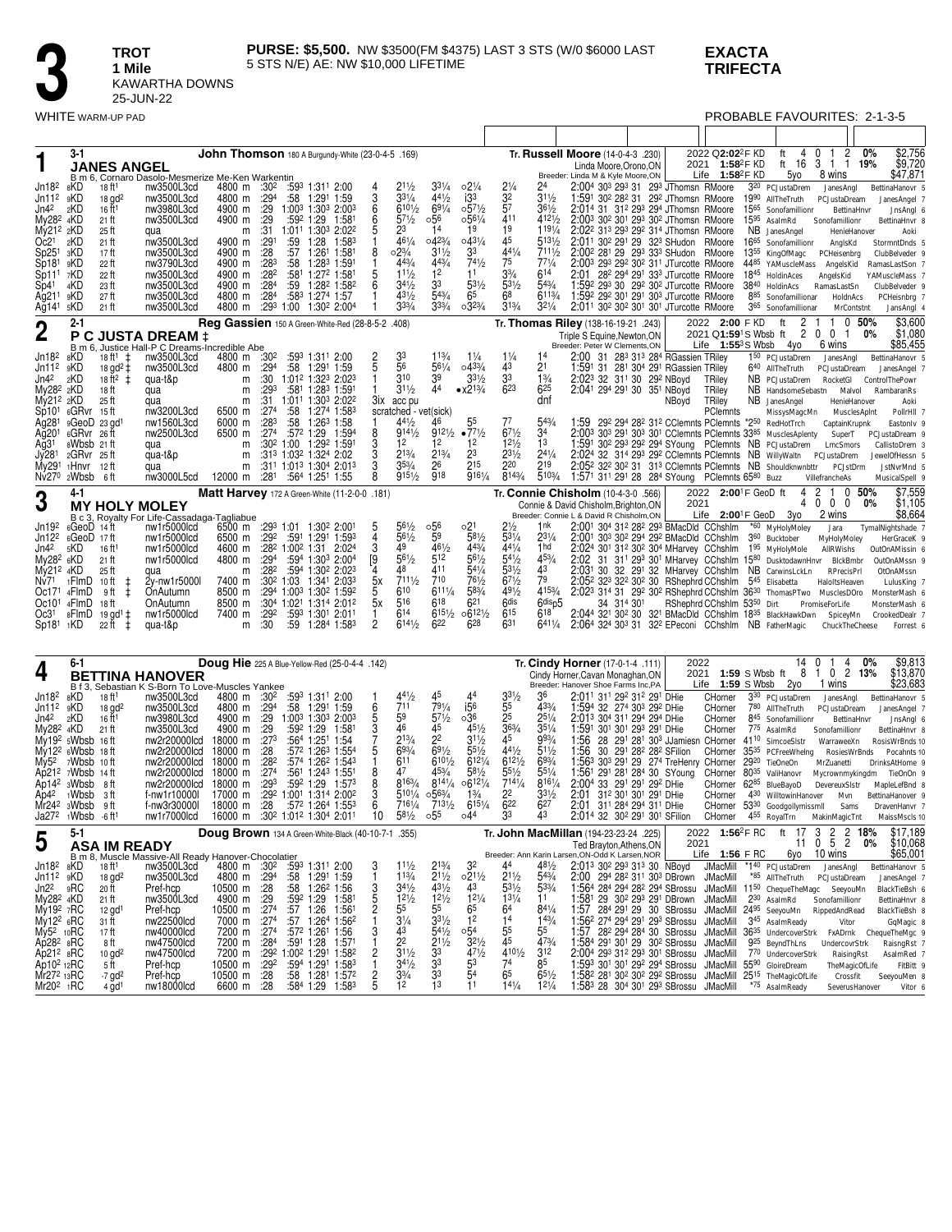### **EXACTA TRIFECTA**

**3 1 Mile**<br>**1 Mile**<br>**EXAMARE 25-JUN<br>WHITE WARM-UP PAD** 

**1 Mile**

25-JUN-22

KAWARTHA DOWNS

| WHITE WARM-UP PAD                                                       |                                                                           |                                                          |                                                                                                            |                                                    |                          |           |                                                                                                 |                                |                                               |                                     |                                    |                                    |                                    |                                                                                                                                                                                                                                                       |       |                                                               | PROBABLE FAVOURITES: 2-1-3-5                                |                                              |                                   |
|-------------------------------------------------------------------------|---------------------------------------------------------------------------|----------------------------------------------------------|------------------------------------------------------------------------------------------------------------|----------------------------------------------------|--------------------------|-----------|-------------------------------------------------------------------------------------------------|--------------------------------|-----------------------------------------------|-------------------------------------|------------------------------------|------------------------------------|------------------------------------|-------------------------------------------------------------------------------------------------------------------------------------------------------------------------------------------------------------------------------------------------------|-------|---------------------------------------------------------------|-------------------------------------------------------------|----------------------------------------------|-----------------------------------|
|                                                                         |                                                                           |                                                          |                                                                                                            |                                                    |                          |           |                                                                                                 |                                |                                               |                                     |                                    |                                    |                                    |                                                                                                                                                                                                                                                       |       |                                                               |                                                             |                                              |                                   |
|                                                                         | 3-1                                                                       |                                                          |                                                                                                            |                                                    |                          |           | John Thomson 180 A Burgundy-White (23-0-4-5 .169)                                               |                                |                                               |                                     |                                    |                                    |                                    | Tr. Russell Moore (14-0-4-3 .230)                                                                                                                                                                                                                     |       | 2022 Q2:02 <sup>2</sup> F KD                                  | ft<br>4                                                     | $0 \t1 \t2$                                  | \$2,756<br>$0\%$                  |
|                                                                         |                                                                           | <b>JANES ANGEL</b>                                       | B m 6, Cornaro Dasolo-Mesmerize Me-Ken Warkentin                                                           |                                                    |                          |           |                                                                                                 |                                |                                               |                                     |                                    |                                    |                                    | Linda Moore, Orono, ON<br>Breeder: Linda M & Kyle Moore,ON                                                                                                                                                                                            |       | 2021 1:58 <sup>2</sup> F KD<br>Life $1:58^2$ F KD             | 5yo                                                         | ft 16 3 1 1 19%<br>8 wins                    | \$9,720<br>\$47,871               |
| Jn18 <sup>2</sup><br>Jn11 <sup>2</sup>                                  | 8KD<br>9KD                                                                | 18 ft <sup>1</sup>                                       | nw3500L3cd                                                                                                 | 4800 m :30 <sup>2</sup><br>4800 m                  | :29 <sup>4</sup>         |           | :593 1:311 2:00<br>$:58$ 1:29 <sup>1</sup> 1:59                                                 |                                | $2^{11/2}$<br>$3^{31/4}$                      | $3^{31}/4$<br>441/2                 | $02\frac{1}{4}$<br>i3 <sup>3</sup> | $2\frac{1}{4}$                     | $3^{11/2}$                         | 2:004 303 293 31 293 JThomsn RMoore<br>1:591 302 282 31 292 JThomsn RMoore                                                                                                                                                                            |       |                                                               | 3 <sup>20</sup> PCJustaDrem<br>19 <sup>90</sup> AllTheTruth | JanesAngl                                    | BettinaHanovr 5                   |
| Jn42                                                                    | 2KD                                                                       | $18$ gd <sup>2</sup><br>16 ft <sup>1</sup>               | nw3500L3cd<br>nw3980L3cd                                                                                   | 4900 m                                             | :29                      |           | 1:003 1:303 2:003                                                                               | 6                              | $610\frac{1}{2}$                              | $69^{1/4}$                          | $0.57\frac{1}{2}$                  | $\frac{1}{3^2}$                    | $36\frac{1}{2}$                    | 2:014 31 312 293 294 JThomsn RMoore                                                                                                                                                                                                                   |       |                                                               | 1565 Sonofamillionr                                         | PCJustaDream<br>BettinaHnvr                  | JanesAngel 7<br>JnsAngl 6         |
| My28 <sup>2</sup> 4KD<br>My21 <sup>2</sup> 2KD                          |                                                                           | 21 ft<br>25 ft                                           | nw3500L3cd<br>qua                                                                                          | 4900 m<br>m                                        | :29<br>:31               |           | :592 1:29 1:581<br>1:01 <sup>1</sup> 1:30 <sup>3</sup> 2:02 <sup>2</sup>                        | 6                              | $5^{71/2}$<br>23                              | 056<br>14                           | $0.56\frac{1}{4}$<br>19            | 411<br>19                          | 4121/2<br>1191/4                   | 2:003 302 301 293 302 JThomsn RMoore<br>2:02 <sup>2</sup> 31 <sup>3</sup> 29 <sup>3</sup> 29 <sup>2</sup> 31 <sup>4</sup> JThomsn RMoore                                                                                                              |       |                                                               | 15 <sup>95</sup> AsalmRd<br>NB JanesAngel                   | Sonofamillionr<br>HenieHanover               | BettinaHnvr 8<br>Aoki             |
| Oc2 <sup>1</sup>                                                        | 2KD                                                                       | 21 ft                                                    | nw3500L3cd                                                                                                 | 4900 m                                             | :291<br>: 28             | :59       | 1:28<br>1:583                                                                                   | 8                              | 461/4<br>$02\frac{3}{4}$                      | $04^{23}/4$<br>$31\frac{1}{2}$      | $043\frac{1}{4}$<br>33             | 45<br>441/4                        | $513\frac{1}{2}$<br>7111/2         | 2:011 302 291 29 323 SHudon RMoore                                                                                                                                                                                                                    |       |                                                               | 1665 Sonofamillionr                                         | AnglsKd                                      | StormntDnds 5                     |
| Sp25 <sup>1</sup><br>Sp181                                              | зKD<br>9KD                                                                | 17 ft<br>22 ft                                           | nw3500L3cd<br>nw3790L3cd                                                                                   | 4900 m<br>4900 m                                   | :28 <sup>3</sup>         | :57       | 1:261<br>1:581<br>:58 1:283 1:591                                                               | 1                              | 443/4                                         | 443/4                               | 741/2                              | 75                                 | $77^{1/4}$                         | 2:00 <sup>2</sup> 28 <sup>1</sup> 29 29 <sup>3</sup> 33 <sup>3</sup> SHudon RMoore<br>2:003 293 292 302 311 JTurcotte RMoore                                                                                                                          |       |                                                               | 1355 KingOfMagc PCHeisenbrg<br>4485 YAMuscleMass AngelsKid  |                                              | ClubBelveder 9<br>RamasLastSon 7  |
| Sp111<br>Sp41                                                           | 7KD<br>4KD                                                                | 22 ft<br>23 ft                                           | nw3500L3cd<br>nw3500L3cd                                                                                   | 4900 m<br>4900 m                                   | :28 <sup>2</sup><br>:284 |           | :581 1:272 1:581<br>:59 1:28 <sup>2</sup> 1:58 <sup>2</sup>                                     | 5<br>6                         | $11\frac{1}{2}$<br>$34\frac{1}{2}$            | 12<br>33                            | 11<br>$53\frac{1}{2}$              | $3\frac{3}{4}$<br>$53\frac{1}{2}$  | 614<br>543/4                       | 2:01 28 <sup>2</sup> 29 <sup>4</sup> 29 <sup>1</sup> 33 <sup>3</sup> JTurcotte RMoore<br>1:592 293 30 292 302 JTurcotte RMoore                                                                                                                        |       |                                                               | 1845 HoldinAces<br>3840 HoldinAcs                           | AngelsKid<br>RamasLastSn                     | YAMuscleMass 7<br>ClubBelveder 9  |
| Ag211<br>Ag141                                                          | 9KD<br>5KD                                                                | 27 ft<br>21 ft                                           | nw3500L3cd<br>nw3500L3cd                                                                                   | 4800 m<br>4800 m                                   | :28 <sup>4</sup>         |           | :583 1:274 1:57<br>:293 1:00 1:302 2:004                                                        |                                | $4^{31/2}$<br>$3^{3/4}$                       | $5^{43}/4$<br>$3^{3/4}$             | 65<br>$03^{23/4}$                  | 68<br>$3^{13}/4$                   | 6113/4<br>$3^{21}/4$               | 1:59 <sup>2</sup> 29 <sup>2</sup> 30 <sup>1</sup> 29 <sup>1</sup> 30 <sup>3</sup> JTurcotte RMoore<br>2:011 302 302 301 301 JTurcotte RMoore                                                                                                          |       |                                                               | 885 Sonofamillionar                                         | HoldnAcs                                     | PCHeisnbrg 7                      |
|                                                                         | $2 - 1$                                                                   |                                                          |                                                                                                            |                                                    |                          |           | Reg Gassien 150 A Green-White-Red (28-8-5-2 .408)                                               |                                |                                               |                                     |                                    |                                    |                                    | Tr. Thomas Riley (138-16-19-21 .243)                                                                                                                                                                                                                  |       | 2022 2:00 FKD ft                                              | 365 Sonofamillionar                                         | MrContstnt<br>2 1 1 0 50%                    | JansAngl 4<br>\$3,600             |
| $\boldsymbol{2}$                                                        |                                                                           |                                                          | P C JUSTA DREAM ‡                                                                                          |                                                    |                          |           |                                                                                                 |                                |                                               |                                     |                                    |                                    |                                    | Triple S Equine, Newton, ON                                                                                                                                                                                                                           |       | 2021 Q <b>1:59</b> <sup>1</sup> S Wbsb ft                     |                                                             | 2 0 0 1                                      | \$1,080<br>0%                     |
| Jn18 <sup>2</sup>                                                       | 8KD                                                                       | $18 ft^{1} \pm$                                          | B m 6, Justice Hall-P C Dreams-Incredible Abe<br>nw3500L3cd                                                | 4800 m :30 <sup>2</sup>                            |                          |           | :593 1:311 2:00                                                                                 |                                | 33                                            | 113/4                               | $1\frac{1}{4}$                     | $1\frac{1}{4}$                     |                                    | Breeder: Peter W Clements, ON<br>2:00 31 283 313 284 RGassien TRiley                                                                                                                                                                                  |       | Life $1:55^3$ S Wbsb $4$ yo                                   | 1 <sup>50</sup> PCJustaDrem                                 | 6 wins<br>JanesAngl                          | \$85,455<br>BettinaHanovr 5       |
| Jn11 <sup>2</sup><br>Jn42                                               | 9KD<br>2KD                                                                | $18 \text{ gd}^2 \ddot{+}$<br>$18 \text{ ft}^2 \ddot{+}$ | nw3500L3cd<br>qua-t&p                                                                                      | 4800 m<br>m                                        | :29 <sup>4</sup><br>:30  |           | :58 1:291 1:59<br>1:012 1:323 2:023                                                             |                                | 56<br>310                                     | $56^{1/4}$<br>39                    | $04^{33/4}$<br>$33^{1/2}$          | 43<br>33                           | 2 <sup>1</sup><br>$1\frac{3}{4}$   | 1:591 31 281 304 291 RGassien TRiley<br>2:023 32 311 30 292 NBoyd                                                                                                                                                                                     |       | TRiley                                                        | 640 AllTheTruth<br>NB PCJustaDrem                           | PCJustaDream<br>RocketGl                     | JanesAngel 7<br>ControlThePowr    |
| My28 <sup>2</sup> 2KD                                                   |                                                                           | 18 ft                                                    | qua                                                                                                        | m                                                  | :293                     |           | :581 1:283 1:591                                                                                |                                | $3^{11/2}$                                    | 44                                  | $\bullet x213/4$                   | 623                                | 625                                | 2:041 294 291 30 351 NBoyd                                                                                                                                                                                                                            |       | TRiley                                                        | NB HandsomeSebastn Malvol                                   |                                              | RambaranRs                        |
| My21 <sup>2</sup> 2KD                                                   | Sp101 6GRvr 15ft                                                          | 25 ft                                                    | qua<br>nw3200L3cd                                                                                          | m<br>6500 m                                        | :31<br>:274              | :58       | 1:011 1:303 2:022<br>1:274 1:583                                                                |                                | 3ix acc pu<br>scratched - vet(sick)           |                                     |                                    |                                    | dnf                                |                                                                                                                                                                                                                                                       | NBoyd | TRiley<br>PClemnts                                            | NB JanesAngel<br>MissysMagcMn MusclesApInt                  | HenieHanover                                 | Aoki<br>PollrHII 7                |
| Ag281                                                                   | 9GeoD 23 gd1<br>6GRvr 26ft                                                |                                                          | nw1560L3cd<br>nw2500L3cd                                                                                   | 6000 m<br>6500 m                                   | :283<br>$:27^4$          |           | $:58$ 1:26 <sup>3</sup> 1:58<br>:57 <sup>2</sup> 1:29 1:594                                     | 8                              | $44\frac{1}{2}$<br>$9^{141/2}$                | 46<br>9121/2                        | 55<br>$•77\frac{1}{2}$             | 77<br>$6^{71/2}$                   | 543/4<br>34                        | 1:59 292 294 282 312 CClemnts PClemnts *250 RedHotTrch<br>2:003 303 291 303 301 CClemnts PClemnts 3385 MusclesAplenty SuperT PCJustaDream 9                                                                                                           |       |                                                               |                                                             | CaptainKrupnk                                | Eastonly 9                        |
| Ağ20 <sup>1</sup><br>Ağ31                                               | 8Wbsb 21 ft                                                               |                                                          | qua                                                                                                        | m                                                  |                          |           | :30 <sup>2</sup> 1:00 1:29 <sup>2</sup> 1:591                                                   | 3                              | 12                                            | 12                                  | 12                                 | $12\frac{1}{2}$                    | 1 <sup>3</sup>                     | 1:591 302 293 292 294 SYoung PClemnts NB PCJustaDrem LmcSmors                                                                                                                                                                                         |       |                                                               |                                                             |                                              | CallistoDrem 3                    |
| Jy281                                                                   | 2GRvr 25ft<br>$1$ Hnvr $12$ ft                                            |                                                          | qua-t&p<br>qua                                                                                             | m<br>m                                             |                          |           | :313 1:032 1:324 2:02<br>:31 <sup>1</sup> 1:01 <sup>3</sup> 1:30 <sup>4</sup> 2:01 <sup>3</sup> | 3<br>3                         | 213/4<br>$35\frac{3}{4}$                      | 213/4<br>26                         | 23<br>215                          | 231/2<br>220                       | $24^{1/4}$<br>219                  | 2:024 32 314 293 292 CClemnts PClemnts NB WillyWaltn PCJustaDrem<br>2:05 <sup>2</sup> 32 <sup>2</sup> 30 <sup>2</sup> 31 31 <sup>3</sup> CClemnts PClemnts NB Shouldknwnbttr                                                                          |       |                                                               |                                                             | PCJstDrm                                     | JewelOfHessn 5<br>JstNvrMnd 5     |
| My291<br>Nv270                                                          | 2Wbsb                                                                     | - 6 ft                                                   | nw3000L5cd                                                                                                 | 12000 m                                            | :281                     |           | :564 1:251 1:55                                                                                 |                                | 9151/2                                        | 918                                 | 9161/4                             | 8143/4                             | 5103/4                             | 1:571 311 291 28 284 SYoung PClemnts 6580 Buzz                                                                                                                                                                                                        |       |                                                               |                                                             | VillefrancheAs                               | MusicalSpell 9                    |
| 3                                                                       | 4-1                                                                       | <b>MY HOLY MOLEY</b>                                     |                                                                                                            |                                                    |                          |           | Matt Harvey 172 A Green-White (11-2-0-0 .181)                                                   |                                |                                               |                                     |                                    |                                    |                                    | Tr. Connie Chisholm (10-4-3-0 .566)<br>Connie & David Chisholm, Brighton, ON                                                                                                                                                                          | 2021  | 2022 2:00 <sup>1</sup> F GeoD ft                              | 4<br>4                                                      | $\overline{2}$<br>1 0 50%<br>$0\quad 0$<br>0 | \$7,559<br>\$1,105<br>0%          |
| Jn19 <sup>2</sup>                                                       |                                                                           |                                                          | B c 3, Royalty For Life-Cassadaga-Tagliabue<br>GeoD 14 ft mw1r5000lcd 6500 m                               |                                                    |                          |           | 6500 m :293 1:01 1:302 2:001                                                                    |                                | $56\frac{1}{2}$                               | ∘56                                 |                                    | $2\frac{1}{2}$                     | 1nk                                | Breeder: Connie L & David R Chisholm, ON<br>2:001 304 312 282 293 BMacDld CChshlm                                                                                                                                                                     |       | Life $2:00^1$ F GeoD $3y$ o                                   | *60 MyHolyMoley                                             | 2 wins                                       | \$8,664                           |
| Jn12 <sup>2</sup>                                                       | $6GeoD$ 14 ft<br>6GeoD 17ft                                               |                                                          | nw1r5000lcd                                                                                                | 6500 m                                             | :29 <sup>2</sup>         |           | :591 1:291 1:593                                                                                | ა<br>$\overline{4}$            | $56\frac{1}{2}$                               | $\tilde{5}^9$                       | $^{6}2^{1}$<br>$^{581/2}$          | $5^{31}/4$                         | $2^{31/4}$                         | 2:001 303 302 294 292 BMacDld CChshlm                                                                                                                                                                                                                 |       |                                                               | 3 <sup>60</sup> Bucktober                                   | Jara<br>MyHolyMoley                          | TymalNightshade 7<br>HerGraceK 9  |
| Jn42<br>My28 <sup>2</sup> 6KD                                           | 5KD                                                                       | 16 ft <sup>1</sup><br>$21$ ft                            | nw1r5000lcd<br>nw1r5000lcd                                                                                 | 4600 m<br>4800 m                                   | :294                     |           | :28 <sup>2</sup> 1:00 <sup>2</sup> 1:31 2:024<br>:594 1:303 2:004                               | 3                              | 49<br>$56\frac{1}{2}$                         | 461/2<br>512                        | 443/4<br>561/2                     | $44\frac{1}{4}$<br>$54\frac{1}{2}$ | 1hd<br>453/4                       | 2:024 301 312 302 304 MHarvey CChshlm 195 MyHolyMole<br>2:02<br>31 311 293 301 MHarvey CChshlm 1580 DusktodawnHnvr BlckBmbr                                                                                                                           |       |                                                               |                                                             | AllRWishs                                    | OutOnAMissin 6<br>OutOnAMssn 9    |
| $My212$ 4KD                                                             |                                                                           | 25 ft                                                    | qua                                                                                                        | m                                                  | :28 <sup>2</sup>         |           | :594 1:30 <sup>2</sup> 2:023<br>:30 <sup>2</sup> 1:03 1:341 2:033                               | [9<br>4<br>5х                  | 48<br>7111/2                                  | 411<br>710                          | $5^{41}/4$<br>761/2                | $5^{31/2}$<br>671/2                | 43<br>79                           | 2:031 30 32 291 32 MHarvey CChshlm NB CarwinsLckLn<br>2:052 323 322 302 30 RShephrd CChshlm 545 Elisabetta                                                                                                                                            |       |                                                               |                                                             | RPrecisPrl                                   | OtOnAMssn                         |
| Nv71<br>Oc171                                                           | 1FlmD<br>4FlmD                                                            | 10 ft<br>$\ddagger$<br>$\pm$<br>9 ft                     | 2y-nw1r5000l<br>OnAutumn                                                                                   | 7400 m<br>8500 m                                   |                          |           | :294 1:003 1:302 1:592                                                                          |                                | 610                                           | $611\frac{1}{4}$                    | 583/4                              | 491/2                              | 4153/4                             | 2:023 314 31 292 302 RShephrd CChshlm 3630 ThomasPTwo MusclesDOro                                                                                                                                                                                     |       |                                                               |                                                             | HaloltsHeaven                                | LulusKing 7<br>MonsterMash 6      |
| Oc10 <sup>1</sup><br>Oc31                                               | 4FlmD<br>8FlmD                                                            | 18 ft<br>19 gd <sup>1</sup> $\pm$                        | OnAutumn<br>nw1r5000lcd                                                                                    | 8500 m<br>7400 m                                   | :292                     |           | :304 1:021 1:314 2:012<br>:593 1:301 2:011                                                      | 5х<br>1                        | 516<br>614                                    | $6^{18}$<br>6151/2                  | $6^{21}$<br>06121/2                | 6 <sup>dis</sup><br>615            | 6 <sup>disp5</sup><br>618'         | 34 314 301<br>2:044 321 302 30 321 BMacDld CChshlm 1835 BlackHawkDwn SpiceyMn                                                                                                                                                                         |       | RShephrd CChshlm 5350 Dirt                                    |                                                             | PromiseForLife                               | MonsterMash 6<br>CrookedDealr 7   |
| $Sp181 \t1 KD$                                                          |                                                                           | $22$ ft $\pm$                                            | qua-t&p                                                                                                    | m                                                  | :30                      |           | :59 1:284 1:583                                                                                 | $\overline{2}$                 | 6141/2                                        | 622                                 | 628                                | 631                                | $641\frac{1}{4}$                   | 2:064 324 303 31 322 EPeconi CChshlm NB FatherMagic                                                                                                                                                                                                   |       |                                                               |                                                             | ChuckTheCheese                               | Forrest 6                         |
|                                                                         |                                                                           |                                                          |                                                                                                            |                                                    |                          |           |                                                                                                 |                                |                                               |                                     |                                    |                                    |                                    |                                                                                                                                                                                                                                                       |       |                                                               |                                                             |                                              |                                   |
| 4                                                                       | 6-1                                                                       |                                                          |                                                                                                            |                                                    |                          |           | Doug Hie 225 A Blue-Yellow-Red (25-0-4-4 .142)                                                  |                                |                                               |                                     |                                    |                                    |                                    | Tr. Cindy Horner (17-0-1-4 .111)                                                                                                                                                                                                                      | 2022  | 2021 1:59 S Wbsb ft                                           | 14 0<br>8                                                   | 4<br>$\mathbf{1}$<br>1 0 2 13%               | \$9,813<br>$0\%$<br>\$13,870      |
|                                                                         | Bf3,                                                                      |                                                          | <b>BETTINA HANOVER</b><br>Sebastian K S-Born To Love-Muscles Yankee                                        |                                                    |                          |           |                                                                                                 |                                |                                               |                                     |                                    |                                    |                                    | Cindy Horner, Cavan Monaghan, ON<br>Breeder: Hanover Shoe Farms Inc, PA                                                                                                                                                                               |       | Life $1:59$ S Wbsb $2y0$                                      |                                                             | 1 wins                                       | \$23,683                          |
| Jn182<br>Jn11 <sup>2</sup>                                              | 8KD<br>9KD                                                                | 18 ft <sup>1</sup><br>$18$ gd <sup>2</sup>               | nw3500L3cd<br>nw3500L3cd                                                                                   | 4800 m :30 <sup>2</sup><br>4800 m                  | $:29^4$                  |           | :593 1:311 2:00<br>$:58$ 1:29 <sup>1</sup> 1:59                                                 |                                | $44\frac{1}{2}$<br>711                        | 45<br>791/4                         | 44<br>i56                          | $3^{31/2}$<br>55                   | 36<br>$4^{33}/4$                   | 2:011 311 292 312 291 DHie<br>1:594 32 274 303 292 DHie                                                                                                                                                                                               |       | CHorner<br>CHorner                                            | 330 PCJustaDrem<br>780 AllTheTruth                          | JanesAngl<br>PCJustaDream                    | BettinaHanovr 5<br>JanesAngel 7   |
| Jn42<br>My28 <sup>2</sup> 4KD                                           | 2KD                                                                       | 16 ft <sup>1</sup>                                       | nw3980L3cd<br>nw3500L3cd                                                                                   | 4900 m<br>4900 m                                   | : 29<br>:29              |           | 1:003 1:303 2:003<br>:592 1:29 1:581                                                            | $\frac{6}{5}$                  | 59<br>46                                      | $57\frac{1}{2}$<br>45               | ∘36<br>451/2                       | 25<br>$36\frac{3}{4}$              | $25\frac{1}{4}$<br>$35\frac{1}{4}$ | 2:013 304 311 294 294 DHie<br>1:591 301 301 293 291 DHie                                                                                                                                                                                              |       | CHorner<br>CHorner                                            | 845 Sonofamillionr<br>775 AsalmRd                           | BettinaHnvr                                  | JnsAngl 6                         |
|                                                                         | $My192$ sWbsb 16 ft                                                       | 21 ft                                                    | nw2r20000lcd                                                                                               | 18000 m                                            | :273                     |           | :564 1:251 1:54                                                                                 | $\frac{3}{7}$                  | $2^{13/4}$                                    | 22                                  | $3^{11/2}$                         | 45                                 | 993/4                              | 1:56<br>28 291 281 303 JJamiesn CHorner                                                                                                                                                                                                               |       |                                                               | 41 <sup>10</sup> SimcoeSIstr                                | Sonofamillionr<br>WarraweeXn                 | BettinaHnvr 8<br>RosisWrBnds 10   |
|                                                                         | $Mv122$ 6Wbsb 18 ft<br>$My52$ 7Wbsb                                       | 10 ft                                                    | nw2r20000lcd<br>nw2r20000lcd                                                                               | 18000 m<br>18000 m                                 | :28<br>:28 <sup>2</sup>  |           | :572 1:263 1:554<br>:574 1:262 1:543                                                            | 5                              | 693/4<br>611                                  | $69\frac{1}{2}$<br>$610\frac{1}{2}$ | $55\frac{1}{2}$<br>6121/4          | 441/2<br>6121/2                    | 511/2<br>693/4                     | 1:56<br>30 291 282 282 SFilion<br>1:563 303 291 29 274 TreHenry CHorner                                                                                                                                                                               |       | CHorner                                                       | 35 <sup>35</sup> PCFreeWhelng<br>2920 TieOneOn              | RosiesWrBnds<br>MrZuanetti                   | Pocahnts 10<br>DrinksAtHome 9     |
|                                                                         | Ap21 <sup>2</sup> $7W$ bsb 14 ft<br>Ap14 <sup>2</sup> 3Wbsb               |                                                          | nw2r20000lcd<br>nw2r20000lcd                                                                               | 18000 m<br>18000 m                                 | :27 <sup>4</sup><br>:293 | :592 1:29 | :561 1:243 1:551<br>1:573                                                                       |                                | 47<br>8163/4                                  | 453/4<br>8141/4                     | $5^{81/2}$<br>06121/4              | $5^{51/2}$<br>7141/4               | $55^{1}/4$<br>8161/4               | 1:56 <sup>1</sup> 29 <sup>1</sup> 28 <sup>1</sup> 28 <sup>4</sup> 30 SYoung<br>2:004 33 291 291 292 DHie                                                                                                                                              |       | CHorner 80 <sup>35</sup> ValiHanovr<br>CHorner 6285 BlueBayoD |                                                             | DevereuxSistr                                | Mycrownmykingdm TieOnOn 9         |
|                                                                         | $Ap42$ 1Wbsb                                                              | 8 ft<br>- 3 ft                                           | f-nw1r10000l                                                                                               |                                                    |                          |           | 17000 m :292 1:001 1:314 2:002                                                                  |                                | 5101/4 0563/4                                 |                                     | $1\frac{3}{4}$                     | 22                                 | $3^{31/2}$                         | 2:01 312 301 301 291 DHie                                                                                                                                                                                                                             |       |                                                               | CHorner 430 WilltowinHanover Myn                            |                                              | MapleLefBnd 8<br>BettinaHanover 9 |
|                                                                         | Mr24 <sup>2</sup> 3Wbsb 9ft<br>Ja27 <sup>2</sup> 1Wbsb -6 ft <sup>1</sup> |                                                          | f-nw3r30000l<br>nw1r7000lcd 16000 m :30 <sup>2</sup> 1:01 <sup>2</sup> 1:30 <sup>4</sup> 2:01 <sup>1</sup> | 18000 m :28                                        |                          |           | :57 <sup>2</sup> 1:26 <sup>4</sup> 1:553                                                        |                                | 7161/4<br>10 581⁄2 055                        | 7131/2                              | $6^{15\frac{1}{4}}$<br>∘44         | $6^{22}$<br>33                     | 627<br>43                          | 2:01 311 284 294 311 DHie<br>2:014 32 302 291 301 SFilion CHorner 455 RoyalTrn MakinMagicTnt                                                                                                                                                          |       |                                                               | CHorner 53 <sup>30</sup> Goodgollymissmll Sams              |                                              | DravenHanvr 7<br>MaissMscls 10    |
|                                                                         | 5-1                                                                       |                                                          |                                                                                                            |                                                    |                          |           | Doug Brown 134 A Green-White-Black (40-10-7-1 .355)                                             |                                |                                               |                                     |                                    |                                    |                                    | Tr. John MacMillan (194-23-23-24 .225)                                                                                                                                                                                                                |       |                                                               | 2022 1:56 <sup>2</sup> FRC ft 17 3 2 2 18%                  |                                              | \$17,189<br>\$10,068              |
| 5                                                                       |                                                                           | <b>ASA IM READY</b>                                      | B m 8, Muscle Massive-All Ready Hanover-Chocolatier                                                        |                                                    |                          |           |                                                                                                 |                                |                                               |                                     |                                    |                                    |                                    | Ted Brayton, Athens, ON<br>Breeder: Ann Karin Larsen, ON-Odd K Larsen, NOR                                                                                                                                                                            | 2021  | Life 1:56 F RC                                                |                                                             | 11 0 5 2<br>6yo 10 wins                      | 0%<br>\$65,001                    |
| $Jn182$ $8KD$                                                           |                                                                           | 18 ft <sup>1</sup>                                       | nw3500L3cd                                                                                                 | 4800 m :30 <sup>2</sup>                            |                          |           | :593 1:311 2:00<br>:58 1:291 1:59                                                               | 3                              | $11\frac{1}{2}$<br>$1^{13/4}$                 | $2^{13/4}$                          | 32                                 | 44                                 | 481/2                              | 2:013 302 293 313 30 NBoyd JMacMill *140 PCJustaDrem JanesAngl                                                                                                                                                                                        |       |                                                               |                                                             |                                              | BettinaHanovr 5                   |
| $Jn112$ $9KD$<br>Jn2 <sup>2</sup>                                       | 9RC                                                                       | $18$ gd <sup>2</sup><br>20 ft                            | nw3500L3cd<br>Pref-hcp                                                                                     | 4800 m :294<br>10500 m :28                         |                          |           | :58 1:26 <sup>2</sup> 1:56                                                                      |                                | $34\frac{1}{2}$                               | $2^{11/2}$<br>431/2                 | $\frac{0.211}{43}$                 | $2^{11/2}$<br>$5^{31/2}$           | $5^{43/4}$<br>$5^{33/4}$           | 2:00 294 28 <sup>2</sup> 31 <sup>1</sup> 30 <sup>3</sup> DBrown JMacMill<br>1:564 284 294 282 294 SBrossu JMacMill 1150 ChequeTheMagc SeeyouMn                                                                                                        |       |                                                               | *85 AllTheTruth PCJustaDream                                |                                              | JanesAngel 7<br>BlackTieBsh 6     |
| My28 <sup>2</sup> 4KD<br>My19 <sup>2</sup> 7RC                          |                                                                           | 21 ft<br>$12$ gd <sup>1</sup>                            | nw3500L3cd<br>Pref-hcp                                                                                     | $10500$ m $:29$<br>10500 m $:274$<br>7000 m $:274$ |                          |           | :592 1:29 1:581                                                                                 | 3<br>5<br>2<br>1               | $12^{1/2}$<br>55                              | $12^{1/2}$<br>55                    | $12\frac{1}{4}$<br>6 <sup>5</sup>  | $13^{1}/4$<br>6 <sup>4</sup>       | 11<br>841/4                        | 1:581 29 302 293 291 DBrown JMacMill 230 AsalmRd<br>1:57 284 291 29 30 SBrossu JMacMill 2495 SeeyouMn                                                                                                                                                 |       |                                                               |                                                             | Sonofamillionr<br>RippedAndRead              | BettinaHnvr 8<br>BlackTieBsh &    |
| My122 6RC                                                               |                                                                           | 31 ft                                                    | nw22500lcd                                                                                                 |                                                    |                          |           | :57 1:26 1:561<br>:57 1:264 1:562                                                               |                                | $3\frac{1}{4}$                                | $33\frac{1}{2}$                     | 1 <sup>2</sup>                     | 14                                 | 143/4                              | 1:562 274 294 291 293 SBrossu JMacMill                                                                                                                                                                                                                |       |                                                               | 345 AsalmReady                                              | Vitor                                        | GqMagic 8                         |
| My5 <sup>2</sup> 10RC<br>Ap28 <sup>2</sup> 8RC<br>Ap21 <sup>2</sup> 8RC |                                                                           | 17 ft<br>8 ft                                            | nw40000lcd<br>nw47500lcd                                                                                   | 7200 m :274                                        |                          |           | :572 1:261 1:56<br>7200 m :284 :591 1:28 1:571<br>7200 m :292 1:002 1:291 1:582                 | 3                              | $\overline{4}3$<br>2 <sup>2</sup>             | $54\frac{1}{2}$<br>$2^{11/2}$       | ∘54<br>$\frac{3^{21}}{4^{71}}$     | 55<br>45                           | 55<br>473/4                        | 1:57 282 294 284 30 SBrossu JMacMill 36 <sup>35</sup> UndercoverStrk FxADrnk ChequeTheMgc 9<br>1:584 291 301 29 302 SBrossu JMacMill<br>2:004 293 312 293 301 SBrossu JMacMill                                                                        |       |                                                               | 925 BeyndThLns UndercovrStrk                                |                                              | RaisngRst 7                       |
| Ap10 <sup>2</sup> 12RC                                                  |                                                                           | $10$ gd <sup>2</sup><br>5 ft                             | nw47500lcd<br>Pref-hcp                                                                                     | 10500 m :292                                       |                          |           | :594 1:291 1:583                                                                                | $\overline{c}$<br>$\mathbf{1}$ | $\overline{3}1\frac{1}{2}$<br>$34\frac{1}{2}$ | 33<br>3 <sup>3</sup>                | 53                                 | 4101/2<br>74                       | 3 <sup>12</sup><br>85              |                                                                                                                                                                                                                                                       |       |                                                               | 770 UndercoverStrk                                          | RaisingRst<br>TheMagicOfLife                 | AsalmRed 7<br>FitBitt 9           |
| Mr272 13RC                                                              |                                                                           | $-7$ gd <sup>2</sup>                                     | Pref-hcp                                                                                                   | $10500 \text{ m}$ :28<br>6600 m :28                |                          |           | $:58$ 1:28 <sup>1</sup> 1:57 <sup>2</sup>                                                       | $\frac{2}{5}$                  | $\frac{3\frac{3}{4}}{1^2}$                    | 33<br>13                            | 5 <sup>4</sup><br>11               | 6 <sup>5</sup><br>141/4            | $65\frac{1}{2}$<br>$12^{1/4}$      | 1:593 301 301 292 294 SBrossu JMacMill 55 <sup>90</sup> GloireDream<br>1:58 <sup>2</sup> 281 30 <sup>2</sup> 30 <sup>2</sup> 29 <sup>2</sup> SBrossu JMacMill 25 <sup>15</sup> TheMagicOfLife<br>1:583 28 304 301 293 SBrossu JMacMill *75 AsalmReady |       |                                                               |                                                             | Crossfit                                     | SeeyouMen &                       |
| Mr20 <sup>2</sup> 1RC                                                   |                                                                           | $4$ gd <sup>1</sup>                                      | nw18000lcd                                                                                                 |                                                    |                          |           | :584 1:29 1:583                                                                                 |                                |                                               |                                     |                                    |                                    |                                    |                                                                                                                                                                                                                                                       |       |                                                               |                                                             | SeverusHanover                               | Vitor 6                           |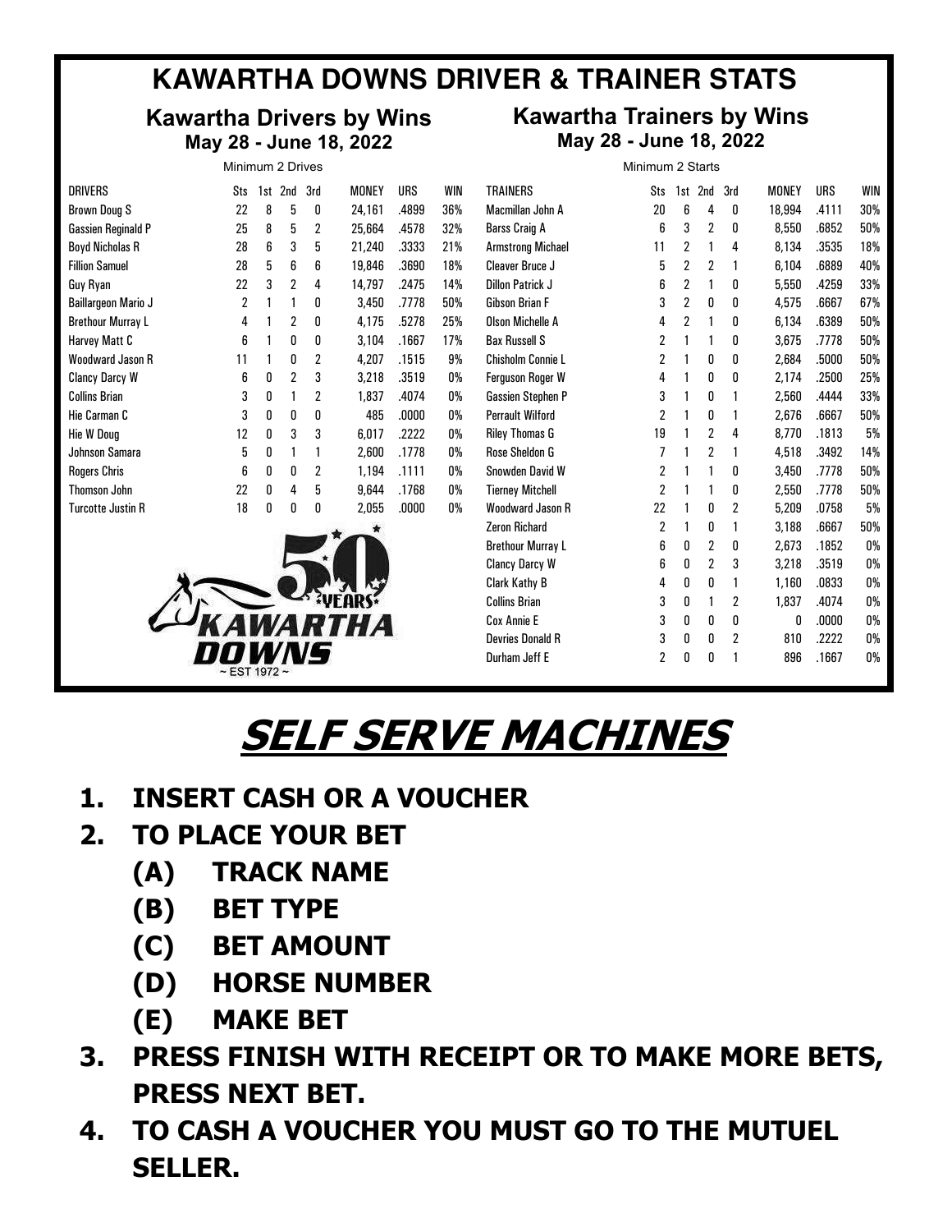# **KAWARTHA DOWNS DRIVER & TRAINER STATS**

# **Kawartha Drivers by Wins** K **May 28 - June 18, 2022**

|                           | Minimum 2 Drives |     |                |     |        |       |     |                          | Minimum 2 Starts |     |     |     |
|---------------------------|------------------|-----|----------------|-----|--------|-------|-----|--------------------------|------------------|-----|-----|-----|
| <b>DRIVERS</b>            | Sts              | 1st | 2nd            | 3rd | MONEY  | URS   | WIN | <b>TRAINERS</b>          | Sts              | 1st | 2nd | 3rd |
| Brown Doug S              | 22               | 8   | 5              | 0   | 24,161 | .4899 | 36% | Macmillan John A         | 20               | 6   | 4   | 0   |
| <b>Gassien Reginald P</b> | 25               | 8   | 5              | 2   | 25,664 | .4578 | 32% | Barss Craig A            | 6                | 3   | 2   | 0   |
| <b>Boyd Nicholas R</b>    | 28               | 6   | 3              | 5   | 21,240 | .3333 | 21% | <b>Armstrong Michael</b> | 11               | 2   |     | 4   |
| <b>Fillion Samuel</b>     | 28               | 5   | 6              | 6   | 19,846 | .3690 | 18% | <b>Cleaver Bruce J</b>   | 5                | 2   | 2   |     |
| Guy Ryan                  | 22               | 3   | 2              | 4   | 14,797 | .2475 | 14% | <b>Dillon Patrick J</b>  | 6                | 2   |     | 0   |
| Baillargeon Mario J       | 2                |     |                | 0   | 3,450  | .7778 | 50% | Gibson Brian F           | 3                | 2   | 0   | 0   |
| <b>Brethour Murray L</b>  | 4                |     | 2              | 0   | 4,175  | .5278 | 25% | Olson Michelle A         | 4                | 2   |     | 0   |
| Harvey Matt C             | 6                | 1   | 0              | 0   | 3,104  | .1667 | 17% | <b>Bax Russell S</b>     | 2                |     |     | 0   |
| Woodward Jason R          | 11               |     | 0              | 2   | 4,207  | .1515 | 9%  | Chisholm Connie L        | 2                |     | 0   | 0   |
| <b>Clancy Darcy W</b>     | 6                | 0   | $\overline{2}$ | 3   | 3,218  | .3519 | 0%  | <b>Ferguson Roger W</b>  | 4                |     | 0   | 0   |
| <b>Collins Brian</b>      | 3                | 0   |                | 2   | 1,837  | .4074 | 0%  | <b>Gassien Stephen P</b> | 3                |     | 0   |     |
| Hie Carman C              | 3                | 0   | 0              | 0   | 485    | .0000 | 0%  | <b>Perrault Wilford</b>  | 2                |     | 0   |     |
| Hie W Doug                | 12               | 0   | 3              | 3   | 6,017  | .2222 | 0%  | <b>Riley Thomas G</b>    | 19               |     | 2   | 4   |
| Johnson Samara            | 5                | 0   |                |     | 2,600  | .1778 | 0%  | Rose Sheldon G           |                  |     | 2   |     |
| <b>Rogers Chris</b>       | 6                | 0   | 0              | 2   | 1,194  | .1111 | 0%  | Snowden David W          | 2                |     |     | n   |
| Thomson John              | 22               | 0   | 4              | 5   | 9,644  | .1768 | 0%  | <b>Tierney Mitchell</b>  | 2                |     |     | 0   |
| <b>Turcotte Justin R</b>  | 18               | 0   | 0              | 0   | 2,055  | .0000 | 0%  | Woodward Jason R         | 22               |     | 0   | 2   |



| <b>TRAINERS</b>          | Sts            | 1st            | 2nd            | 3rd            | MONEY  | <b>URS</b> | WIN |
|--------------------------|----------------|----------------|----------------|----------------|--------|------------|-----|
| Macmillan John A         | 20             | 6              | 4              | 0              | 18,994 | .4111      | 30% |
| <b>Barss Craig A</b>     | 6              | 3              | $\overline{2}$ | 0              | 8,550  | .6852      | 50% |
| <b>Armstrong Michael</b> | 11             | $\overline{2}$ | 1              | 4              | 8.134  | .3535      | 18% |
| Cleaver Bruce J          | 5              | $\overline{2}$ | $\overline{2}$ | 1              | 6,104  | .6889      | 40% |
| <b>Dillon Patrick J</b>  | 6              | $\overline{2}$ | 1              | 0              | 5,550  | .4259      | 33% |
| Gibson Brian F           | 3              | $\overline{2}$ | 0              | 0              | 4,575  | .6667      | 67% |
| <b>Olson Michelle A</b>  | 4              | $\overline{2}$ | 1              | 0              | 6,134  | .6389      | 50% |
| <b>Bax Russell S</b>     | 2              | 1              | 1              | O              | 3.675  | .7778      | 50% |
| Chisholm Connie L        | $\overline{2}$ | 1              | 0              | 0              | 2,684  | .5000      | 50% |
| <b>Ferguson Roger W</b>  | 4              | 1              | 0              | 0              | 2,174  | .2500      | 25% |
| <b>Gassien Stephen P</b> | 3              | 1              | 0              | 1              | 2,560  | .4444      | 33% |
| <b>Perrault Wilford</b>  | $\overline{2}$ | 1              | 0              | 1              | 2,676  | .6667      | 50% |
| <b>Riley Thomas G</b>    | 19             | 1              | $\overline{2}$ | 4              | 8.770  | .1813      | 5%  |
| Rose Sheldon G           | 7              | 1              | $\overline{2}$ | 1              | 4,518  | .3492      | 14% |
| Snowden David W          | 2              | 1              | 1              | 0              | 3,450  | .7778      | 50% |
| <b>Tierney Mitchell</b>  | $\overline{2}$ | 1              | 1              | 0              | 2,550  | .7778      | 50% |
| <b>Woodward Jason R</b>  | 22             | 1              | 0              | $\overline{2}$ | 5,209  | .0758      | 5%  |
| <b>Zeron Richard</b>     | $\overline{2}$ | 1              | 0              | 1              | 3.188  | .6667      | 50% |
| <b>Brethour Murray L</b> | 6              | 0              | $\overline{2}$ | 0              | 2,673  | .1852      | 0%  |
| <b>Clancy Darcy W</b>    | 6              | 0              | $\overline{2}$ | 3              | 3,218  | .3519      | 0%  |
| Clark Kathy B            | 4              | 0              | 0              | 1              | 1,160  | .0833      | 0%  |
| <b>Collins Brian</b>     | 3              | 0              | 1              | $\overline{2}$ | 1,837  | .4074      | 0%  |
| Cox Annie E              | 3              | 0              | 0              | 0              | 0      | .0000      | 0%  |
| <b>Devries Donald R</b>  | 3              | 0              | 0              | 2              | 810    | .2222      | 0%  |
| Durham Jeff E            | $\overline{2}$ | 0              | 0              | 1              | 896    | .1667      | 0%  |
|                          |                |                |                |                |        |            |     |

Last 20 days

### **SELF SERVE MACHINES** DRIVERS STRIVERS STRIVERS STRIVERS STRIVERS IN 1970. IN 1971 Boyd Nicholas R 13 4 2 2 .4444 31%  $\blacksquare$ TRAINERS STRAINERS STRAINERS STRAINERS STRAINERS STRAINERS STRAINERS STRAIN AND 1979 AND 1979 AND 1979 AND 197 Macmillan John A 14 4 2 0 .3651 29%

- **1. INSERT CASH OR A VOUCHER** Fillion Samuel 15 2 2 4 .2963 13%
- 2. TO PLACE YOUR BET
- (A) **TRACK NAME**  $\blacksquare$
- **(B)** BET TYPE
- (C) BET AMOUNT Collins Brian 2 0 0 2 .3333 0%
	- (D) HORSE NUMBER UNJL I
- (E) **MAKE BET**  $\begin{bmatrix} 2 & 3 \ 1 & 1 \end{bmatrix}$  divided by  $\begin{bmatrix} 2 & 3 \ 1 & 1 \end{bmatrix}$
- 3. PRESS FINISH WITH RECEIPT OR TO MAKE MORE BETS, PRESS NEXT BET. **Baillargeon Mario VCC** GAS SIEN PET 1 TRE AR TA MILLE MARE BETA. IF I VR IV MARL MURL DLIJ $_{\rm I}$
- 4. TO CASH A VOUCHER YOU MUST GO TO THE MUTUEL **SELLER.**  Collins Brian 1 0 0 1 .3333 0% T. IV CASILA YUUCHEN I U Harvey Matt C 1 0 0 0 .0000 0% DILLOT CO TO THE MUTHER Ferguson Roger W 2 1 0 0 .5000 50%

# **Kawartha Trainers by Wins** 18, 2022 **May 28 - June 18, 2022** WHO'S HOT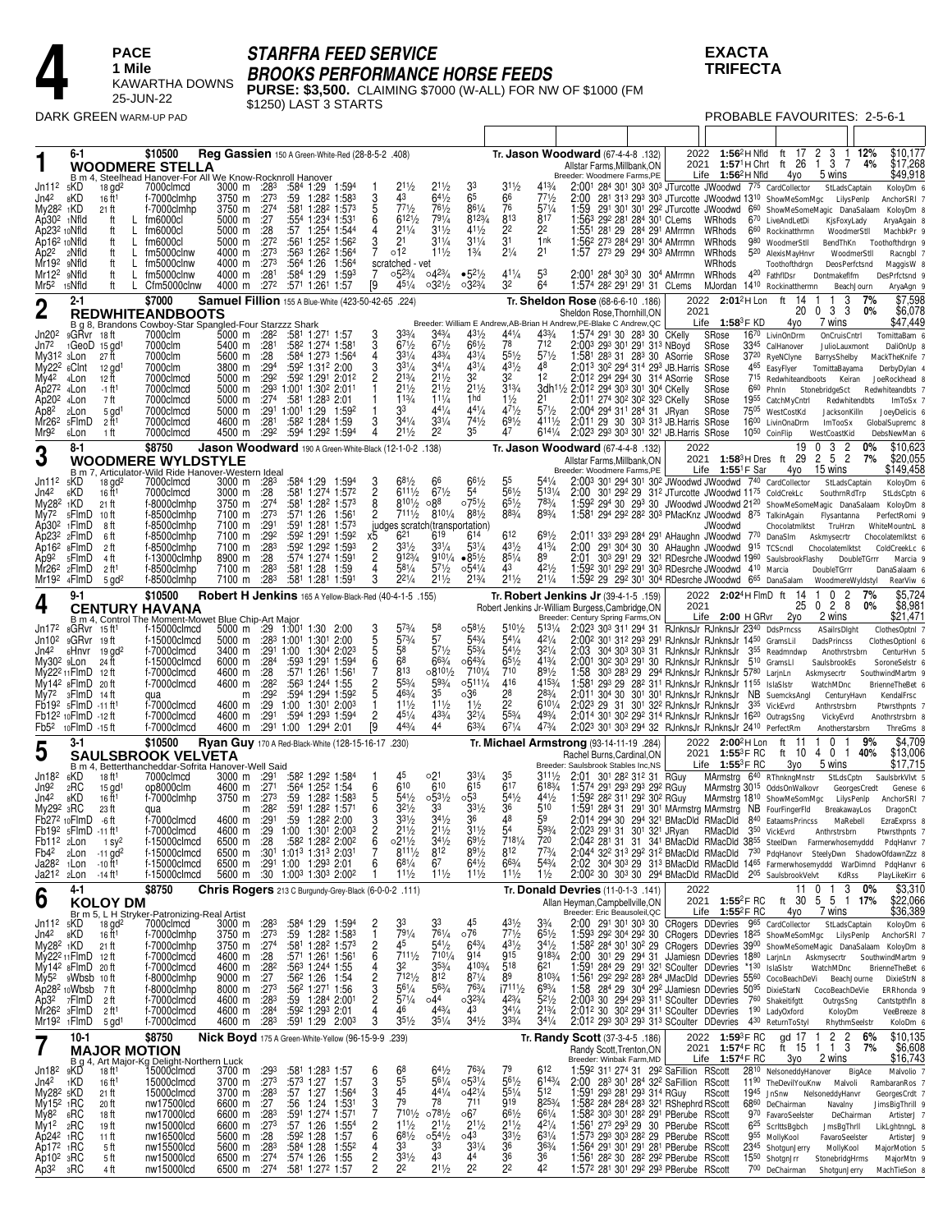

# **STARFRA FEED SERVICE**

**BROOKS PERFORMANCE HORSE FEEDS<br>PURSE: \$3,500.** CLAIMING \$7000 (W-ALL) FOR NW OF \$1000 (FM<br>\$1250) LAST 3 STARTS

## **EXACTA TRIFECTA**

DARK GREEN WARM-UP PAD

| DARK GREEN WARM-UP PAD                                    |                                    |                                            |                   |                                                                                                     |                       |             |                                 |                                    |                                                                                     |                                       |                                      |                                       |                                       |                                    |                                  |                                                                                                                                                                                                                                      |                                  |                                                                                                                            |                           |                                                             | PROBABLE FAVOURITES: 2-5-6-1                    |             |                                     |
|-----------------------------------------------------------|------------------------------------|--------------------------------------------|-------------------|-----------------------------------------------------------------------------------------------------|-----------------------|-------------|---------------------------------|------------------------------------|-------------------------------------------------------------------------------------|---------------------------------------|--------------------------------------|---------------------------------------|---------------------------------------|------------------------------------|----------------------------------|--------------------------------------------------------------------------------------------------------------------------------------------------------------------------------------------------------------------------------------|----------------------------------|----------------------------------------------------------------------------------------------------------------------------|---------------------------|-------------------------------------------------------------|-------------------------------------------------|-------------|-------------------------------------|
|                                                           |                                    |                                            |                   |                                                                                                     |                       |             |                                 |                                    |                                                                                     |                                       |                                      |                                       |                                       |                                    |                                  |                                                                                                                                                                                                                                      |                                  |                                                                                                                            |                           |                                                             |                                                 |             |                                     |
|                                                           | 6-1                                |                                            |                   | \$10500<br><b>WOODMERE STELLA</b>                                                                   |                       |             |                                 |                                    | Req Gassien 150 A Green-White-Red (28-8-5-2 .408)                                   |                                       |                                      |                                       |                                       |                                    |                                  | Tr. <b>Jason Woodward</b> (67-4-4-8 .132)<br>Allstar Farms, Millbank, ON                                                                                                                                                             | 2022<br>2021                     | $1:56^2H$ Nfld<br>$1:571$ H Chrt                                                                                           |                           | ft 17<br>ft 26                                              | 2<br>3<br>-1<br>3 7<br>$\overline{1}$           | 12%<br>4%   | \$10.177<br>\$17,268                |
| Jn112                                                     | 5KD                                | $18$ gd <sup>2</sup>                       |                   | B m 4, Steelhead Hanover-For All We Know-Rocknroll Hanover<br>7000clmcd                             |                       |             | 3000 m :283                     |                                    | :584 1:29 1:594                                                                     |                                       | $2^{11/2}$                           | $21\frac{1}{2}$                       | 33                                    | $3^{11/2}$                         | 413/4                            | Breeder: Woodmere Farms, PE<br>2:001 284 301 303 303 JTurcotte JWoodwd 775 CardCollector                                                                                                                                             |                                  | Life $1:56^2$ H Nfld                                                                                                       |                           | 4yo                                                         | 5 wins<br>StLadsCaptain                         |             | \$49,918<br>KoloyDm 6               |
| Jn4 <sup>2</sup>                                          | 8KD                                | 16 ft <sup>1</sup>                         |                   | f-7000clmhp                                                                                         | 3750 m                |             | :273                            |                                    | $:59$ 1:28 <sup>2</sup> 1:58 <sup>3</sup>                                           | 3                                     | 43                                   | $64\frac{1}{2}$                       | 65<br>861/4                           | $\frac{66}{76}$                    | 771/2                            | 2:00                                                                                                                                                                                                                                 |                                  | 28 <sup>1</sup> 31 <sup>3</sup> 29 <sup>3</sup> 30 <sup>3</sup> JTurcotte JWoodwd 13 <sup>10</sup> ShowMeSomMgc LilysPenIp |                           |                                                             |                                                 |             | AnchorSRI 7                         |
| My28 <sup>2</sup> 1KD<br>Ap30 <sup>2</sup> 1Nfld          |                                    | 21 ft<br>ft                                |                   | f-7000clmhp<br>fm6000cl                                                                             | 3750 m<br>5000 m      |             | :274<br>:27                     |                                    | :581 1:282 1:573<br>:554 1:234 1:531                                                | 5<br>6                                | 771/2<br>6121/2                      | $76\frac{1}{2}$<br>$79^{1/4}$         | 8123/4                                | 813                                | $5^{71/4}$<br>817                | 1:59 291 301 301 292 JTurcotte JWoodwd 660 ShowMeSomeMagic DanaSalaam<br>1:563 292 281 284 301 CLems                                                                                                                                 |                                  | WRhods                                                                                                                     |                           | 670 LiveAndLetDi                                            | KjsFoxyLady                                     |             | KoloyDm 8<br>AryaAgain 8            |
| Ap23 <sup>2</sup> 10Nfld<br>Ap16 <sup>2</sup> 10Nfld      |                                    | ft<br>ft                                   | L<br>L            | fm6000cl<br>fm6000cl                                                                                | 5000 m<br>5000 m      |             | :28<br>:272                     |                                    | :57 1:254 1:544<br>:561 1:252 1:562                                                 | 4                                     | $2^{11/4}$<br>21                     | $3^{11/2}$<br>$3^{11/4}$              | $4^{11/2}$<br>$31\frac{1}{4}$         | 2 <sup>2</sup><br>$\bar{3}$ 1      | 22<br>1nk                        | 1:55 <sup>1</sup> 28 <sup>1</sup> 29 28 <sup>4</sup> 29 <sup>1</sup> AMrrmn<br>1:562 273 284 291 304 AMrrmn                                                                                                                          |                                  | WRhods<br>WRhods                                                                                                           |                           | 6 <sup>60</sup> Rockinatthrmn<br>980 WoodmerStll            | WoodmerStll<br>BendThKn                         |             | MachbkPr 9<br>Toothofthdrgn 9       |
| Ap <sub>22</sub><br>Mr19 <sup>2</sup> 9Nfld               | 2Nfld                              | ft<br>ft                                   | $\mathsf{L}$<br>L | fm5000clnw<br>fm5000clnw                                                                            | 4000 m<br>4000 m      |             | :273<br>:273                    |                                    | :563 1:262 1:564<br>:56 <sup>4</sup> 1:26<br>1:564                                  |                                       | o12<br>scratched - vet               | $11\frac{1}{2}$                       | $1\frac{3}{4}$                        | $2\frac{1}{4}$                     | 21                               | 1:57 273 29 294 303 AMrrmn                                                                                                                                                                                                           |                                  | WRhods<br>WRhods                                                                                                           |                           | 5 <sup>20</sup> AlexisMayHnvr<br>Toothofthdrgn              | WoodmerStll<br>DeosPerfctsnd                    |             | Racngbl 7<br>MaggisW 8              |
| Mr12 <sup>2</sup> 9Nfld                                   |                                    | ft                                         | L                 | fm5000clnw                                                                                          | 4000 m                |             | :281                            | :584 1:29                          | 1:593                                                                               | 7                                     | $0.52\frac{3}{4}$                    | 0423/4                                | $•52\frac{1}{2}$                      | $41\frac{1}{4}$                    | 53                               | 2:001 284 303 30 304 AMrrmn                                                                                                                                                                                                          |                                  | WRhods                                                                                                                     |                           | 420 FathflDsr                                               | Dontmakeflfm                                    |             | DesPrfctsnd 9                       |
| Mr5 <sup>2</sup> 15Nfld                                   | 2-1                                | ft                                         |                   | L Cfm5000clnw<br>\$7000                                                                             | 4000 m                |             | :272                            |                                    | :571 1:261 1:57<br>Samuel Fillion 155 A Blue-White (423-50-42-65 .224)              | [9                                    | $45\frac{1}{4}$                      | $03^{21/2}$                           | $0.32\frac{3}{4}$                     | 32                                 | 64                               | 1:574 282 291 291 31 CLems<br>Tr. Sheldon Rose (68-6-6-10 .186)                                                                                                                                                                      |                                  | MJordan 1410 Rockinatthermn<br>2022 2:01 <sup>2</sup> H Lon                                                                |                           | ft<br>14                                                    | BeachJourn<br>3                                 | 7%          | AryaAgn 9<br>\$7,598                |
| $\overline{2}$                                            |                                    |                                            |                   | <b>REDWHITEANDBOOTS</b>                                                                             |                       |             |                                 |                                    |                                                                                     |                                       |                                      |                                       |                                       |                                    |                                  | Sheldon Rose, Thornhill, ON<br>Breeder: William E Andrew, AB-Brian H Andrew, PE-Blake C Andrew, QC                                                                                                                                   | 2021                             | Life 1:58 <sup>3</sup> F KD                                                                                                |                           | 20<br>4yo                                                   | 3 3<br>$\boldsymbol{0}$<br>7 wins               | 0%          | \$6,078<br>\$47,449                 |
| Jn20 <sup>2</sup>                                         | 9GRvr 18ft                         |                                            |                   | B g 8, Brandons Cowboy-Star Spangled-Four Starzzz Shark<br>7000clm                                  |                       |             | 5000 m :28 <sup>2</sup>         |                                    | :581 1:271 1:57                                                                     |                                       | $3^{3/4}$                            | 343/4                                 | $43\frac{1}{2}$                       | 441/4                              | 433/4                            | 1:574 291 30 283 30 CKelly                                                                                                                                                                                                           |                                  | SRose                                                                                                                      |                           | 1670 LivinOnDrm                                             | OnCruisCntrl                                    |             | TomittaBam 6                        |
| Jn72<br>My31 <sup>2</sup> 3Lon                            | $1GeoD$ $15$ $gd1$                 | 27 ft                                      |                   | 7000clm<br>7000clm                                                                                  | 5600 m                | 5400 m :281 | :28                             |                                    | :582 1:274 1:581<br>:584 1:273 1:564                                                | 4                                     | $67\frac{1}{2}$<br>$3^{31}/4$        | $67\frac{1}{2}$<br>$4^{33/4}$         | $66\frac{1}{2}$<br>$4^{31}/4$         | 78<br>$55\frac{1}{2}$              | 712<br>$5^{71/2}$                | 2:003 293 301 291 313 NBoyd<br>1:58 <sup>1</sup> 28 <sup>3</sup> 31 28 <sup>3</sup> 30 ASorrie                                                                                                                                       |                                  | SRose<br>SRose                                                                                                             |                           | 3345 CalHanover<br>3720 RyeNClyne                           | JulioLauxmont<br>BarrysShelby                   |             | DaliOnUp 8<br>MackTheKnife 7        |
| $Mv222$ 6Clnt<br>My4 <sup>2</sup>                         | 4Lon                               | 12 gd <sup>1</sup><br>12 ft                |                   | 7000clm<br>7000clmcd                                                                                | 3800 m<br>5000 m      |             | :294<br>:292                    |                                    | :592 1:312 2:00<br>:592 1:291 2:012                                                 | 3<br>$\overline{2}$                   | $33\frac{1}{4}$<br>213/4             | $34\frac{1}{4}$<br>211/2              | 431/4<br>3 <sup>2</sup>               | 431/2<br>32                        | 48<br>12                         | 2:013 302 294 314 293 JB.Harris SRose<br>2:012 294 294 30 314 ASorrie                                                                                                                                                                |                                  | SRose                                                                                                                      |                           | 465 EasyFlyer                                               | TomittaBayama<br>715 Redwhiteandboots Keiran    |             | DerbyDylan 4<br>JoeRockhead 8       |
| Ap272 4Lon<br>Ap20 <sup>2</sup> 4Lon                      |                                    | $-1$ ft <sup>1</sup><br>7 ft               |                   | 7000clmcd<br>7000clmcd                                                                              | 5000 m<br>5000 m      |             | :29 <sup>3</sup><br>:274        |                                    | 1:001 1:302 2:011<br>:581 1:283 2:01                                                |                                       | $2^{11/2}$<br>113/4                  | $2^{11/2}$<br>111/4                   | $2^{11/2}$<br>1 <sub>hd</sub>         | $3^{13}/4$<br>$1\frac{1}{2}$       | 21                               | 3dh <sup>11</sup> /2 2:01 <sup>2</sup> 29 <sup>4</sup> 30 <sup>3</sup> 30 <sup>1</sup> 30 <sup>4</sup> CKelly<br>2:011 274 302 302 323 CKelly                                                                                        |                                  | SRose<br>SRose                                                                                                             |                           | $6^{60}$ PhnIn<br>1955 CatchMyCntrl                         | StonebridgeSct<br>Redwhitendbts                 |             | Redwhiteandbts 7<br>ImToSx 7        |
| Ap8 <sup>2</sup>                                          | 2Lon                               | $5$ gd <sup>1</sup>                        |                   | 7000clmcd                                                                                           | 5000 m                |             | :291                            | 1:001 1:29                         | 1:592                                                                               |                                       | 33                                   | $44\frac{1}{4}$                       | $44\frac{1}{4}$                       | $47\frac{1}{2}$                    | $57\frac{1}{2}$                  | 2:004 294 311 284 31 JRyan                                                                                                                                                                                                           |                                  | SRose                                                                                                                      |                           | 7505 WestCostKd                                             | JacksonKilln                                    |             | JoeyDelicis 6                       |
| Mr26 <sup>2</sup><br>Mr92                                 | 5FlmD<br>6Lon                      | 2 ft <sup>1</sup><br>1 ft                  |                   | 7000clmcd<br>7000clmcd                                                                              | 4600 m<br>4500 m      |             | :281<br>:292                    |                                    | :58 <sup>2</sup> 1:28 <sup>4</sup> 1:59<br>:594 1:292 1:594                         | 3<br>4                                | $34\frac{1}{4}$<br>211/2             | $3^{31/4}$<br>22                      | $74\frac{1}{2}$<br>35                 | $69\frac{1}{2}$<br>47              | 4111/2<br>6141/4                 | 2:011 29 30 303 313 JB. Harris SRose<br>2:023 293 303 301 321 JB. Harris SRose                                                                                                                                                       |                                  |                                                                                                                            | 10 <sup>50</sup> CoinFlip | 1600 LivinOnaDrm                                            | ImTooSx<br>WestCoastKid                         |             | GlobalSupremc 8<br>DebsNewMan 6     |
| 3                                                         | 8-1                                |                                            |                   | \$8750                                                                                              |                       |             |                                 |                                    | Jason Woodward 190 A Green-White-Black (12-1-0-2 .138)                              |                                       |                                      |                                       |                                       |                                    |                                  | Tr. Jason Woodward (67-4-4-8 .132)                                                                                                                                                                                                   | 2022                             | 2021 1:58 <sup>3</sup> H Dres ft 29                                                                                        |                           | 19                                                          | 3<br>$\overline{2}$<br>$\mathbf{0}$<br>5 2<br>2 | 0%<br>7%    | \$10,623<br>\$20,055                |
|                                                           |                                    |                                            |                   | <b>WOODMERE WYLDSTYLE</b><br>B m 7, Articulator-Wild Ride Hanover-Western Idea                      |                       |             |                                 |                                    |                                                                                     |                                       |                                      |                                       |                                       |                                    |                                  | Allstar Farms, Millbank, ON<br>Breeder: Woodmere Farms, PE                                                                                                                                                                           |                                  | Life $1:55^1$ F Sar                                                                                                        |                           | 4yo                                                         | 15 wins                                         |             | \$149,458                           |
| Jn11 <sup>2</sup><br>Jn4 <sup>2</sup>                     | 5KD<br>6KD                         | $18$ gd <sup>2</sup><br>16 ft <sup>1</sup> |                   | 7000clmcd<br>7000clmcd                                                                              | 3000 m                |             | 3000 m :283<br>:28              |                                    | :584 1:29 1:594<br>:581 1:274 1:572                                                 | 3<br>8<br>8                           | $68\frac{1}{2}$<br>$6^{111}/2$       | 66<br>$6^{71}/2$                      | $66\frac{1}{2}$<br>54                 | 55<br>561/2                        | 541/4<br>$5^{131/4}$             | 2:003 301 294 301 302 JWoodwd JWoodwd 740 CardCollector<br>2:00                                                                                                                                                                      |                                  | 30 <sup>1</sup> 29 <sup>2</sup> 29 31 <sup>2</sup> JTurcotte JWoodwd 11 <sup>75</sup> ColdCrekLc                           |                           |                                                             | StLadsCaptain<br>SouthrnRdTrp                   |             | KoloyDm 6<br>StLdsCptn 6            |
| My282<br>$My72$ $5F$ $ImD$                                | 1KD                                | 21 ft<br>10 ft                             |                   | f-8000clmhp<br>f-8500clmhp                                                                          | 3750 m<br>7100 m      |             | :274<br>:273                    |                                    | :581 1:282 1:573<br>:571 1:26 1:561                                                 | 2                                     | $810\frac{1}{2}$<br>$711\frac{1}{2}$ | ∘88<br>$810\frac{1}{4}$               | $075\frac{1}{2}$<br>881/2             | $65\frac{1}{2}$<br>883/4           | 783/4<br>893/4                   | 1:592 294 30 293 30 JWoodwd JWoodwd 2120 ShowMeSomeMagic DanaSalaam KoloyDm 8<br>1:581 294 292 282 303 PMacKnz JWoodwd 875 TalkinAgain                                                                                               |                                  |                                                                                                                            |                           |                                                             | Flysantanna                                     |             | PerfectRomi 9                       |
| Ap30 <sup>2</sup> 1FlmD                                   |                                    | 8 ft                                       |                   | f-8500clmhp                                                                                         | 7100 m                |             | :291                            |                                    | :59 <sup>1</sup> 1:28 <sup>1</sup> 1:57 <sup>3</sup>                                |                                       | $6^{21}$                             | judges scratch(transportation)<br>619 |                                       | 612                                |                                  |                                                                                                                                                                                                                                      |                                  | JWoodwd                                                                                                                    |                           | Chocolatmiktst                                              | TruHrzn                                         |             | WhiteMountnL 8                      |
| $Ap232$ 2FlmD<br>Ap16 <sup>2</sup>                        | 8FlmD                              | 6 ft<br>2 ft                               |                   | f-8500clmhp<br>f-8500clmhp                                                                          | 7100 m<br>7100 m      |             | :292<br>:283                    |                                    | :592 1:291 1:592<br>:592 1:292 1:593                                                | х5<br>$\frac{2}{2}$                   | $3^{31/2}$                           | $3^{31/4}$                            | 614<br>$53\frac{1}{4}$                | 431/2                              | $69\frac{1}{2}$<br>413/4         | 2:011 333 293 284 291 AHaughn JWoodwd 770 DanaSlm<br>2:00 291 304 30 30 AHaughn JWoodwd 915 TCScndl                                                                                                                                  |                                  |                                                                                                                            |                           |                                                             | Askmysecrtr<br>Chocolatemiktst                  |             | Chocolatemiktst 6<br>ColdCreekLc 6  |
| Ap9 <sup>2</sup><br>Mr26 <sup>2</sup>                     | 5FlmD<br>2FlmD                     | 4 ft<br>2 ft1                              |                   | f-13000clmhp<br>f-8500clmhp                                                                         | 8900 m<br>7100 m      |             | :28<br>:283                     | :581 1:28                          | :574 1:274 1:591<br>1:59                                                            | 4                                     | 9123/4<br>581/4                      | $9^{101/4}$<br>$5^{71}/2$             | $•85\frac{1}{2}$<br>$0.54\frac{1}{4}$ | $8^{51}/4$<br>43                   | 89<br>421/2                      | 2:01<br>1:592 301 292 291 303 RDesrche JWoodwd 410 Marcia                                                                                                                                                                            |                                  | 303 291 29 321 RDesrche JWoodwd 1960 SaulsbrookFlashy                                                                      |                           |                                                             | DoubleTGrrr                                     | DoubleTGrrr | Marcia 9<br>DanaSalaam 6            |
| Mr19 <sup>2</sup> 4FlmD                                   |                                    | $5$ gd <sup>2</sup>                        |                   | f-8500clmhp                                                                                         | 7100 m                |             | :283                            |                                    | :581 1:281 1:591                                                                    | 3                                     | $2^{21/4}$                           | $2^{11/2}$                            | $2^{13/4}$                            | $21\frac{1}{2}$                    | 211/4                            | 1:592 29 292 301 304 RDesrche JWoodwd 665 DanaSalam                                                                                                                                                                                  |                                  |                                                                                                                            |                           |                                                             | WoodmereWyldstyl                                |             | RearViw 6                           |
|                                                           | 9-1                                |                                            |                   | \$10500<br><b>CENTURY HAVANA</b>                                                                    |                       |             |                                 |                                    | Robert H Jenkins 165 A Yellow-Black-Red (40-4-1-5 .155)                             |                                       |                                      |                                       |                                       |                                    |                                  | Tr. Robert Jenkins Jr (39-4-1-5 .159)<br>Robert Jenkins Jr-William Burgess, Cambridge, ON                                                                                                                                            | 2021                             | 2022 2:02 <sup>4</sup> H FlmD ft                                                                                           |                           | -14<br>25                                                   | $\Omega$<br>2<br>28<br>0                        | 7%<br>0%    | \$5,724<br>\$8,981                  |
| Jn172                                                     | 8GRvr 15 ft <sup>1</sup>           |                                            |                   | B m 4, Control The Moment-Mowet Blue Chip-Art Major<br>f-15000clmcd                                 |                       | 5000 m      |                                 | $:29$ 1:001 1:30                   | 2:00                                                                                |                                       | $5^{73/4}$                           | 58                                    | $0.58\frac{1}{2}$                     | $510\frac{1}{2}$                   | $5^{131/4}$                      | Breeder: Century Spring Farms, ON<br>2:023 303 311 294 31 RJnknsJr RJnknsJr 2340 DdsPrncss                                                                                                                                           |                                  | Life $2:00$ H GRvr                                                                                                         |                           | 2yo                                                         | 2 wins<br>ASailrsDlght                          |             | \$21,471<br>ClothesOptnl 7          |
| Jn10 <sup>2</sup><br>Jn42                                 | 9GRvr 19ft<br>6Hnvr                | 19 gd <sup>2</sup>                         |                   | f-15000clmcd<br>f-7000clmcd                                                                         | 3400 m                |             |                                 |                                    | 5000 m :283 1:001 1:301 2:00<br>$:29^1$ 1:00 1:30 <sup>4</sup> 2:02 <sup>3</sup>    | 3<br>5<br>5                           | $5^{73/4}$<br>58                     | 57<br>$5^{71/2}$                      | $54\frac{3}{4}$<br>553/4              | $54\frac{1}{4}$<br>$54\frac{1}{2}$ | 421/4<br>$3^{21}/4$              | 2:00 <sup>2</sup> 30 <sup>1</sup> 31 <sup>2</sup> 29 <sup>3</sup> 29 <sup>1</sup> RJnknsJr RJnknsJr 14 <sup>50</sup> GramsLil<br>2:03 30 <sup>4</sup> 30 <sup>3</sup> 30 <sup>3</sup> 31 RJnknsJr RJnknsJr 3 <sup>55</sup> Readmndwp |                                  |                                                                                                                            |                           |                                                             | DadsPrincss<br>Anothrstrsbrn                    |             | ClothesOptionI 6<br>CenturHvn 5     |
| My30 <sup>2</sup> sLon                                    |                                    | 24 ft                                      |                   | f-15000clmcd                                                                                        | 6000 m                |             | :284<br>:28                     |                                    | :593 1:291 1:594<br>:571 1:261 1:561                                                | 6                                     | 68<br>813                            | 663/4<br>$08^{10\frac{1}{2}}$         | $064\frac{3}{4}$<br>7101/4            | $65\frac{1}{2}$<br>710             | 413/4<br>891/2                   | 2:001 302 303 291 30 RJnknsJr RJnknsJr 510 GramsLI<br>1:58                                                                                                                                                                           |                                  |                                                                                                                            |                           |                                                             | SaulsbrookEs                                    |             | SoroneSelstr 6                      |
| $My22211$ FlmD 12 ft<br>My14 <sup>2</sup> 8FlmD           |                                    | 20 ft                                      |                   | f-7000clmcd<br>f-7000clmcd                                                                          | 4600 m<br>4600 m      |             | :282                            |                                    | :563 1:244 1:55                                                                     | $\frac{2}{5}$                         | 553/4                                | 593/4                                 | $05^{111}/4$                          | 416                                | 4153/4                           | 1:581 293 29 282 311 RJnknsJr RJnknsJr 1155 IslaSistr                                                                                                                                                                                |                                  | 303 283 29 294 RJnknsJr RJnknsJr 5780 LarjnLn                                                                              |                           |                                                             | Askmysecrtr<br>WatchMDnc                        |             | SouthwindMartm 9<br>BrienneTheBet 6 |
| My72<br>Fb19 <sup>2</sup>                                 | зFlmD<br>5FlmD -11 ft <sup>1</sup> | 14 ft                                      | qua               | f-7000clmcd                                                                                         | 4600 m                | m           | :292<br>:29                     |                                    | :594 1:294 1:592<br>1:00 1:301 2:003                                                |                                       | 463/4<br>$11\frac{1}{2}$             | 35<br>$11\frac{1}{2}$                 | ∘36<br>$1\frac{1}{2}$                 | 28<br>22                           | 283/4<br>6101/4                  | 2:011 304 30 301 301 RJnknsJr RJnknsJr NB SuemcksAngl<br>2:023 29 31 301 322 RJnknsJr RJnknsJr 335 VickEvrd                                                                                                                          |                                  |                                                                                                                            |                           |                                                             | CenturyHavn<br>Anthrstrsbrn                     |             | KendalFrsc<br>Ptwrsthpnts 7         |
| Fb12 <sup>2</sup> 10FlmD -12 ft<br>Fb5 <sup>2</sup>       | 10FlmD -15 ft                      |                                            |                   | f-7000clmcd<br>f-7000clmcd                                                                          | 4600 m<br>4600 m      |             | :291                            |                                    | :594 1:293 1:594<br>:291 1:00 1:294 2:01                                            | $\frac{2}{9}$                         | $45^{1}/4$<br>443/4                  | $4^{33}/4$<br>44                      | $3^{21/4}$<br>$63\frac{3}{4}$         | 553/4<br>$67\frac{1}{4}$           | 493/4<br>473/4                   | 2:014 301 302 292 314 RJnknsJr RJnknsJr 1620 OutragsSng<br>2:023 301 303 294 32 RJnknsJr RJnknsJr 2410 PerfectRm                                                                                                                     |                                  |                                                                                                                            |                           |                                                             | VickyEvrd<br>Anotherstarsbrn                    |             | Anothrstrsbrn 8<br>ThreGms 8        |
| 5                                                         | 3-1                                |                                            |                   | \$10500                                                                                             |                       |             |                                 |                                    | Ryan Guy 170 A Red-Black-White (128-15-16-17 .230)                                  |                                       |                                      |                                       |                                       |                                    |                                  | Tr. Michael Armstrong (93-14-11-19 .284)                                                                                                                                                                                             |                                  | 2022 2:00 <sup>2</sup> H Lon                                                                                               |                           | ft 11                                                       | 0<br>-1.<br>-1                                  | 9%          | \$4,709                             |
|                                                           | Βm                                 |                                            |                   | <b>SAULSBROOK VELVETA</b><br>4. Betterthancheddar-Sofrita Hanover-Well Said                         |                       |             |                                 |                                    |                                                                                     |                                       |                                      |                                       |                                       |                                    |                                  | Rachel Burns, Cardinal, ON<br>Breeder: Saulsbrook Stables Inc, NS                                                                                                                                                                    |                                  | 2021 1:55 <sup>3</sup> F RC<br>Life $1:55^3$ FRC                                                                           |                           | ft 10<br>Зνо                                                | 4 0 1<br>5 wins                                 | 40%         | \$13,006<br>\$17,715                |
| Jn18 <sup>2</sup><br>Jn9 <sup>2</sup>                     | 6KD<br>2RC                         | 18 ft <sup>1</sup><br>$15$ gd <sup>1</sup> |                   | 7000clmcd<br>op8000clm                                                                              | 4600 m                |             | 3000 m :29 <sup>1</sup><br>:271 |                                    | :58 <sup>2</sup> 1:29 <sup>2</sup> 1:58 <sup>4</sup><br>:564 1:25 <sup>2</sup> 1:54 | 6                                     | 45<br>610                            | ∘21<br>610                            | $3^{31/4}$<br>$6^{15}$                | 35<br>617                          | $3^{111/2}$<br>$6^{183/4}$       | 2:01 301 28 <sup>2</sup> 31 <sup>2</sup> 31 RGuy<br>1:574 291 293 293 292 RGuv                                                                                                                                                       |                                  | MArmstrg 6 <sup>40</sup> RThnkngMnstr<br>MArmstrg 30 <sup>15</sup> OddsOnWalkovr GeorgesCredt                              |                           |                                                             | StLdsCptn                                       |             | SaulsbrkVlvt 5<br>Genese 6          |
| Jn42<br>My29 <sup>2</sup> 3RC                             | 8KD                                | 16 ft <sup>1</sup><br>23 ft                | qua               | f-7000clmhp                                                                                         |                       | m           | 3750 m :273<br>28 <sup>2</sup>  |                                    | :59 1:28 <sup>2</sup> 1:58 <sup>3</sup><br>:59' 1:28 <sup>2</sup> 1:57'             | 5<br>6                                | $54\frac{1}{2}$<br>$3<\frac{1}{2}$   | $0.53\frac{1}{2}$                     | $\circ 5^3$<br>$3^{31/2}$             | $54\frac{1}{2}$<br>30              | $44\frac{1}{2}$<br>שיפ           | 1:592 282 311 292 302 RGuy<br>י פכ: ו                                                                                                                                                                                                |                                  | MArmstrg 1810 ShowMeSomMgc LilysPenlp AnchorSRI 7<br>284 31 291 301 MArmstrg MArmstrg NB FourFingerFld BreakawayLos        |                           |                                                             |                                                 |             | DragonCt                            |
| $Fb27^2$ 10 $FlmD - 6$ ft                                 |                                    |                                            |                   | f-7000clmcd                                                                                         | 4600 m                |             | $:291$<br>:29                   | :59                                | 1:28 <sup>2</sup> 2:00<br>1:30 <sup>1</sup> 2:00 <sup>3</sup>                       | $\frac{3}{2}$                         | $3^{31/2}$<br>$21\frac{1}{2}$        | $3^{4^{1/2}}$<br>211/2                | 36<br>$31\frac{1}{2}$                 | 48<br>54                           | 59<br>593/4                      | 2:014 294 30 294 321 BMacDld RMacDld 840 EataamsPrincss MaRebell<br>2:023 291 31 301 321 JRyan                                                                                                                                       |                                  |                                                                                                                            |                           |                                                             |                                                 |             | EzraExprss 8                        |
| Fb192 5FlmD -11 ft1<br>Fb11 <sup>2</sup> 2Lon             |                                    | 1 sy <sup>2</sup>                          |                   | f-7000clmcd<br>f-15000clmcd                                                                         | 4600 m<br>6500 m      |             | :28                             | 1:00                               | :582 1:282 2:002                                                                    | $\begin{array}{c} 6 \\ 7 \end{array}$ | $02^{11/2}$                          | $3^{4^{1/2}}$                         | $69\frac{1}{2}$                       | 7181/4                             | 720                              | 2:04 <sup>2</sup> 28 <sup>1</sup> 31 31 34 <sup>1</sup> BMacDld RMacDld 38 <sup>55</sup> SteelDwn Farmerwhosemyddd PdqHanvr 7                                                                                                        |                                  | RMacDld 350 VickEvrd                                                                                                       |                           |                                                             | Anthrstrsbrn                                    |             | Ptwrsthpnts 7                       |
| Fb4 <sup>2</sup><br>$Ja282$ 1 Lon                         | 2Lon                               | $-11$ gd <sup>2</sup><br>$-10$ $ft1$       |                   | f-15000clmcd<br>f-15000clmcd                                                                        | 6500 m<br>6500 m      |             |                                 |                                    | :301 1:013 1:313 2:031<br>$\frac{1291}{100}$ 1:293 2:01                             | 6                                     | $8^{111}/2$<br>$68^{1/4}$            | $8^{12}$<br>67                        | 891/2<br>$64\frac{1}{2}$              | 812<br>663/4                       | 773/4<br>543/4                   | 2:044 32 <sup>2</sup> 31 <sup>3</sup> 29 <sup>2</sup> 31 <sup>2</sup> BMacDld RMacDld 7 <sup>30</sup> PdqHanovr SteelyDwn ShadowOfdawnZzz 8<br>2:02 304 303 29 313 BMacDld RMacDld 1465 Farmerwhosemyddd WarDimnd PdqHanvr 6         |                                  |                                                                                                                            |                           |                                                             |                                                 |             |                                     |
| $Ja212$ $2Lon$                                            |                                    | -14 ft <sup>1</sup>                        |                   | f-15000clmcd                                                                                        |                       |             |                                 |                                    | 5600 m :30 1:00 <sup>3</sup> 1:30 <sup>3</sup> 2:00 <sup>2</sup>                    | 1                                     | 111/2                                | 111/2                                 | $1^{11/2}$                            | $11\frac{1}{2}$                    | $1\frac{1}{2}$                   | 2:00 <sup>2</sup> 30 30 <sup>3</sup> 30 29 <sup>4</sup> BMacDld RMacDld 2 <sup>05</sup> SaulsbrookVelvt                                                                                                                              |                                  |                                                                                                                            |                           |                                                             | KdRss<br>3                                      | $0\%$       | PlayLikeKirr 6<br>\$3,310           |
| 6                                                         | 4-1                                | KOLOY DM                                   |                   | \$8750                                                                                              |                       |             |                                 |                                    | Chris Rogers 213 C Burgundy-Grey-Black (6-0-0-2 .111)                               |                                       |                                      |                                       |                                       |                                    |                                  | Tr. Donald Devries (11-0-1-3 .141)<br>Allan Heyman, Campbellville, ON                                                                                                                                                                | 2022                             | 2021 1:55 <sup>2</sup> F RC                                                                                                |                           | 11                                                          | 0<br>$\mathbf{1}$<br>ft 30 5 5 1 17%            |             | \$22,066                            |
| Jn11 <sup>2</sup>                                         | 5KD                                |                                            |                   | Br m 5, L H Stryker-Patronizing-Real Artist<br>iKD 18 gd <sup>2</sup> 7000clmcd 3000 m              | 3000 m                |             | :283                            |                                    | :584 1:29 1:594                                                                     | 2                                     | $\frac{33}{79^{1/4}}$                | $\frac{3^3}{7^{6/4}}$                 | 45                                    | $43\frac{1}{2}$                    | 3¾                               | Breeder: Eric Beausoleil, QC<br>2:00 291 301 303 30 CRogers DDevries 965 CardCollector                                                                                                                                               |                                  | Life $1:55^2$ FRC                                                                                                          |                           | 4yo                                                         | 7 wins<br>StLadsCaptain                         |             | \$36,389<br>KoloyDm 6               |
| Jn42<br>My28 <sup>2</sup> 1KD                             | 8KD                                | 16 ft1<br>21 ft                            |                   | f-7000clmhp<br>f-7000clmhp                                                                          | 3750 m<br>3750 m      |             | :273<br>:27 <sup>4</sup>        |                                    | :59 1:28 <sup>2</sup> 1:583<br>:581 1:282 1:573                                     | 1                                     | 45                                   | $54\frac{1}{2}$                       | 076<br>643/4                          | 771/2<br>431/2                     | $65\frac{1}{2}$<br>$3^{4^{1/2}}$ | 1:593 292 304 292 30 CRogers DDevries 1825 ShowMeSomMgc LilysPenIp<br>1:58 <sup>2</sup> 284 30 <sup>1</sup> 30 <sup>2</sup> 29 CRogers DDevries 39 <sup>00</sup> ShowMeSomeMagic DanaSalaam KoloyDm 8                                |                                  |                                                                                                                            |                           |                                                             |                                                 |             | AnchorSRI 7                         |
| My222 <sub>11</sub> FlmD 12ft<br>$My142$ $sF$ ImD $20$ ft |                                    |                                            |                   | f-7000clmcd<br>f-7000clmcd                                                                          | 4600 m<br>4600 m      |             | :28<br>:282                     |                                    | :571 1:261 1:561<br>:563 1:244 1:55                                                 | $\frac{2}{6}$<br>4                    | 7111/2<br>32                         | $710\frac{1}{4}$<br>$35\frac{3}{4}$   | 914<br>4103/4                         | 915<br>518                         | 9183/4<br>621                    | 2:00 301 29 294 31 JJamiesn DDevries 1880 LarjnLn Askmysecrtr SouthwindMartm 9<br>1:591 284 29 291 321 SCoulter DDevries *130 IslaSistr WatchMDnc                                                                                    |                                  |                                                                                                                            |                           |                                                             |                                                 |             |                                     |
| My5 <sup>2</sup> 9Wbsb 10 ft                              |                                    |                                            |                   | f-8000clmhp                                                                                         | 9000 m                |             | :27                             |                                    | :56 <sup>2</sup> 1:26 1:54                                                          |                                       | 7121/2                               | $8^{12}$                              | $8^{7^{1/4}}$                         | 8 <sup>9</sup>                     | 8103/4                           | 1:561 292 292 283 284 JMacDld DDevries 5560 CocoBeachDeVi BeachJourne                                                                                                                                                                |                                  |                                                                                                                            |                           |                                                             |                                                 |             | BrienneTheBet 6<br>DixieStrN 8      |
| Ap28 <sup>2</sup> 10Wbsb 7 ft<br>$Ap32$ 7FlmD             |                                    | 2 ft                                       |                   | f-8000clmhp<br>f-7000clmcd                                                                          | 8000 m :273<br>4600 m |             | :283                            |                                    | :562 1:271 1:56<br>:59 1:284 2:001                                                  | 2<br>2<br>2                           | 561/4<br>$57\frac{1}{4}$             | 563/4<br>04 <sup>4</sup>              | 763/4<br>$03^{23}/4$                  | i7111/2<br>423/4                   | 693/4<br>$52\frac{1}{2}$         | 1:58<br>2:003 30 294 293 311 SCoulter DDevries 760 Shakeitifgtt                                                                                                                                                                      |                                  | 284 29 304 292 JJamiesn DDevries 5095 DixieStarN CocoBeachDeVie                                                            |                           |                                                             | OutrgsSng                                       |             | ERRhonda 9<br>Cantstpthfln 8        |
| $Mr262$ $_3FlmD$<br>Mr19 <sup>2</sup> 1FlmD               |                                    | 2 ft <sup>1</sup><br>5 gd <sup>1</sup>     |                   | f-7000clmcd<br>f-7000clmcd                                                                          | 4600 m<br>4600 m      |             | :28 <sup>4</sup><br>:283        |                                    | :59º 1:29ª 2:01<br>:591 1:29 2:003                                                  | 4<br>3                                | 46<br>$35\frac{1}{2}$                | 443/4<br>$35\frac{1}{4}$              | 43<br>$34\frac{1}{2}$                 | $34\frac{1}{4}$<br>$3^{3/4}$       | $2^{13/4}$<br>$34\frac{1}{4}$    | $2:012$ 30 30 <sup>2</sup> 29 <sup>4</sup> 31 <sup>1</sup> SCoulter DDevries $190$ Lady0xford<br>2:012 293 303 293 313 SCoulter DDevries 430 ReturnToStyl                                                                            |                                  |                                                                                                                            |                           |                                                             | KoloyDm<br>RhythmSeelstr                        |             | VeeBreeze 8<br>KoloDm 6             |
|                                                           | $10-1$                             |                                            |                   | \$8750                                                                                              |                       |             |                                 |                                    | (239) Nick Boyd 175 A Green-White-Yellow (96-15-9-9 .239)                           |                                       |                                      |                                       |                                       |                                    |                                  | Tr. Randy Scott (37-3-4-5 .186)                                                                                                                                                                                                      |                                  | 2022 1:59 <sup>3</sup> F RC                                                                                                |                           | gd 17 1                                                     | 2 <sub>2</sub>                                  | 6%          | \$10,135                            |
|                                                           |                                    | <b>MAJOR MOTION</b>                        |                   |                                                                                                     |                       |             |                                 |                                    |                                                                                     |                                       |                                      |                                       |                                       |                                    |                                  | Randy Scott, Trenton, ON<br>Breeder: Winbak Farm, MD                                                                                                                                                                                 |                                  | 2021 1:57 <sup>4</sup> F RC<br>Life $1:57^4$ FRC                                                                           |                           | ft 15 1 1<br>3yo                                            | 3<br>2 wins                                     | 7%          | \$6,608<br>\$16,743                 |
| Jn18 <sup>2</sup><br>Jn4 <sup>2</sup>                     | 1KD                                | $16$ ft <sup>1</sup>                       |                   | B g 4, Art Major-Kg Delight-Northern Luck<br>9KD 18 ft <sup>1</sup> 15000clmcd 3700 r<br>15000clmcd | 3700 m<br>3700 m      |             | :293<br>:273                    | $:57^3$ 1:27                       | :581 1:283 1:57<br>1:57                                                             | 6                                     | 68                                   | $6^{41}/2$<br>$56\frac{1}{4}$         | 763/4<br>$0.5^{31}/4$                 | 79                                 | 612<br>6143/4                    | 1:592 311 274 31 292 SaFillion RScott<br>2:00                                                                                                                                                                                        | 283 301 284 322 SaFillion RScott |                                                                                                                            |                           | 28 <sup>10</sup> NelsoneddyHanover                          | 1190 TheDevilYouKnw Malvoli                     | BigAce      | Malvolio 7<br>RambaranRos 7         |
| My28 <sup>2</sup> 5KD<br>$My152$ 1RC                      |                                    | 21 ft<br>20 ft                             |                   | 15000clmcd<br>nw17500lcd                                                                            | 3700 m<br>6600 m      |             | :283<br>:27                     |                                    | :57 1:27 1:564<br>:56 1:24 1:531                                                    | 3<br>3                                | $\frac{55}{45}$<br>79                | $44^{1}/4$<br>78                      | $042\frac{1}{4}$<br>711               | $\frac{5^{61/2}}{5^{51/4}}$<br>919 | 512<br>8253/4                    | 1:591 293 281 293 314 RGuy<br>1:58 <sup>2</sup> 28 <sup>4</sup> 28 <sup>4</sup> 28 <sup>3</sup> 32 <sup>1</sup> RShephrd RScott                                                                                                      |                                  | RScott                                                                                                                     |                           | 68 <sup>60</sup> DeChairman                                 | 1945 JnSnw NelsoneddyHanvr<br>Navalny           |             | GeorgesCrdt 7<br>JimsBigThrill 9    |
| $My82$ 6RC                                                |                                    | 18 ft                                      |                   | nw17000lcd                                                                                          | 6600 m                |             | :28 <sup>3</sup>                |                                    | :591 1:274 1:571                                                                    | $\frac{3}{7}$                         | 7101/2                               | 0781/2                                | 06 <sup>7</sup>                       | $66^{1/2}$                         | $66^{1/4}$<br>$42^{1/4}$         | 1:58 <sup>2</sup> 30 <sup>3</sup> 30 <sup>1</sup> 28 <sup>2</sup> 29 <sup>1</sup> PBerube RScott                                                                                                                                     |                                  |                                                                                                                            |                           | 970 FavaroSeelster                                          | DeChairman                                      |             | ArtisterJ 7                         |
| $My12$ 2RC<br>$A\overline{p}24^2$ 1RC                     |                                    | 19 ft<br>11 ft                             |                   | nw15000lcd<br>nw16500lcd                                                                            | 6600 m<br>5600 m      |             | :273<br>:28                     | :57 1:26<br>:59 <sup>2</sup> 1:28  | 1:554<br>1:57                                                                       | $\frac{1}{2}$<br>6                    | $11\frac{1}{2}$<br>$6^{81/2}$        | $21\frac{1}{2}$<br>$05^{41}/2$        | $21\frac{1}{2}$<br>$\circ 4^3$        | $2^{11/2}$<br>$3^{31/2}$           | $63^{1/4}$                       | 1:561 273 293 29 30 PBerube RScott<br>1:573 293 303 282 29 PBerube RScott                                                                                                                                                            |                                  |                                                                                                                            |                           | 6 <sup>25</sup> ScrittsBgbch<br>9 <sup>55</sup> MollyKool   | JmsBgThrll<br>FavaroSeelster                    |             | LikLghtnngL 8<br>ArtisterJ 9        |
| Ap172 1RC<br>$A\dot{p}$ 10 <sup>2</sup> 3RC               |                                    | 5 ft<br>5 ft                               |                   | nw15500lcd<br>nw15000lcd                                                                            | 5600 m<br>6500 m      |             | :28 <sup>3</sup><br>:274        | :58 <sup>4</sup> 1:28<br>:574 1:26 | 1:55 <sup>2</sup><br>1:55                                                           | 4<br>$\overline{c}$                   | 33<br>$33\frac{1}{2}$                | 33<br>43                              | $3^{31/4}$<br>44                      | $rac{36}{36}$                      | 363/4<br>36                      | 1:564 291 301 291 281 PBerube RScott<br>1:561 282 30 282 292 PBerube RScott                                                                                                                                                          |                                  |                                                                                                                            |                           | 23 <sup>45</sup> ShotgunJerry<br>15 <sup>50</sup> ShotgnJrr | MollyKool<br>StonebridgHrms                     |             | MajorMotion 5<br>MajorMtn 9         |
|                                                           | $Ap32$ 3RC                         | 4 ft                                       |                   | nw15000lcd                                                                                          | 6500 m :274           |             |                                 |                                    | $:58^1$ 1:27 <sup>2</sup> 1:57                                                      | $\overline{2}$                        | 2 <sup>2</sup>                       | $2^{11/2}$                            | 2 <sup>2</sup>                        | 2 <sup>2</sup>                     | 42                               | 1:57 <sup>2</sup> 28 <sup>1</sup> 30 <sup>1</sup> 29 <sup>2</sup> 29 <sup>3</sup> PBerube RScott                                                                                                                                     |                                  |                                                                                                                            |                           | 700 DeChairman                                              | ShotqunJerry                                    |             | MachTieSon 8                        |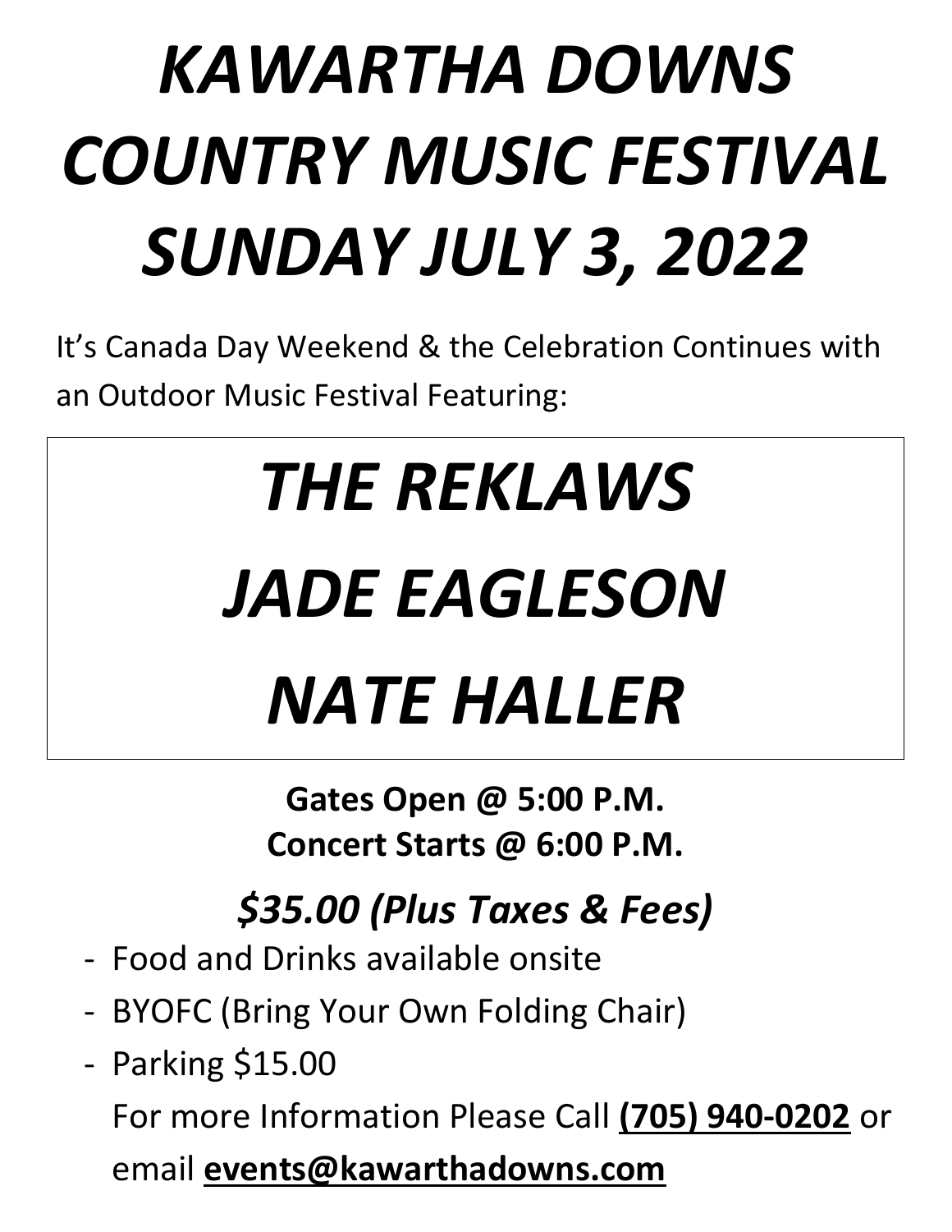# *KAWARTHA DOWNS COUNTRY MUSIC FESTIVAL SUNDAY JULY 3, 2022*

It's Canada Day Weekend & the Celebration Continues with an Outdoor Music Festival Featuring:

# *THE REKLAWS JADE EAGLESON NATE HALLER*

**Gates Open @ 5:00 P.M. Concert Starts @ 6:00 P.M.**

*\$35.00 (Plus Taxes & Fees)*

- Food and Drinks available onsite
- BYOFC (Bring Your Own Folding Chair)
- Parking \$15.00 For more Information Please Call **(705) 940-0202** or email **events@kawarthadowns.com**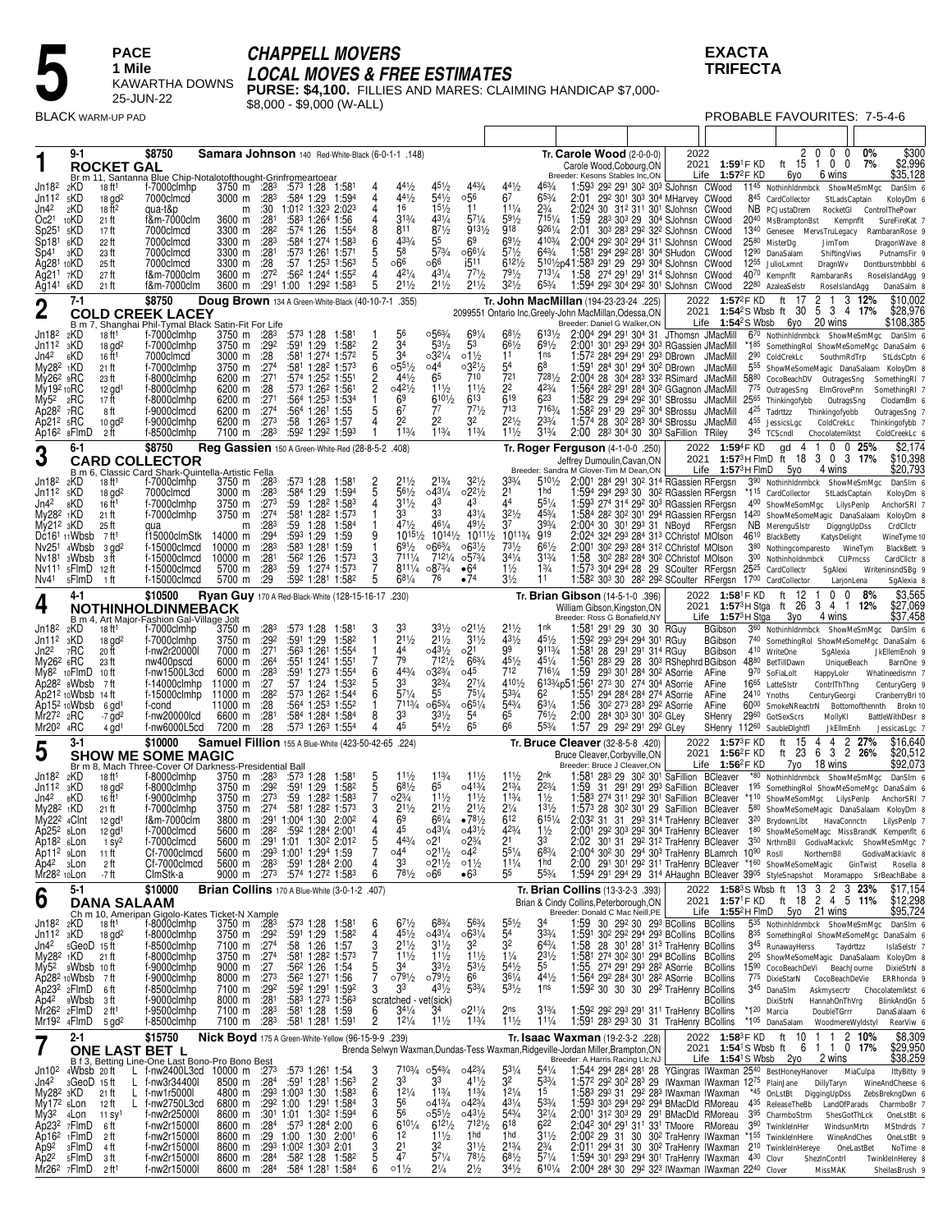# **CHAPPELL MOVERS**

**EXACTA TRIFECTA** 

PROBABLE FAVOURITES: 7-5-4-6

SheilasBrush 9

**PACE** 1 Mile KAWARTHA DOWNS 25-JUN-22 **BLACK WARM-UP PAD** 

LOCAL MOVES & FREE ESTIMATES<br>PURSE: \$4,100. FILLIES AND MARES: CLAIMING HANDICAP \$7,000-<br>\$8,000 - \$9,000 (W-ALL)

|                                                                                                                                                                                                                                        | 9-1                                                   | <b>ROCKET GAL</b>                                                                                                                                             | \$8750<br>Br m 11, Santanna Blue Chip-Notalotofthought-Grinfromeartoear                                                                                                                                                       | Samara Johnson 140 Red-White-Black (6-0-1-1 .148)                                                                                                                         |                                                                                                                     |                                                                                                                                                                                                                                                                                                                                                                                                                                          |                                              |                                                                       |                                                                                                                                                            |                                                                                                                                             |                                                                                                                                                                             |                                                                                                                                                       |                                                                                                                                                     | Tr. Carole Wood $(2-0-0-0)$<br>Carole Wood, Cobourg, ON<br>Breeder: Kesons Stables Inc,ON                                                                                                                                                                                                                                                                                                                                                                                                                                                                                                                                                                                                                                                                                                                                                                                                                                                                                                   |                                                                                    | 2022                                                                                     | 2021 1:59 <sup>1</sup> F KD<br>Life $1:57^2$ F KD                                                                      |                                 | 2 <sub>0</sub><br>6уо                                                                                                                                                                                                                                                | $\mathbf 0$<br>0<br>ft 15 1 0 0<br>6 wins                                                                 | 0%<br>7%                                                                                                                                                                                  | \$300<br>\$2,996<br>\$35,128                                                                                                           |
|----------------------------------------------------------------------------------------------------------------------------------------------------------------------------------------------------------------------------------------|-------------------------------------------------------|---------------------------------------------------------------------------------------------------------------------------------------------------------------|-------------------------------------------------------------------------------------------------------------------------------------------------------------------------------------------------------------------------------|---------------------------------------------------------------------------------------------------------------------------------------------------------------------------|---------------------------------------------------------------------------------------------------------------------|------------------------------------------------------------------------------------------------------------------------------------------------------------------------------------------------------------------------------------------------------------------------------------------------------------------------------------------------------------------------------------------------------------------------------------------|----------------------------------------------|-----------------------------------------------------------------------|------------------------------------------------------------------------------------------------------------------------------------------------------------|---------------------------------------------------------------------------------------------------------------------------------------------|-----------------------------------------------------------------------------------------------------------------------------------------------------------------------------|-------------------------------------------------------------------------------------------------------------------------------------------------------|-----------------------------------------------------------------------------------------------------------------------------------------------------|---------------------------------------------------------------------------------------------------------------------------------------------------------------------------------------------------------------------------------------------------------------------------------------------------------------------------------------------------------------------------------------------------------------------------------------------------------------------------------------------------------------------------------------------------------------------------------------------------------------------------------------------------------------------------------------------------------------------------------------------------------------------------------------------------------------------------------------------------------------------------------------------------------------------------------------------------------------------------------------------|------------------------------------------------------------------------------------|------------------------------------------------------------------------------------------|------------------------------------------------------------------------------------------------------------------------|---------------------------------|----------------------------------------------------------------------------------------------------------------------------------------------------------------------------------------------------------------------------------------------------------------------|-----------------------------------------------------------------------------------------------------------|-------------------------------------------------------------------------------------------------------------------------------------------------------------------------------------------|----------------------------------------------------------------------------------------------------------------------------------------|
| Jn18 <sup>2</sup><br>Jn11 <sup>2</sup><br>Jn42<br>Oc2 <sup>1</sup><br>Sp25 <sup>1</sup><br>Sp18 <sup>1</sup><br>Sp41<br>Ag28 <sup>1</sup> 10KD<br>Ag211<br>Ag141 6KD                                                                   | 2KD<br>5KD<br>2KD<br>10KD<br>5KD<br>6KD<br>зKD<br>7KD | 18 ft <sup>1</sup><br>$18$ gd <sup>2</sup><br>18 ft <sup>2</sup><br>21 ft<br>17 ft<br>22 ft<br>23 ft<br>25 ft<br>27 ft<br>21 ft                               | f-7000clmhp<br>7000clmcd<br>qua-t&p<br>f&m-7000clm<br>7000clmcd<br>7000clmcd<br>7000clmcd<br>7000clmcd<br>f&m-7000clm<br>f&m-7000clm                                                                                          | 3750 m :283<br>$3000 \text{ m}$ :28 <sup>3</sup><br>m<br>3600 m<br>3300 m<br>3300 m :283<br>3300 m :281<br>3300 m<br>3600 m                                               | :281<br>$:28^2$<br>:28<br>.272                                                                                      | :573 1:28 1:581<br>:584 1:29<br>:30 1:012 1:323 2:023<br>:583 1:264 1:56<br>:574 1:26<br>:584 1:274 1:583<br>:573 1:261 1:571<br>1:253 1:563<br>:57<br>:562 1:244 1:552<br>3600 m :291 1:00 1:292 1:583                                                                                                                                                                                                                                  | 1:594<br>1:554                               | 4<br>4<br>4<br>8<br>6<br>5<br>5<br>4<br>5                             | $44\frac{1}{2}$<br>$4^{4^{1/2}}$<br>16<br>313/4<br>811<br>433/4<br>58<br>∘66<br>421/4<br>211/2                                                             | $45\frac{1}{2}$<br>$5^{41}/2$<br>$15\frac{1}{2}$<br>$43^{1/4}$<br>$8^{7^{1/2}}$<br>55<br>573/4<br>∘66<br>$43^{1/4}$<br>$2^{11/2}$           | 443/4<br>∘56<br>11<br>$57\frac{1}{4}$<br>$9^{131/2}$<br>69<br>$\circ 66\frac{1}{4}$<br>i511<br>771/2<br>$21\frac{1}{2}$                                                     | 441/2<br>6 <sup>7</sup><br>$11\frac{1}{4}$<br>$59\frac{1}{2}$<br>918<br>$69\frac{1}{2}$<br>$5^{71/2}$<br>$6^{121/2}$<br>$79\frac{1}{2}$<br>$3^{21/2}$ | 463/4<br>$65\frac{3}{4}$<br>$2\frac{3}{4}$<br>7151/4<br>9261/4<br>4103/4<br>$64\frac{3}{4}$<br>7131/4<br>$65\frac{3}{4}$                            | 1:593 292 291 302 303 SJohnsn CWood<br>2:01 29 <sup>2</sup> 30 <sup>1</sup> 30 <sup>3</sup> 30 <sup>4</sup> MHarvey CWood<br>2:024 30 312 311 301 SJohnsn CWood<br>1:59<br>2:01<br>2:004 292 302 294 311 SJohnsn CWood<br>1:581 294 292 281 304 SHudon CWood<br>5101/2p41:583 291 29 293 304 SJohnsn CWood<br>1:58 274 291 291 314 SJohnsn CWood<br>1:594 292 304 292 301 SJohnsn CWood                                                                                                                                                                                                                                                                                                                                                                                                                                                                                                                                                                                                     |                                                                                    | 283 303 29 304 SJohnsn CWood<br>303 283 292 322 SJohnsn CWood                            |                                                                                                                        |                                 | 1145 Nothinhldnmbck ShowMeSmMgc<br>845 CardCollector<br>NB PCJustaDrem<br>20 <sup>40</sup> MsBramptonBst<br>1340 Genesee MervsTruLegacy<br>2580 MisterDg<br>1290 DanaSalam<br>12 <sup>55</sup> JulioLxmnt<br>40 <sup>70</sup> Kempnflt<br>2280 AzaleaSelstr          | StLadsCaptain<br>RocketGl<br>Kempnflt<br>JimTom<br>ShiftingViws<br>DragnWv<br>RambaranRs<br>RoseIslandAqq | ControlThePowr<br>RambaranRose 9<br>DragonWave 8<br>Dontburstmbbbl 6<br>RoseIslandAgg 9                                                                                                   | DanSIm 6<br>KoloyDm 6<br>SureFireKat 7<br>PutnamsFir 9<br>DanaSalm 8                                                                   |
| $\boldsymbol{2}$                                                                                                                                                                                                                       | $7-1$                                                 |                                                                                                                                                               | \$8750<br><b>COLD CREEK LACEY</b>                                                                                                                                                                                             | Doug Brown 134 A Green-White-Black (40-10-7-1                                                                                                                             |                                                                                                                     |                                                                                                                                                                                                                                                                                                                                                                                                                                          |                                              |                                                                       | .355)                                                                                                                                                      |                                                                                                                                             |                                                                                                                                                                             |                                                                                                                                                       |                                                                                                                                                     | Tr. John MacMillan (194-23-23-24 .225)<br>2099551 Ontario Inc, Greely-John MacMillan, Odessa, ON                                                                                                                                                                                                                                                                                                                                                                                                                                                                                                                                                                                                                                                                                                                                                                                                                                                                                            |                                                                                    | 2022                                                                                     | 1:57 <sup>2</sup> F KD                                                                                                 |                                 | ft<br>17<br>2021 1:54 <sup>2</sup> S Wbsb ft 30                                                                                                                                                                                                                      | 2<br>3 4 17%<br>5                                                                                         | 3 12%                                                                                                                                                                                     | \$10,002<br>\$28,976                                                                                                                   |
| Jn18 <sup>2</sup><br>Jn112<br>Jn4 <sup>2</sup><br>My28 <sup>2</sup> 1KD<br>My26 <sup>2</sup> 9RC<br>My19 <sup>2</sup> 10RC<br>My5 <sup>2</sup><br>Ap282 7RC<br>$Ap212$ $sRC$<br>Ap16 <sup>2</sup> 8FlmD                                | B m 7,<br>2KD<br>зKD<br>6KD<br>2RC                    | 18 ft <sup>1</sup><br>$18$ gd <sup>2</sup><br>16 ft <sup>1</sup><br>21 ft<br>23 ft<br>$12$ gd <sup>1</sup><br>17 ft<br>8 ft<br>$10$ gd <sup>2</sup><br>2 ft   | Shanghai Phil-Tymal Black Satin-Fit For Life<br>f-7000clmhp<br>f-7000clmhp<br>7000clmcd<br>f-7000clmhp<br>f-8000clmhp<br>f-8000clmhp<br>f-8000clmhp<br>f-9000clmcd<br>f-9000clmhp<br>f-8500clmhp                              | 3750 m :283<br>3750 m :292<br>3000 m<br>3750 m :274<br>6200 m :271<br>6200 m<br>6200 m :271<br>6200 m :274<br>6200 m<br>7100 m                                            | :28<br>:28<br>:27 <sup>3</sup><br>:283                                                                              | :573 1:28<br>:591 1:29<br>:581 1:274 1:572<br>:581 1:282 1:573<br>:574 1:252 1:551<br>:573 1:262 1:561<br>:564 1:253 1:534<br>:564 1:261 1:55<br>:58<br>1:26 <sup>3</sup> 1:57<br>:592 1:292 1:593                                                                                                                                                                                                                                       | 1:58<br>1:582                                | $\frac{2}{5}$<br>6<br>$\overline{c}$<br>$\overline{c}$<br>5           | 56<br>34<br>34<br>$0.55\frac{1}{2}$<br>441/2<br>$04^{21}/2$<br>69<br>67<br>22<br>113/4                                                                     | 0.563/4<br>$53\frac{1}{2}$<br>0.321/4<br>04 <sup>4</sup><br>65<br>$11\frac{1}{2}$<br>6101/2<br>77<br>22<br>113/4                            | $69\frac{1}{4}$<br>53<br>$01\frac{1}{2}$<br>$03^{21/2}$<br>710<br>$11\frac{1}{2}$<br>613<br>$77\frac{1}{2}$<br>32<br>113/4                                                  | $68\frac{1}{2}$<br>$66\frac{1}{2}$<br>11<br>54<br>721<br>2 <sup>2</sup><br>619<br>713<br>$2^{21/2}$<br>$11\frac{1}{2}$                                | 6131/2<br>$69\frac{1}{2}$<br>1ns<br>68<br>7281/2<br>$4^{23}/_{4}$<br>$6^{23}$<br>7163/4<br>$2^{33/4}$<br>313/4                                      | Breeder: Daniel G Walker, ON<br>2:004 294 291 304 31 JThomsn JMacMill<br>2:001 301 293 294 303 RGassien JMacMill<br>1:57 <sup>2</sup> 28 <sup>4</sup> 29 <sup>4</sup> 29 <sup>1</sup> 29 <sup>3</sup> DBrown<br>1:591 284 301 294 302 DBrown<br>2:004 28 304 283 332 RSimard JMacMill<br>1:564 282 291 284 302 GGagnon JMacMill<br>1:582 29 294 292 301 SBrossu<br>1:58 <sup>2</sup> 29 <sup>1</sup> 29 29 <sup>2</sup> 30 <sup>4</sup> SBrossu<br>1:574 28 30 <sup>2</sup> 28 <sup>3</sup> 30 <sup>4</sup> SBrossu<br>2:00                                                                                                                                                                                                                                                                                                                                                                                                                                                                 |                                                                                    | 283 304 30 303 SaFillion TRiley                                                          | JMacMill<br>JMacMill<br>JMacMill<br>JMacMill<br><b>JMacMill</b>                                                        |                                 | Life $1:54^2S$ Wbsb 6yo<br>670 Nothinhldnmbck ShowMeSmMgc<br>2 <sup>90</sup> ColdCrekLc<br>5880 CocoBeachDV OutragesSng<br>775 OutragesSng ElmGrovePnn<br>25 <sup>65</sup> Thinkingofybb<br>425 Tadrttzz Thinkingofyobb<br>4 <sup>55</sup> JessicsLgc<br>345 TCScndl | 20 wins<br>SouthrnRdTrp<br>OutragsSng<br>ColdCrekLc<br>Chocolatemiktst                                    | *185 SomethingRol ShowMeSomeMgc DanaSalm 6<br>5 <sup>55</sup> ShowMeSomeMagic DanaSalaam KoloyDm 8<br>SomethingRI 7<br>SomethingRI 7<br>OutragesSng 7<br>Thinkingofybb 7<br>ColdCreekLc 6 | \$108,385<br>DanSIm 6<br>StLdsCptn 6<br>ClodamBm 6                                                                                     |
| 3                                                                                                                                                                                                                                      | 6-1                                                   |                                                                                                                                                               | \$8750<br><b>CARD COLLECTOR</b>                                                                                                                                                                                               | Reg Gassien 150 A Green-White-Red (28-8-5-2 .408)                                                                                                                         |                                                                                                                     |                                                                                                                                                                                                                                                                                                                                                                                                                                          |                                              |                                                                       |                                                                                                                                                            |                                                                                                                                             |                                                                                                                                                                             |                                                                                                                                                       |                                                                                                                                                     | Tr. Roger Ferguson (4-1-0-0 .250)<br>Jeffrey Dumoulin, Cavan, ON                                                                                                                                                                                                                                                                                                                                                                                                                                                                                                                                                                                                                                                                                                                                                                                                                                                                                                                            |                                                                                    |                                                                                          | 2022 1:594F KD                                                                                                         |                                 | 4<br>gd<br>2021 1:57 <sup>3</sup> H FlmD ft 18 3 0 3 17%                                                                                                                                                                                                             | $0 \t0 \t25%$<br>-1                                                                                       |                                                                                                                                                                                           | \$2,174<br>\$10,398                                                                                                                    |
| Jn18 <sup>2</sup><br>Jn11 <sup>2</sup><br>Jn42<br>My28 <sup>2</sup> 1KD<br>My212 3KD<br>Dc16 <sup>1</sup> 11 Wbsb<br>Nv25 <sup>1</sup> 4Wbsb<br>Nv18 <sup>1</sup><br>Nv111<br>Nv41                                                     | 2KD<br>5KD<br>8KD<br>3Wbsb<br>5FlmD<br>5FlmD          | 18 ft1<br>$18$ gd <sup>2</sup><br>16 ft <sup>1</sup><br>21 ft<br>25 ft<br>7 ft1<br>$3$ gd <sup>2</sup><br>зft<br>12 ft<br>-1 ft                               | B m 6, Classic Card Shark-Quintella-Artistic Fella<br>f-7000clmhp<br>7000clmcd<br>f-7000clmhp<br>f-7000clmhp<br>qua<br>f15000clmStk<br>f-15000clmcd<br>f-15000clmcd<br>f-15000clmcd<br>f-15000clmcd                           | 3750 m :283<br>3000 m<br>3750 m :273<br>3750 m<br>m<br>14000 m<br>10000 m<br>10000 m<br>5700 m<br>5700 m                                                                  | :28 <sup>3</sup><br>:274<br>:28 <sup>3</sup><br>:294<br>:283<br>:28 <sup>1</sup><br>:283<br>:29                     | :573 1:28<br>:584 1:29<br>:59 1:28 <sup>2</sup> 1:583<br>:581 1:282 1:573<br>1:28<br>:59<br>:593 1:29<br>:583 1:281 1:59<br>$:56^2$ 1:26<br>:59 1:274 1:573<br>:592 1:281 1:582                                                                                                                                                                                                                                                          | 1:58<br>1:594<br>1:584<br>1:59<br>1:573      | 2<br>5<br>9<br>$\frac{3}{7}$<br>5                                     | $21\frac{1}{2}$<br>561/2<br>$31\frac{1}{2}$<br>33<br>471/2<br>$10^{15\frac{1}{2}}$<br>$69\frac{1}{2}$<br>7111/4<br>8111/4<br>$68\frac{1}{4}$               | $2^{13/4}$<br>$04^{31}/4$<br>43<br>33<br>$46^{1}/_{4}$<br>$10^{14\frac{1}{2}}$<br>$066^{3}/4$<br>7121/4<br>$08^{73/4}$<br>76                | $3^{21}/2$<br>$02^{21/2}$<br>43<br>$43^{1/4}$<br>$49\frac{1}{2}$<br>$10^{111}/2$<br>$063\frac{1}{2}$<br>$05^{3}/4$<br>•64<br>•74                                            | 333/4<br>2 <sup>1</sup><br>44<br>$32\frac{1}{2}$<br>37<br>10113/4<br>731/2<br>$3^{41}/4$<br>$1\frac{1}{2}$<br>$3\frac{1}{2}$                          | $510\frac{1}{2}$<br>1 <sub>hd</sub><br>$55\frac{1}{4}$<br>453/4<br>393/4<br>919<br>$66^{1/2}$<br>$3^{13/4}$<br>$1\frac{3}{4}$<br>11                 | Breeder: Sandra M Glover-Tim M Dean, ON<br>2:001 284 291 302 314 RGassien RFergsn<br>1:594 294 293 30 302 RGassien RFergsn *115 CardCollector<br>1:593 274 314 292 303 RGassien RFergsn<br>1:584 282 302 301 294 RGassien RFergsn 1420 ShowMeSomeMagic DanaSalaam<br>2:004 30 301 293 31 NBoyd RFergsn<br>2:024 324 293 284 313 CChristof MOlson<br>2:001 302 293 284 312 CChristof MOlson<br>1:58<br>1:573 304 294 28 29 SCoulter RFergsn 2525 CardCollectr<br>1:58 <sup>2</sup> 30 <sup>3</sup> 30 28 <sup>2</sup> 29 <sup>2</sup> SCoulter RFergsn 17 <sup>00</sup> CardCollector                                                                                                                                                                                                                                                                                                                                                                                                        |                                                                                    | Life<br>30 <sup>2</sup> 28 <sup>2</sup> 28 <sup>4</sup> 30 <sup>2</sup> CChristof MOlson |                                                                                                                        | $1:57^3$ H FlmD                 | 5yo<br>390 Nothinhldnmbck ShowMeSmMgc<br>400 ShowMeSomMgc LilysPenlp<br>NB MerenguSIstr<br>46 <sup>10</sup> BlackBetty<br>380 Nothingcomparesto WineTym<br>300 Nothinholdnmbck                                                                                       | 4 wins<br>StLadsCaptain<br>DiggngUpDss<br>KatysDelight<br><b>CUPrncss</b><br>SgAlexi<br>LarjonLena        | WriteninsndSBg 9                                                                                                                                                                          | \$20,793<br>DanSIm 6<br>KoloyDm 6<br>AnchorSRI 7<br>KoloyDm 8<br>CrdCllctr<br>WineTyme 10<br>BlackBett 9<br>CardCllctr 8<br>SgAlexia 8 |
| 4                                                                                                                                                                                                                                      | 4-1                                                   |                                                                                                                                                               | \$10500<br>NOTHINHOLDINMEBACK                                                                                                                                                                                                 | Ryan Guy 170 A Red-Black-White (128-15-16-17 .230)                                                                                                                        |                                                                                                                     |                                                                                                                                                                                                                                                                                                                                                                                                                                          |                                              |                                                                       |                                                                                                                                                            |                                                                                                                                             |                                                                                                                                                                             |                                                                                                                                                       |                                                                                                                                                     | Tr. <b>Brian Gibson</b> (14-5-1-0 .396)<br>William Gibson, Kingston, ON                                                                                                                                                                                                                                                                                                                                                                                                                                                                                                                                                                                                                                                                                                                                                                                                                                                                                                                     |                                                                                    | 2022                                                                                     |                                                                                                                        | 1:58 <sup>1</sup> F KD          | 12<br>ft<br>2021 1:57 <sup>3</sup> H Stga ft 26                                                                                                                                                                                                                      | 0<br>0<br>3<br>4 1 1 2%                                                                                   | 8%                                                                                                                                                                                        | \$3,565<br>\$27,069                                                                                                                    |
| Jn18 <sup>2</sup><br>Jn11 <sup>2</sup><br>Jn2 <sup>2</sup><br>My26 <sup>2</sup> 6RC<br>My8 <sup>2</sup> 10FlmD<br>Ap28 <sup>2</sup> sWbsb<br>Ap21 <sup>2</sup> 10Wbsb<br>Ap15 <sup>2</sup> 10Wbsb<br>Mr272<br>Mr20 <sup>2</sup> 4RC    | 2KD<br>зKD<br>7RC<br>2RC                              | 18 ft <sup>1</sup><br>$18$ gd <sup>2</sup><br>20 ft<br>23 ft<br>10 ft<br>-7 ft<br>14 ft<br>6 gd<br>$-7$ gd <sup>2</sup><br>$4$ gd <sup>1</sup>                | B m 4, Art Major-Fashion Gal-Village Jolt<br>f-7000clmhp<br>f-7000clmhp<br>f-nw2r20000l<br>nw400pscd<br>f-nw1500L3cd<br>f-14000clmhp<br>f-15000clmhp<br>f-cond<br>f-nw20000lcd<br>f-nw6000L5cd                                | 3750 m :28 <sup>3</sup><br>3750 m<br>7000 m<br>6000 m<br>6000 m<br>11000 m<br>11000 m<br>11000 m<br>6600 m<br>7200 m                                                      | :292<br>:271<br>$\overline{.26}$ <sup>4</sup><br>:283<br>:27<br>:28 <sup>2</sup><br>:28<br>:281<br>$\overline{.28}$ | :573 1:28<br>:591 1:29<br>:563 1:261<br>:551 1:241 1:551<br>:591 1:273 1:554<br>:57 1:24<br>:573 1:262 1:544<br>:564 1:253 1:552<br>:584 1:284 1:584<br>:573 1:263 1:554                                                                                                                                                                                                                                                                 | 1:581<br>1:582<br>1:55 <sup>4</sup><br>1:532 | 3<br>6<br>5<br>6<br>8                                                 | 33<br>$21\frac{1}{2}$<br>44<br>79<br>443/4<br>33<br>571/4<br>7113/4<br>33<br>45                                                                            | $3^{31/2}$<br>$2^{11/2}$<br>$04^{31}/2$<br>7121/2<br>$03^{23}/4$<br>$3^{23/4}$<br>55<br>$065\frac{3}{4}$<br>$3^{31/2}$<br>$54\frac{1}{2}$   | $021\frac{1}{2}$<br>$31\frac{1}{2}$<br>02 <sup>1</sup><br>663/4<br>045<br>$2^{7\frac{1}{4}}$<br>751/4<br>$065\frac{1}{4}$<br>54<br>65                                       | $21\frac{1}{2}$<br>431/2<br>99<br>451/2<br>712<br>4101/2<br>533/4<br>543/4<br>65<br>66                                                                | 1 <sub>nk</sub><br>451/2<br>9113/4<br>$45^{1/4}$<br>7161/4<br>6 <sup>2</sup><br>$63\frac{1}{4}$<br>$76\frac{1}{2}$<br>553/4                         | Breeder: Ross G Bonafield, NY<br>1:581 291 29 30 30 RGuy<br>1:592 293 294 294 301 RGuy<br>1:58 <sup>1</sup> 28 29 <sup>1</sup> 29 <sup>1</sup> 31 <sup>4</sup> RGuy<br>1:561 283 29 28 303 RShephrd BGibson<br>1:59 293 301 284 302 ASorrie<br>6133/4p51:561 273 30 274 304 ASorrie<br>1:551 294 284 284 274 ASorrie<br>1.56<br>2:00<br>1:57                                                                                                                                                                                                                                                                                                                                                                                                                                                                                                                                                                                                                                                | 30 <sup>2</sup> 273 283 292 ASorrie<br>284 303 301 302 GLey<br>29 292 291 292 GLey |                                                                                          | Life $1:573H$ Stga<br><b>BGibson</b><br><b>BGibson</b><br><b>BGibson</b><br>AFine<br>AFine<br>AFine<br>AFine<br>SHenry | 24 <sup>10</sup> Ynoths<br>2960 | Зуо<br>360 Nothinhldnmbck ShowMeSmMgc<br>4 <sup>10</sup> WriteOne<br>4880 BetTillDawn<br>970 SoFiaLolt<br>16 <sup>65</sup> LatteSistr<br>6000 SmokeNReactrN<br>GotSexScrs<br>SHenry 11260 SaubleDightfl                                                              | 4 wins<br>SqAlexia<br>UniqueBeach<br>HappyLokr<br>ContrlThThng<br>CenturyGeorgi<br>MollyKI<br>JkEllmEnh   | 740 SomethingRol ShowMeSomeMgc DanaSalm 6<br>JkEllemEnoh 9<br>Whatineedismn 7<br>CenturyGerg 9<br>CranberryBri 10<br>Bottomofthennth<br>BattleWithDesr 8                                  | \$37,458<br>DanSIm 6<br>BarnOne 9<br>Brokn 10<br>JessicasLgc 7                                                                         |
| 5                                                                                                                                                                                                                                      | 3-1                                                   |                                                                                                                                                               | \$10000<br><b>SHOW ME SOME MAGIC</b>                                                                                                                                                                                          | Samuel Fillion 155 A Blue-White (423-50-42-65 .224)                                                                                                                       |                                                                                                                     |                                                                                                                                                                                                                                                                                                                                                                                                                                          |                                              |                                                                       |                                                                                                                                                            |                                                                                                                                             |                                                                                                                                                                             |                                                                                                                                                       |                                                                                                                                                     | Tr. Bruce Cleaver (32-8-5-8 .420)<br>Bruce Cleaver.Corbvville.ON                                                                                                                                                                                                                                                                                                                                                                                                                                                                                                                                                                                                                                                                                                                                                                                                                                                                                                                            |                                                                                    |                                                                                          | 2022 1:57 <sup>3</sup> F KD<br>2021 1:56 <sup>2</sup> F KD                                                             |                                 | ft 15 4<br>ft 23                                                                                                                                                                                                                                                     | 4 2 27%<br>6<br>3 2                                                                                       | 26%                                                                                                                                                                                       | \$16,640<br>\$20,512                                                                                                                   |
| Jn18 <sup>2</sup><br>Jn11 <sup>2</sup><br>Jn42<br>$My282$ 1KD<br>My22 <sup>2</sup> <sub>4</sub> Clnt<br>Ap252 sLon<br>Ap18 <sup>2</sup> sLon<br>Ap11 <sup>2</sup> sLon<br>Ap4 <sup>2</sup> 3Lon<br>Mr28 <sup>2</sup> 10Lon             | 2KD<br>зKD<br>8KD                                     | 18 ft <sup>1</sup><br>$18$ gd <sup>2</sup><br>16 ft <sup>1</sup><br>21 ft<br>$12$ gd <sup>1</sup><br>12 gd <sup>1</sup><br>$1 sy^2$<br>11 ft<br>2 ft<br>-7 ft | Br m 8, Mach Three-Cover Of Darkness-Presidential Ball<br>f-8000clmhp<br>f-8000clmhp<br>f-9000clmhp<br>f-7000clmhp<br>f&m-7000clm<br>f-7000clmcd<br>f-7000clmcd<br>Cf-7000clmcd<br>Cf-7000clmcd<br>ClmStk-a                   | 3750 m $:283$<br>3750 m<br>3750 m<br>3750 m :274<br>5600 m :28 <sup>2</sup><br>5600 m :283                                                                                | :29 <sup>2</sup><br>:273                                                                                            | $:57^3$ 1:28<br>:591 1:29<br>:59<br>1:282 1:583<br>:581 1:282 1:573<br>3800 m : 29 <sup>1</sup> 1:00 <sup>4</sup> 1:30 2:00 <sup>2</sup><br>:592 1:284 2:001<br>5600 m : 291 1:01 1:30 <sup>2</sup> 2:01 <sup>2</sup><br>5600 m :293 1:001 1:294 1:59<br>:591 1:284 2:00<br>9000 m :273 :574 1:272 1:583                                                                                                                                 | 1:581<br>1:582                               | $\frac{5}{7}$<br>3<br>4<br>$\frac{5}{7}$<br>4<br>6                    | $11\frac{1}{2}$<br>$6^{81/2}$<br>$02\frac{3}{4}$<br>$2^{11/2}$<br>69<br>45<br>$4^{43}/4$<br>04 <sup>4</sup><br>33<br>781/2                                 | $1^{13/4}$<br>65<br>$11\frac{1}{2}$<br>$2^{11/2}$<br>$66^{1/4}$<br>$043\frac{1}{4}$<br>02 <sup>1</sup><br>$02^{11/2}$<br>$02^{11/2}$<br>∘66 | $11\frac{1}{2}$<br>$04^{13}/4$<br>$11\frac{1}{2}$<br>$2^{11/2}$<br>$-781/2$<br>$043\frac{1}{2}$<br>$02\frac{3}{4}$<br>04 <sup>2</sup><br>$01\frac{1}{2}$<br>•6 <sup>3</sup> | $1^{11/2}$<br>$2^{13/4}$<br>113/4<br>$2\frac{1}{4}$<br>612<br>423/4<br>2 <sup>1</sup><br>$5^{51}/4$<br>$11\frac{1}{4}$<br>55                          | 2 <sup>nk</sup><br>$2^{23/4}$<br>$1\frac{1}{2}$<br>$13\frac{1}{2}$<br>6151/4<br>$1\frac{1}{2}$<br>33<br>$6^{83/4}$<br>1 <sub>hd</sub><br>$5^{53/4}$ | Breeder: Bruce J Cleaver, ON<br>1:58 <sup>1</sup> 28 <sup>3</sup> 29 30 <sup>2</sup> 30 <sup>1</sup> SaFillion BCleaver<br>1:59<br>1:583 274 311 292 301 SaFillion BCleaver *110 ShowMeSomMgc LilysPenlp AnchorSRI 7<br>1:573 28 30 <sup>2</sup> 30 <sup>1</sup> 29 SaFillion BCleaver 5 <sup>80</sup> ShowMeSomeMagic DanaSalaam KoloyDm 8<br>2:03 <sup>2</sup> 31 31 29 <sup>3</sup> 31 <sup>4</sup> TraHenry BCleaver 3 <sup>20</sup> BrydownLibt HavaConnctn LilysPenlp 7<br>2:001 292 303 292 304 TraHenry BCleaver 180 ShowMeSomeMagc MissBrandK Kempenfit 6<br>2:02 30 <sup>1</sup> 31 29 <sup>2</sup> 31 <sup>2</sup> TraHenry BCleaver 3 <sup>50</sup> NrthrnBII GodivaMackvlc ShowMeSmMgc 7<br>2:004 30 <sup>2</sup> 30 29 <sup>4</sup> 30 <sup>3</sup> TraHenry BLamrch 10 <sup>90</sup> Rosll NorthernBll<br>2:00 291 301 292 311 TraHenry BCleaver *160 ShowMeSomeMagic GinTwist Rosella 8<br>1:594 291 294 29 314 AHaughn BCleaver 3905 StyleSnapshot Moramappo SrBeachBabe 8 |                                                                                    |                                                                                          | Life $1:56^2$ FKD                                                                                                      |                                 | 7yo<br>*80 Nothinhldnmbck ShowMeSmMgc                                                                                                                                                                                                                                | 18 wins                                                                                                   | 31 291 291 293 SaFillion BCleaver 195 Something Rol ShowMeSomeMgc DanaSalm 6<br>GodivaMackiavlc 8                                                                                         | \$92,073<br>DanSIm 6                                                                                                                   |
| 6                                                                                                                                                                                                                                      | $5 - 1$                                               | DANA SALAAM                                                                                                                                                   | \$10000                                                                                                                                                                                                                       | <b>Brian Collins</b> 170 A Blue-White (3-0-1-2 .407)                                                                                                                      |                                                                                                                     |                                                                                                                                                                                                                                                                                                                                                                                                                                          |                                              |                                                                       |                                                                                                                                                            |                                                                                                                                             |                                                                                                                                                                             |                                                                                                                                                       |                                                                                                                                                     | Tr. Brian Collins (13-3-2-3 .393)<br>Brian & Cindy Collins, Peterborough, ON                                                                                                                                                                                                                                                                                                                                                                                                                                                                                                                                                                                                                                                                                                                                                                                                                                                                                                                |                                                                                    |                                                                                          |                                                                                                                        |                                 | 2022 1:58 <sup>3</sup> S Wbsb ft 13 3 2 3 23%<br>2021 1:57 <sup>1</sup> F KD ft 18 2 4 5 11%                                                                                                                                                                         |                                                                                                           |                                                                                                                                                                                           | \$17,154<br>\$12,298                                                                                                                   |
| $Jn182$ $2KD$<br>Jn11º 3KD<br>Jn4 <sup>2</sup><br>My28 <sup>2</sup> 1KD<br>My5 <sup>2</sup> 9Wbsb 10 ft<br>Ap28 <sup>2</sup> 10Wbsb<br>$Ap232$ 2FlmD<br>Ap4 <sup>2</sup> 9Wbsb<br>$Mr262$ <sub>2</sub> FlmD<br>Mr19 <sup>2</sup> 4FlmD | 5GeoD 15ft                                            | 18 ft <sup>1</sup><br>$18$ gd <sup>2</sup><br>21 ft<br>- 7 ft<br>-6 ft<br>-3 ft<br>2 ft <sup>1</sup><br>$5$ gd <sup>2</sup>                                   | Ch m 10, Ameripan Gigolo-Kates Ticket-N Xample<br>f-8000clmhp<br>f-8000clmhp<br>f-8500clmhp<br>f-8000clmhp<br>f-9000clmhp<br>f-9000clmhp<br>f-8500clmhp<br>f-9000clmhp<br>f-9500clmhp<br>f-8500clmhp                          | 3750 m :283<br>3750 m :292<br>7100 m :274<br>3750 m :274<br>9000 m :27<br>8000 m :27 <sup>3</sup><br>7100 m :29 <sup>2</sup><br>8000 m :281<br>7100 m :283<br>7100 m :283 |                                                                                                                     | :573 1:28 1:581<br>$:591$ 1:29<br>:58 1:26<br>:581 1:282 1:573<br>:56 <sup>2</sup> 1:26 1:54<br>:56 <sup>2</sup> 1:27 <sup>1</sup> 1:56<br>:592 1:291 1:592<br>:583 1:273 1:563<br>:581 1:28 1:59<br>:581 1:281 1:591                                                                                                                                                                                                                    | 1:582<br>1:57                                | $\frac{6}{4}$<br>$\frac{3}{7}$<br>$\frac{5}{7}$<br>3<br>$\frac{6}{2}$ | $67\frac{1}{2}$<br>$45\frac{1}{2}$<br>$2^{11/2}$<br>111/2<br>34<br>$079\frac{1}{2}$<br>3 <sup>3</sup><br>scratched - vet(sick)<br>341/4<br>$12\frac{1}{4}$ | 683/4<br>$043^{1/4}$<br>$3^{11/2}$<br>$11\frac{1}{2}$<br>$3^{31/2}$<br>$079\frac{1}{2}$<br>431/2<br>34<br>$11\frac{1}{2}$                   | 563/4<br>$063\frac{1}{4}$<br>32<br>$11\frac{1}{2}$<br>$53\frac{1}{2}$<br>66<br>533/4<br>$02^{11/4}$<br>113/4                                                                | $55\frac{1}{2}$<br>54<br>32<br>$1\frac{1}{4}$<br>$54\frac{1}{2}$<br>$36^{1/4}$<br>531/2<br>2ns<br>$11\frac{1}{2}$                                     | 34<br>$3^{3/4}$<br>643/4<br>231/2<br>55<br>441/2<br>1ns<br>$3^{13/4}$<br>$11\frac{1}{4}$                                                            | Breeder: Donald C Mac Neill, PE<br>1:59 30 292 30 293 BCollins BCollins<br>1:591 302 292 294 293 BCollins BCollins<br>1:58 28 301 281 313 TraHenry BCollins<br>1:581 274 302 301 294 BCollins BCollins<br>1:55 274 291 293 282 ASorrie<br>1:564 292 284 301 282 ASorrie<br>1:59 <sup>2</sup> 30 30 30 29 <sup>2</sup> TraHenry BCollins<br>1:592 292 293 291 311 TraHenry BCollins<br>1:591 283 293 30 31 TraHenry BCollins                                                                                                                                                                                                                                                                                                                                                                                                                                                                                                                                                                 |                                                                                    |                                                                                          | <b>BCollins</b><br><b>BCollins</b><br><b>BCollins</b>                                                                  | $*1^{20}$ Marcia                | Life $1:55^2$ H FlmD 5yo 21 wins<br>535 Nothinhldnmbck ShowMeSmMgc<br>345 RunawayHerss<br>205 ShowMeSomeMagic DanaSalaam<br>1590 CocoBeachDeVi BeachJourne<br>775 DixieStarN CocoBeachDeVie<br>DixiStrN<br>*105 DanaSalam WoodmereWyldstyl                           | Taydrttzz<br>HannahOnThVrg<br>DoubleTGrrr                                                                 | 835 SomethingRol ShowMeSomeMgc DanaSalm 6<br>345 DanaSIm Askmysecrtr Chocolatemiktst 6<br>DanaSalaam 6                                                                                    | \$95,724<br>DanSIm 6<br>IslaSelstr 7<br>KoloyDm 8<br>DixieStrN 8<br>ERRhonda 9<br>BlinkAndGn 5<br>RearViw 6                            |
|                                                                                                                                                                                                                                        | 2-1                                                   | <b>ONE LAST BET L</b>                                                                                                                                         | \$15750                                                                                                                                                                                                                       | Nick Boyd 175 A Green-White-Yellow (96-15-9-9 .239)                                                                                                                       |                                                                                                                     |                                                                                                                                                                                                                                                                                                                                                                                                                                          |                                              |                                                                       |                                                                                                                                                            |                                                                                                                                             |                                                                                                                                                                             |                                                                                                                                                       |                                                                                                                                                     | Tr. Isaac Waxman (19-2-3-2 .228)<br>Brenda Selwyn Waxman, Dundas-Tess Waxman, Ridgeville-Jordan Miller, Brampton, ON                                                                                                                                                                                                                                                                                                                                                                                                                                                                                                                                                                                                                                                                                                                                                                                                                                                                        |                                                                                    |                                                                                          | 2022 1:58 <sup>3</sup> F KD<br>2021 1:54 <sup>1</sup> S Wbsb ft                                                        |                                 | ft 10 1 1                                                                                                                                                                                                                                                            | 6 1 1 0 17%                                                                                               | 2.10%                                                                                                                                                                                     | \$8,309<br>\$29,950                                                                                                                    |
| Jn10 <sup>2</sup><br>Jn4 <sup>2</sup><br>My28 <sup>2</sup> 3KD<br>My17 <sup>2</sup> sLon<br>My3 <sup>2</sup> 4Lon<br>Ap232 7FlmD<br>Ap16 <sup>2</sup> 1FlmD<br>Ap9 <sup>2</sup><br>Ap <sub>22</sub><br>$Mr262$ 7FlmD                   | 4Wbsb 20ft<br>3GeoD 15ft<br>зFlmD<br>5FlmD            | L<br>21 ft<br>L.<br>12 ft<br>L<br>11 S <sup>1</sup><br>-6 ft<br>2 ft<br>4 ft<br>зft<br>2 ft1                                                                  | B f 3, Betting Line-One Last Bono-Pro Bono Best<br>L f-nw2400L3cd 10000 m :273<br>f-nw3r34400l<br>f-nw1r5000l<br>f-nw2750L3cd<br>f-nw2r25000l<br>f-nw2r15000l<br>f-nw2r15000l<br>f-nw2r15000l<br>f-nw2r15000l<br>f-nw2r15000l | 8500 m : 284<br>8600 m :284<br>8600 m :284                                                                                                                                |                                                                                                                     | $:573$ 1:26 <sup>1</sup> 1:54<br>:591 1:281 1:563<br>4800 m :293 1:003 1:30 1:583<br>6800 m :29 <sup>2</sup> 1:00 1:29 <sup>1</sup> 1:58 <sup>4</sup><br>8600 m :30 <sup>1</sup> 1:01 1:30 <sup>2</sup> 1:59 <sup>4</sup><br>:573 1:284 2:00<br>8600 m :29 1:00 1:30 2:001<br>8600 m : 293 1:00 <sup>2</sup> 1:30 <sup>3</sup> 2:01<br>:582 1:28 1:582<br>8600 m : 28 <sup>4</sup> : 58 <sup>4</sup> 1:28 <sup>1</sup> 1:58 <sup>4</sup> |                                              | $\frac{2}{6}$<br>3<br>$\overline{6}$<br>6<br>$\frac{3}{5}$<br>6       | 33<br>$12^{1/4}$<br>56<br>56<br>6101/4<br>1 <sup>2</sup><br>2 <sup>1</sup><br>47<br>$01\frac{1}{2}$                                                        | 7103/4 0543/4<br>33<br>113/4<br>$04^{13}/4$<br>$0.55\frac{1}{2}$<br>6121/2<br>$1^{11/2}$<br>32<br>$57\frac{1}{4}$<br>$2\frac{1}{4}$         | 0.423/4<br>$4^{11/2}$<br>113/4<br>$04^{23}/4$<br>0431/2<br>7121/2<br>1hd<br>$\frac{3^{11/2}}{7^{81/2}}$<br>$2\frac{1}{2}$                                                   | $5^{31}/4$<br>32<br>$12^{1/4}$<br>$4^{31}/4$<br>$5^{43/4}$<br>618<br>1 <sub>hd</sub><br>$2^{13/4}$<br>$68\frac{1}{2}$<br>$3^{4^{1/2}}$                | $5^{41}/4$<br>$5^{33/4}$<br>15<br>$5^{3/4}$<br>$\frac{3^{21/4}}{6^{22}}$<br>$3^{11/2}$<br>$2\frac{3}{4}$<br>571/ <sub>4</sub><br>$6^{101/4}$        | Breeder: A Harris Racing Llc, NJ<br>1:544 294 284 281 28 YGingras IWaxman 2540 BestHoneyHanover<br>1:57 <sup>2</sup> 29 <sup>2</sup> 30 <sup>2</sup> 28 <sup>3</sup> 29 IWaxman IWaxman 12 <sup>75</sup> PlainJane DillyTaryn<br>1:583 293 31 292 283 IWaxman IWaxman *45 OnLstBt DiggingUpDss ZebsBrekngDwn 6<br>1:593 303 294 292 294 BMacDld RMoreau 435 ReleaseTheBb LandOfParads CharmboBr 7<br>2:001 312 303 29 291 BMacDld RMoreau 395 CharmboStrm<br>2:042 304 291 311 331 TMoore RMoreau 360 TwinklelnHer<br>2:00 <sup>2</sup> 29 31 30 30 <sup>2</sup> TraHenry IWaxman *1 <sup>55</sup> TwinkleInHere<br>2:011 294 31 30 30 <sup>2</sup> TraHenry IWaxman 2 <sup>10</sup> TwinkleInHereye<br>1:594 301 293 294 301 TraHenry IWaxman 430 Clovr<br>2:004 284 30 292 323 IWaxman IWaxman 2240 Clover                                                                                                                                                                                |                                                                                    |                                                                                          | Life $1:54^1$ S Wbsb 2yo                                                                                               |                                 |                                                                                                                                                                                                                                                                      | 2 wins<br>ShesGotThLck<br>WindsunMrtn<br>WineAndChes<br>OneLastBet<br>ShezInContrl<br>MissMAK             | MiaCulpa<br>WineAndCheese 6<br>TwinkleInHerey 8<br>SheilasBrush 9                                                                                                                         | \$38,259<br>IttyBitty 9<br>OneLstBt 6<br>MStndrds 7<br>OneLstBt 9<br>NoTime 8                                                          |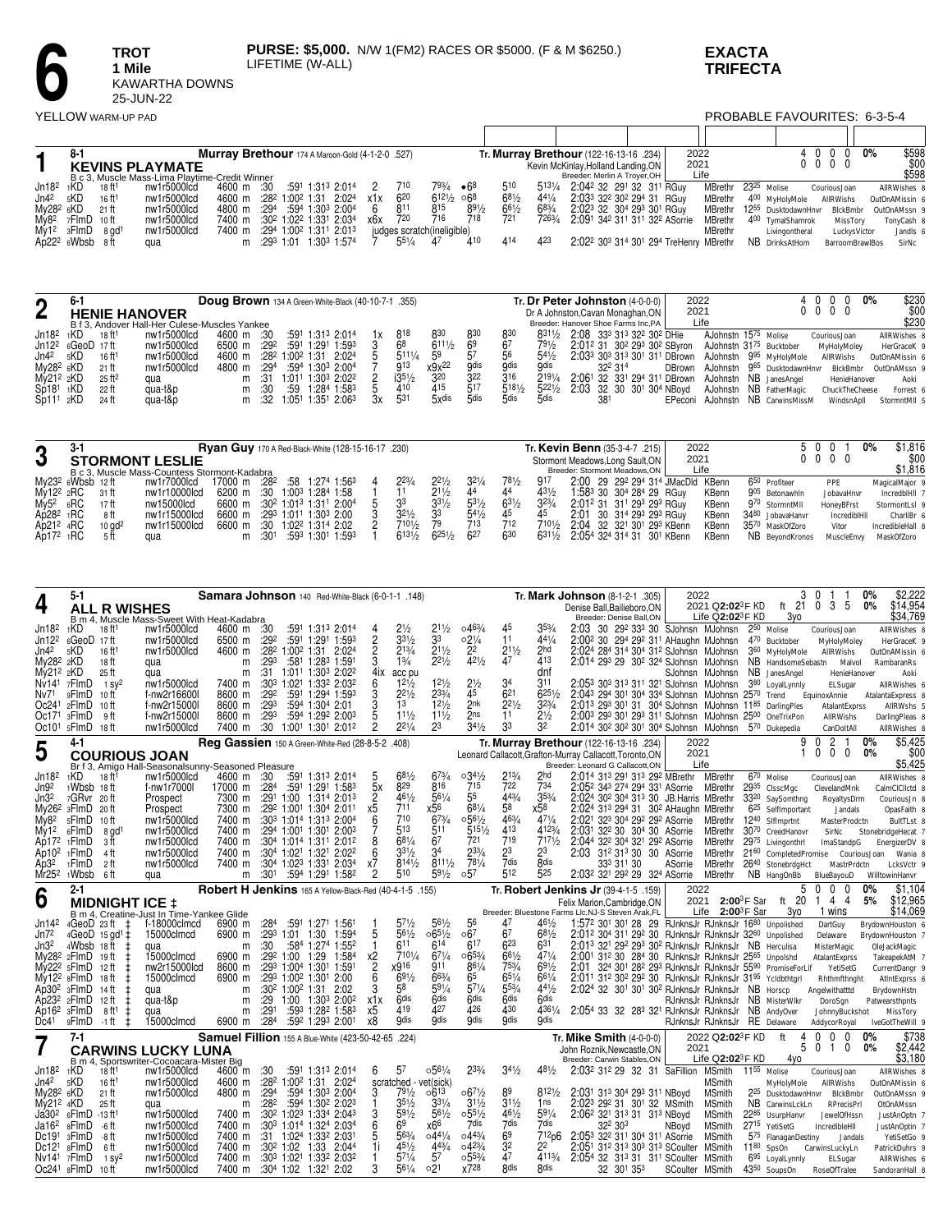

## **EXACTA TRIFECTA**

YELLOW WARM-UP PAD

## PROBABLE FAVOURITES: 6-3-5-4

|                       | $8-1$                            |                      |                                                | Murray Brethour 174 A Maroon-Gold (4-1-2-0 .527)                              |      |                                                            |     |            |                            |       |            |                 | Tr. Murray Brethour (122-16-13-16 .234)                                    | 2022 |                                 |                  | 4 0 0 0 0%               |              | \$598          |
|-----------------------|----------------------------------|----------------------|------------------------------------------------|-------------------------------------------------------------------------------|------|------------------------------------------------------------|-----|------------|----------------------------|-------|------------|-----------------|----------------------------------------------------------------------------|------|---------------------------------|------------------|--------------------------|--------------|----------------|
|                       |                                  |                      | <b>KEVINS PLAYMATE</b>                         |                                                                               |      |                                                            |     |            |                            |       |            |                 | Kevin McKinlay, Holland Landing, ON                                        | 2021 |                                 |                  | $0\quad 0\quad 0\quad 0$ |              | \$00           |
|                       |                                  |                      | B c 3. Muscle Mass-Lima Playtime-Credit Winner |                                                                               |      |                                                            |     |            |                            |       |            |                 | Breeder: Merlin A Troyer, OH                                               | Life |                                 |                  |                          |              | \$598          |
| Jn18 <sup>2</sup>     | 1KD                              | 18 ft1               | nw1r5000lcd                                    | 4600 m :30                                                                    |      | :591 1:313 2:014                                           |     | 710        | 793/4                      | •68   | 510        |                 | 5131/4 2:042 32 291 32 311 RGuy                                            |      | MBrethr 23 <sup>25</sup> Molise |                  | CouriousJoan             |              | AllRWishes 8   |
| Jn4 <sup>2</sup>      | 5KD                              | $16$ ft <sup>1</sup> | nw1r5000lcd                                    | 4600 m                                                                        |      | :28 <sup>2</sup> 1:00 <sup>2</sup> 1:31 2:02 <sup>4</sup>  | x1x | $6^{20}$   | $6^{12\frac{1}{2}}$ $06^8$ |       | $6^{81}/2$ | $4^{4^{1}/4}$   | 2:033 32 <sup>2</sup> 30 <sup>2</sup> 29 <sup>4</sup> 31 RGuv              |      | MBrethr                         | 400 MyHolyMole   | AllRWishs                |              | OutOnAMissin 6 |
| My28 <sup>2</sup> 6KD |                                  | 21 ft                | nw1r5000lcd                                    | 4800 m                                                                        | :294 | :594 1:303 2:004                                           |     | 811        | 815                        | 891/2 | 661/2      | $68\frac{3}{4}$ | 2:023 32 304 293 301 RGuy                                                  |      | MBrethr 1255 DusktodawnHnvr     |                  |                          | BlckBmbr     | OutOnAMssn 9   |
| My8 <sup>2</sup>      | 7FlmD 10ft                       |                      | nw1r5000lcd                                    | 7400 m :30 <sup>2</sup> 1:02 <sup>2</sup> 1:33 <sup>1</sup> 2:03 <sup>4</sup> |      |                                                            | x6x | 720        | 716                        | 718   | 721        | 7263/4          | 2:091 342 311 311 322 ASorrie                                              |      | MBrethr                         | 400 TymalShamrok |                          | MissTory     | TonyCash 8     |
| My1 <sup>2</sup>      | 3FlmD                            | 8 ad <sup>1</sup>    | nw1r5000lcd                                    | 7400 m                                                                        |      | :294 1:00 <sup>2</sup> 1:31 <sup>1</sup> 2:01 <sup>3</sup> |     |            | judges scratch(ineligible) |       |            |                 |                                                                            |      | <b>MBrethr</b>                  | Livingontheral   |                          | LuckvsVictor | Jandls 6       |
|                       | $A\dot{p}$ 22 <sup>2</sup> 6Wbsb | -8 ft                | qua                                            |                                                                               |      | m :293 1:01 1:303 1:574                                    |     | $55^{1}/4$ |                            |       | 414        | 423             | 2:02 <sup>2</sup> 30 <sup>3</sup> 314 30 <sup>1</sup> 294 TreHenry MBrethr |      |                                 | NB DrinksAtHom   | <b>BarroomBrawIBos</b>   |              | SirNc          |

 $\mathsf{r}$ 

| ŋ                     |                        |                      |                                               | Doug Brown 134 A Green-White-Black (40-10-7-1 .355) |       |     |                                                             |    |                  |                  |                  |                     |                 | Tr. Dr Peter Johnston (4-0-0-0)                                                                                    | 2022 |      |                                    |                          | 0% | \$230<br>\$00  |
|-----------------------|------------------------|----------------------|-----------------------------------------------|-----------------------------------------------------|-------|-----|-------------------------------------------------------------|----|------------------|------------------|------------------|---------------------|-----------------|--------------------------------------------------------------------------------------------------------------------|------|------|------------------------------------|--------------------------|----|----------------|
|                       |                        |                      | <b>HENIE HANOVER</b>                          |                                                     |       |     |                                                             |    |                  |                  |                  |                     |                 | Dr A Johnston, Cavan Monaghan, ON                                                                                  | 2021 |      |                                    | $0\quad 0\quad 0\quad 0$ |    |                |
|                       |                        |                      | B f 3. Andover Hall-Her Culese-Muscles Yankee |                                                     |       |     |                                                             |    |                  |                  |                  |                     |                 | Breeder: Hanover Shoe Farms Inc, PA                                                                                |      | Life |                                    |                          |    | \$230          |
| Jn182                 | 1KD                    | 18 ft <sup>1</sup>   | nw1r5000lcd                                   | 4600 m :30                                          |       |     | :591 1:313 2:014                                            |    | 818              | 830              | 830              | 830                 |                 | 8311/2 2:08 333 313 322 302 DHie                                                                                   |      |      | AJohnstn 1575 Molise               | CouriousJoan             |    | AllRWishes 8   |
|                       | $Jn12^2$ $6GeoD$ 17 ft |                      | nw1r5000lcd                                   | 6500 m                                              | :292  |     | :591 1:291 1:593                                            |    | 68               | $611\frac{1}{2}$ | - 69             |                     | $79\frac{1}{2}$ | 2:012 31 302 293 302 SByron AJohnstn 3175 Bucktober                                                                |      |      |                                    | MyHolyMoley              |    | HerGraceK 9    |
| Jn4 <sup>2</sup>      | 5KD                    | 16 <sup>ft1</sup>    | nw1r5000lcd                                   | 4600 m                                              |       |     | :28 <sup>2</sup> 1:00 <sup>2</sup> 1:31 2:024               |    | $511\frac{1}{4}$ | 59               |                  |                     | $5^{41/2}$      | $2:033$ 30 <sup>3</sup> 31 <sup>3</sup> 30 <sup>1</sup> 31 <sup>1</sup> DBrown AJohnstn 9 <sup>95</sup> MyHolyMole |      |      |                                    | AllRWishs                |    | OutOnAMissin 6 |
| Mv28 <sup>2</sup> 6KD |                        | $21$ ft              | nw1r5000lcd                                   | 4800 m :294                                         |       |     | :594 1:303 2:004                                            |    | 913              | x9x22            | <b>Gdis</b>      | <b>Gdis</b>         | <b>9dis</b>     | 322 314                                                                                                            |      |      | DBrown AJohnstn 965 DusktodawnHnvr | BlckBmbr                 |    | OutOnAMssn 9   |
| Mv212 2KD             |                        | $25$ ft <sup>2</sup> | qua                                           |                                                     | m :31 |     | 1:011 1:303 2:022                                           |    | i351/2           | 320              | 322              | 316                 | 2191/4          | 2:061 32 331 294 311 DBrown AJohnstn NB JanesAngel                                                                 |      |      |                                    | HenieHanover             |    | Aoki           |
| Sp18 <sup>1</sup>     | 1KD                    | 22 ft                | qua-t&p                                       | m                                                   | -:30  | :59 | 1:284 1:583                                                 |    | 410              | 415              |                  | $5^{18\frac{1}{2}}$ |                 | 5 <sup>221</sup> / <sub>2</sub> 2:03 32 30 30 <sup>1</sup> 30 <sup>4</sup> NBoyd                                   |      |      | AJohnstn NB FatherMagic            | ChuckTheCheese           |    | Forrest 6      |
| Sp111                 | 2KD                    | 24 ft                | qua-t&p                                       |                                                     |       |     | m :32 1:05 <sup>1</sup> 1:35 <sup>1</sup> 2:06 <sup>3</sup> | Зx | 531              | 5xdis            | 5 <sub>dis</sub> | 5dis                | 5dis            |                                                                                                                    |      |      | EPeconi AJohnstn NB CarwinsMissM   | WindsnApll               |    | StormntMII 5   |

| ŋ                 |                     |                      |                                              | <b>Ryan Guy</b> 170 A Red-Black-White (128-15-16-17 .230) |         |            |                                                                               |                 |                  |                 |                 |            | Tr. Kevin Benn (35-3-4-7 .215)                                | 2022         | 50                          |              | \$1.816<br>0%         |
|-------------------|---------------------|----------------------|----------------------------------------------|-----------------------------------------------------------|---------|------------|-------------------------------------------------------------------------------|-----------------|------------------|-----------------|-----------------|------------|---------------------------------------------------------------|--------------|-----------------------------|--------------|-----------------------|
| J                 |                     |                      | <b>STORMONT LESLIE</b>                       |                                                           |         |            |                                                                               |                 |                  |                 |                 |            | Stormont Meadows, Long Sault, ON                              | 2021         |                             | $0\,0\,0\,0$ | \$00                  |
|                   |                     |                      | B c 3. Muscle Mass-Countess Stormont-Kadabra |                                                           |         |            |                                                                               |                 |                  |                 |                 |            | Breeder: Stormont Meadows.ON                                  | Life         |                             |              | \$1,816               |
|                   | $Mv232$ 6Wbsb 12 ft |                      | nw1r7000lcd                                  | 17000 m                                                   | $:28^2$ |            | :58 1:274 1:563                                                               | $2^{23/4}$      | $2^{21/2}$       | 321/4           | 781/2           | 917        | 2:00 29 29 <sup>2</sup> 294 314 JMacDld KBenn                 |              | 650<br>Profiteer            | PPE          | MagicalMajor 9        |
| $Mv12^2$ 2RC      |                     | 31 ft                | nw1r10000lcd                                 | 6200 m :30 1:00 <sup>3</sup> 1:28 <sup>4</sup> 1:58       |         |            |                                                                               |                 | 211/2            |                 |                 | $4^{31/2}$ | 1:583 30 304 284 29 RGuy                                      | KBenn        | 905<br>Betonawhin           | JobavaHnvr   | IncredbIHII 7         |
| Mv5 <sup>2</sup>  | 6RC                 | 17 ft                | nw15000lcd                                   |                                                           |         |            | 6600 m :30 <sup>2</sup> 1:01 <sup>3</sup> 1:31 <sup>1</sup> 2:00 <sup>4</sup> | 33              | $3^{31/2}$       | 531/2           | $63\frac{1}{2}$ | $3^{23}/4$ | 2:012 31 311 293 293 RGuy                                     | <b>KBenn</b> | 970 StormntMII              | HonevBFrst   | StormontLsl 9         |
| Ap28 <sup>2</sup> | 1RC                 | 8 ft                 | nw1r15000lcd                                 | 6600 m :293 1:011 1:303 2:00                              |         |            |                                                                               | $32\frac{1}{2}$ | 33               | $54\frac{1}{2}$ | 45              |            | 2:01 30 314 293 293 RGuy                                      | KBenn        | 3480 JobavaHanvr            | IncredibiHil | CharliBr <sub>6</sub> |
| $Ab212$ 4RC       |                     | $10$ ad <sup>2</sup> | nw1r15000lcd                                 | 6600 m :30 1:02 <sup>2</sup> 1:31 <sup>4</sup> 2:02       |         |            |                                                                               | 7101/2          | 79               | 713             | 712             | 7101/2     | 2:04 32 32 <sup>1</sup> 30 <sup>1</sup> 29 <sup>3</sup> KBenn | KBenn        | 35 <sup>70</sup> MaskOfZoro | Vitor        | IncredibleHall 8      |
| $Ab172$ 1RC       |                     |                      | aua                                          |                                                           | m :301  | :593 1:301 | 1:593                                                                         | 6131/2          | $625\frac{1}{2}$ | 627             | 630             |            | 6311/2 2:054 324 314 31 301 KBenn                             | KBenn        | NB BevondKronos             | MuscleEnvv   | MaskOfZoro            |

| 4                                      | 5-1                                                |                                          |                                                                   |                  |                  |                                         | Samara Johnson 140 Red-White-Black (6-0-1-1 .148)                                                                                       |                      |                               |                                     |                                   |                        |                          | Tr. Mark Johnson (8-1-2-1 .305)<br>Denise Ball.Bailieboro.ON                                                                  | 2022            | 2021 Q2:023F KD                 |                | 3<br>ft 21                                  | $\Omega$<br>3<br>5<br>$^{\circ}$                                | 0%<br>0%     | \$2.222<br>\$14,954              |
|----------------------------------------|----------------------------------------------------|------------------------------------------|-------------------------------------------------------------------|------------------|------------------|-----------------------------------------|-----------------------------------------------------------------------------------------------------------------------------------------|----------------------|-------------------------------|-------------------------------------|-----------------------------------|------------------------|--------------------------|-------------------------------------------------------------------------------------------------------------------------------|-----------------|---------------------------------|----------------|---------------------------------------------|-----------------------------------------------------------------|--------------|----------------------------------|
|                                        |                                                    | <b>ALL R WISHES</b>                      | B m 4. Muscle Mass-Sweet With Heat-Kadabra                        |                  |                  |                                         |                                                                                                                                         |                      |                               |                                     |                                   |                        |                          | Breeder: Denise Ball,ON                                                                                                       |                 | Life $Q2:02^3F$ KD              |                | 3yo                                         |                                                                 |              | \$34,769                         |
| Jn18 <sup>2</sup>                      | 1KD                                                | 18 ft <sup>1</sup>                       | nw1r5000lcd                                                       | 4600 m           | :30              |                                         | :591 1:313 2:014                                                                                                                        |                      | $2\frac{1}{2}$                | $2^{11/2}$<br>33                    | 0.463/4                           | 11                     | $35\frac{3}{4}$<br>441/4 | 2:03 30 292 333 30 SJohnsn MJohnsn 250 <sub>Molise</sub>                                                                      |                 |                                 |                |                                             | CouriousJoan                                                    |              | AllRWishes 8                     |
| Jn12 <sup>2</sup><br>Jn4 <sup>2</sup>  | 6GeoD 17ft<br><sub>5</sub> KD                      | $16$ ft <sup>1</sup>                     | nw1r5000lcd<br>nw1r5000lcd                                        | 6500 m<br>4600 m | :292             |                                         | :591 1:291 1:593<br>:28 <sup>2</sup> 1:00 <sup>2</sup> 1:31 2:02 <sup>4</sup>                                                           | 2<br>$\overline{c}$  | $33\frac{1}{2}$<br>$2^{13/4}$ | $2^{11/2}$                          | $02\frac{1}{4}$<br>2 <sup>2</sup> | $2^{11/2}$             | 2hd                      | 2:00 <sup>2</sup> 30 29 <sup>4</sup> 29 <sup>2</sup> 31 <sup>1</sup> AHaughn MJohnsn<br>2:024 284 314 304 312 SJohnsn MJohnsn |                 |                                 |                | 470 Bucktober<br>3 <sup>60</sup> MyHolyMole | MyHolyMoley<br><b>AllRWishs</b>                                 |              | HerGraceK 9<br>OutOnAMissin 6    |
| My28 <sup>2</sup> 2KD                  |                                                    | 18 ft                                    | qua                                                               | m                | :293             |                                         | :581 1:283 1:591                                                                                                                        | 3                    | 13/4                          | $2^{21/2}$                          | 421/2                             | 47                     | 413                      | 2:014 293 29 302 324 SJohnsn MJohnsn                                                                                          |                 |                                 |                | NB HandsomeSebastn                          |                                                                 | Malvol       | RambaranRs                       |
| My21 <sup>2</sup> 2KD                  |                                                    | 25 ft                                    | qua                                                               | m                | :31              |                                         | 1:011 1:303 2:022                                                                                                                       | 4ix                  | acc pu                        |                                     |                                   |                        | dnf                      |                                                                                                                               |                 | SJohnsn MJohnsn                 |                | NB JanesAngel                               |                                                                 | HenieHanover | Aoki                             |
| Nv14 <sup>1</sup>                      | 7FlmD                                              | 1 $SV^2$                                 | nw1r5000lcd                                                       | 7400 m           |                  |                                         | :303 1:021 1:332 2:032                                                                                                                  | 6                    | $1^{21/2}$                    | $1^{21/2}$                          | $2\frac{1}{2}$                    | 34                     | 311                      | 2:053 303 313 311 321 SJohnsn MJohnsn                                                                                         |                 |                                 |                | 380 LoyalLynnly                             | ELSugar                                                         |              | AllRWishes 6                     |
| Nv71<br>Oc241                          | 9FlmD<br>2FlmD                                     | 10 ft                                    | f-nw2r16600l<br>f-nw2r15000                                       | 8600 m<br>8600 m | :292<br>:293     |                                         | :591 1:294 1:593<br>:594 1:304 2:01                                                                                                     | 3                    | $2^{21/2}$<br>13              | 233/4<br>$12\frac{1}{2}$            | 45<br>2nk                         | 621<br>$2^{21/2}$      | 6251/2<br>$3^{23}/4$     | 2:043 294 301 304 334 SJohnsn MJohnsn 2570 Trend<br>2:013 293 301 31 304 SJohnsn MJohnsn 1185 DarlingPles                     |                 |                                 |                |                                             | EquinoxAnnie                                                    |              | AtalantaExpress 8                |
| Oc171                                  | 3FlmD                                              | 10 ft<br>9 ft                            | f-nw2r15000                                                       | 8600 m           | :293             |                                         | $:59^4$ 1:29 <sup>2</sup> 2:00 <sup>3</sup>                                                                                             | 5                    | $11\frac{1}{2}$               | $11\frac{1}{2}$                     | 2ns                               | 11                     | $2\frac{1}{2}$           | 2:003 293 301 293 311 SJohnsn MJohnsn 2500 OneTrixPon                                                                         |                 |                                 |                |                                             | AtalantExprss<br>AllRWishs                                      |              | AllRWshs 5<br>DarlingPleas 8     |
| Oc10 <sup>1</sup>                      | 5FlmD                                              | - 18 ft                                  | nw1r5000lcd                                                       | 7400 m           |                  |                                         | :30 1:001 1:301 2:012                                                                                                                   | 2                    | $2^{21/4}$                    | 23                                  | $34\frac{1}{2}$                   | 33                     | 32                       | 2:014 302 302 301 304 SJohnsn MJohnsn 570 Dukepedia                                                                           |                 |                                 |                |                                             | CanDoltAll                                                      |              | AllRWishes 8                     |
|                                        | 4-1                                                |                                          |                                                                   |                  |                  |                                         | Reg Gassien 150 A Green-White-Red (28-8-5-2 .408)                                                                                       |                      |                               |                                     |                                   |                        |                          | Tr. Murray Brethour (122-16-13-16 .234)                                                                                       | 2022            |                                 |                | 9                                           | 2<br>$\Omega$                                                   | $0\%$        | \$5,425                          |
| 5                                      |                                                    |                                          | <b>COURIOUS JOAN</b>                                              |                  |                  |                                         |                                                                                                                                         |                      |                               |                                     |                                   |                        |                          | Leonard Callacott, Grafton-Murray Callacott, Toronto, ON<br>Breeder: Leonard G Callacott, ON                                  | 2021<br>Life    |                                 |                |                                             | $\Omega$<br>$\mathbf 0$<br>0                                    | 0%           | \$00<br>\$5,425                  |
| Jn18 <sup>2</sup>                      | 1KD                                                | 18 ft <sup>1</sup>                       | Br f 3, Amigo Hall-Seasonalsunny-Seasoned Pleasure<br>nw1r5000lcd | 4600 m           | :30              |                                         | :591 1:313 2:014                                                                                                                        |                      | $68\frac{1}{2}$               | $6^{73/4}$                          | $03^{41}/2$                       | $2^{13/4}$             | 2hd                      | 2:014 313 291 313 292 MBrethr                                                                                                 |                 | MBrethr                         |                | 6 <sup>70</sup> Molise                      | CouriousJoan                                                    |              | AllRWishes 8                     |
| Jn9 <sup>2</sup>                       | 1Wbsb 18ft                                         |                                          | f-nw1r7000l                                                       | 17000 m          | :28 <sup>4</sup> |                                         | :591 1:291 1:583                                                                                                                        | 5x                   | 829                           | 816                                 | 715                               | 722                    | 734                      | 2:05 <sup>2</sup> 34 <sup>3</sup> 27 <sup>4</sup> 29 <sup>4</sup> 33 <sup>1</sup> ASorrie                                     |                 | MBrethr                         |                | 2935 CIsscMqc                               | ClevelandMnk                                                    |              | CalmClCllctd 8                   |
| Jn32                                   | 7GRvr                                              | 20 ft                                    | Prospect                                                          | 7300 m           |                  | :291 1:00                               | 1:314 2:013                                                                                                                             | 2                    | 461/2                         | 561/4                               | 55                                | 443/4                  | $35\frac{3}{4}$          | 2:024 302 304 313 30 JB. Harris MBrethr                                                                                       |                 |                                 |                | 33 <sup>20</sup> SaySomthng                 | RoyaltysDrm                                                     |              | CouriousJn 8                     |
| Mv26 <sup>2</sup>                      | 3FlmD                                              | 20 ft                                    | Prospect                                                          | 7300 m           |                  |                                         | $:29^2$ 1:00 <sup>1</sup> 1:30 <sup>4</sup> 2:01 <sup>1</sup><br>:30 <sup>3</sup> 1:01 <sup>4</sup> 1:31 <sup>3</sup> 2:00 <sup>4</sup> | 6                    | 711<br>710                    | х56<br>$6^{73/4}$                   | 681/4<br>$0.56\frac{1}{2}$        | 58<br>463/4            | x58<br>$47^{1/4}$        | 2:024 313 294 31 302 AHaughn MBrethr                                                                                          |                 |                                 |                | 6 <sup>25</sup> SelfImportant               | Jandals                                                         |              | OpasFaith 8                      |
| My8 <sup>2</sup><br>My12               | 5FlmD<br>6FlmD                                     | 10 ft<br>$8$ ad <sup>1</sup>             | nw1r5000lcd<br>nw1r5000lcd                                        | 7400 m<br>7400 m |                  |                                         | :294 1:001 1:301 2:003                                                                                                                  |                      | 513                           | 511                                 | $515\frac{1}{2}$                  | 413                    | 4123/4                   | 2:021 323 304 292 292 ASorrie<br>2:031 322 30 304 30 ASorrie                                                                  |                 | MBrethr<br>MBrethr              |                | 1240 Sifimprtnt<br>3070 CreedHanovr         | MasterProdctn<br>SirNc                                          |              | BultTLst 8<br>StonebridgeHecat 7 |
| Ap17 <sup>2</sup>                      | 1 <b>FlmD</b>                                      | зft                                      | nw1r5000lcd                                                       | 7400 m           |                  |                                         | $:30^4$ 1:01 <sup>4</sup> 1:31 <sup>1</sup> 2:01 <sup>2</sup>                                                                           | 8                    | 681/4                         | 67                                  | 721                               | 719                    | 7171/2                   | 2:044 32 <sup>2</sup> 30 <sup>4</sup> 32 <sup>1</sup> 29 <sup>2</sup> ASorrie                                                 |                 | MBrethr                         |                | 2975 Livingonthrl                           | ImaStandpG                                                      |              | EnergizerDV 8                    |
| Ap10 <sup>2</sup>                      | <sub>1</sub> FlmD                                  | 4 ft                                     | nw1r5000lcd                                                       | 7400 m           |                  |                                         | :304 1:021 1:321 2:022                                                                                                                  | 6                    | $3^{31/2}$                    | 3 <sup>4</sup>                      | $2^{33/4}$                        | 23                     | 23                       | 2:03<br>31 <sup>2</sup> 31 <sup>3</sup> 30 30 ASorrie                                                                         |                 | MBrethr                         |                | 2160 CompletedPromise                       |                                                                 | CouriousJoan | Wania 8                          |
| Ap32                                   | <sub>1</sub> FlmD                                  | 2 ft                                     | nw1r5000lcd                                                       | 7400 m           |                  |                                         | :304 1:023 1:331 2:034                                                                                                                  | x7<br>2              | 8141/2<br>510                 | $811\frac{1}{2}$<br>$59\frac{1}{2}$ | 781/4<br>0.57                     | 7dis<br>512            | <b>Rdis</b><br>525       | 333 311 30                                                                                                                    | ASorrie         | MBrethr                         |                | 2640 StonebrdgHct                           |                                                                 | MastrPrdctn  | LcksVctr 9                       |
| Mr25 <sup>2</sup>                      | 1Wbsb                                              | 6 ft                                     | qua                                                               | m                | :30 <sup>1</sup> |                                         | :594 1:291 1:582                                                                                                                        |                      |                               |                                     |                                   |                        |                          | 2:03 <sup>2</sup> 32 <sup>1</sup> 29 <sup>2</sup> 29 32 <sup>4</sup> ASorrie                                                  |                 | MBrethr                         |                | NB HangOnBb                                 | BlueBayouD                                                      |              | WilltowinHanvr                   |
|                                        |                                                    |                                          |                                                                   |                  |                  |                                         |                                                                                                                                         |                      |                               |                                     |                                   |                        |                          |                                                                                                                               |                 |                                 |                |                                             |                                                                 |              |                                  |
|                                        | $2 - 1$                                            |                                          |                                                                   |                  |                  |                                         | Robert H Jenkins 165 A Yellow-Black-Red (40-4-1-5 .155)                                                                                 |                      |                               |                                     |                                   |                        |                          | Tr. Robert Jenkins Jr (39-4-1-5 .159)                                                                                         | 2022            |                                 |                | 5                                           | $\Omega$<br><sup>0</sup><br>$\Omega$<br>4<br>-4<br>$\mathbf{1}$ | 0%<br>5%     | \$1.104                          |
| 6                                      |                                                    | <b>MIDNIGHT ICE ±</b>                    | B m 4. Creatine-Just In Time-Yankee Glide                         |                  |                  |                                         |                                                                                                                                         |                      |                               |                                     |                                   |                        |                          | Felix Marion, Cambridge, ON<br>Breeder: Bluestone Farms Llc, NJ-S Steven Arak, FL                                             | 2021            | Life $2:00^3$ F Sar             | $2:00^3$ F Sar | ft 20<br>3vo                                | 1 wins                                                          |              | \$12,965<br>\$14,069             |
| Jn14 <sup>2</sup>                      | 4GeoD 23 ft                                        | $\pm$                                    | f-18000clmcd                                                      | 6900 m           | :284             |                                         | :591 1:271 1:561                                                                                                                        |                      | $5^{7^{1/2}}$                 | $56\frac{1}{2}$                     | 56                                | 47                     | 461/2                    | 1:572 301 301 28 29 RJnknsJr RJnknsJr 1680 Unpolished                                                                         |                 |                                 |                |                                             | DartGuy                                                         |              | BrydownHouston 6                 |
| Jn72                                   |                                                    | $4GeoD$ 15 gd <sup>1</sup> $\pm$         | 15000clmcd                                                        | 6900 m           |                  | :293 1:01 1:30                          | 1:594                                                                                                                                   | 5                    | $56\frac{1}{2}$               | $065\frac{1}{2}$                    | 067                               | 67                     | $68\frac{1}{2}$          | 2:012 304 311 292 30 RJnknsJr RJnknsJr 3260 Unpolished                                                                        |                 |                                 |                |                                             | Delaware                                                        |              | BrydownHouston 7                 |
| Jn3 <sup>2</sup>                       | 4Wbsb                                              | 18 ft                                    | qua                                                               | m                | :30              |                                         | :584 1:274 1:552                                                                                                                        |                      | 611<br>7101/4                 | 614                                 | 617                               | 623                    | 631<br>471/4             | 2:013 321 292 293 302 RJnknsJr RJnknsJr NB Herculisa                                                                          |                 |                                 |                |                                             | MisterMagic                                                     |              | OleJackMagic                     |
|                                        | My28 <sup>2</sup> 2FlmD<br>My22 <sup>2</sup> 5FlmD | 19 ft<br>12 ft                           | 15000clmcd<br>nw2r15000lcd                                        | 6900 m<br>8600 m |                  | :29 1:00 1:29                           | 1:584<br>:293 1:004 1:301 1:591                                                                                                         | х2<br>$\overline{c}$ | x916                          | $67\frac{1}{4}$<br>911              | $065\frac{3}{4}$<br>861/4         | 661/2<br>753/4         | $69\frac{1}{2}$          | 2:001 312 30 284 30 RJnknsJr RJnknsJr 2565 Unpolshd<br>2:01<br>324 301 282 293 RJnknsJr RJnknsJr 5590 PromiseForLif           |                 |                                 |                |                                             | AtalantExprss<br>YetiSetG                                       |              | TakeapekAtM 7<br>CurrentDangr 9  |
|                                        | $Mv12^2$ $sF$ ImD                                  | 18 ft                                    | 15000clmcd                                                        | 6900 m           |                  |                                         | $:29^3$ 1:00 <sup>2</sup> 1:30 <sup>1</sup> 2:00                                                                                        | 6                    | 691/2                         | 663/                                | 65                                | $65^{1/4}$             | $66^{1/4}$               | 2:01 <sup>1</sup> 31 <sup>2</sup> 30 <sup>2</sup> 29 <sup>2</sup> 30 RJnknsJr RJnknsJr 31 <sup>95</sup> Ycldbthtarl           |                 |                                 |                |                                             | Rhthmfthnaht                                                    |              | AtIntExprss 6                    |
|                                        | Ap30 <sup>2</sup> 3FlmD                            | 14 ft                                    | qua                                                               | m                |                  | :30 <sup>2</sup> 1:00 <sup>2</sup> 1:31 | 2:02                                                                                                                                    | 3                    | 58                            | 591/4                               | 571/4                             | 553/4                  | $44\frac{1}{2}$          | 2:024 32 301 301 302 RJnknsJr RJnknsJr NB Horscp                                                                              |                 |                                 |                |                                             | Angelwithatttd                                                  |              | BrydownHstn                      |
|                                        | Ap23 <sup>2</sup> 2FlmD                            | 12 ft                                    | qua-t&p                                                           | m                | :29              |                                         | 1:00 1:303 2:002                                                                                                                        | x1x                  | 6 <sub>dis</sub>              | <b>Gdis</b>                         | 6 <sub>dis</sub>                  | <b>Gdis</b>            | 6 <sub>dis</sub>         |                                                                                                                               |                 | RJnknsJr RJnknsJr NB MisterWikr |                |                                             | DoroSan                                                         |              | Patwearsthpnts                   |
| Ap16 <sup>2</sup> 3FlmD<br>Dc41        | 9FlmD                                              | 8 ft <sup>1</sup><br>-1 ft               | qua<br>15000clmcd                                                 | m<br>6900 m      | :291<br>:284     |                                         | :593 1:28 <sup>2</sup> 1:583<br>:592 1:293 2:001                                                                                        | x5<br>x8             | 419<br><b>Odis</b>            | 427<br><b>Qdis</b>                  | 426<br><b>Odis</b>                | 430<br><b>gdis</b>     | 4361/4<br><b>gdis</b>    | 2:054 33 32 283 321 RJnknsJr RJnknsJr NB AndyOver                                                                             |                 | RJnknsJr RJnknsJr RE Delaware   |                |                                             | JohnnyBuckshot<br>AddycorRoyal                                  |              | MissTory<br>IveGotTheWill 9      |
|                                        | 7-1                                                |                                          |                                                                   |                  |                  |                                         | Samuel Fillion 155 A Blue-White (423-50-42-65 .224)                                                                                     |                      |                               |                                     |                                   |                        |                          | <b>Tr. Mike Smith (4-0-0-0)</b>                                                                                               |                 | 2022 Q2:02 <sup>3</sup> F KD    |                | ft<br>4                                     | 0<br>$\theta$<br>0                                              | $0\%$        | \$738                            |
|                                        |                                                    |                                          | <b>CARWINS LUCKY LUNA</b>                                         |                  |                  |                                         |                                                                                                                                         |                      |                               |                                     |                                   |                        |                          | John Roznik.Newcastle.ON                                                                                                      | 2021            |                                 |                | 5                                           | 0<br>0<br>-1                                                    | 0%           | \$2,442                          |
|                                        |                                                    |                                          | B m 4. Sportswriter-Cocoacara-Mister Big                          |                  |                  |                                         |                                                                                                                                         |                      |                               |                                     |                                   |                        |                          | Breeder: Carwin Stables, ON                                                                                                   |                 | Life $Q2:02^3F$ KD              |                | 4vo                                         |                                                                 |              | \$3,180                          |
| Jn18 <sup>2</sup><br>Jn4 <sup>2</sup>  | 1KD<br>5KD                                         | 18 ft <sup>1</sup><br>16 ft <sup>1</sup> | nw1r5000lcd<br>nw1r5000lcd                                        | 4600 m<br>4600 m | :30              |                                         | $:59^1$ 1:31 <sup>3</sup> 2:01 <sup>4</sup><br>:28 <sup>2</sup> 1:00 <sup>2</sup> 1:31 2:02 <sup>4</sup>                                | 6                    | 57<br>scratched - vet(sick)   | 0.561/4                             | $2^{33/4}$                        | 341/2                  | 481/2                    | 2:03 <sup>2</sup> 31 <sup>2</sup> 29 32 31 SaFillion MSmith                                                                   |                 | <b>MSmith</b>                   |                | 11 <sup>55</sup> Molise<br>MyHolyMole       | CouriousJoan<br>AllRWishs                                       |              | AllRWishes 8<br>OutOnAMissin 6   |
| Mv28 <sup>2</sup> 6KD                  |                                                    | 21 ft                                    | nw1r5000lcd                                                       | 4800 m           | :294             |                                         | :594 1:303 2:004                                                                                                                        |                      | $79\frac{1}{2}$               | o613                                | $067\frac{1}{2}$                  | 89                     | 8121/2                   | 2:031 313 304 293 311 NBoyd                                                                                                   |                 | <b>MSmith</b>                   |                | 2 <sup>25</sup> DusktodawnHnvr BlckBmbr     |                                                                 |              | OutOnAMssn 9                     |
| $Mv212$ 4KD                            |                                                    | 25 ft                                    | qua                                                               | m                | :28 <sup>2</sup> |                                         | :594 1:30 <sup>2</sup> 2:023                                                                                                            |                      | $3^{5^{1}/2}$                 | $3^{31}/4$                          | $3^{11/2}$                        | $3^{11/2}$             | 1ns                      | 2:023 292 31 301 32 MSmith                                                                                                    |                 | <b>MSmith</b>                   |                | NB CarwinsLckLn                             | <b>RPrecisPrl</b>                                               |              | OtOnAMssn                        |
| Ja30 <sup>2</sup>                      | 6FlmD                                              | $-13$ ft <sup>1</sup>                    | nw1r5000lcd                                                       | 7400 m           |                  |                                         | :30 <sup>2</sup> 1:02 <sup>3</sup> 1:33 <sup>4</sup> 2:04 <sup>3</sup>                                                                  | 3                    | $59\frac{1}{2}$               | $56\frac{1}{2}$                     | $0.55\frac{1}{2}$                 | 461/2                  | $59^{1/4}$<br>7dis       | 2:06 <sup>2</sup> 32 <sup>1</sup> 31 <sup>3</sup> 31 31 <sup>3</sup> NBoyd                                                    |                 | <b>MSmith</b>                   |                | 2285 UsurpHanvr                             | JewelOfHssn                                                     |              | JustAnOptn 7                     |
| Ja16 <sup>2</sup><br>Dc19 <sup>1</sup> | 8FlmD<br>3FlmD                                     | -6 ft<br>-8 ft                           | nw1r5000lcd<br>nw1r5000lcd                                        | 7400 m<br>7400 m |                  |                                         | :303 1:014 1:324 2:034<br>$:31$ 1:02 <sup>4</sup> 1:33 <sup>2</sup> 2:03 <sup>1</sup>                                                   | 6                    | 69<br>563/4                   | x66<br>$04^{41}/4$                  | 7dis<br>$04^{43}/4$               | 7dis<br>6 <sup>9</sup> | 712n6                    | 322 303<br>2:053 322 311 304 311 ASorrie                                                                                      | NBoyd           | MSmith<br><b>MSmith</b>         |                | 2715 YetiSetG                               | IncredibleHII                                                   | Jandals      | JustAnOptin 7<br>YetiSetGo 9     |
| Dc12 <sup>1</sup>                      | 8FlmD                                              | 6 ft                                     | nw1r5000lcd                                                       | 7400 m           |                  | $:30^2$ 1:02 1:33                       | 2:04 <sup>4</sup>                                                                                                                       |                      | $4^{51/2}$                    | 443/4                               | 0423/4                            | 32                     | 22                       | 2:051 312 313 303 313 SCoulter MSmith                                                                                         |                 |                                 |                | 575 FlanaganDestiny<br>$11^{80}$ SpsOn      | CarwinsLuckyLn                                                  |              | PatrickDuhrs 9                   |
| $Nv141$ $7F$ $mD$                      | $Oc241$ $sF$ ImD                                   | $1 \text{ SV}^2$<br>-10 ft               | nw1r5000lcd<br>nw1r5000lcd                                        | 7400 m<br>7400 m |                  |                                         | :303 1:021 1:332 2:032<br>$:30^4$ 1:02 1:32 <sup>1</sup> 2:02                                                                           | 3                    | $57\frac{1}{4}$<br>$56^{1}/4$ | 57<br>0 <sup>21</sup>               | $0.55\frac{3}{4}$<br>x728         | 47<br>Rdis             | 4113/4<br><b>8dis</b>    | 2:054 32 313 31 311 SCoulter MSmith<br>32 30 <sup>1</sup> 35 <sup>3</sup>                                                     | SCoulter MSmith |                                 |                | 695 LoyalLynnly<br>43 <sup>50</sup> SoupsOn | ELSugar<br>RoseOfTralee                                         |              | AllRWishes 6<br>SandoranHall 8   |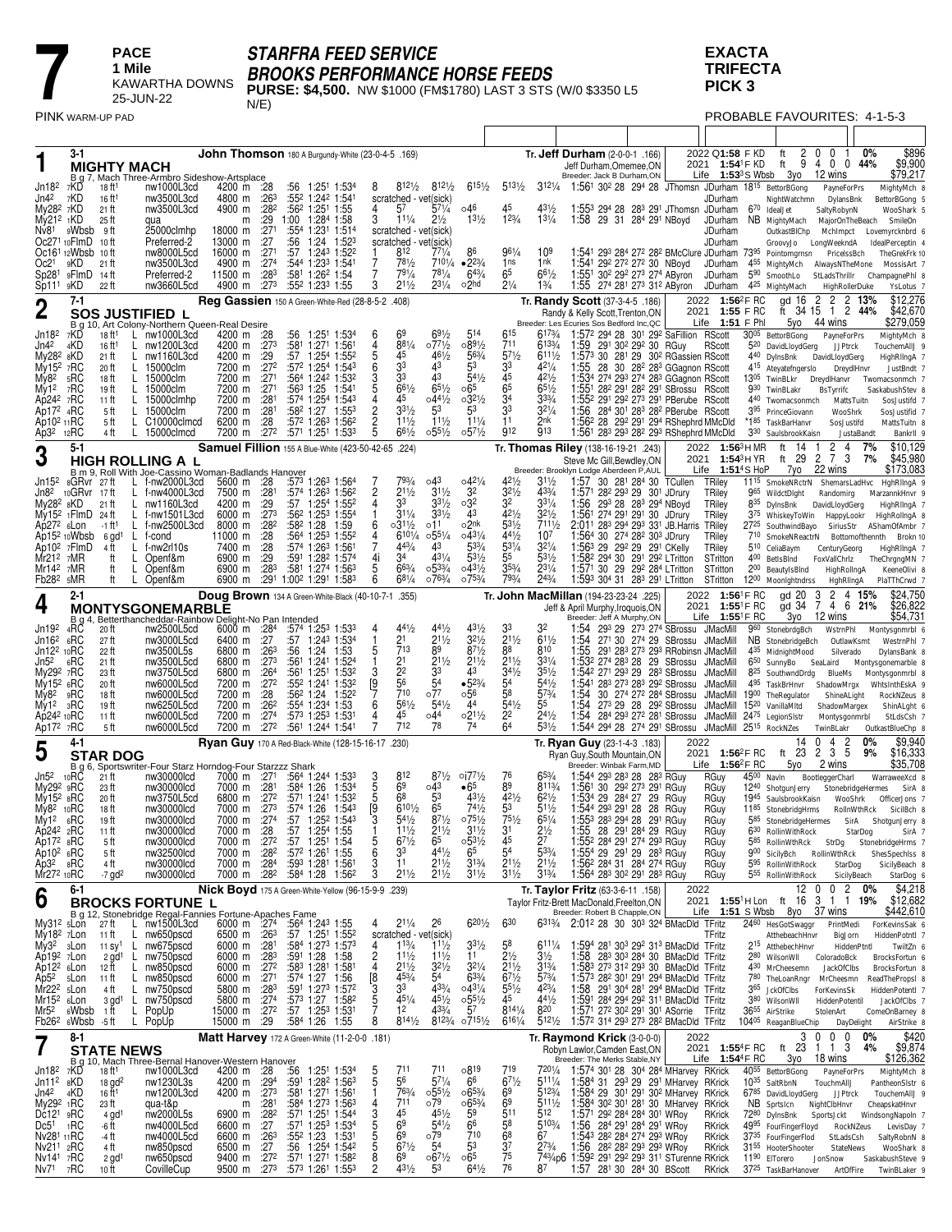

# *STARFRA FEED SERVICE BROOKS PERFORMANCE HORSE FEEDS*

**PURSE: \$4,500.** NW \$1000 (FM\$1780) LAST 3 STS (W/0 \$3350 L5  $N/E)$ 

**EXACTA TRIFECTA PICK 3**

PROBABLE FAVOURITES: 4-1-5-3

|                                                                           | 3-1                       |                                                      | <b>MIGHTY MACH</b><br>B g 7, Mach Three-Armbro Sideshow-Artsplace                              |                                                              |                                              |           | John Thomson 180 A Burgundy-White (23-0-4-5 .169)                                                          |                                             |                                                                   |                                                |                                                   |                                                 |                                                       | Tr. <b>Jeff Durham</b> (2-0-0-1 .166)<br>Jeff Durham, Omemee, ON<br>Breeder: Jack B Durham, ON                                                                                  |                                                                                                  |         |              | 2022 Q1:58 F KD<br>2021 1:54 <sup>1</sup> F KD<br>Life $1:533$ S Wbsb $30$ 12 wins | ft                                                                                       | 2 0            | 0 <sub>1</sub><br>ft 9400                           | $0\%$<br>44%                        | \$896<br>\$9,900<br>\$79,217                                             |
|---------------------------------------------------------------------------|---------------------------|------------------------------------------------------|------------------------------------------------------------------------------------------------|--------------------------------------------------------------|----------------------------------------------|-----------|------------------------------------------------------------------------------------------------------------|---------------------------------------------|-------------------------------------------------------------------|------------------------------------------------|---------------------------------------------------|-------------------------------------------------|-------------------------------------------------------|---------------------------------------------------------------------------------------------------------------------------------------------------------------------------------|--------------------------------------------------------------------------------------------------|---------|--------------|------------------------------------------------------------------------------------|------------------------------------------------------------------------------------------|----------------|-----------------------------------------------------|-------------------------------------|--------------------------------------------------------------------------|
| Jn18 <sup>2</sup><br>Jn4 <sup>2</sup><br>My28 <sup>2</sup> 7KD            | 7KD<br>7KD                | 18 ft <sup>1</sup><br>16 ft <sup>1</sup><br>21 ft    | nw1000L3cd<br>nw3500L3cd<br>nw3500L3cd                                                         | 4200 m :28<br>4800 m :263<br>4900 m                          | :28 <sup>2</sup>                             |           | :56 1:251 1:534<br>:55 <sup>2</sup> 1:24 <sup>2</sup> 1:541<br>:562 1:251 1:55                             | 8                                           | $812\frac{1}{2}$<br>scratched - vet(sick)<br>4 $5^7$ $5^{71/4}$   | $812\frac{1}{2}$                               | $615\frac{1}{2}$<br>⊙46                           | $5^{13\frac{1}{2}}$<br>45                       | $43\frac{1}{2}$                                       | 3121/4 1:561 302 28 294 28 JThomsn JDurham 1815 BettorBGong<br>1:553 294 28 283 291 JThomsn JDurham                                                                             |                                                                                                  |         |              | JDurham                                                                            | 670<br>IdealJet                                                                          | NightWatchmn   | DylansBnk<br>SaltyRobynN                            | PayneForPrs                         | MightyMch 8<br>BettorBGong 5<br>WooShark 5                               |
| My21 <sup>2</sup> 1KD<br>Nv <sub>81</sub><br>Oc271 10FlmD                 | 9Wbsb                     | 25 ft<br>- 9 ft<br>10 ft                             | qua<br>25000clmhp<br>Preferred-2                                                               | m<br>18000 m<br>13000 m                                      | :29<br>:271<br>:27                           | :56       | 1:00 1:284 1:58<br>:554 1:231 1:514<br>1:24 1:523                                                          | 3                                           | $11\frac{1}{4}$<br>scratched - vet(sick)<br>scratched - vet(sick) | $2\frac{1}{2}$                                 | $13\frac{1}{2}$                                   | $1^{23/4}$                                      | $13^{1/4}$                                            | 1:58 29 31 284 291 NBoyd                                                                                                                                                        |                                                                                                  |         |              | JDurham<br>JDurham<br>JDurham                                                      | NB MightyMach                                                                            | OutkastBIChp   | MajorOnTheBeach<br>Mchimpct<br>GroovyJo LongWeekndA |                                     | SmileOn<br>Lovemyrcknbrd 6<br>IdealPerceptin 4                           |
| Oc21                                                                      | Oc161 12Wbsb 10 ft<br>9KD | 21 ft                                                | nw8000L5cd<br>nw3500L3cd                                                                       | 16000 m<br>4900 m<br>11500 m :283                            | :271<br>:27 <sup>4</sup>                     | :57       | 1:243 1:522<br>:544 1:233 1:541<br>:581 1:262 1:54                                                         | -1<br>7                                     | 812<br>781/2<br>$79^{1/4}$                                        | 771/4<br>7101/4<br>$78^{1/4}$                  | $•2^{23/4}$<br>$64\frac{3}{4}$                    | 961/4<br>1ns<br>65                              | 109<br>1 nk<br>$66^{1/2}$                             | 1:541 293 284 272 282 BMcClure JDurham 7395 Pointomgrnsn<br>1:541 292 272 272 30 NBoyd                                                                                          |                                                                                                  |         |              | JDurham                                                                            | 455 MightyMch AlwaysNTheMone<br>590 SmoothLo                                             |                | PricelssBch                                         |                                     | TheGrekFrk 10<br>MossisArt 7                                             |
| Sp28 <sup>1</sup><br>Sp111                                                | 9FlmD<br>9KD<br>$7 - 1$   | -14 ft<br>22 ft                                      | Preferred-2<br>nw3660L5cd                                                                      | 4900 m                                                       | :273                                         |           | :552 1:233 1:55<br>Reg Gassien 150 A Green-White-Red (28-8-5-2 .408)                                       | 3                                           | $21\frac{1}{2}$                                                   | $2^{31/4}$                                     | o2hd                                              | $2\frac{1}{4}$                                  | $1\frac{3}{4}$                                        | 1:551 302 292 273 274 AByron<br>1:55 274 281 273 312 AByron<br>Tr. Randy Scott (37-3-4-5 .186)                                                                                  |                                                                                                  |         |              | JDurham<br>JDurham<br>2022 1:56 <sup>2</sup> F RC                                  | 4 <sup>25</sup> MightyMach                                                               | gd 16          | StLadsThrillr<br>2                                  | HighRollerDuke<br>2 2 13%           | ChampagnePhl &<br>YsLotus 7<br>\$12,276                                  |
| 2<br>Jn18 <sup>2</sup>                                                    | <b>B</b> g 10<br>7KD      | 18 ft1                                               | SOS JUSTIFIED L<br>Art Colony-Northern Queen-Real Desire<br>L nw1000L3cd                       |                                                              |                                              |           | :56 1:251 1:534                                                                                            | 6                                           | 69                                                                | $69\frac{1}{2}$                                | 514                                               | 615                                             | 6173/4                                                | Randy & Kelly Scott, Trenton, ON<br>Breeder: Les Ecuries Sos Bedford Inc, QC<br>1:572 294 28 301 292 SaFillion RScott                                                           |                                                                                                  |         |              | 2021 1:55 F RC<br>Life $1:51$ F Ph                                                 | 3005 BettorBGong                                                                         | 5yo            | ft 34 15 1 2 44%<br>44 wins                         |                                     | \$42,670<br>\$279,059<br>MightyMch 8                                     |
| Jn42<br>My28 <sup>2</sup> 8KD                                             | 4KD                       | 16 ft <sup>1</sup><br>21 ft                          | L<br>nw1200L3cd<br>nw1160L3cd<br>L                                                             | 4200 m :28<br>4200 m :273<br>4200 m                          | :29                                          | :57       | :581 1:271 1:561<br>1:254 1:552                                                                            | 4<br>5                                      | 881/4<br>45                                                       | $07^{71/2}$<br>$46\frac{1}{2}$                 | $089\frac{1}{2}$<br>563/4                         | 711<br>$5^{71/2}$                               | $613\frac{3}{4}$<br>$6^{111}/2$                       | 1:59 291 302 292 30 RGuy<br>1:573 30 281 29 302 RGassien RScott                                                                                                                 |                                                                                                  |         |              | RScott                                                                             | 5 <sup>20</sup> DavidLloydGerg<br>4 <sup>40</sup> DylnsBnk                               |                | DavidLloydGerg                                      | PayneForPrs<br><b>JJPtrck</b>       | TouchemAllJ 9<br>HighRlIngA 7                                            |
| My15 <sup>2</sup> 7RC<br>My82<br>My12                                     | 5RC<br>7RC                | 20 ft<br>18 ft<br>19 ft                              | L<br>15000clm<br>L.<br>15000clm<br>L<br>15000clm                                               | 7200 m :272<br>7200 m :271<br>7200 m :271                    |                                              | :563 1:25 | :572 1:254 1:543<br>:564 1:242 1:532<br>1:541                                                              | 6<br>5                                      | 33<br>33<br>$66\frac{1}{2}$                                       | 43<br>43<br>$6^{51}/2$                         | 53<br>$54\frac{1}{2}$<br>∘65                      | 3 <sup>3</sup><br>45<br>65                      | $42^{1/4}$<br>421/2<br>$65\frac{1}{2}$                | 1:55 28 30 28 <sup>2</sup> 28 <sup>3</sup> GGagnon RScott<br>1:534 274 293 274 283 GGagnon RScott<br>1:551 282 291 282 291 SBrossu RScott                                       |                                                                                                  |         |              |                                                                                    | 4 <sup>15</sup> Ateyatefngerslo<br>1305 TwinBLkr<br>930 TwinBLakr                        |                | DreydlHanvr<br>BsTyrrifc                            | DreydlHnvr                          | JustBndt 7<br>Twomacsonmch 7<br>SaskabushStev &                          |
| Ap242 7RC<br>Ap172 4RC<br>Ap10 <sup>2</sup> 11RC                          |                           | 11 ft<br>5 ft<br>5 ft                                | L<br>15000clmhp<br>15000clm<br>L.<br>C <sub>10000</sub> clmcd<br>L.                            | 7200 m<br>7200 m<br>6200 m                                   | :281<br>:281<br>:28                          |           | :574 1:254 1:543<br>$:58^2$ 1:27 1:553<br>$:57^2$ 1:26 <sup>3</sup> 1:56 <sup>2</sup>                      | $\overline{c}$                              | 45<br>$3^{31/2}$<br>$11\frac{1}{2}$                               | $04^{41/2}$<br>53<br>111/2                     | $03^{21/2}$<br>53<br>$11\frac{1}{4}$              | 34<br>33<br>11                                  | $33\frac{3}{4}$<br>$32^{1/4}$<br>2nk                  | 1:55 <sup>2</sup> 291 292 273 291 PBerube RScott<br>1:56 284 301 283 282 PBerube RScott<br>1:56 <sup>2</sup> 28 29 <sup>2</sup> 29 <sup>1</sup> 29 <sup>4</sup> RShephrd MMcDld |                                                                                                  |         |              |                                                                                    | 440 Twomacsonmch<br>395 PrinceGiovann<br>*185 TaskBarHanvr                               |                |                                                     | MattsTuitn<br>WooShrk<br>SosJustifd | SosJustifd 7<br>SosJustifid 7<br>MattsTuitn &                            |
| Ap3 <sup>2</sup>                                                          | 12RC<br>$5-1$             | 4 ft                                                 | L.<br>15000clmcd                                                                               | 7200 m                                                       | :272                                         |           | :571 1:251 1:533<br>Samuel Fillion 155 A Blue-White (423-50-42-65 .224)                                    | $\frac{2}{5}$                               | $66\frac{1}{2}$                                                   | $0.55\frac{1}{2}$                              | $0.57\frac{1}{2}$                                 | 912                                             | 913                                                   | 1:561 283 293 282 293 RShephrd MMcDld<br>Tr. Thomas Riley (138-16-19-21 .243)                                                                                                   |                                                                                                  |         |              | 2022 1:56 <sup>3</sup> HMR                                                         | 330 SaulsbrookKaisn<br>ft                                                                | -14            | 2 <sub>4</sub><br>-1                                | JustaBandt<br>7%                    | Bankrll 9<br>\$10,129                                                    |
| 3<br>Jn15 <sup>2</sup>                                                    | 8GRvr 27ft                |                                                      | <b>HIGH ROLLING A L</b><br>B m 9, Roll With Joe-Cassino Woman-Badlands Hanover<br>f-nw2000L3cd | 5600 m                                                       | :28                                          |           | :573 1:263 1:564                                                                                           |                                             | 793/4                                                             | ⊙43                                            | $04^{21}/4$                                       | $42\frac{1}{2}$                                 | $31\frac{1}{2}$                                       | Steve Mc Gill, Bewdley, ON<br>Breeder: Brooklyn Lodge Aberdeen P, AUL<br>1:57 30 281 284 30 TCullen                                                                             |                                                                                                  |         |              | 2021 1:54 <sup>3</sup> HYR<br>Life $1:51^4S$ HoP<br>TRiley                         | 11 <sup>15</sup> SmokeNRctrN ShemarsLadHvc                                               | ft 29<br>7yo   | $\overline{c}$<br>73<br>22 wins                     | 7%                                  | \$45,980<br>\$173,083<br>HahRlingA 9                                     |
| Jn8 <sup>2</sup><br>$My282$ $8KD$<br>$My152$ 1 FlmD                       | <sub>10</sub> GRvr        | -17 ft<br>21 ft<br>24 ft                             | f-nw4000L3cd<br>L<br>nw1160L3cd<br>L<br>f-nw1501L3cd<br>L                                      | 7500 m :281<br>4200 m<br>6000 m :273                         | :29                                          |           | $:57^4$ 1:26 <sup>3</sup> 1:56 <sup>2</sup><br>:57 1:254 1:552<br>:56 <sup>2</sup> 1:25 <sup>3</sup> 1:554 | $\overline{c}$<br>4<br>-1                   | $2^{11/2}$<br>33<br>$31\frac{1}{4}$                               | $3^{11/2}$<br>$3^{31/2}$<br>$3^{31/2}$         | 3 <sup>2</sup><br>032<br>43                       | $3^{21/2}$<br>32<br>$42^{1/2}$                  | 433/4<br>$3^{31/4}$<br>$32\frac{1}{2}$                | 1:571 28 <sup>2</sup> 29 <sup>3</sup> 29 30 <sup>1</sup> JDrury<br>1:56 293 28 283 294 NBoyd<br>1:561 274 291 291 30                                                            |                                                                                                  | JDrury  |              | TRiley<br>TRiley<br>TRiley                                                         | 965 WildctDlght<br>835 DylnsBnk<br>375 WhiskeyToWin HappyLookr                           |                | Randomirg<br>DavidLloydGerg                         |                                     | MarzannkHnvr 9<br>HighRlIngA 7<br>HighRollngA 8                          |
| Ap27 <sup>2</sup> 6Lon<br>Ap15 <sup>2</sup> 10Wbsb                        |                           | -1 ft'<br>6 gd <sup>1</sup>                          | f-nw2500L3cd<br>L<br>L.<br>f-cond                                                              | 8000 m<br>11000 m                                            | $:28^2$<br>:28                               |           | :58 <sup>2</sup> 1:28 1:59<br>:564 1:253 1:552                                                             | 6<br>4                                      | ∘31½<br>6101/4<br>443/4                                           | o11<br>$0.55\frac{1}{4}$<br>43                 | o2 <sup>nk</sup><br>$043\frac{1}{4}$<br>$5^{3/4}$ | $5^{31/2}$<br>441/2<br>$53\frac{1}{4}$          | 7111/2<br>107<br>$32\frac{1}{4}$                      | 2:01 <sup>1</sup> 28 <sup>3</sup> 29 <sup>4</sup> 29 <sup>3</sup> 33 <sup>1</sup> JB. Harris TRiley<br>1:564 30 274 282 303 JDrury<br>1:563 29 292 29 291 CKelly                |                                                                                                  |         |              | TRiley                                                                             | 2725 SouthwindBayo SiriusStr<br>710 SmokeNReactrN Bottomofthennth                        |                |                                                     |                                     | AShamOfAmbr 7<br>Brokn 10                                                |
| Ap10 <sup>2</sup><br>$Mr212$ 7MR<br>$Mr142$ 7MR                           | 7FlmD                     | 4 ft<br>ft<br>ft                                     | f-nw2rl10s<br>L<br>L<br>Openf&m<br>L<br>Openf&m                                                | 7400 m<br>6900 m<br>6900 m                                   | :28<br>:29<br>:283                           | :591      | :574 1:263 1:561<br>1:28 <sup>2</sup> 1:574<br>:581 1:274 1:563                                            | 4i<br>5                                     | 34<br>663/4                                                       | 431/4<br>$0.53\frac{3}{4}$                     | $5^{31/2}$<br>$043\frac{1}{2}$                    | 55<br>$35\frac{3}{4}$                           | 531/2<br>$23^{1/4}$                                   | 1:58 <sup>2</sup> 29 <sup>4</sup> 30 29 <sup>1</sup> 29 <sup>2</sup> LTritton<br>1:571 30 29 29 <sup>2</sup> 284 LTritton                                                       |                                                                                                  |         |              | TRiley<br>STritton<br>STritton                                                     | 510 CeliaBaym<br>400 BetIsBInd<br>200 BeautyIsBInd                                       |                | CenturyGeorg<br>FoxVallChrlz                        | HighRollngA                         | HighRllngA 7<br>TheChrgngMN 7<br>KeeneOlivi &                            |
| Fb28 <sup>2</sup> 5MR<br>4                                                | 2-1                       | ft                                                   | Openf&m                                                                                        | 6900 m                                                       |                                              |           | :291 1:002 1:291 1:583<br>Doug Brown 134 A Green-White-Black (40-10-7-1 .355)                              | 6                                           | $68\frac{1}{4}$                                                   | $076\frac{3}{4}$                               | $075\frac{3}{4}$                                  | 793/4                                           | $2^{43}/4$                                            | 1:593 304 31 283 291 LTritton<br>Tr. John MacMillan (194-23-23-24 .225)<br>Jeff & April Murphy, Iroquois, ON                                                                    |                                                                                                  |         |              | STritton<br>2022 1:56 <sup>1</sup> F RC<br>2021 1:55 <sup>1</sup> F RC             | 1200 Moonlghtndrss                                                                       | gd 20<br>gd 34 | 3<br>7                                              | HghRlingA<br>2 4 15%<br>4 6 21%     | PlaTThCrwd 7<br>\$24,750<br>\$26,822                                     |
| Jn19 <sup>2</sup>                                                         | Βg<br>4RC                 | 20 ft                                                | <b>MONTYSGONEMARBLE</b><br>Betterthancheddar-Rainbow Delight-No Pan Intended<br>nw2500L5cd     | 6000 m :284                                                  |                                              |           | :574 1:253 1:533                                                                                           | 4                                           | 441/2                                                             | $44\frac{1}{2}$                                | $43\frac{1}{2}$                                   | 33                                              |                                                       | Breeder: Jeff A Murphy, ON<br>1:54 293 29 273 274 SBrossu JMacMill                                                                                                              |                                                                                                  |         |              | Life 1:55 <sup>1</sup> F RC                                                        | 960 StonebrdgBch                                                                         | 3yo            | 12 wins<br>WstrnPhl                                 |                                     | \$54,731<br>Montysgnmrbl 6                                               |
| Jn16 <sup>2</sup><br>$Jn122$ 10 $RC$<br>Jn5 <sup>2</sup>                  | 6RC<br>6RC                | 27 ft<br>22 ft<br>21 ft                              | nw3000L5cd<br>nw3500L5s<br>nw3500L5cd                                                          | 6400 m<br>6800 m<br>6800 m                                   | :27<br>:26 <sup>3</sup><br>:273              | :56       | :57 1:243 1:534<br>1:24 1:53<br>:561 1:241 1:524                                                           | -1<br>5<br>$\overline{1}$                   | 21<br>713<br>21                                                   | $2^{11/2}$<br>89<br>$2^{11/2}$                 | $3^{21/2}$<br>$8^{71/2}$<br>$21\frac{1}{2}$       | 211/2<br>88<br>211/2                            | $61\frac{1}{2}$<br>810<br>$33\frac{1}{4}$             | 1:54<br>1:55<br>1:53 <sup>2</sup> 274 28 <sup>3</sup> 28 29 SBrossu JMacMill                                                                                                    | 271 30 274 29<br>291 283 273 293 RRobinsn JMacMill                                               | SBrossu |              | JMacMill                                                                           | NB StonebridgeBch<br>435 MidnightMood<br>6 <sup>50</sup> SunnyBo                         |                | SeaLaird                                            | OutlawKsmt<br>Silverado             | WestrnPhI <sub>7</sub><br>DylansBank 8<br>Montysgonemarble 8             |
| My292 7RC<br>My15 <sup>2</sup> 6RC<br>Mv8 <sup>2</sup>                    | 9RC                       | 23 ft<br>20 ft<br>18 ft                              | nw3750L5cd<br>nw6000L5cd<br>nw6000L5cd                                                         | 6800 m :264<br>7200 m<br>7200 m                              | :272<br>:28                                  |           | :561 1:251 1:532<br>:55 <sup>2</sup> 1:24 <sup>1</sup> 1:53 <sup>2</sup><br>:56 <sup>2</sup> 1:24 1:522    | 3<br>$\frac{19}{7}$                         | 22<br>56<br>710                                                   | 33<br>54<br>077                                | 43<br>$•5^{23/4}$<br>056                          | $34\frac{1}{2}$<br>5 <sup>4</sup><br>58         | $35\frac{1}{2}$<br>$54\frac{1}{2}$<br>$5^{73/4}$      | 1:542 271 293 29 283 SBrossu<br>1:541 283 273 283 292 SBrossu<br>1:54                                                                                                           | 30 274 272 284 SBrossu JMacMill                                                                  |         |              | <b>JMacMill</b><br><b>JMacMill</b>                                                 | 8 <sup>25</sup> SouthwndDrdg<br>4 <sup>95</sup> TaskBrHnvr<br>1900 The Regulator         |                | BlueMs<br>ShadowMrgx                                | ShineALight                         | Montysgonmrbl 8<br>WhtsInthEskA 9<br>RockNZeus &                         |
| My12<br>Ap24 <sup>2</sup> 10RC<br>Ap172 7RC                               | зRС                       | 19 ft<br>11 ft<br>5 ft                               | nw6250L5cd<br>nw6000L5cd<br>nw6000L5cd                                                         | 7200 m<br>7200 m<br>7200 m                                   | :26 <sup>2</sup><br>:27 <sup>4</sup><br>:272 |           | :554 1:234 1:53<br>:573 1:253 1:531<br>:561 1:244 1:541                                                    | 6<br>4                                      | $56\frac{1}{2}$<br>45<br>712                                      | $54\frac{1}{2}$<br>∘44<br>78                   | 44<br>$02^{11/2}$<br>74                           | $54\frac{1}{2}$<br>2 <sup>2</sup><br>64         | 55<br>$2^{4^{1/2}}$<br>531/2                          | 1:54<br>1:54<br>1:544 294 28 274 291 SBrossu                                                                                                                                    | 273 29 28 292 SBrossu<br>28 <sup>4</sup> 29 <sup>3</sup> 27 <sup>2</sup> 28 <sup>1</sup> SBrossu |         |              | JMacMill<br>JMacMill 2475 LegionSIstr<br>JMacMill 25 <sup>15</sup> RockNZes        | 15 <sup>20</sup> VanillaMitd                                                             |                | ShadowMargex<br>TwinBLakr                           | Montysgonmrbl                       | ShinALght 6<br>StLdsCsh 7<br>OutkastBlueChp &                            |
| 5                                                                         | 4-1                       | <b>STAR DOG</b>                                      |                                                                                                |                                                              |                                              |           | Ryan Guy 170 A Red-Black-White (128-15-16-17 .230)                                                         |                                             |                                                                   |                                                |                                                   |                                                 |                                                       | Tr. Ryan Guy (23-1-4-3 .183)<br>Ryan Guy, South Mountain, ON                                                                                                                    |                                                                                                  |         | 2022         | 2021 1:56 <sup>2</sup> F RC                                                        |                                                                                          | 14<br>ft 23    | 0<br>4<br>3 <sub>5</sub><br>2                       | 0%<br>2<br>9%                       | \$9,940<br>\$16,333                                                      |
| Jn5 <sup>2</sup><br>My29 <sup>2</sup>                                     | 10 <sub>RC</sub><br>9RC   | 21 ft<br>23 ft                                       | B g 6, Sportswriter-Four Starz Horndog-Four Starzzz Shark<br>nw30000lcd<br>nw30000lcd          | 7000 m :271<br>7000 m                                        | :281                                         | :584 1:26 | :564 1:244 1:533<br>1:534                                                                                  | 3<br>$\overline{5}$                         | 812<br>69                                                         | $8^{7^{1}/2}$<br>$\circ$ 43                    | $0.077\frac{1}{2}$<br>•65                         | 76<br>89                                        | $65\frac{3}{4}$<br>$8^{113/4}$                        | Breeder: Winbak Farm, MD<br>1:544 293 283 28 283 RGuv<br>1:56 <sup>1</sup> 30 29 <sup>2</sup> 27 <sup>3</sup> 29 <sup>1</sup> RGuy                                              |                                                                                                  |         |              | Life $1:56^2$ FRC<br>RGuy<br>RGuy                                                  | $45^{00}$ Navin<br>12 <sup>40</sup> ShotgunJerry                                         | 5yo            | 2 wins<br>BootleggerCharl                           | StonebridgeHermes                   | \$35,708<br>WarraweeXcd &<br>SirA ε                                      |
| $My152$ $82C$<br>My8 <sup>2</sup><br>My1 <sup>2</sup>                     | 10RC<br>6RC               | 20 ft<br>18 ft<br>19 ft                              | nw3750L5cd<br>nw30000lcd<br>nw30000lcd                                                         | 6800 m<br>7000 m :273<br>7000 m :274                         | :272                                         | :574 1:26 | :571 1:241 1:532<br>$1:54^3$<br>$:57$ 1:25 <sup>2</sup> 1:54 <sup>3</sup>                                  | 5<br>$\begin{bmatrix} 9 \\ 3 \end{bmatrix}$ | 68<br>6101/2<br>$54\frac{1}{2}$                                   | 53<br>65<br>$8^{71}/2$                         | $43\frac{1}{2}$<br>$74\frac{1}{2}$<br>$07^{51/2}$ | 421/2<br>53<br>$75\frac{1}{2}$                  | $62\frac{1}{2}$<br>$51\frac{1}{2}$<br>$65\frac{1}{4}$ | 1:534 29 284 27 29<br>1:544 293 291 28 28 RGuy<br>1:553 283 294 28 291 RGuv                                                                                                     |                                                                                                  | RGuy    |              | RGuy<br>RGuy<br>RGuy                                                               | 1945 SaulsbrookKaisn<br>11 <sup>85</sup> StonebridgHrms                                  |                |                                                     | WooShrk<br>RollnWthRck              | OfficerJons 7<br>SicilBch &<br>585 StonebridgeHermes SirA ShotgunJerry 8 |
| Ap242 2RC<br>Ap17 <sup>2</sup> 8RC<br>Ap10 <sup>2</sup> 6RC               |                           | 11 ft<br>5 ft<br>5 ft                                | nw30000lcd<br>nw30000lcd<br>nw32500lcd                                                         | 7000 m<br>7000 m :27 <sup>2</sup><br>7000 m :28 <sup>2</sup> | :28                                          |           | :57 1:254 1:55<br>$:57$ 1:25 <sup>1</sup> 1:54<br>:57 <sup>2</sup> 1:26 <sup>1</sup> 1:55                  | 5<br>6                                      | $11\frac{1}{2}$<br>$6^{71}/2$<br>33                               | 211/2<br>65<br>$4^{41/2}$                      | $31\frac{1}{2}$<br>$0.5^{31}/2$<br>65             | 31<br>45<br>54                                  | $2\frac{1}{2}$<br>27<br>$5^{33}/4$                    | 1:55 28 291 284 29 RGuy<br>1:55 <sup>2</sup> 28 <sup>4</sup> 29 <sup>1</sup> 27 <sup>4</sup> 29 <sup>3</sup> RGuy<br>1:554 29 291 29 283 RGuy                                   |                                                                                                  |         | RGuy         | RGuy<br>RGuy                                                                       | 630 RollinWithRock<br>900 SicilyBch RollinWthRck                                         |                |                                                     | StarDog                             | SirA 7<br>585 RollinWthRck StrDg StonebridgeHrms 7<br>ShesSpechlss &     |
| Ap3 <sup>2</sup> 8RC<br>Mr272 10RC                                        |                           | 4 ft<br>$-7$ gd <sup>2</sup>                         | nw30000lcd<br>nw30000lcd                                                                       | 7000 m :284<br>7000 m :28 <sup>2</sup>                       |                                              |           | :593 1:281 1:561<br>:584 1:28 1:562                                                                        | 3<br>3                                      | 11<br>$2^{11/2}$                                                  | $2^{11}/2$<br>$2^{11/2}$                       | $3^{13}/4$<br>$3^{11/2}$                          | 211/2<br>$3^{11/2}$                             | 211/2<br>$3^{13/4}$                                   | 1:56 <sup>2</sup> 284 31 284 274 RGuy<br>1:564 283 302 291 283 RGuy                                                                                                             |                                                                                                  |         | RGuy<br>RGuy |                                                                                    | 5 <sup>95</sup> RollinWithRock<br>5 <sup>55</sup> RollinWithRock                         |                |                                                     | StarDog<br>SicilyBeach              | SicilyBeach &<br>StarDog 6                                               |
| 6                                                                         | 6-1                       |                                                      | <b>BROCKS FORTUNE L</b><br>B g 12, Stonebridge Regal-Fannies Fortune-Apaches Fame              |                                                              |                                              |           | Nick Boyd 175 A Green-White-Yellow (96-15-9-9 .239)                                                        |                                             |                                                                   |                                                |                                                   |                                                 |                                                       | Tr. Taylor Fritz (63-3-6-11 .158)<br>Taylor Fritz-Brett MacDonald, Freelton, ON<br>Breeder: Robert B Chapple, ON                                                                |                                                                                                  |         | 2022         | 2021 1:55 <sup>1</sup> HLon ft 16 3 1 1 19%<br>Life 1:51 S Wbsb 8yo 37 wins        |                                                                                          | 12 0           | 0 <sub>2</sub>                                      | 0%                                  | \$4,218<br>\$12,682<br>\$442,610                                         |
| My31 <sup>2</sup> sLon<br>My18 <sup>2</sup> 7Lon<br>My3 <sup>2</sup> 3Lon |                           | 27 ft<br>11 ft<br>11 Sy <sup>1</sup>                 | L nw1500L3cd<br>nw650pscd<br>L<br>L nw675pscd                                                  | 6000 m :274<br>6500 m :263<br>6000 m :281                    |                                              |           | :564 1:243 1:55<br>$:57$ 1:25 <sup>1</sup> 1:55 <sup>2</sup><br>:584 1:273 1:573                           | 4<br>4                                      | 211/4<br>scratched - vet(sick)<br>$1^{13}/4$                      | 26<br>$11\frac{1}{2}$                          | $6^{201/2}$<br>$3^{31/2}$                         | 630<br>58                                       | $611\frac{1}{4}$                                      | 6313/4 2:012 28 30 303 324 BMacDld TFritz<br>1:594 281 303 292 313 BMacDld TFritz                                                                                               |                                                                                                  |         |              | TFritz                                                                             | 2460 HesGotSwaggr<br>2 <sup>15</sup> AtthebechHnvr                                       | AtthebeachHnvr |                                                     | PrintMedi<br>BigJorn<br>HiddenPtntl | ForKevinsSak 6<br>HiddenPotntl 7<br>TwiltZn 6                            |
| Ap19 <sup>2</sup> 7Lon<br>Ap12 <sup>2</sup> 6Lon                          |                           | 12 ft                                                | 2 gd <sup>1</sup> L nw750pscd<br>nw850pscd<br>$\mathsf{L}$                                     | 6000 m :283<br>6000 m :272<br>6000 m :271                    |                                              |           | :591 1:28 1:58<br>:583 1:281 1:581                                                                         | $\overline{\mathbf{c}}$<br>$\overline{4}$   | 111/2<br>$21\frac{1}{2}$<br>$4^{53}/4$                            | $11\frac{1}{2}$<br>$3^{21/2}$<br>$\bar{5}^{4}$ | 11<br>$3^{21/4}$<br>633/4                         | $2\frac{1}{2}$<br>$21\frac{1}{2}$<br>$6^{71/2}$ | $3\frac{1}{2}$<br>$3^{13/4}$<br>$5^{73}/4$            | 1:58 283 303 284 30 BMacDld TFritz<br>1:583 273 312 293 30 BMacDld TFritz                                                                                                       |                                                                                                  |         |              |                                                                                    | 280 WilsonWII<br>430 MrCheesemn                                                          |                | ColoradoBck<br>JackOfClbs                           |                                     | BrocksFortun 6<br>BrocksFortun 8                                         |
| Ap5 <sup>2</sup><br>Mr22 <sup>2</sup> sLon<br>Mr15 <sup>2</sup> 6Lon      | 5Lon                      | 11 ft<br>4 ft<br>$3$ gd <sup>1</sup>                 | L nw850pscd<br>L.<br>nw750pscd<br>nw750pscd<br>L.                                              | 5800 m :283<br>5800 m :274                                   |                                              |           | :574 1:27 1:56<br>:591 1:273 1:572<br>:573 1:27 1:582                                                      | [8<br>3<br>$\frac{5}{7}$                    | 33<br>451/4                                                       | 433/4<br>$45^{1/2}$                            | $043\frac{1}{4}$<br>$0.55\frac{1}{2}$             | $55\frac{1}{2}$<br>45                           | 423/4<br>441/2                                        | 1:573 282 301 291 294 BMacDld TFritz<br>1:58 291 304 281 294 BMacDld TFritz<br>1:591 284 294 292 311 BMacDld TFritz                                                             |                                                                                                  |         |              |                                                                                    | 780 TheLoanRngr<br>3 <sup>65</sup> JckOfClbs<br>380 WilsonWII                            |                | MrCheesmn<br>ForKevinsSk<br>HiddenPotentil          |                                     | ReadThePropsl 8<br>HiddenPotentl 7<br>JackOfClbs 7                       |
| Fb26 <sup>2</sup> 6Wbsb                                                   | $Mr52$ 6Wbsb<br>8-1       | 1 ft<br>-5 ft                                        | L PopUp<br>L PopUp                                                                             | 15000 m :272<br>15000 m :29                                  |                                              |           | $:57$ 1:25 <sup>3</sup> 1:531<br>$:584$ 1:26 1:55<br>Matt Harvey 172 A Green-White (11-2-0-0 .181)         | 8                                           | 12<br>8141/2                                                      | 433/4                                          | $\overline{5}$ <sup>7</sup><br>8123/4 07151/2     | $8^{141/4}$<br>6161/4                           | 820<br>5121/2                                         | 1:571 272 302 291 301 ASorrie TFritz<br>1:572 314 293 273 282 BMacDld TFritz<br>Tr. Raymond Krick $(3-0-0-0)$                                                                   |                                                                                                  |         | 2022         |                                                                                    | 3655 AirStrike<br>10405 ReaganBlueChip                                                   | 3              | StolenArt<br>$\mathbf{0}$<br>$0\quad 0$             | DayDelight<br>$0\%$                 | ComeOnBarney &<br>AirStrike &<br>\$420                                   |
| 7                                                                         |                           | <b>STATE NEWS</b>                                    | B g 10, Mach Three-Bernal Hanover-Western Hanover                                              |                                                              |                                              |           |                                                                                                            |                                             |                                                                   |                                                |                                                   |                                                 |                                                       | Robyn Lawlor, Camden East, ON<br>Breeder: The Merks Stable, NY                                                                                                                  |                                                                                                  |         |              | 2021 1:55 <sup>4</sup> F RC<br>Life 1:54 <sup>4</sup> F RC                         |                                                                                          | Зуо            | ft 23 1 1 3<br>18 wins                              | 4%                                  | \$9,874<br>\$126,362                                                     |
| Jn18 <sup>2</sup><br>$Jn112$ $8KD$<br>Jn42                                | 7KD<br>4KD                | 18 ft <sup>1</sup><br>$18$ gd <sup>2</sup><br>16 ft1 | nw1000L3cd<br>nw1230L3s<br>nw1200L3cd                                                          | 4200 m :28<br>4200 m :294<br>4200 m :273                     |                                              | :56       | $1:251$ 1:53 <sup>4</sup><br>:591 1:282 1:563<br>:581 1:271 1:561                                          | 5<br>5<br>-1                                | 711<br>56<br>763/4                                                | 711<br>$5^{71/4}$<br>$0.55\frac{1}{2}$         | $08^{19}$<br>66<br>$065\frac{3}{4}$               | 719<br>$6^{71/2}$<br>69                         | 7201/4<br>$5^{111}/4$<br>5123/4                       | 1:574 301 28 304 284 MHarvey RKrick<br>1:584 31 293 29 291 MHarvey RKrick<br>1:584 29 301 291 302 MHarvey RKrick                                                                |                                                                                                  |         |              |                                                                                    | 40 <sup>55</sup> BettorBGong<br>10 <sup>35</sup> SaltRbnN<br>6785 DavidLloydGerg JJPtrck |                | TouchmAllJ                                          | PayneForPrs                         | MightyMch &<br>PantheonSIstr 6<br>TouchemAllJ 9                          |
| My29 <sup>2</sup> 1RC<br>$Dc121$ $9RC$<br>Dc5 <sup>1</sup>                | 1RC                       | 23 ft<br>$4$ gd <sup>1</sup><br>-6 ft                | qua-t&p<br>nw2000L5s<br>nw4000L5cd                                                             | 6900 m :28 <sup>2</sup><br>6600 m :27                        | m :281                                       |           | $:58^4$ 1:27 <sup>3</sup> 1:56 <sup>3</sup><br>:571 1:251 1:544<br>:571 1:253 1:534                        | $\overline{4}$<br>$\frac{3}{5}$             | 711<br>45<br>69                                                   | 079<br>$4^{51/2}$<br>$54\frac{1}{2}$           | $065\frac{3}{4}$<br>5 <sup>9</sup><br>66          | 6 <sup>9</sup><br>511<br>58                     | $5^{111/2}$<br>$5^{12}$<br>5103/4                     | 1:584 30 <sup>2</sup> 30 <sup>1</sup> 28 <sup>1</sup> 30 MHarvey RKrick<br>1:571 292 284 284 301 WRoy<br>1:56 284 291 284 291 WRoy                                              |                                                                                                  |         |              | RKrick<br>RKrick                                                                   | NB Sprtsicn NightClbHnvr<br>7280 DylnsBnk<br>4995 FourFingerFloyd                        |                | SportsJckt                                          | RockNZeus                           | CheapskatHnvr<br>WindsongNapoln 7<br>LevisDay 7                          |
| Nv28 <sup>1</sup> 11RC<br>$Nv211$ 2RC<br>Nv141 7RC                        |                           | -4 ft<br>4 ft<br>$2$ gd <sup>1</sup>                 | nw4000L5cd<br>nw850pscd<br>nw650pscd                                                           | 6600 m :263<br>6500 m :27<br>9400 m :27 <sup>2</sup>         |                                              | :56       | :55 <sup>2</sup> 1:23 1:53 <sup>1</sup><br>1:254 1:542<br>:571 1:271 1:582                                 | 5<br>5<br>8                                 | 69<br>$6^{71/2}$<br>69                                            | 079<br>5 <sup>4</sup><br>0.671/2               | 710<br>53<br>∘65                                  | 6 <sup>8</sup><br>$\frac{37}{75}$               | 67<br>$2^{73/4}$                                      | :543 282 284 274 293 WRoy<br>1:56 28 <sup>2</sup> 28 <sup>2</sup> 29 <sup>3</sup> 29 <sup>3</sup> WRoy<br>743/4p6 1:592 291 292 293 311 STurenne RKrick                         |                                                                                                  |         |              | RKrick<br><b>RKrick</b>                                                            | 3735 FourFingerFlod<br>31 <sup>55</sup> HooterShooter<br>1190 EITorero                   |                | JonSnow                                             | StLadsCsh<br>StateNews              | SaltyRobnN 8<br>WooShark 8<br>SaskabushSteve 9                           |
| Nv71 7RC                                                                  |                           | 10 ft                                                | CovilleCup                                                                                     | 9500 m :273                                                  |                                              |           | $:57^3$ 1:26 <sup>1</sup> 1:55 <sup>3</sup>                                                                | $\overline{c}$                              | $4^{31/2}$                                                        | 53                                             | $64\frac{1}{2}$                                   | 76                                              | 87                                                    | 1:57 28 <sup>1</sup> 30 28 <sup>4</sup> 30 BScott                                                                                                                               |                                                                                                  |         | RKrick       |                                                                                    | 37 <sup>25</sup> TaskBarHanover                                                          |                |                                                     | ArtOfFire                           | TwinBLaker 9                                                             |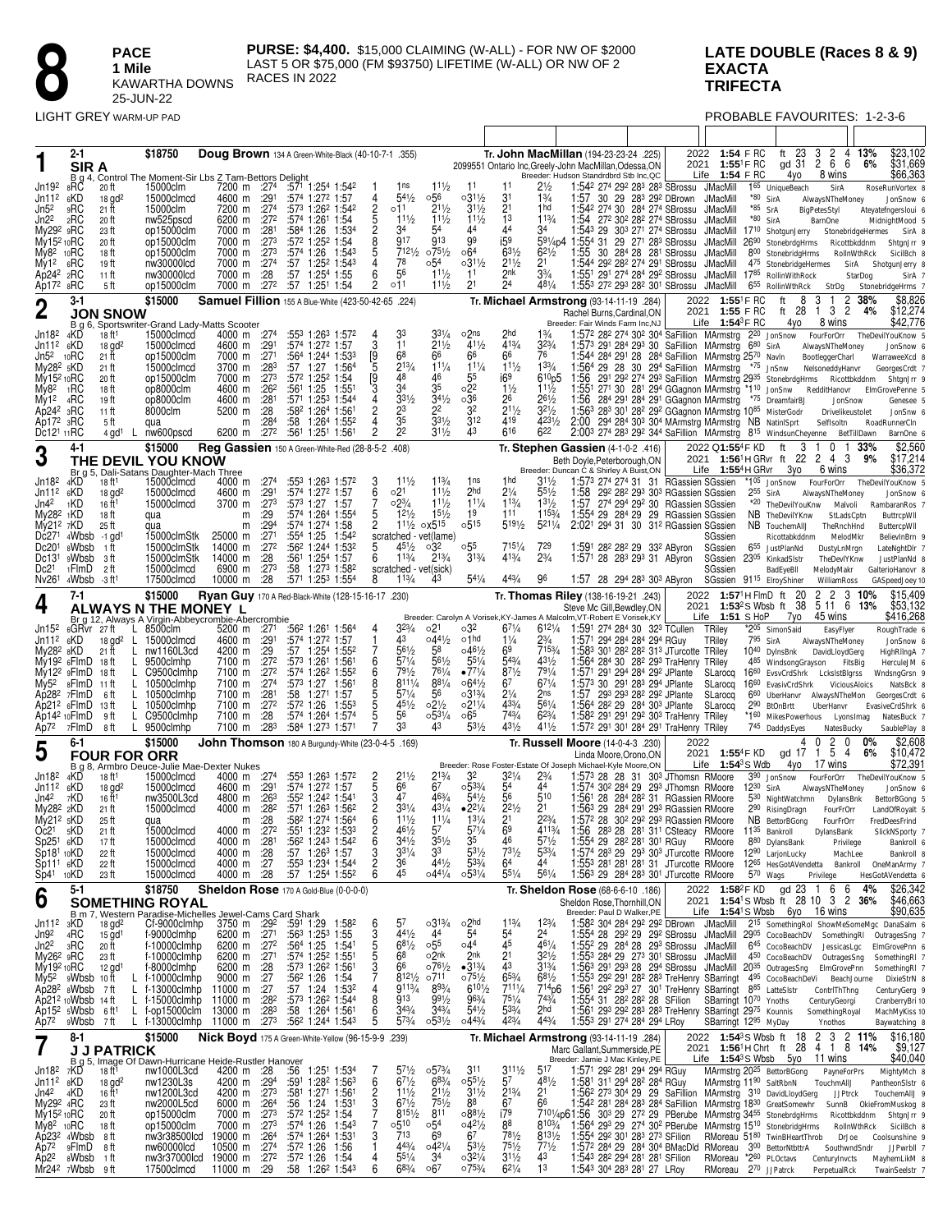### LATE DOUBLE (Races 8 & 9) **EXACTA TRIFECTA**

PROBABLE FAVOURITES: 1-2-3-6

|                                                                                                                                                                                                       | 2-1<br>SIR A                                                                                                                                 |                                                                                                                                                      | \$18750                                                                                                                                                                  | 1. 355) Doug Brown 134 A Green-White-Black (40-10-7-1.<br>B g 4, Control The Moment-Sir Lbs Z Tam-Bettors Delight                                                                                                                                                                            |                                                                                             |                                                                                                                                                                                                                                                                                                                                           |                                                                                   |                                                                                                                                                                                              |                                                                                                                                       |                                                                                                                                                          |                                                                                                             |                                                                                                                           | Tr. John MacMillan (194-23-23-24 .225)<br>2099551 Ontario Inc, Greely-John MacMillan, Odessa, ON<br>Breeder: Hudson Standrdbrd Stb Inc, QC                                                                                                                                                                                                                                                                                                                                                                                                                                                                                                                                                                             |                                                           |                                                                                                                                    | 2022 1:54 F RC<br>2021 1:55 <sup>1</sup> F RC<br>Life $1:54$ FRC                                                                     |                                   | ft 23<br>gd 31<br>4yo                                                                                                                                                                                                                      | 3 2 4 13%<br>266<br>8 wins                                                                                       | 6%                                                         | \$23,102<br>\$31,669<br>\$66,363                                                                                                                                                  |
|-------------------------------------------------------------------------------------------------------------------------------------------------------------------------------------------------------|----------------------------------------------------------------------------------------------------------------------------------------------|------------------------------------------------------------------------------------------------------------------------------------------------------|--------------------------------------------------------------------------------------------------------------------------------------------------------------------------|----------------------------------------------------------------------------------------------------------------------------------------------------------------------------------------------------------------------------------------------------------------------------------------------|---------------------------------------------------------------------------------------------|-------------------------------------------------------------------------------------------------------------------------------------------------------------------------------------------------------------------------------------------------------------------------------------------------------------------------------------------|-----------------------------------------------------------------------------------|----------------------------------------------------------------------------------------------------------------------------------------------------------------------------------------------|---------------------------------------------------------------------------------------------------------------------------------------|----------------------------------------------------------------------------------------------------------------------------------------------------------|-------------------------------------------------------------------------------------------------------------|---------------------------------------------------------------------------------------------------------------------------|------------------------------------------------------------------------------------------------------------------------------------------------------------------------------------------------------------------------------------------------------------------------------------------------------------------------------------------------------------------------------------------------------------------------------------------------------------------------------------------------------------------------------------------------------------------------------------------------------------------------------------------------------------------------------------------------------------------------|-----------------------------------------------------------|------------------------------------------------------------------------------------------------------------------------------------|--------------------------------------------------------------------------------------------------------------------------------------|-----------------------------------|--------------------------------------------------------------------------------------------------------------------------------------------------------------------------------------------------------------------------------------------|------------------------------------------------------------------------------------------------------------------|------------------------------------------------------------|-----------------------------------------------------------------------------------------------------------------------------------------------------------------------------------|
| Jn19 <sup>2</sup><br>Jn11 <sup>2</sup><br>Jn52<br>Jn22<br>My29 <sup>2</sup> 9RC<br>My15 <sup>2</sup> 10RC<br>My8 <sup>2</sup><br>Mv1 <sup>2</sup><br>Ap242 2RC<br>Ap172 8RC                           | 8RC<br>6KD<br>9RC<br><sub>2</sub> RC<br>10RC<br>6RC                                                                                          | 20 ft<br>$18$ gd <sup>2</sup><br>21 ft<br>20 ft<br>23 ft<br>20 ft<br>18 ft<br>19 ft<br>11 ft<br>5 ft                                                 | 15000clm<br>15000clmcd<br>15000clm<br>nw525pscd<br>op15000clm<br>op15000clm<br>op15000clm<br>nw30000lcd<br>nw30000lcd<br>op15000clm                                      | 7200 m :274<br>4600 m :291<br>7200 m :274<br>6200 m :272<br>7000 m<br>7000 m<br>7000 m<br>7000 m<br>7000 m<br>7000 m                                                                                                                                                                         | :28 <sup>1</sup><br>$\overline{.273}$<br>:273<br>:27 <sup>4</sup><br>:28<br>:272            | :571 1:254 1:542<br>:574 1:272 1:57<br>:573 1:262 1:542<br>:574 1:261 1:54<br>:58 <sup>4</sup> 1:26<br>:572 1:252 1:54<br>:574 1:26<br>:57<br>1:25 <sup>2</sup> 1:54 <sup>3</sup><br>:57<br>1:254 1:55<br>:57<br>1:251 1:54                                                                                                               | 4<br>252525<br>1:534<br>1:543<br>4<br>6<br>$\overline{c}$                         | 1ns<br>$5^{41}/2$<br>011<br>$11\frac{1}{2}$<br>34<br>917<br>7121/2<br>78<br>56<br>011                                                                                                        | $11\frac{1}{2}$<br>056<br>211/2<br>111/2<br>54<br>913<br>$075\frac{1}{2}$<br>∘54<br>$11\frac{1}{2}$<br>$11\frac{1}{2}$                | -11<br>$03^{11/2}$<br>$31\frac{1}{2}$<br>$11\frac{1}{2}$<br>44<br>99<br>06 <sup>4</sup><br>$03^{11/2}$<br>11<br>21                                       | 11<br>31<br>$\overline{2}$ 1<br>13<br>44<br>i59<br>$63\frac{1}{2}$<br>$2^{11/2}$<br>2nk<br>24               | $2\frac{1}{2}$<br>1¾<br>1 <sub>hd</sub><br>113/4<br>34<br>$62\frac{1}{2}$<br>21<br>$3\frac{3}{4}$<br>$48^{1}/_{4}$        | 1:542 274 292 283 283 SBrossu<br>1:57 30 29 28 <sup>3</sup> 29 <sup>2</sup> DBrown<br>1:542 274 30 284 274 SBrossu<br>1:54 272 302 282 274 SBrossu<br>1:543 29 303 271 274 SBrossu<br>591/4p4 1:554 31 29 271 283 SBrossu<br>1.55<br>1:544 292 282 274 291 SBrossu<br>1:551 291 274 284 292 SBrossu<br>1:553 272 293 282 301 SBrossu JMacMill                                                                                                                                                                                                                                                                                                                                                                          |                                                           | 30 284 28 281 SBrossu                                                                                                              | JMacMill<br><b>JMacMill</b><br><b>JMacMill</b><br>JMacMill<br><b>JMacMill</b><br>JMacMill<br>JMacMill<br><b>JMacMill</b><br>JMacMill | *80 SirA<br>$*85$ SrA<br>*80 SirA | 165 UniqueBeach<br>17 <sup>10</sup> ShotgunJerry<br>2690 StonebrdgHrms Ricottbkddnm<br>800 StonebridgHrms<br>475 StonebridgeHermes<br>1785 RollinWithRock<br>6 <sup>55</sup> RollinWthRck                                                  | SirA<br>AlwaysNTheMoney<br>BigPetesStyl<br><b>BarnOne</b><br>StrDg                                               | StonebridgeHermes<br>RollnWthRck<br>SirA<br>StarDog        | RoseRunVortex 8<br>JonSnow 6<br>Ateyatefngersloui 6<br>MidnightMood 5<br>SirA 8<br>ShtgnJrr 9<br>SicilBch 8<br>ShotqunJerry 8<br>SirA 7<br>StonebridgeHrms 7                      |
| 2                                                                                                                                                                                                     | $3-1$                                                                                                                                        | <b>JON SNOW</b>                                                                                                                                      | \$15000                                                                                                                                                                  | Samuel Fillion 155 A Blue-White (423-50-42-65 .224)                                                                                                                                                                                                                                          |                                                                                             |                                                                                                                                                                                                                                                                                                                                           |                                                                                   |                                                                                                                                                                                              |                                                                                                                                       |                                                                                                                                                          |                                                                                                             |                                                                                                                           | Tr. Michael Armstrong (93-14-11-19 .284)<br>Rachel Burns, Cardinal, ON                                                                                                                                                                                                                                                                                                                                                                                                                                                                                                                                                                                                                                                 |                                                           | 2022                                                                                                                               | 2021 1:55 F RC                                                                                                                       | 1:55 <sup>1</sup> F RC            | 8<br>ft<br>ft 28                                                                                                                                                                                                                           | 3<br>3<br>$\mathbf{1}$                                                                                           | 2<br>38%<br>$\overline{c}$<br>4%                           | \$8,826<br>\$12,274                                                                                                                                                               |
| Jn18 <sup>2</sup><br>Jn11 <sup>2</sup><br>Jn5 <sup>2</sup><br>My28 <sup>2</sup> 5KD<br>My15 <sup>2</sup> 10RC<br>Mv8 <sup>2</sup><br>My12<br>Ap242<br>Ap17 <sup>2</sup> <sub>3</sub> RC<br>Dc121 11RC | 4KD<br>6KD<br><sub>10</sub> RC<br><sub>1</sub> RC<br>4 <sub>RC</sub><br>зRС                                                                  | 18 ft1<br>$18$ gd <sup>2</sup><br>21 ft<br>21 ft<br>20 ft<br>18 ft<br>19 ft<br>11 ft<br>5 ft<br>4 gd <sup>1</sup><br>L.                              | 15000clmcd<br>15000clmcd<br>op15000clm<br>15000clmcd<br>op15000clm<br>op8000clm<br>op8000clm<br>8000clm<br>qua<br>nw600pscd                                              | B q 6, Sportswriter-Grand Lady-Matts Scooter<br>4000 m :274<br>4600 m :291<br>7000 m<br>3700 m<br>7000 m<br>4600 m<br>4600 m<br>5200 m<br>m<br>6200 m                                                                                                                                        | :271<br>:283<br>:273<br>:26 <sup>2</sup><br>:281<br>:28<br>:28 <sup>4</sup><br>:272         | :553 1:263 1:572<br>:574 1:272 1:57<br>:564 1:244 1:533<br>:57<br>1:27<br>:572 1:252 1:54<br>:561<br>1:25<br>:571 1:253 1:544<br>:582 1:264 1:561<br>1:264 1:552<br>:58<br>:561 1:251 1:561                                                                                                                                               | 4<br>3<br>[9<br>5<br>1:564<br>[9<br>3<br>1:55<br>4<br>2<br>4<br>$\overline{c}$    | 33<br>11<br>6 <sup>8</sup><br>213/4<br>48<br>34<br>331/2<br>23<br>$\overline{3}5$<br>2 <sup>2</sup>                                                                                          | $3^{31/4}$<br>211/2<br>66<br>111/4<br>46<br>35<br>$34\frac{1}{2}$<br>22<br>$3^{31/2}$<br>$31\frac{1}{2}$                              | $o2n$ s<br>411/2<br>66<br>$11\frac{1}{4}$<br>55<br>$\circ 2^2$<br>036<br>32<br>$3^{12}$<br>43                                                            | 2hd<br>413/4<br>66<br>$11\frac{1}{2}$<br>i69<br>$1\frac{1}{2}$<br>26<br>$21\frac{1}{2}$<br>419<br>616       | 13⁄4<br>$3^{23/4}$<br>76<br>133/4<br>$6^{10}p5$<br>$11\frac{1}{2}$<br>$26\frac{1}{2}$<br>$3^{21/2}$<br>4231/2<br>622      | Breeder: Fair Winds Farm Inc,NJ<br>1:572 282 274 302 304 SaFillion MArmstrg 220 JonSnow<br>1:573 291 284 293 30 SaFillion MArmstrg<br>1:544 284 291 28 284 SaFillion MArmstrg 2570 Navin<br>1:564 29 28 30 294 SaFillion MArmstrg<br>1:56<br>1:55 <sup>1</sup><br>1:56<br>1:563 283 301 282 292 GGagnon MArmstrg 1085 MisterGodr<br>2:00<br>2:003 274 283 292 344 SaFillion MArmstrg 815 WindsunCheyenne                                                                                                                                                                                                                                                                                                               |                                                           | 271 30 281 294 GGagnon MArmstrg *110 JonSnw<br>284 291 284 291 GGagnon MArmstrg<br>294 284 303 304 MArmstrg MArmstrg NB NatinISprt | Life $1:54^3$ FRC                                                                                                                    | $6^{80}$ SirA                     | 4yo<br>*75 JnSnw<br>291 292 274 293 SaFillion MArmstrg 2935 StonebrdgHrms<br>*75 DreamfairBJ                                                                                                                                               | 8 wins<br>FourForOrr<br>AlwaysNTheMoney<br>BootleggerCharl<br>NelsoneddyHanvr<br>RedditHanovr<br>SelfIsoltn      | Ricottbkddnm<br>JonSnow<br>Drivelikeustolet<br>BetTillDawn | \$42,776<br>TheDevilYouKnow 5<br>JonSnow 6<br>WarraweeXcd 8<br>GeorgesCrdt 7<br>ShtgnJrr 9<br>ElmGrovePenne 5<br>Genesee 5<br>JonSnw 6<br>RoadRunnerCln<br>BarnOne 6              |
| 3                                                                                                                                                                                                     | 4-1                                                                                                                                          |                                                                                                                                                      | \$15000<br>THE DEVIL YOU KNOW                                                                                                                                            | Reg Gassien 150 A Green-White-Red (28-8-5-2 .408)                                                                                                                                                                                                                                            |                                                                                             |                                                                                                                                                                                                                                                                                                                                           |                                                                                   |                                                                                                                                                                                              |                                                                                                                                       |                                                                                                                                                          |                                                                                                             |                                                                                                                           | Tr. Stephen Gassien (4-1-0-2 .416)<br>Beth Doyle, Peterborough, ON                                                                                                                                                                                                                                                                                                                                                                                                                                                                                                                                                                                                                                                     |                                                           |                                                                                                                                    | 2022 Q1:55 <sup>4</sup> F KD<br>2021 1:56 <sup>1</sup> H GRvr ft                                                                     |                                   | 3<br>ft<br>22                                                                                                                                                                                                                              | 0<br>2 4 3                                                                                                       | 33%<br>-1<br>9%                                            | \$2,560<br>\$17,214                                                                                                                                                               |
| Jn18 <sup>2</sup><br>Jn11 <sup>2</sup><br>Jn42<br>My28 <sup>2</sup> 1KD<br>My21 <sup>2</sup> 7KD<br>Dc271<br>Dc201<br>Dc131<br>Dc <sub>21</sub><br>Nv261                                              | 4KD<br>6KD<br>1KD<br>4Wbsb<br>8Wbsb<br>9Wbsb<br>1FlmD<br>4Wbsb                                                                               | 18 ft <sup>1</sup><br>$18$ gd <sup>2</sup><br>16 ft <sup>1</sup><br>18 ft<br>25 ft<br>$-1$ gd <sup>1</sup><br>1 ft<br>-3 ft<br>2 ft<br>-3 ft1        | Br g 5, Dali-Satans Daughter-Mach Three<br>15000clmcd<br>15000clmcd<br>15000clmcd<br>qua<br>qua<br>15000clmStk<br>15000clmStk<br>15000clmStk<br>15000clmcd<br>17500clmcd | 4000 m<br>4600 m<br>3700 m<br>m<br>m<br>25000 m<br>14000 m<br>14000 m<br>6900 m<br>10000 m                                                                                                                                                                                                   | :274<br>:291<br>:273<br>:29<br>:29 <sup>4</sup><br>:271<br>:272<br>:28<br>:273<br>:28       | :553 1:263 1:572<br>:574 1:272 1:57<br>:573 1:27<br>:574 1:264 1:554<br>:574 1:274<br>:554 1:25<br>:562 1:244 1:532<br>:561<br>1:254 1:57<br>:58<br>1:273 1:582<br>:571 1:253 1:554                                                                                                                                                       | 3<br>$\frac{6}{7}$<br>1:57<br>5<br>$\overline{c}$<br>1:58<br>1:542<br>5<br>6<br>8 | $11\frac{1}{2}$<br>02 <sup>1</sup><br>$02\frac{3}{4}$<br>$12\frac{1}{2}$<br>$1^{11/2}$<br>scratched - vet(lame)<br>$45\frac{1}{2}$<br>$1^{13/4}$<br>scratched - vet(sick)<br>$11\frac{3}{4}$ | 113/4<br>$11\frac{1}{2}$<br>$11\frac{1}{2}$<br>$15\frac{1}{2}$<br>$\alpha$ X5 <sup>15</sup><br>032<br>$2^{13/4}$<br>43                | 1ns<br>2hd<br>$11\frac{1}{4}$<br>19<br>0.515<br>055<br>$3^{13/4}$<br>$54\frac{1}{4}$                                                                     | 1 hd<br>$2\frac{1}{4}$<br>113/4<br>111<br>$5^{19\frac{1}{2}}$<br>7151/4<br>413/4<br>443/4                   | $31\frac{1}{2}$<br>$55\frac{1}{2}$<br>$13\frac{1}{2}$<br>1153/4<br>$5^{211}/4$<br>729<br>$2\frac{3}{4}$<br>96             | Breeder: Duncan C & Shirley A Buist, ON<br>1:573 274 274 31 31 RGassien SGssien<br>1:58<br>1:57<br>1:554 29 284 29 29 RGassien SGssien<br>2:021 294 31 30 31 <sup>2</sup> RGassien SGssien<br>1:591<br>1:571 28 283 293 31 AByron<br>1:57 28 294 283 303 AByron                                                                                                                                                                                                                                                                                                                                                                                                                                                        | 28 <sup>2</sup> 28 <sup>2</sup> 29 33 <sup>2</sup> AByron | 29 <sup>2</sup> 28 <sup>2</sup> 29 <sup>3</sup> 30 <sup>3</sup> RGassien SGssien<br>274 294 292 30 RGassien SGssien                | Life $1:55^4$ H GRvr<br>SGssien<br>SGssien<br>SGssien<br>SGssien<br>SGssien                                                          | $2^{55}$ SirA                     | Зуо<br>*105 JonSnow<br>*20 TheDevilYouKnw<br>NB TheDevilYKnw<br>NB TouchemAIIJ<br>Ricottabkddnm<br>655 JustPlanNd<br>2305 KinkadSIstr<br>BadEyeBll<br>91 <sup>15</sup> ElroyShiner                                                         | 6 wins<br>FourForOrr<br>AlwaysNTheMoney<br>TheRnchHnd<br>DustyLnMrgn<br>TheDevlYKnw<br>MelodyMakr<br>WilliamRoss | Malvoli<br>StLadsCptn<br>MelodMkr                          | \$36,372<br>TheDevilYouKnow 5<br>JonSnow 6<br>RambaranRos<br>ButtrcpWll<br>ButtercpWII<br>BelievInBrn 9<br>LateNghtDlr 7<br>JustPlanNd 8<br>GalterioHanovr 8<br>GASpeedJoey 10    |
| 4                                                                                                                                                                                                     | 7-1                                                                                                                                          |                                                                                                                                                      | \$15000<br>ALWAYS N THE MONEY L                                                                                                                                          | Ryan Guy 170 A Red-Black-White (128-15-16-17 .230)                                                                                                                                                                                                                                           |                                                                                             |                                                                                                                                                                                                                                                                                                                                           |                                                                                   |                                                                                                                                                                                              |                                                                                                                                       |                                                                                                                                                          |                                                                                                             |                                                                                                                           | Tr. Thomas Riley (138-16-19-21 .243)<br>Steve Mc Gill, Bewdley, ON                                                                                                                                                                                                                                                                                                                                                                                                                                                                                                                                                                                                                                                     |                                                           | 2022                                                                                                                               |                                                                                                                                      | $1:57^1$ H FlmD ft                | 20<br>2021 1:53 <sup>2</sup> S Wbsb ft 38                                                                                                                                                                                                  | 2<br>2<br>5 11 6                                                                                                 | 3<br>13%                                                   | \$15,409<br>\$53,132                                                                                                                                                              |
| Jn15 <sup>2</sup>                                                                                                                                                                                     | 6GRvr 27ft                                                                                                                                   |                                                                                                                                                      |                                                                                                                                                                          | Prig. 12, Always A Virgin-Abbeycrombie-Abercrombie<br>GRvr 27ft L 8500clm 5200 m :271 :                                                                                                                                                                                                      |                                                                                             | :562 1:261 1:564                                                                                                                                                                                                                                                                                                                          | 4                                                                                 | $3^{23/4}$                                                                                                                                                                                   | 021                                                                                                                                   | ∘32                                                                                                                                                      | $67\frac{1}{4}$                                                                                             | 6121/4                                                                                                                    | Breeder: Carolyn A Vorisek, KY-James A Malcolm, VT-Robert E Vorisek, KY<br>1:591 274 284 30 323 TCullen                                                                                                                                                                                                                                                                                                                                                                                                                                                                                                                                                                                                                |                                                           |                                                                                                                                    | Life $1:51$ SHoP<br>TRiley                                                                                                           |                                   | 7yo<br>*205 SimonSaid                                                                                                                                                                                                                      | 45 wins<br>EasyFlyer                                                                                             |                                                            | \$416,268<br>RoughTrade 6                                                                                                                                                         |
| Jn11 <sup>2</sup><br>My28 <sup>2</sup><br>My5 <sup>2</sup><br>Ap212<br>Ap72                                                                                                                           | 6KD<br>8KD<br>My19 <sup>2</sup> 6FlmD<br>$My122$ $9F$ $MD$<br>8FlmD<br>Ap28 <sup>2</sup> 7FlmD<br>6FlmD<br>Ap14 <sup>2</sup> 10FlmD<br>7FlmD | $\mathsf{L}$<br>$18$ gd <sup>2</sup><br>21 ft<br>L<br>18 ft<br>L<br>18 ft<br>L<br>-11 ft<br>L<br>-6 ft<br>L<br>13 ft<br>L.<br>9 ft<br>L<br>8 ft<br>L | 15000clmcd<br>nw1160L3cd<br>9500clmhp<br>C9500clmhp<br>10500clmhp<br>10500clmhp<br>10500clmhp<br>C9500clmhp<br>9500clmhp                                                 | 4600 m<br>4200 m<br>7100 m<br>7100 m<br>7100 m<br>7100 m<br>7100 m<br>7100 m<br>7100 m                                                                                                                                                                                                       | :291<br>:29<br>$\overline{.272}$<br>:272<br>:27 <sup>4</sup><br>:281<br>:272<br>:28<br>:283 | :574 1:272 1:57<br>:57<br>1:254 1:552<br>:573 1:261<br>:574 1:262 1:552<br>:573 1:27<br>:58<br>1:271<br>:572 1:26<br>:574 1:264 1:574<br>:584 1:273 1:571                                                                                                                                                                                 | 1<br>6<br>1:561<br>6<br>85557<br>$1:56^{\circ}$<br>1:57<br>1:553                  | 43<br>$56\frac{1}{2}$<br>$57\frac{1}{4}$<br>$79\frac{1}{2}$<br>$8^{111}/4$<br>$57\frac{1}{4}$<br>$45\frac{1}{2}$<br>56<br>33                                                                 | $04^{41}/2$<br>58<br>561/2<br>761/4<br>$8^{81}/4$<br>56<br>$02\frac{1}{2}$<br>$0.5^{31}/4$<br>43                                      | o1hd<br>$046\frac{1}{2}$<br>$55\frac{1}{4}$<br>$\bullet$ 771/4<br>$06^{41}/2$<br>$03^{13/4}$<br>$02^{11/4}$<br>∘65<br>$53\frac{1}{2}$                    | $1\frac{1}{4}$<br>69<br>543/4<br>871/2<br>67<br>$2\frac{1}{4}$<br>433/4<br>$7^{43/4}$<br>431/2              | $2\frac{3}{4}$<br>7153/4<br>431/2<br>$79^{1/4}$<br>$6^{71}/4$<br>2ns<br>561/4<br>$6^{23}/4$<br>$41\frac{1}{2}$            | 1:571 294 284 284 294 RGuy<br>1:583 301 282 282 313 JTurcotte TRiley<br>1:564 284 30 282 293 TraHenry TRiley<br>1:571 291 294 284 292 JPlante<br>1:573 30 291 283 294 JPlante<br>1:57<br>1:564 282 29 284 303 JPlante<br>1:58 <sup>2</sup> 29 <sup>1</sup> 29 <sup>1</sup> 29 <sup>2</sup> 30 <sup>3</sup> TraHenry TRiley<br>1:572 291 301 284 291 TraHenry TRiley                                                                                                                                                                                                                                                                                                                                                    | 293 293 282 292 JPlante                                   |                                                                                                                                    | TRiley<br>SLarocq<br>SLarocq<br>SLarocg                                                                                              | 795 SirA                          | 10 <sup>40</sup> DylnsBnk<br>485 WindsongGrayson<br>SLarocq 1660 EvsvCrdShrk LckslstBlgrss<br>16 <sup>60</sup> EvasivCrdShrk<br>660 UberHanvr AlwaysNTheMon<br>2 <sup>90</sup> BtOnBrtt<br>*160 MikesPowerhous LyonsImag<br>745 DaddysEyes | AlwaysNTheMoney<br>DavidLloydGerg<br>UberHanvr<br>NatesBucky                                                     | FitsBig<br>ViciousAloics                                   | JonSnow 6<br>HighRlIngA 7<br>HerculeJM 6<br>WndsngGrsn 9<br>NatsBck 8<br>GeorgesCrdt 6<br>EvasiveCrdShrk 6<br>NatesBuck 7<br>SaublePlay 8                                         |
| 5                                                                                                                                                                                                     | 6-1                                                                                                                                          | <b>FOUR FOR ORR</b>                                                                                                                                  | \$15000                                                                                                                                                                  | <b>John Thomson</b> 180 A Burgundy-White $(23-0-4-5.169)$                                                                                                                                                                                                                                    |                                                                                             |                                                                                                                                                                                                                                                                                                                                           |                                                                                   |                                                                                                                                                                                              |                                                                                                                                       |                                                                                                                                                          |                                                                                                             |                                                                                                                           | Tr. Russell Moore (14-0-4-3 .230)<br>Linda Moore, Orono, ON                                                                                                                                                                                                                                                                                                                                                                                                                                                                                                                                                                                                                                                            |                                                           | 2022<br>2021                                                                                                                       |                                                                                                                                      | 1:55 <sup>4</sup> F KD            | 4<br>gd 17                                                                                                                                                                                                                                 | $\mathbf 0$<br>2<br>5<br>$\mathbf{1}$                                                                            | 0<br>0%<br>4<br>6%                                         | \$2,608<br>\$10,472                                                                                                                                                               |
| Jn18 <sup>2</sup><br>Jn11 <sup>2</sup><br>Jn42<br>My28 <sup>2</sup> 2KD<br>$My212$ sKD<br>Oc21<br>Sp25 <sup>1</sup><br>Sp181 10KD<br>Sp111<br>$Sp41$ 10KD                                             | 4KD<br>6KD<br>7KD<br>5KD<br>6KD<br>6KD                                                                                                       | 18 ft <sup>1</sup><br>$18$ gd <sup>2</sup><br>16 ft <sup>1</sup><br>21 ft<br>25 ft<br>21 ft<br>17 ft<br>22 ft<br>22 ft<br>23 ft                      | 15000clmcd<br>15000clmcd<br>nw3500L3cd<br>15000clmcd<br>qua<br>15000clmcd<br>15000clmcd<br>15000clmcd<br>15000clmcd<br>15000clmcd                                        | B g 8, Armbro Deuce-Julie Mae-Dexter Nukes<br>4000 m<br>4600 m<br>4800 m<br>4000 m<br>m<br>4000 m :27 <sup>2</sup><br>4000 m :281<br>4000 m :28<br>4000 m :27<br>4000 m :28                                                                                                                  | :27 <sup>4</sup><br>:29 <sup>1</sup><br>:26 <sup>3</sup><br>:28 <sup>2</sup><br>:28         | :553 1:263 1:572<br>:574 1:272 1:57<br>:552 1:242 1:541<br>$:57^1$ 1:26 <sup>3</sup> 1:56 <sup>2</sup><br>:58 <sup>2</sup> 1:27 <sup>4</sup> 1:56 <sup>4</sup><br>:551 1:232 1:533<br>:56 <sup>2</sup> 1:24 <sup>3</sup> 1:54 <sup>2</sup><br>:57 1:26 <sup>3</sup> 1:57<br>:553 1:234 1:544<br>$:57$ 1:25 <sup>4</sup> 1:55 <sup>2</sup> | 2<br>5<br>2<br>2<br>6<br><b>DR2002</b>                                            | $2^{11/2}$<br>66<br>47<br>$3^{31/4}$<br>$11\frac{1}{2}$<br>461/2<br>$3^{4^{j}}/2$<br>$3^{31/4}$<br>36<br>45                                                                                  | $2^{13/4}$<br>6 <sup>7</sup><br>463/4<br>$4^{31}/_{4}$<br>111/4<br>57<br>$35\frac{1}{2}$<br>33<br>$44\frac{1}{2}$<br>$04^{41}/4$      | 32<br>$0.53\frac{3}{4}$<br>$54\frac{1}{2}$<br>$•2^{21/4}$<br>$1^{31/4}$<br>$57\frac{1}{4}$<br>3 <sup>5</sup><br>$53\frac{1}{2}$<br>$5^{3/4}$<br>0.531/4  | $3^{21}/4$<br>54<br>56<br>$2^{21/2}$<br>2 <sup>1</sup><br>69<br>46<br>731/2<br>64<br>$5^{51}/4$             | $2\frac{3}{4}$<br>44<br>510<br>2 <sup>1</sup><br>$2^{23}/4$<br>4113/4<br>$5^{71/2}$<br>$5^{3/4}$<br>44<br>$56\frac{1}{4}$ | Breeder: Rose Foster-Estate Of Joseph Michael-Kyle Moore,ON<br>1:57 <sup>3</sup> 28 28 31 30 <sup>3</sup> JThomsn RMoore<br>1:574 30º 284 29<br>1.561<br>1:563 29 284 291 293 RGassien RMoore<br>1:57 <sup>2</sup> 28 30 <sup>2</sup> 29 <sup>2</sup> 29 <sup>3</sup> RGassien RMoore<br>1:56<br>1:554 29 28 <sup>2</sup> 28 <sup>1</sup> 30 <sup>1</sup> RGuy<br>1:574 283 29 293 303 JTurcotte RMoore 1290 LarjonLucky<br>1:553 281 281 281 31 JTurcotte RMoore 1265 HesGotAVendetta Bankroll<br>1:563 29 284 283 301 JTurcotte RMoore                                                                                                                                                                               |                                                           | 293 JThomsn RMoore<br>28 284 282 31 RGassien RMoore<br>283 28 281 311 CSteacy RMoore 1135 Bankroll                                 | Life $1:54^3$ S Wdb                                                                                                                  | $12^{30}$ SirA<br>$5^{70}$ Wags   | 4yo<br>3 <sup>90</sup> JonSnow<br>530 NightWatchmn<br>2 <sup>90</sup> RisingDragn<br>NB BettorBGong<br>RMoore 880 DylansBank                                                                                                               | 17 wins<br>FourForOrr<br>AlwaysNTheMoney<br>DylansBnk<br>FourFrOrr<br>FourFrOrr<br>DylansBank<br>Privilege       | Privilege<br>MachLee                                       | \$72,391<br>TheDevilYouKnow 5<br>JonSnow 6<br>BettorBGong 5<br>LandOfRoyalt 5<br>FredDeesFrind<br>SlickNSporty 7<br>Bankroll 6<br>Bankroll 8<br>OneManArmy 7<br>HesGotAVendetta 6 |
| 6                                                                                                                                                                                                     | $5-1$                                                                                                                                        |                                                                                                                                                      | \$18750<br><b>SOMETHING ROYAL</b>                                                                                                                                        | Sheldon Rose 170 A Gold-Blue (0-0-0-0)                                                                                                                                                                                                                                                       |                                                                                             |                                                                                                                                                                                                                                                                                                                                           |                                                                                   |                                                                                                                                                                                              |                                                                                                                                       |                                                                                                                                                          |                                                                                                             |                                                                                                                           | Tr. Sheldon Rose (68-6-6-10 .186)<br>Sheldon Rose. Thornhill.ON                                                                                                                                                                                                                                                                                                                                                                                                                                                                                                                                                                                                                                                        |                                                           |                                                                                                                                    |                                                                                                                                      |                                   | 2022 1:58 <sup>2</sup> FKD gd 23 1 6 6 4%<br>2021 1:54 <sup>1</sup> S Wbsb ft 28 10 3 2 36%                                                                                                                                                |                                                                                                                  |                                                            | \$26,342<br>\$46,663                                                                                                                                                              |
| Jn11 <sup>2</sup><br>Jn9 <sup>2</sup><br>Jn2 <sup>2</sup><br>My26 <sup>2</sup> 9RC<br>My192 <sub>10</sub> RC<br>My5 <sup>2</sup><br>Ap72                                                              | зKD<br>4RC<br>зRС<br>9Wbsb 10ft<br>Ap28 <sup>2</sup> sWbsb<br>Ap21 <sup>2</sup> 10Wbsb 14 ft<br>Ap15 <sup>2</sup> sWbsb<br>9Wbsb             | $15$ gd <sup>1</sup><br>20 ft<br>23 ft<br>$12$ gd <sup>1</sup><br>L<br>L<br>- 7 ft<br>6 ft <sup>1</sup><br>L.<br>7 ft                                | f-9000clmhp<br>f-10000clmhp<br>f-10000clmhp<br>f-8000clmhp<br>f-10000clmhp<br>f-13000clmhp<br>$L$ f-15000clmhp<br>f-op15000clm<br>$L$ f-13000clmhp                       | B m 7, Western Paradise-Michelles Jewel-Cams Card Shark<br>:KD 18 gd <sup>2</sup> Cf-9000clmhp 3750 m :29 <sup>2</sup> :591 1:29<br>6200 m :271<br>6200 m :27 <sup>2</sup><br>6200 m :271<br>6200 m :28<br>9000 m<br>11000 m :27<br>11000 m :28 <sup>2</sup><br>13000 m :283<br>11000 m :273 | :27                                                                                         | :591 1:29<br>:563 1:253 1:55<br>:564 1:25 1:541<br>:574 1:252 1:551<br>:573 1:262 1:561<br>:56 <sup>2</sup> 1:26 1:54<br>:57 1:24 1:53 <sup>2</sup><br>:573 1:262 1:544<br>:58 1:264 1:561<br>:562 1:244 1:543                                                                                                                            | 6<br>1:582<br>4<br>8<br>$\frac{6}{5}$                                             | 57<br>35537<br>441/2<br>$6^{81}/2$<br>68<br>66<br>$8^{121}/2$<br>9113/4<br>913<br>$\frac{3^{43/4}}{5^{73/4}}$                                                                                | $03^{13}/4$<br>44<br>$\circ 5^5$<br>o2nk<br>$076\frac{1}{2}$<br>$07^{11}$<br>893/4<br>$99\frac{1}{2}$<br>$3^{43/4}$                   | o <sub>2hd</sub><br>54<br>04 <sup>4</sup><br>2nk<br>$•31\frac{3}{4}$<br>$075\frac{1}{2}$<br>$610\frac{1}{2}$<br>963/4<br>$5^{41/2}$<br>$04^{43/4}$       | 113/4<br>54<br>45<br>2 <sup>1</sup><br>43<br>$6^{53/4}$<br>7111/4<br>$75\frac{1}{4}$<br>$5^{33/4}$<br>423/4 | $1^{23/4}$<br>24<br>$46^{1}/_{4}$<br>321/2<br>$3^{13}/4$<br>$6^{81}/2$<br>714 <sub>p</sub> 6<br>743/4<br>2hd<br>443/4     | Breeder: Paul D Walker, PE<br>1:582 304 284 292 292 DBrown JMacMill 2 <sup>15</sup> Something Rol ShowMeSomeMgc DanaSalm 6<br>1:554 28 29 <sup>2</sup> 29 29 <sup>2</sup> SBrossu JMacMill 2905 CocoBeachDV SomethingRI<br>1:55 <sup>2</sup> 29 28 <sup>4</sup> 28 29 <sup>3</sup> SBrossu JMacMill<br>1:553 284 29 273 301 SBrossu JMacMill<br>1:563 291 293 28 294 SBrossu JMacMill 2035 OutragesSng ElmGrovePnn<br>1:553 292 291 282 283 TreHenry SBarringt 495 CocoBeachDeVi BeachJourne<br>1:561 292 293 27 301 TreHenry SBarringt 885 LatteSlstr<br>1:554 31 282 282 28 SFilion SBarringt 1070 Ynoths<br>1:561 293 292 283 283 TreHenry SBarringt 2975 Kounnis<br>1:553 291 274 284 294 LRoy                     |                                                           |                                                                                                                                    | SBarringt 1295 MyDay                                                                                                                 |                                   | Life $1:54^{\circ}$ S Wbsb 6yo 16 wins<br>645 CocoBeachDV JessicasLgc<br>450 CocoBeachDV OutragesSng                                                                                                                                       | ContrlThThng<br>CenturyGeorgi<br>SomethingRoyal<br>Ynothos                                                       |                                                            | \$90,635<br>OutragesSng 7<br>ElmGrovePnn 6<br>SomethingRI 7<br>SomethingRI 7<br>DixieStrN 8<br>CenturyGerg 9<br>CranberryBri 10<br>MachMyKiss 10<br>Baywatching 8                 |
| 7                                                                                                                                                                                                     | 8-1                                                                                                                                          | <b>J J PATRICK</b>                                                                                                                                   | \$15000                                                                                                                                                                  | Nick Boyd 175 A Green-White-Yellow (96-15-9-9 .239)                                                                                                                                                                                                                                          |                                                                                             |                                                                                                                                                                                                                                                                                                                                           |                                                                                   |                                                                                                                                                                                              |                                                                                                                                       |                                                                                                                                                          |                                                                                                             |                                                                                                                           | Tr. Michael Armstrong (93-14-11-19 .284)<br>Marc Gallant, Summerside, PE                                                                                                                                                                                                                                                                                                                                                                                                                                                                                                                                                                                                                                               |                                                           |                                                                                                                                    |                                                                                                                                      |                                   | 2022 1:54 <sup>3</sup> S Wbsb ft 18 2<br>2021 1:56 <sup>1</sup> H Chrt ft 28 4 1 8 14%                                                                                                                                                     |                                                                                                                  | $3 \t2 \t11%$                                              | \$16,180<br>\$9,127                                                                                                                                                               |
| Jn18 <sup>2</sup><br>Jn11 <sup>2</sup><br>Jn42<br>My29 <sup>2</sup> 4RC<br>My15 <sup>2</sup> 10RC<br>$My82$ 10RC<br>Ap72<br>Ap22                                                                      | 8KD<br>4KD<br>Ap23 <sup>2</sup> 4Wbsb<br>9FlmD<br>8Wbsb<br>Mr24 <sup>2</sup> 7Wbsb                                                           | $18$ gd <sup>2</sup><br>16 ft1<br>23 ft<br>20 ft<br>18 ft<br>-8 ft<br>8 ft<br>-1 ft<br>9 ft                                                          | nw1230L3s<br>nw1200L3cd<br>nw2000L5cd<br>op15000clm<br>op15000clm<br>nw3r38500lcd<br>nw60000lcd<br>nw3r37000lcd<br>17500clmcd                                            | B g 5, Image Of Dawn-Hurricane Heide-Rustler Hanover<br>7KD 18 ft <sup>1</sup> mw1000L3cd 4200 m :28 :56<br>4200 m :294<br>4200 m :273<br>6000 m :26 <sup>4</sup><br>7000 m :273<br>7000 m :273<br>19000 m<br>10500 m :274<br>19000 m :272<br>11000 m :29                                    | :26 <sup>4</sup>                                                                            | 1:251 1:534<br>:591<br>1:28 <sup>2</sup> 1:56 <sup>3</sup><br>:581 1:271 1:561<br>:56 1:24 1:531<br>:57 <sup>2</sup> 1:25 <sup>2</sup> 1:54<br>:574 1:26 1:543<br>:574 1:264 1:531<br>$:57^2$ 1:26<br>:572 1:26 1:54<br>$:58$ 1:26 <sup>2</sup> 1:54 <sup>3</sup>                                                                         | 62377<br>3<br>1:56<br>4<br>6                                                      | $5^{7^{1}/2}$<br>$6^{71/2}$<br>$11\frac{1}{2}$<br>$6^{71}/2$<br>$8^{15\frac{7}{2}}$<br>$\circ 5^{10}$<br>713<br>$4^{43}/4$<br>$55\frac{1}{4}$<br>$6^{83/4}$                                  | $05^{73}/4$<br>683/4<br>211/2<br>$75\frac{1}{2}$<br>$8^{11}$<br>$\circ 5^4$<br>6 <sup>9</sup><br>$04^{21}/4$<br>34<br>06 <sup>7</sup> | $3^{11}$<br>$0.55\frac{1}{2}$<br>$31\frac{1}{2}$<br>88<br>0.881/2<br>$042\frac{1}{2}$<br>6 <sup>7</sup><br>$5^{31/2}$<br>$03^{21/4}$<br>$075\frac{3}{4}$ | $3^{111/2}$<br>57<br>$\frac{2^{13/4}}{6^7}$<br>179<br>88<br>781/2<br>751/2<br>$31\frac{1}{2}$<br>$6^{21}/4$ | 517<br>481/2<br>2 <sup>1</sup><br>66<br>8103/4<br>$8^{131}/2$<br>$7^{71/2}$<br>43<br>1 <sup>3</sup>                       | Breeder: Jamie J Mac Kinley, PE<br>1:571 292 281 294 294 RGuy<br>1:581 311 294 282 284 RGuy<br>1:562 273 304 29 29 SaFillion MArmstrg 310 DavidLloydGerg JJPtrck<br>1:54 <sup>2</sup> 28 <sup>1</sup> 28 <sup>4</sup> 28 <sup>3</sup> 28 <sup>4</sup> SaFillion MArmstrg 18 <sup>30</sup> GreatSomewhr SunnB OkieFromMuskog 8<br>7101/4p61:56 303 29 272 29 PBerube MArmstrg 3455 StonebrdgHrms Ricottbkddnm ShtgnJrr 9<br>1:564 293 29 274 302 PBerube MArmstrg 1510 StonebridgHrms<br>1:554 292 301 283 273 SFilion<br>1:57 <sup>2</sup> 28 <sup>4</sup> 29 28 <sup>4</sup> 30 <sup>4</sup> BMacDld RMoreau 3 <sup>00</sup> BettorNtbttrA SouthwndSndr<br>1:543 282 294 281 281 SFilion<br>1:543 304 283 281 27 LRoy |                                                           |                                                                                                                                    | RMoreau 270 JJPatrck                                                                                                                 |                                   | Life $1:54^3$ S Wbsb $5y$ o 11 wins<br>MArmstrg 20 <sup>25</sup> BettorBGong<br>MArmstrg 1190 SaltRbnN<br>RMoreau 5180 TwinBHeartThrob DrJoe<br>RMoreau *260 PLOctavs                                                                      | PayneForPrs<br>TouchmAllJ<br>CenturyInvcts<br>PerpetualRck                                                       | RollnWthRck                                                | \$40,040<br>MightyMch 8<br>PantheonSistr 6<br>TouchemAllJ 9<br>SicilBch 8<br>Coolsunshine 9<br>JJPwrbll 7<br>MayhemLikM 8<br>TwainSeelstr 7                                       |

**PURSE: \$4,400.** \$15,000 CLAIMING (W-ALL) - FOR NW OF \$2000<br>LAST 5 OR \$75,000 (FM \$93750) LIFETIME (W-ALL) OR NW OF 2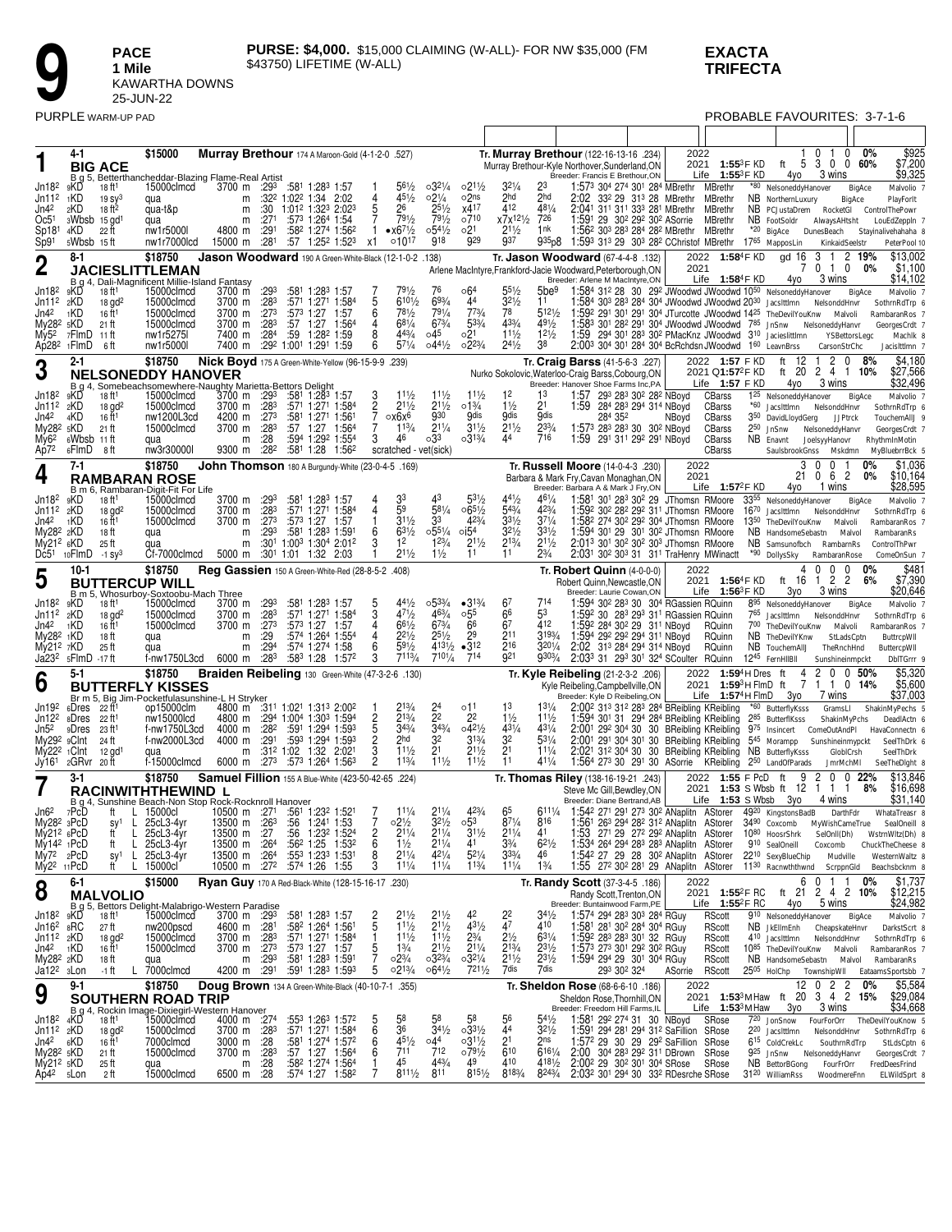**PACE** 1 Mile KAWARTHA DOWNS<br>25-JUN-22

### **EXACTA TRIFECTA**

|                                              |                                  | PURPLE WARM-UP PAD                         |                                                                                                                                                                          |                    |                              |      |                                                                                                    |                     |                                    |                                          |                                     |                                                 |                                  |                                                                                                                                                                                          |         |      |                                                  | PROBABLE FAVOURITES: 3-7-1-6                                            |                                                  |               |                                          |
|----------------------------------------------|----------------------------------|--------------------------------------------|--------------------------------------------------------------------------------------------------------------------------------------------------------------------------|--------------------|------------------------------|------|----------------------------------------------------------------------------------------------------|---------------------|------------------------------------|------------------------------------------|-------------------------------------|-------------------------------------------------|----------------------------------|------------------------------------------------------------------------------------------------------------------------------------------------------------------------------------------|---------|------|--------------------------------------------------|-------------------------------------------------------------------------|--------------------------------------------------|---------------|------------------------------------------|
|                                              |                                  |                                            |                                                                                                                                                                          |                    |                              |      |                                                                                                    |                     |                                    |                                          |                                     |                                                 |                                  |                                                                                                                                                                                          |         |      |                                                  |                                                                         |                                                  |               |                                          |
|                                              | 4-1                              | <b>BIG ACE</b>                             | \$15000                                                                                                                                                                  |                    |                              |      | Murray Brethour 174 A Maroon-Gold (4-1-2-0 .527)                                                   |                     |                                    |                                          |                                     |                                                 |                                  | Tr. Murray Brethour (122-16-13-16 .234)<br>Murray Brethour-Kyle Northover, Sunderland, ON                                                                                                |         | 2022 | 2021 1:55 <sup>3</sup> F KD                      |                                                                         | 0 <sub>1</sub><br>$\theta$<br>ft 5 3 0 0 60%     | 0%            | \$925<br>\$7,200                         |
| Jn18 <sup>2</sup>                            | $B_g5$<br>9KD                    | 18 ft1                                     | Betterthancheddar-Blazing Flame-Real Artist<br>15000clmcd                                                                                                                | 3700 m             | :293                         |      | :581 1:283 1:57                                                                                    |                     | $56\frac{1}{2}$                    | $03^{21/4}$                              | $02^{11/2}$                         | $32\frac{1}{4}$                                 | 23                               | Breeder: Francis E Brethour, ON<br>1:573 304 274 301 284 MBrethr                                                                                                                         |         |      | Life $1:55^3$ F KD<br>MBrethr                    | 4yo<br>*80 NelsoneddyHanover                                            | 3 wins                                           | BigAce        | \$9,325<br>Malvolio 7                    |
| Jn11 <sup>2</sup><br>Jn42                    | 1KD<br>2KD                       | 19 sy <sup>3</sup><br>18 ft <sup>2</sup>   | qua<br>qua-t&p                                                                                                                                                           |                    | m<br>m                       |      | $:32^2$ 1:02 <sup>2</sup> 1:34 2:02<br>$:30$ 1:01 <sup>2</sup> 1:32 <sup>3</sup> 2:02 <sup>3</sup> | 4<br>5              | $4^{5^{1}/2}$<br>26                | $02\frac{1}{4}$<br>$25^{1/2}$            | 02 <sup>ns</sup><br>x417            | 2hd<br>412                                      | 2hd<br>$48^{1}/_{4}$             | 2:02 33 <sup>2</sup> 29 31 <sup>3</sup> 28 MBrethr<br>2:041 311 311 333 281 MBrethr                                                                                                      |         |      | MBrethr<br><b>MBrethr</b>                        | NB NorthernLuxury<br>NB PCJustaDrem RocketGI ControlThePowr             |                                                  | BigAce        | PlayForlt                                |
| Oc5 <sup>1</sup>                             | 3Wbsb                            | 15 gd <sup>1</sup>                         | qua                                                                                                                                                                      |                    | :271<br>m                    |      | :573 1:264 1:54                                                                                    |                     | 791/2<br>$\bullet x6^{71/2}$       | 791/2<br>$05^{41}/2$                     | o710<br>02 <sup>1</sup>             | x7x <sup>121</sup> / <sub>2</sub><br>$2^{11/2}$ | 726<br>1 nk                      | 1:591 29 302 292 302 ASorrie                                                                                                                                                             |         |      | MBrethr                                          | NB FootSoldr                                                            | AlwaysAHtsht                                     |               | LouEdZeppIn 7                            |
| Sp181<br>Sp91                                | 4KD<br>5Wbsb 15ft                | 22 ft                                      | nw1r5000l<br>nw1r7000lcd                                                                                                                                                 | 4800 m<br>15000 m  | :291<br>:281                 | :57  | :58 <sup>2</sup> 1:27 <sup>4</sup> 1:56 <sup>2</sup><br>1:252 1:523                                | х1                  | $010^{17}$                         | 918                                      | 929                                 | 937                                             | 935p8                            | 1:56 <sup>2</sup> 30 <sup>3</sup> 28 <sup>3</sup> 28 <sup>4</sup> 28 <sup>2</sup> MBrethr MBrethr<br>1:593 313 29 303 282 CChristof MBrethr                                              |         |      |                                                  | *20 BigAce DunesBeach<br>1765 MapposLin                                 | KinkaidSeelstr                                   |               | Stayinalivehahaha 8<br>PeterPool 10      |
| $\boldsymbol{2}$                             | 8-1                              |                                            | \$18750                                                                                                                                                                  |                    |                              |      | Jason Woodward 190 A Green-White-Black (12-1-0-2 .138)                                             |                     |                                    |                                          |                                     |                                                 |                                  | Tr. Jason Woodward (67-4-4-8 .132)<br>Arlene MacIntyre, Frankford-Jacie Woodward, Peterborough, ON                                                                                       |         | 2021 | 2022 1:58 <sup>4</sup> F KD                      | gd 16                                                                   | 3<br>$\mathbf{1}$<br>0 1 0                       | 2 19%<br>0%   | \$13,002<br>\$1,100                      |
|                                              |                                  |                                            | <b>JACIESLITTLEMAN</b><br>B g 4, Dali-Magnificent Millie-Island Fantasy                                                                                                  |                    |                              |      |                                                                                                    |                     |                                    |                                          |                                     |                                                 |                                  | Breeder: Arlene M MacIntyre, ON                                                                                                                                                          |         |      | Life 1:584F KD                                   | 4yo                                                                     | 3 wins                                           |               | \$14,102                                 |
| Jn18 <sup>2</sup><br>$Jn112$ $2KD$           | 9KD                              | 18 ft1<br>$18$ gd <sup>2</sup>             | 15000clmcd<br>15000clmcd                                                                                                                                                 | 3700 m<br>3700 m   | :293<br>:283                 |      | :581 1:283 1:57<br>:571 1:271 1:584                                                                | 5                   | 791/2<br>$610\frac{1}{2}$          | 76<br>693/4                              | ∘64<br>44                           | $55\frac{1}{2}$<br>$32\frac{1}{2}$              | 5be <sup>9</sup><br>11           | 1:584 312 28 30 292 JWoodwd JWoodwd 10 <sup>50</sup> NelsoneddyHanover<br>1:584 303 283 284 304 JWoodwd JWoodwd 2030 JacsIttImn NelsonddHnvr                                             |         |      |                                                  |                                                                         |                                                  | BigAce        | Malvolio 7<br>SothrnRdTrp 6              |
| Jn4 <sup>2</sup><br>My28 <sup>2</sup> 5KD    | 1KD                              | 16 ft <sup>1</sup><br>21 ft                | 15000clmcd<br>15000clmcd                                                                                                                                                 | 3700 m<br>3700 m   | :27 <sup>3</sup><br>:283     | :57  | $:57^3$ 1:27 1:57<br>1:27 1:564                                                                    | 6                   | 781/2<br>$68^{1/4}$                | 791/4<br>673/4                           | $7^{73/4}$<br>533/4                 | 78<br>433/4                                     | 5121/2<br>491/2                  | 1:592 291 301 291 304 JTurcotte JWoodwd 1425 TheDevilYouKnw Malvoli<br>1:583 301 282 291 304 JWoodwd JWoodwd 785 JnSnw NelsoneddyHanvr                                                   |         |      |                                                  |                                                                         |                                                  |               | RambaranRos 7<br>GeorgesCrdt 7           |
| My5 <sup>2</sup>                             | 7FlmD<br>Ap28 <sup>2</sup> 1FlmD | -11 ft<br>-6 ft                            | nw1r5275<br>nw1r5000l                                                                                                                                                    | 7400 m             | 7400 m :284                  | :59  | 1:282 1:59<br>:29 <sup>2</sup> 1:00 <sup>1</sup> 1:29 <sup>1</sup> 1:59                            | 8<br>6              | 443/4<br>$5^{71/4}$                | ⊙45<br>$04^{41}/2$                       | 021<br>$02^{23/4}$                  | $11\frac{1}{2}$<br>$2^{4^{1/2}}$                | $12\frac{1}{2}$<br>38            | 1:59 294 301 283 302 PMacKnz JWoodwd 310 Jacieslittlmn<br>2:003 304 301 284 304 BcRchdsn JWoodwd 160 LeavnBrss                                                                           |         |      |                                                  |                                                                         | CarsonStrChc                                     | YSBettorsLegc | Machik 8<br>Jacislttlmn 7                |
|                                              | 2-1                              |                                            | \$18750                                                                                                                                                                  |                    |                              |      | Nick Boyd 175 A Green-White-Yellow (96-15-9-9 .239)                                                |                     |                                    |                                          |                                     |                                                 |                                  | Tr. Craig Barss (41-5-6-3 .227)                                                                                                                                                          |         |      | 2022 1:57 F KD                                   | 12<br>ft                                                                | 2<br>$\mathbf{0}$                                | 8%            | \$4,180                                  |
| 3                                            |                                  |                                            | <b>NELSONEDDY HANOVER</b>                                                                                                                                                |                    |                              |      |                                                                                                    |                     |                                    |                                          |                                     |                                                 |                                  | Nurko Sokolovic, Waterloo-Craig Barss, Cobourg, ON<br>Breeder: Hanover Shoe Farms Inc, PA                                                                                                |         |      | 2021 Q1:57 <sup>2</sup> F KD<br>Life $1:57$ F KD | ft 20<br>4yo                                                            | 2 4 1 10%<br>3 wins                              |               | \$27,566<br>\$32,496                     |
| Jn18 <sup>2</sup><br>Jn11 <sup>2</sup>       | 9KD<br>2KD                       | $18$ gd <sup>2</sup>                       | B g 4, Somebeachsomewhere-Naughty Marietta-Bettors Delight<br>skD 18 ft <sup>1</sup> 15000clmcd 3700 m :29 <sup>3</sup> :58 <sup>1</sup> 1:28 <sup>3</sup><br>15000clmcd |                    | 3700 m :283                  |      | :581 1:283 1:57<br>:571 1:271 1:584                                                                | $\frac{3}{2}$       | 111/2<br>211/2                     | $11\frac{1}{2}$<br>$2^{11/2}$            | 111/2<br>$01\frac{3}{4}$            | 12<br>$1\frac{1}{2}$                            | 1 <sup>3</sup><br>21             | 1:57 293 283 30 <sup>2</sup> 28 <sup>2</sup> NBoyd<br>1:59 284 283 294 314 NBoyd                                                                                                         |         |      | CBarss<br>CBarss                                 | 1 <sup>25</sup> NelsoneddyHanover<br>*60 Jacsittimn                     | NelsonddHnvr                                     | BigAce        | Malvolio 7<br>SothrnRdTrp 6              |
| Jn42                                         | 4KD                              | 16 ft <sup>1</sup>                         | nw1200L3cd                                                                                                                                                               |                    | 4200 m :273                  |      | :581 1:271 1:561                                                                                   | 7                   | ох6х6                              | 930                                      | 9dis                                | gdis                                            | .9dis                            | 284 352                                                                                                                                                                                  | NBoyd   |      | CBarss                                           | 3 <sup>50</sup> DavidLloydGerg                                          | <b>JJPtrck</b>                                   |               | TouchemAllJ 9                            |
| My28 <sup>2</sup> 5KD<br>My6 <sup>2</sup>    | 6Wbsb 11 ft                      | 21 ft                                      | 15000clmcd<br>qua                                                                                                                                                        | 3700 m             | :28 <sup>3</sup><br>:28<br>m | :57  | 1:564<br>1:27<br>:594 1:292 1:554                                                                  | 3                   | $1^{13/4}$<br>46                   | $2^{11/4}$<br>033                        | $3^{11/2}$<br>$03^{13/4}$           | $2^{11/2}$<br>44                                | $2^{33/4}$<br>716                | 1:573 283 283 30 302 NBoyd<br>1:59 291 311 292 291 NBoyd                                                                                                                                 |         |      | CBarss<br>CBarss                                 | $2^{50}$ JnSnw<br>NB Enavnt                                             | NelsoneddyHanvr<br>JoelsyyHanovr                 |               | GeorgesCrdt 7<br>RhythmInMotin           |
| Ap72                                         | 6FlmD<br>$7-1$                   | -8 ft                                      | nw3r30000l<br>\$18750                                                                                                                                                    | 9300 m             | :28 <sup>2</sup>             |      | :581 1:28 1:562                                                                                    |                     | scratched - vet(sick)              |                                          |                                     |                                                 |                                  |                                                                                                                                                                                          |         | 2022 | CBarss                                           | SaulsbrookGnss<br>3                                                     | Mskdmn<br>$\Omega$<br>0                          | 0%            | MyBluebrrBck 5<br>\$1,036                |
| 4                                            |                                  |                                            | <b>RAMBARAN ROSE</b>                                                                                                                                                     |                    |                              |      | John Thomson 180 A Burgundy-White (23-0-4-5 .169)                                                  |                     |                                    |                                          |                                     |                                                 |                                  | Tr. Russell Moore (14-0-4-3 .230)<br>Barbara & Mark Fry, Cavan Monaghan, ON                                                                                                              |         | 2021 |                                                  | 21                                                                      | 6 2<br>0                                         | 0%            | \$10,164                                 |
| Jn18 <sup>2</sup>                            | 9KD                              | 18 ft1                                     | B m 6, Rambaran-Digit-Fit For Life<br>15000clmcd                                                                                                                         | 3700 m             | :293                         |      | :581 1:283 1:57                                                                                    |                     | 33                                 | 43                                       | 53½                                 | 441/2                                           | $46\frac{1}{4}$                  | Breeder: Barbara A & Mark J Fry, ON<br>1:581 301 283 302 29 JThomsn RMoore                                                                                                               |         |      | Life $1:57^2$ FKD                                | 4yo<br>3355 NelsoneddyHanover                                           | 1 wins                                           | BigAce        | \$28,595<br>Malvolio 7                   |
| Jn11 <sup>2</sup><br>Jn4 <sup>2</sup>        | 2KD<br>1KD                       | $18$ gd <sup>2</sup><br>16 ft <sup>1</sup> | 15000clmcd<br>15000clmcd                                                                                                                                                 | 3700 m<br>3700 m   | $:28^3$<br>:273              |      | :571 1:271 1:584<br>:573 1:27 1:57                                                                 |                     | 59<br>$3^{11/2}$                   | $5^{81}/4$<br>33                         | $065\frac{1}{2}$<br>423/4           | 543/4<br>$3^{31/2}$                             | $4^{23}/4$<br>$3^{71/4}$         | 1:59 <sup>2</sup> 30 <sup>2</sup> 28 <sup>2</sup> 29 <sup>2</sup> 31 <sup>1</sup> JThomsn RMoore<br>1:58 <sup>2</sup> 274 30 <sup>2</sup> 29 <sup>2</sup> 30 <sup>4</sup> JThomsn RMoore |         |      |                                                  | 1670 Jacsittimn NelsonddHnvr<br>13 <sup>50</sup> TheDevilYouKnw Malvoli |                                                  |               | SothrnRdTrp 6<br>RambaranRos 7           |
| My28 <sup>2</sup> 2KD                        |                                  | 18 ft                                      | qua                                                                                                                                                                      |                    | :293<br>m                    |      | :581 1:283 1:591                                                                                   | 6                   | $63\frac{1}{2}$<br>1 <sup>2</sup>  | $0.55\frac{1}{4}$<br>$1^{23/4}$          | $\circ$ i54<br>$2^{11/2}$           | $32\frac{1}{2}$<br>$2^{13/4}$                   | $3^{31/2}$<br>$2^{11/2}$         | 1:594 301 29 301 302 JThomsn RMoore<br>2:013 301 302 302 303 JThomsn RMoore                                                                                                              |         |      |                                                  | NB HandsomeSebastn Malvol                                               |                                                  |               | RambaranRs                               |
| $My212$ 6KD<br>Dc5 <sup>1</sup>              | 10FlmD                           | 25 ft<br>$-1$ Sy <sup>3</sup>              | qua<br>Cf-7000clmcd                                                                                                                                                      | 5000 m             | m                            |      | $:30^1$ 1:00 <sup>3</sup> 1:30 <sup>4</sup> 2:01 <sup>2</sup><br>:30 <sup>1</sup> 1:01 1:32 2:03   |                     | $2^{11/2}$                         | $1\frac{1}{2}$                           | 11                                  | 11                                              | $2\frac{3}{4}$                   | 2:031 302 303 31 311 TraHenry MWinactt                                                                                                                                                   |         |      |                                                  | NB Samsunofbch RambarnRs<br>*90 DollysSky                               | RambaranRose                                     |               | ControlThPwr<br>ComeOnSun 7              |
| 5                                            | 10-1                             |                                            | \$18750<br><b>BUTTERCUP WILL</b>                                                                                                                                         |                    |                              |      | Reg Gassien 150 A Green-White-Red (28-8-5-2 .408)                                                  |                     |                                    |                                          |                                     |                                                 |                                  | Tr. Robert Quinn $(4-0-0-0)$<br>Robert Quinn, Newcastle, ON                                                                                                                              |         | 2022 | 2021 1:56 <sup>4</sup> F KD                      | 4<br>ft 16                                                              | $\Omega$<br>$\mathbf{0}$<br>$\mathbf 0$<br>1 2 2 | 0%<br>6%      | \$481<br>\$7,390                         |
|                                              |                                  |                                            | B m 5, Whosurboy-Soxtoobu-Mach Three                                                                                                                                     |                    |                              |      |                                                                                                    |                     | 441/2                              | $0.5^{33/4}$                             |                                     | 6 <sup>7</sup>                                  |                                  | Breeder: Laurie Cowan, ON                                                                                                                                                                |         |      | Life $1:56^3$ FKD                                | 3yo                                                                     | 3 wins                                           |               | \$20,646                                 |
| Jn18 <sup>2</sup><br>Jn112                   | 9KD<br>2KD                       | 18 ft <sup>1</sup><br>$18$ gd <sup>2</sup> | 15000clmcd<br>15000clmcd                                                                                                                                                 | 3700 m<br>3700 m   | :293<br>:283                 | :571 | :581 1:283 1:57<br>1:271 1:584                                                                     |                     | 471/2                              | 463/4                                    | $•3^{13}/4$<br>$\circ 55$           | 66                                              | 53                               | :594 30 <sup>2</sup> 28 <sup>3</sup> 30 30 <sup>4</sup> RGassien RQuinn<br>1:592 30 283 293 311 RGassien RQuinn                                                                          |         |      |                                                  | 8 <sup>95</sup> NelsoneddyHanover<br>765 Jacsittimn NelsonddHnvr        |                                                  | BigAce        | Malvolio 7<br>SothrnRdTrp 6              |
| Jn42<br>My28 <sup>2</sup> 1KD                | 1KD                              | 16 ft <sup>1</sup><br>18 ft                | 15000clmcd<br>qua                                                                                                                                                        | 3700 m             | :273<br>:29<br>m             |      | :573 1:27 1:57<br>:574 1:264 1:554                                                                 |                     | $66\frac{1}{2}$<br>$2^{21/2}$      | 673/4<br>$2^{5^{1}/2}$                   | 66<br>2 <sup>9</sup>                | 67<br>2 <sup>11</sup>                           | 412<br>3193/4                    | 1:592 284 302 29 311 NBoyd<br>1:594 292 292 294 311 NBoyd                                                                                                                                |         |      | RQuinn<br>RQuinn                                 | 700 TheDevilYouKnw<br>NB TheDevilYKnw                                   | Malvoli<br>StLadsCptn                            |               | RambaranRos 7<br>ButtrcpWII              |
| My212 7KD                                    | Ja23 <sup>2</sup> 5FlmD          | 25 ft<br>-17 ft                            | qua<br>f-nw1750L3cd                                                                                                                                                      | 6000 m             | :294<br>m<br>:283            |      | :574 1:274 1:58<br>:583 1:28 1:572                                                                 | 6<br>3              | $\frac{1}{5}9^{1/2}$<br>7113/4     | $710\frac{1}{4}$                         | 4131/2 • 312<br>714                 | 216<br>921                                      | $320^{1/4}$<br>9303/4            | 2:02 313 284 294 314 NBoyd<br>2:033 31 293 301 324 SCoulter RQuinn                                                                                                                       |         |      | RQuinn                                           | NB TouchemAIIJ TheRnchHnd<br>1245 FernHIIBII                            | Sunshineinmpckt                                  |               | ButtercpWII<br>DbITGrrr 9                |
| 6                                            | $5 - 1$                          |                                            | \$18750                                                                                                                                                                  |                    |                              |      | Braiden Reibeling 130 Green-White (47-3-2-6 .130)                                                  |                     |                                    |                                          |                                     |                                                 |                                  | Tr. Kyle Reibeling (21-2-3-2 .206)                                                                                                                                                       |         |      | 2022 1:59 <sup>4</sup> H Dres                    | 4<br>ft                                                                 | 2<br>0                                           | 0.50%         | \$5,320<br>\$5,600                       |
|                                              |                                  |                                            | <b>BUTTERFLY KISSES</b><br>Br m 5, Big Jim-Pocketfulasunshine-L H Stryker                                                                                                |                    |                              |      |                                                                                                    |                     |                                    |                                          |                                     |                                                 |                                  | Kyle Reibeling, Campbellville, ON<br>Breeder: Kyle D Reibeling, ON                                                                                                                       |         |      | 2021 1:59 <sup>3</sup> H FlmD ft                 | 7<br>Life $1:57^4$ H FlmD $3$ yo                                        | 1 1 0 14%<br>7 wins                              |               | \$37,003                                 |
| Jn19 <sup>2</sup><br>Jn12 <sup>2</sup>       | 6Dres<br>8Dres                   | 22 ft1<br>22 ft1                           | op15000clm<br>nw15000lcd                                                                                                                                                 | 4800 m             |                              |      | 4800 m :311 1:021 1:313 2:002<br>:294 1:004 1:303 1:594                                            |                     | $2^{13/4}$                         | $^{24}_{22}$                             | o11<br>2 <sup>2</sup>               | 13<br>$1\frac{1}{2}$                            | $11\frac{1}{2}$                  | 2:00 <sup>2</sup> 31 <sup>3</sup> 31 <sup>2</sup> 28 <sup>3</sup> 28 <sup>4</sup> BReibling KReibling<br>1:594 301 31 294 284 BReibling KReibling                                        |         |      |                                                  | *60 ButterflyKsss<br>285 ButterflKsss                                   | GramsLl<br>ShakinMyPchs                          |               | ShakinMyPechs 5<br>DeadlActn 6           |
| Jn52<br>My29 <sup>2</sup> 9Clnt              | 9Dres                            | 23 ft1<br>24 ft                            | f-nw1750L3cd<br>f-nw2000L3cd                                                                                                                                             | 4000 m<br>4000 m   | :282<br>:291                 |      | :591 1:294 1:593<br>:593 1:294 1:593                                                               | 5<br>2              | $34\frac{3}{4}$<br>2hd             | 343/4<br>32                              | $042\frac{1}{2}$<br>$31\frac{3}{4}$ | $43^{1}/4$<br>32                                | $43^{1/4}$<br>$53\frac{1}{4}$    | 2:001 292 304 30 30 BReibling KReibling<br>2:001 291 304 301 30 BReibling KReibling 545 Morampp Sunshineinmypckt                                                                         |         |      |                                                  | 975 Insincert ComeOutAndPl                                              |                                                  |               | HavaConnectn 6<br>SeelThDrk 6            |
| My22 <sup>2</sup><br>Jy161                   | <sub>1</sub> Clnt<br>2GRvr 20ft  | $12$ gd <sup>1</sup>                       | f-15000clmcd                                                                                                                                                             | 6000 m             | m<br>:273                    |      | $:31^2$ 1:02 1:32 2:021<br>:573 1:264 1:563                                                        | 3<br>$\overline{c}$ | $11\frac{1}{2}$<br>113/4           | 2 <sup>1</sup><br>$11\frac{1}{2}$        | $2^{11/2}$<br>$11\frac{1}{2}$       | 2 <sup>1</sup><br>11                            | 111/4<br>411/4                   | 2:021 312 304 30 30 BReibling KReibling NB ButterflyKsss<br>1:564 273 30 291 30 ASorrie                                                                                                  |         |      | KReibling                                        | 250 LandOfParads                                                        | GlobICrsh                                        |               | SeelThDrk<br>SeeTheDlght 8               |
|                                              | $3-1$                            |                                            | \$18750                                                                                                                                                                  |                    |                              |      | Samuel Fillion 155 A Blue-White (423-50-42-65 .224)                                                |                     |                                    |                                          |                                     |                                                 |                                  | Tr. Thomas Riley (138-16-19-21 .243)                                                                                                                                                     |         |      | 2022 1:55 F PcD ft                               | 9                                                                       | JmrMchMI<br>$\overline{c}$                       | $0 \t0 \t22%$ | \$13.846                                 |
|                                              |                                  |                                            | RACINWITHTHEWIND L<br>B g 4, Sunshine Beach-Non Stop Rock-Rocknroll Hanover                                                                                              |                    |                              |      |                                                                                                    |                     |                                    |                                          |                                     |                                                 |                                  | Steve Mc Gill, Bewdley, ON<br>Breeder: Diane Bertrand, AB                                                                                                                                |         |      | Life 1:53 S Wbsb                                 | 2021 1:53 S Wbsb ft 12 1 1 1<br>Зуо                                     | 4 wins                                           | 8%            | \$16,698<br>\$31,140                     |
| Jn62<br>My28 <sup>2</sup> 3PcD               | 7PcD                             | L.<br>Ħ.                                   | 15000cl<br>25cL3-4yr                                                                                                                                                     |                    | 10500 m :271                 | :56  | :561 1:232 1:521<br>1:241 1:53                                                                     |                     | $11\frac{1}{4}$<br>$02\frac{1}{2}$ | $2^{11/4}$<br>$3^{21}/2$                 | 423/4<br>$\circ 5^3$                | 65<br>$87^{1/4}$                                | 6111/4<br>816                    | 1:542 271 291 273 302 ANaplitn AStorer<br>1:561 263 294 282 312 ANaplitn AStorer                                                                                                         |         |      |                                                  | 4920 KingstonsBadB DarthFdr                                             |                                                  |               | WhataTreasr 8                            |
| My212 6PcD                                   |                                  | L.<br>sy <sup>1</sup><br>L<br>ft           | 25cL3-4yr                                                                                                                                                                | 13500 m<br>13500 m | :263<br>:27                  | :56  | 1:23 <sup>2</sup> 1:524                                                                            | $\frac{2}{6}$       | $2^{11/4}$                         | $2^{11/4}$                               | $3^{11/2}$                          | $2^{11/4}$                                      | 41                               | 1:53 271 29 272 292 ANaplitn AStorer                                                                                                                                                     |         |      |                                                  | 3490 Coxcomb MyWishCameTrue<br>10 <sup>80</sup> HoosrShrk SelOnII(Dh)   |                                                  |               | SealOneill 8<br>WstrnWltz(Dh) 8          |
| $My142$ 1PcD<br>$Mv72$ 2PcD                  |                                  | L.<br>ft<br>sy1                            | 25cL3-4yr<br>L 25cL3-4yr                                                                                                                                                 |                    | 13500 m :264<br>13500 m :264 |      | :56 <sup>2</sup> 1:25 1:53 <sup>2</sup><br>:553 1:233 1:531                                        | 8                   | $1\frac{1}{2}$<br>$2^{11/4}$       | 211/4<br>$42^{1/4}$                      | 41<br>$52\frac{1}{4}$               | $3\frac{3}{4}$<br>$3^{3/4}$                     | $62\frac{1}{2}$<br>46            | 1:534 264 294 283 283 ANaplitn AStorer<br>1:542 27 29 28 302 ANaplitn AStorer                                                                                                            |         |      |                                                  | 910 SealOneill<br>2210 SexyBlueChip                                     | Coxcomb<br>Mudville                              |               | ChuckTheCheese 8<br>WesternWaltz 8       |
| My2 <sup>2</sup>                             | 11PcD<br>6-1                     | ft.                                        | L 15000cl<br>\$15000                                                                                                                                                     |                    | 10500 m :27 <sup>2</sup>     |      | :574 1:26 1:55<br>Ryan Guy 170 A Red-Black-White (128-15-16-17 .230)                               |                     | $1^{11}/4$                         | $1^{11/4}$                               | $1^{13}/4$                          | $1^{11}/4$                                      | $1\frac{3}{4}$                   | 1:55 27 <sup>2</sup> 30 <sup>2</sup> 28 <sup>1</sup> 29 ANaplitn AStorer                                                                                                                 |         | 2022 |                                                  | 11 <sup>30</sup> Racnwththwnd ScrppnGld<br>6                            | $0 \t1 \t1$                                      | $0\%$         | Beachsbcknm 8<br>\$1,737                 |
| 8                                            | B g 5,                           | <b>MALVOLIO</b>                            | Bettors Delight-Malabrigo-Western Paradise                                                                                                                               |                    |                              |      |                                                                                                    |                     |                                    |                                          |                                     |                                                 |                                  | Tr. Randy Scott (37-3-4-5 .186)<br>Randy Scott, Trenton, ON<br>Breeder: Buntainwood Farm, PE                                                                                             |         |      | 2021 1:55 <sup>2</sup> F RC<br>Life $1:55^2$ FRC | 4yo                                                                     | ft 21 2 4 2 10%<br>5 wins                        |               | \$12,215<br>\$24,982                     |
| $Jn182$ $9KD$<br>$Jn162$ $8RC$               |                                  | 18 ft <sup>1</sup><br>27 ft                | 15000clmcd<br>nw200pscd                                                                                                                                                  | 4600 m             | 3700 m :293<br>:281          |      | :581 1:28 <sup>3</sup> 1:57<br>:582 1:264 1:561                                                    | 2<br>5              | $2^{11/2}$<br>$11\frac{1}{2}$      | $2^{11/2}$<br>211/2                      | 431/2                               | 22<br>47                                        | $34\frac{1}{2}$<br>410           | 1:574 294 283 303 284 RGuy<br>1:581 281 302 284 304 RGuy                                                                                                                                 |         |      | RScott<br>RScott                                 | 9 <sup>10</sup> NelsoneddyHanover<br>NB JkEllmEnh CheapskateHnvr        |                                                  | BigAce        | Malvolio 7<br>DarkstScrt 8               |
| $Jn112$ <sub>2</sub> KD<br>Jn4 <sup>2</sup>  | 1KD                              | $18$ gd <sup>2</sup><br>16 ft <sup>1</sup> | 15000clmcd<br>15000clmcd                                                                                                                                                 |                    | 3700 m :283<br>3700 m :273   |      | :571 1:271 1:584                                                                                   | 5                   | $11\frac{1}{2}$<br>$1\frac{3}{4}$  | $11\frac{1}{2}$                          | $2\frac{3}{4}$<br>$2^{11/4}$        | $2\frac{1}{2}$                                  | $63^{1/4}$<br>$2^{3^{1/2}}$      | 1:592 283 283 301 32 RGuy<br>1:573 273 301 292 302 RGuy                                                                                                                                  |         |      | <b>RScott</b><br>RScott                          | 410 Jacsittimn NelsonddHnvr<br>1085 TheDevilYouKnw Malvoli              |                                                  |               | SothrnRdTrp 6<br>RambaranRos 7           |
| My282 2KD                                    |                                  | 18 ft                                      | qua<br>7000clmcd                                                                                                                                                         |                    | :293<br>m<br>4200 m :291     |      | :581 1:283 1:591                                                                                   | 5                   | $02\frac{3}{4}$<br>$02^{13/4}$     | $2^{11/2}$<br>0323/4<br>$064\frac{1}{2}$ | $\frac{2321}{7211/2}$               | $2^{13/4}$<br>$2^{11/2}$<br>7dis                | 231/2<br>7dis                    | 1:594 294 29 301 304 RGuy<br>293 302 324                                                                                                                                                 |         |      | <b>RScott</b>                                    | NB HandsomeSebastn Malvol<br>2505 HolChp                                |                                                  |               | RambaranRs                               |
| Ja12 <sup>2</sup> 3Lon                       | 9-1                              | -1 ft<br>L.                                | \$18750                                                                                                                                                                  |                    |                              |      | :591 1:283 1:593<br>Doug Brown 134 A Green-White-Black (40-10-7-1 .355)                            |                     |                                    |                                          |                                     |                                                 |                                  | Tr. Sheldon Rose (68-6-6-10 .186)                                                                                                                                                        | ASorrie | 2022 | RScott                                           |                                                                         | 12 0<br>$\overline{2}$<br>$\overline{2}$         | 0%            | TownshipWII EataamsSportsbb 7<br>\$5,584 |
| 9                                            |                                  |                                            | <b>SOUTHERN ROAD TRIP</b>                                                                                                                                                |                    |                              |      |                                                                                                    |                     |                                    |                                          |                                     |                                                 |                                  | Sheldon Rose, Thornhill, ON<br>Breeder: Freedom Hill Farms, IL                                                                                                                           |         |      | Life $1:533$ M Haw                               | 2021 1:533MHaw ft 20<br>Зуо                                             | 3 4 2<br>3 wins                                  | 15%           | \$29,084<br>\$34,668                     |
| Jn18 <sup>2</sup><br>$Jn112$ <sub>2</sub> KD | 4KD                              |                                            | B g 4, Rockin Image-Dixiegirl-Western Hanover<br>4KD 18 ft <sup>1</sup> 15000clmcd 4000 m :2<br>15000clmcd                                                               |                    | 4000 m :274<br>3700 m :283   |      | :571 1:271 1:584                                                                                   | ხ<br>6              | 58<br>$\overline{3}6$              | 58<br>341/2                              | 58<br>0.331/2                       | 56<br>44                                        | $54\frac{1}{2}$<br>$3^{2^{1/2}}$ | 1:581 292 274 31 30 NBoyd<br>1:591 294 281 294 312 SaFillion SRose                                                                                                                       |         |      | SRose                                            | 720 JonSnow<br>2 <sup>20</sup> Jacsittimn                               | FourForOrr                                       |               | TheDevilYouKnow 5                        |
| Jn42                                         | 6KD                              | $18$ gd <sup>2</sup><br>16 ft <sup>1</sup> | 7000clmcd                                                                                                                                                                |                    | 3000 m :28                   |      | :581 1:274 1:572                                                                                   | 6                   | 451/2                              | ∘44                                      | $03^{11/2}$                         | 2 <sup>1</sup>                                  | 2ns                              | 1:57 <sup>2</sup> 29 30 29 29 <sup>2</sup> SaFillion                                                                                                                                     |         |      | SRose                                            | 6 <sup>15</sup> ColdCrekLc                                              | NelsonddHnvr<br>SouthrnRdTrp                     |               | SothrnRdTrp 6<br>StLdsCptn 6             |
| My28 <sup>2</sup> 5KD<br>$My212$ sKD         |                                  | 21 ft<br>25 ft                             | 15000clmcd<br>qua                                                                                                                                                        | 3700 m             | :283<br>:28<br>m             |      | :57 1:27 1:564<br>:58 <sup>2</sup> 1:27 <sup>4</sup> 1:56 <sup>4</sup>                             | 6                   | 711<br>45                          | 712<br>443/4                             | $079\frac{1}{2}$<br>49              | 610<br>410                                      | 6161/4<br>4181/2                 | 2:00 304 283 292 311 DBrown SRose<br>2:00 <sup>2</sup> 29 30 <sup>2</sup> 30 <sup>1</sup> 30 <sup>4</sup> SRose                                                                          |         |      | SRose                                            | 925 JnSnw NelsoneddyHanvr<br>NB BettorBGong                             | FourFrOrr                                        |               | GeorgesCrdt 7<br>FredDeesFrind           |
| $Ap42$ sLon                                  |                                  | 2 ft                                       | 15000clmcd                                                                                                                                                               |                    | 6500 m :28                   |      | :574 1:27 1:582                                                                                    |                     | 8111/2                             | 811                                      | 8151/2                              | 8183/4                                          | 8243/4                           | 2:03 <sup>2</sup> 30 <sup>1</sup> 29 <sup>4</sup> 30 33 <sup>2</sup> RDesrche SRose                                                                                                      |         |      |                                                  | 31 <sup>20</sup> WilliamRss                                             | WoodmereFnn                                      |               | ELWildSprt 8                             |